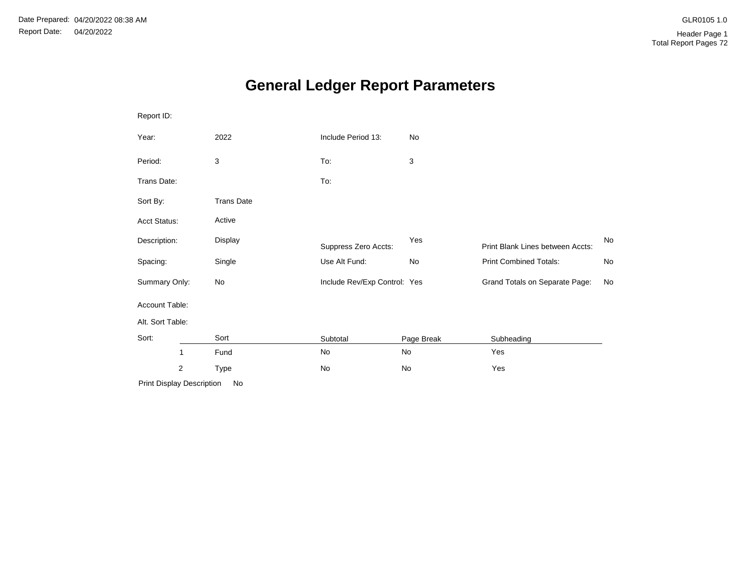# **General Ledger Report Parameters**

| Report ID:                   |                   |                              |            |                                  |    |
|------------------------------|-------------------|------------------------------|------------|----------------------------------|----|
| Year:                        | 2022              | Include Period 13:           | No         |                                  |    |
| Period:                      | 3                 | To:                          | 3          |                                  |    |
| Trans Date:                  |                   | To:                          |            |                                  |    |
| Sort By:                     | <b>Trans Date</b> |                              |            |                                  |    |
| <b>Acct Status:</b>          | Active            |                              |            |                                  |    |
| Description:                 | Display           | Suppress Zero Accts:         | Yes        | Print Blank Lines between Accts: | No |
| Spacing:                     | Single            | Use Alt Fund:                | No         | <b>Print Combined Totals:</b>    | No |
| Summary Only:                | No                | Include Rev/Exp Control: Yes |            | Grand Totals on Separate Page:   | No |
| Account Table:               |                   |                              |            |                                  |    |
| Alt. Sort Table:             |                   |                              |            |                                  |    |
| Sort:                        | Sort              | Subtotal                     | Page Break | Subheading                       |    |
| 1                            | Fund              | No                           | No         | Yes                              |    |
| $\overline{c}$               | Type              | No                           | No         | Yes                              |    |
| Drint Diapley Deparintion No |                   |                              |            |                                  |    |

Print Display Description No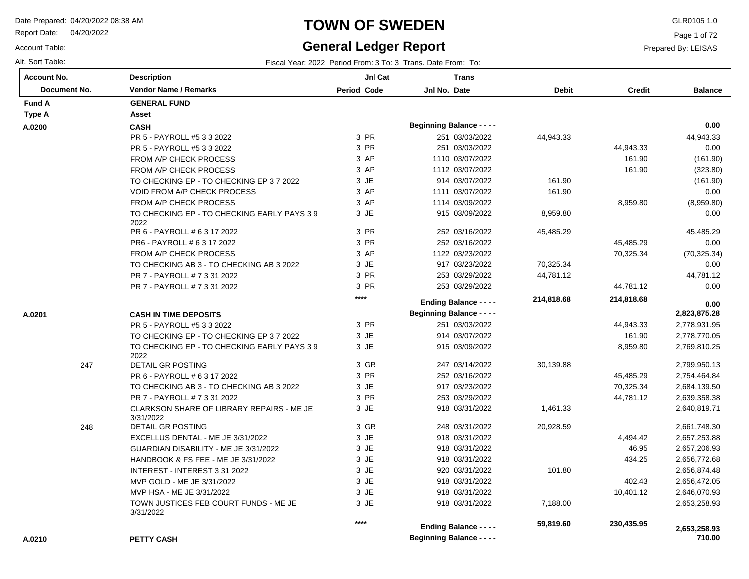Report Date: 04/20/2022

Account Table:

# **TOWN OF SWEDEN** GLR0105 1.0

#### **General Ledger Report**

Page 1 of 72

| Fiscal Year: 2022 Period From: 3 To: 3 Trans. Date From: To: |
|--------------------------------------------------------------|
|                                                              |

| <b>Account No.</b> | <b>Description</b>                                 | JnI Cat            | <b>Trans</b>                                                      |              |               |                        |
|--------------------|----------------------------------------------------|--------------------|-------------------------------------------------------------------|--------------|---------------|------------------------|
| Document No.       | <b>Vendor Name / Remarks</b>                       | <b>Period Code</b> | Jnl No. Date                                                      | <b>Debit</b> | <b>Credit</b> | <b>Balance</b>         |
| <b>Fund A</b>      | <b>GENERAL FUND</b>                                |                    |                                                                   |              |               |                        |
| <b>Type A</b>      | Asset                                              |                    |                                                                   |              |               |                        |
| A.0200             | <b>CASH</b>                                        |                    | <b>Beginning Balance - - - -</b>                                  |              |               | 0.00                   |
|                    | PR 5 - PAYROLL #5 3 3 2022                         | 3 PR               | 251 03/03/2022                                                    | 44,943.33    |               | 44,943.33              |
|                    | PR 5 - PAYROLL #5 3 3 2022                         | 3 PR               | 251 03/03/2022                                                    |              | 44,943.33     | 0.00                   |
|                    | FROM A/P CHECK PROCESS                             | 3 AP               | 1110 03/07/2022                                                   |              | 161.90        | (161.90)               |
|                    | FROM A/P CHECK PROCESS                             | 3 AP               | 1112 03/07/2022                                                   |              | 161.90        | (323.80)               |
|                    | TO CHECKING EP - TO CHECKING EP 3 7 2022           | 3 JE               | 914 03/07/2022                                                    | 161.90       |               | (161.90)               |
|                    | <b>VOID FROM A/P CHECK PROCESS</b>                 | 3 AP               | 1111 03/07/2022                                                   | 161.90       |               | 0.00                   |
|                    | FROM A/P CHECK PROCESS                             | 3 AP               | 1114 03/09/2022                                                   |              | 8,959.80      | (8,959.80)             |
|                    | TO CHECKING EP - TO CHECKING EARLY PAYS 39<br>2022 | 3 JE               | 915 03/09/2022                                                    | 8,959.80     |               | 0.00                   |
|                    | PR 6 - PAYROLL # 6 3 17 2022                       | 3 PR               | 252 03/16/2022                                                    | 45,485.29    |               | 45,485.29              |
|                    | PR6 - PAYROLL # 6 3 17 2022                        | 3 PR               | 252 03/16/2022                                                    |              | 45,485.29     | 0.00                   |
|                    | FROM A/P CHECK PROCESS                             | 3 AP               | 1122 03/23/2022                                                   |              | 70,325.34     | (70, 325.34)           |
|                    | TO CHECKING AB 3 - TO CHECKING AB 3 2022           | 3 JE               | 917 03/23/2022                                                    | 70,325.34    |               | 0.00                   |
|                    | PR 7 - PAYROLL # 7 3 31 2022                       | 3 PR               | 253 03/29/2022                                                    | 44,781.12    |               | 44,781.12              |
|                    | PR 7 - PAYROLL # 7 3 31 2022                       | 3 PR               | 253 03/29/2022                                                    |              | 44,781.12     | 0.00                   |
|                    |                                                    | ****               | <b>Ending Balance - - - -</b>                                     | 214,818.68   | 214,818.68    | 0.00                   |
| A.0201             | <b>CASH IN TIME DEPOSITS</b>                       |                    | <b>Beginning Balance - - - -</b>                                  |              |               | 2,823,875.28           |
|                    | PR 5 - PAYROLL #5 3 3 2022                         | 3 PR               | 251 03/03/2022                                                    |              | 44,943.33     | 2,778,931.95           |
|                    | TO CHECKING EP - TO CHECKING EP 3 7 2022           | 3 JE               | 914 03/07/2022                                                    |              | 161.90        | 2,778,770.05           |
|                    | TO CHECKING EP - TO CHECKING EARLY PAYS 39         | 3 JE               | 915 03/09/2022                                                    |              | 8,959.80      | 2,769,810.25           |
|                    | 2022                                               |                    |                                                                   |              |               |                        |
| 247                | DETAIL GR POSTING                                  | 3 GR               | 247 03/14/2022                                                    | 30,139.88    |               | 2,799,950.13           |
|                    | PR 6 - PAYROLL # 6 3 17 2022                       | 3 PR               | 252 03/16/2022                                                    |              | 45,485.29     | 2,754,464.84           |
|                    | TO CHECKING AB 3 - TO CHECKING AB 3 2022           | 3 JE               | 917 03/23/2022                                                    |              | 70,325.34     | 2,684,139.50           |
|                    | PR 7 - PAYROLL # 7 3 31 2022                       | 3 PR               | 253 03/29/2022                                                    |              | 44,781.12     | 2,639,358.38           |
|                    | CLARKSON SHARE OF LIBRARY REPAIRS - ME JE          | 3 JE               | 918 03/31/2022                                                    | 1,461.33     |               | 2,640,819.71           |
| 248                | 3/31/2022<br>DETAIL GR POSTING                     | 3 GR               | 248 03/31/2022                                                    | 20,928.59    |               | 2,661,748.30           |
|                    | EXCELLUS DENTAL - ME JE 3/31/2022                  | 3 JE               | 918 03/31/2022                                                    |              | 4,494.42      | 2,657,253.88           |
|                    | GUARDIAN DISABILITY - ME JE 3/31/2022              | 3 JE               | 918 03/31/2022                                                    |              | 46.95         | 2,657,206.93           |
|                    | HANDBOOK & FS FEE - ME JE 3/31/2022                | 3 JE               | 918 03/31/2022                                                    |              | 434.25        | 2,656,772.68           |
|                    | INTEREST - INTEREST 3 31 2022                      | 3 JE               | 920 03/31/2022                                                    | 101.80       |               | 2,656,874.48           |
|                    | MVP GOLD - ME JE 3/31/2022                         | 3 JE               | 918 03/31/2022                                                    |              | 402.43        | 2,656,472.05           |
|                    | MVP HSA - ME JE 3/31/2022                          | 3 JE               | 918 03/31/2022                                                    |              | 10,401.12     | 2,646,070.93           |
|                    | TOWN JUSTICES FEB COURT FUNDS - ME JE<br>3/31/2022 | 3 JE               | 918 03/31/2022                                                    | 7,188.00     |               | 2,653,258.93           |
|                    |                                                    | ****               |                                                                   | 59,819.60    | 230,435.95    |                        |
| A.0210             | <b>PETTY CASH</b>                                  |                    | <b>Ending Balance - - - -</b><br><b>Beginning Balance - - - -</b> |              |               | 2,653,258.93<br>710.00 |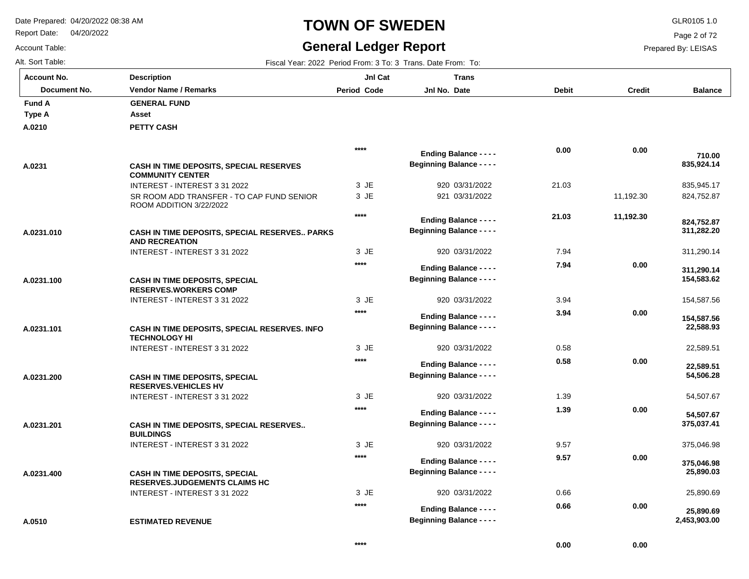INTEREST - INTEREST 3 31 2022

INTEREST - INTEREST 3 31 2022

**ESTIMATED REVENUE**

**CASH IN TIME DEPOSITS, SPECIAL RESERVES.JUDGEMENTS CLAIMS HC**

Report Date: 04/20/2022

### **TOWN OF SWEDEN** GLR0105 1.0

#### **General Ledger Report**

**Balance**

 835,945.17 824,752.87

 **835,924.14** 

 **710.00** 

311,290.14

 **311,282.20** 

 **824,752.87** 

154,587.56

 **154,583.62** 

 **311,290.14** 

22,589.51

 **22,588.93** 

 **154,587.56** 

54,507.67

 **54,506.28** 

 **22,589.51** 

375,046.98

 **375,037.41** 

 **54,507.67** 

25,890.69

 **25,890.69** 

 **2,453,903.00** 

 **25,890.03** 

 **375,046.98** 

Page 2 of 72

Prepared By: LEISAS

 **0.00** 

 **0.00** 

| <b>Account No.</b> |
|--------------------|
| Alt. Sort Table:   |
| Account Table:     |

**A.0210**

**Type A Fund A** 

**A.0231**

**A.0231.010**

**A.0231.100**

**A.0231.101**

**A.0231.200**

**A.0231.201**

**A.0231.400**

**A.0510**

| t Table:     | Fiscal Year: 2022 Period From: 3 To: 3 Trans. Date From: To:              |                    |                                                                   |              |               |
|--------------|---------------------------------------------------------------------------|--------------------|-------------------------------------------------------------------|--------------|---------------|
| unt No.      | <b>Description</b>                                                        | JnI Cat            | <b>Trans</b>                                                      |              |               |
| Document No. | <b>Vendor Name / Remarks</b>                                              | <b>Period Code</b> | Jnl No. Date                                                      | <b>Debit</b> | <b>Credit</b> |
| l A          | <b>GENERAL FUND</b>                                                       |                    |                                                                   |              |               |
| ۰A           | Asset                                                                     |                    |                                                                   |              |               |
| 10           | PETTY CASH                                                                |                    |                                                                   |              |               |
|              |                                                                           | ****               | <b>Ending Balance - - - -</b>                                     | 0.00         | 0.00          |
| 31           | <b>CASH IN TIME DEPOSITS, SPECIAL RESERVES</b><br><b>COMMUNITY CENTER</b> |                    | <b>Beginning Balance - - - -</b>                                  |              |               |
|              | INTEREST - INTEREST 3 31 2022                                             | 3 JE               | 920 03/31/2022                                                    | 21.03        |               |
|              | SR ROOM ADD TRANSFER - TO CAP FUND SENIOR<br>ROOM ADDITION 3/22/2022      | 3 JE               | 921 03/31/2022                                                    |              | 11,192.30     |
|              |                                                                           | $****$             | <b>Ending Balance - - - -</b>                                     | 21.03        | 11,192.30     |
| 31.010       | CASH IN TIME DEPOSITS, SPECIAL RESERVES PARKS<br><b>AND RECREATION</b>    |                    | <b>Beginning Balance - - - -</b>                                  |              |               |
|              | INTEREST - INTEREST 3 31 2022                                             | $3$ JE             | 920 03/31/2022                                                    | 7.94         |               |
|              |                                                                           | $****$             | <b>Ending Balance - - - -</b>                                     | 7.94         | 0.00          |
| 31.100       | <b>CASH IN TIME DEPOSITS, SPECIAL</b><br><b>RESERVES.WORKERS COMP</b>     |                    | <b>Beginning Balance - - - -</b>                                  |              |               |
|              | INTEREST - INTEREST 3 31 2022                                             | 3 JE               | 920 03/31/2022                                                    | 3.94         |               |
| 31.101       | CASH IN TIME DEPOSITS, SPECIAL RESERVES. INFO                             | ****               | <b>Ending Balance - - - -</b><br><b>Beginning Balance - - - -</b> | 3.94         | 0.00          |
|              | <b>TECHNOLOGY HI</b>                                                      |                    |                                                                   |              |               |
|              | INTEREST - INTEREST 3 31 2022                                             | 3 JE               | 920 03/31/2022                                                    | 0.58         |               |
|              |                                                                           | ****               | <b>Ending Balance - - - -</b><br><b>Beginning Balance - - - -</b> | 0.58         | 0.00          |
| 31.200       | <b>CASH IN TIME DEPOSITS, SPECIAL</b><br><b>RESERVES.VEHICLES HV</b>      |                    |                                                                   |              |               |
|              | INTEREST - INTEREST 3 31 2022                                             | 3 JE               | 920 03/31/2022                                                    | 1.39         |               |
|              |                                                                           | ****               | <b>Ending Balance - - - -</b>                                     | 1.39         | 0.00          |
| 31.201       | CASH IN TIME DEPOSITS, SPECIAL RESERVES<br><b>BUILDINGS</b>               |                    | <b>Beginning Balance - - - -</b>                                  |              |               |

9.57

 **9.57** 

0.66

 **0.66** 

 **0.00** 

JE 3

**\*\*\*\***

920 03/31/2022

920 03/31/2022

**Beginning Balance - - - -**

**Ending Balance - - - -**

**Beginning Balance - - - -**

**Ending Balance - - - -**

JE 3

**\*\*\*\***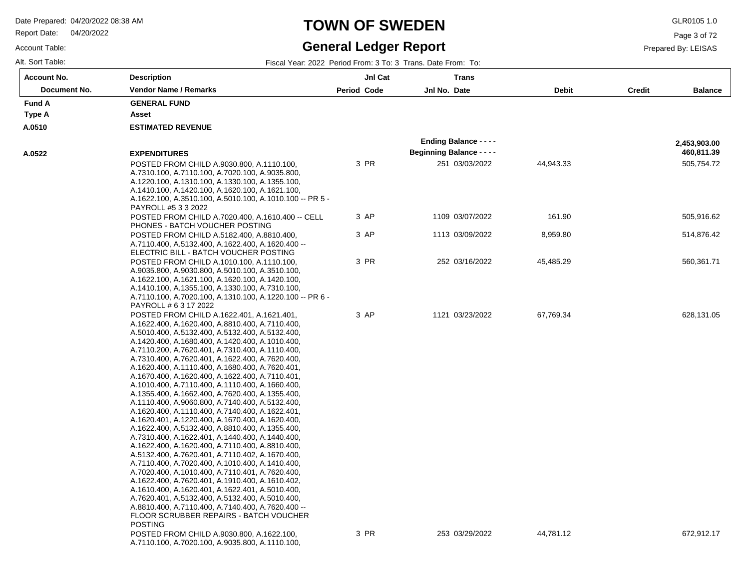**Description**

Report Date: 04/20/2022

### **TOWN OF SWEDEN** GLR0105 1.0

#### **General Ledger Report**

**Jnl Cat**

**Trans**

Page 3 of 72

Prepared By: LEISAS

Account Table: Alt. Sort Table: Fiscal Year: 2022 Period From: 3 To: 3 Trans. Date From: To: 3 Trans. Date From: To: 3 Trans. Date From: To: **Account No.**

**A.0510**

**Type A Fund A** 

**A.0522**

| Document No. | <b>Vendor Name / Remarks</b>                                                                                                                                                                                                                                                                                                                                                                                                                                                                                                                                                                                                                                                                                                                                                                                                                                                                                                                                                                                                                                                                                                                                                                                                                            | Period Code | Jnl No. Date                     | <b>Debit</b> | <b>Credit</b> | <b>Balance</b> |
|--------------|---------------------------------------------------------------------------------------------------------------------------------------------------------------------------------------------------------------------------------------------------------------------------------------------------------------------------------------------------------------------------------------------------------------------------------------------------------------------------------------------------------------------------------------------------------------------------------------------------------------------------------------------------------------------------------------------------------------------------------------------------------------------------------------------------------------------------------------------------------------------------------------------------------------------------------------------------------------------------------------------------------------------------------------------------------------------------------------------------------------------------------------------------------------------------------------------------------------------------------------------------------|-------------|----------------------------------|--------------|---------------|----------------|
| ΙA           | <b>GENERAL FUND</b>                                                                                                                                                                                                                                                                                                                                                                                                                                                                                                                                                                                                                                                                                                                                                                                                                                                                                                                                                                                                                                                                                                                                                                                                                                     |             |                                  |              |               |                |
| $\mathbf{A}$ | Asset                                                                                                                                                                                                                                                                                                                                                                                                                                                                                                                                                                                                                                                                                                                                                                                                                                                                                                                                                                                                                                                                                                                                                                                                                                                   |             |                                  |              |               |                |
| 10           | <b>ESTIMATED REVENUE</b>                                                                                                                                                                                                                                                                                                                                                                                                                                                                                                                                                                                                                                                                                                                                                                                                                                                                                                                                                                                                                                                                                                                                                                                                                                |             |                                  |              |               |                |
|              |                                                                                                                                                                                                                                                                                                                                                                                                                                                                                                                                                                                                                                                                                                                                                                                                                                                                                                                                                                                                                                                                                                                                                                                                                                                         |             | <b>Ending Balance - - - -</b>    |              |               | 2,453,903.00   |
| 22           | <b>EXPENDITURES</b>                                                                                                                                                                                                                                                                                                                                                                                                                                                                                                                                                                                                                                                                                                                                                                                                                                                                                                                                                                                                                                                                                                                                                                                                                                     |             | <b>Beginning Balance - - - -</b> |              |               | 460,811.39     |
|              | POSTED FROM CHILD A.9030.800, A.1110.100,                                                                                                                                                                                                                                                                                                                                                                                                                                                                                                                                                                                                                                                                                                                                                                                                                                                                                                                                                                                                                                                                                                                                                                                                               | 3 PR        | 251 03/03/2022                   | 44,943.33    |               | 505,754.72     |
|              | A.7310.100, A.7110.100, A.7020.100, A.9035.800,<br>A.1220.100, A.1310.100, A.1330.100, A.1355.100,<br>A.1410.100, A.1420.100, A.1620.100, A.1621.100,<br>A.1622.100, A.3510.100, A.5010.100, A.1010.100 -- PR 5 -                                                                                                                                                                                                                                                                                                                                                                                                                                                                                                                                                                                                                                                                                                                                                                                                                                                                                                                                                                                                                                       |             |                                  |              |               |                |
|              | PAYROLL #5 3 3 2022                                                                                                                                                                                                                                                                                                                                                                                                                                                                                                                                                                                                                                                                                                                                                                                                                                                                                                                                                                                                                                                                                                                                                                                                                                     |             |                                  |              |               |                |
|              | POSTED FROM CHILD A.7020.400, A.1610.400 -- CELL<br>PHONES - BATCH VOUCHER POSTING                                                                                                                                                                                                                                                                                                                                                                                                                                                                                                                                                                                                                                                                                                                                                                                                                                                                                                                                                                                                                                                                                                                                                                      | 3 AP        | 1109 03/07/2022                  | 161.90       |               | 505,916.62     |
|              | POSTED FROM CHILD A.5182.400, A.8810.400,<br>A.7110.400, A.5132.400, A.1622.400, A.1620.400 --<br>ELECTRIC BILL - BATCH VOUCHER POSTING                                                                                                                                                                                                                                                                                                                                                                                                                                                                                                                                                                                                                                                                                                                                                                                                                                                                                                                                                                                                                                                                                                                 | 3 AP        | 1113 03/09/2022                  | 8,959.80     |               | 514,876.42     |
|              | POSTED FROM CHILD A.1010.100, A.1110.100,<br>A.9035.800, A.9030.800, A.5010.100, A.3510.100,<br>A.1622.100, A.1621.100, A.1620.100, A.1420.100,<br>A.1410.100, A.1355.100, A.1330.100, A.7310.100,                                                                                                                                                                                                                                                                                                                                                                                                                                                                                                                                                                                                                                                                                                                                                                                                                                                                                                                                                                                                                                                      | 3 PR        | 252 03/16/2022                   | 45,485.29    |               | 560,361.71     |
|              | A.7110.100, A.7020.100, A.1310.100, A.1220.100 -- PR 6 -                                                                                                                                                                                                                                                                                                                                                                                                                                                                                                                                                                                                                                                                                                                                                                                                                                                                                                                                                                                                                                                                                                                                                                                                |             |                                  |              |               |                |
|              | PAYROLL # 6 3 17 2022                                                                                                                                                                                                                                                                                                                                                                                                                                                                                                                                                                                                                                                                                                                                                                                                                                                                                                                                                                                                                                                                                                                                                                                                                                   |             |                                  |              |               |                |
|              | POSTED FROM CHILD A.1622.401, A.1621.401,<br>A.1622.400, A.1620.400, A.8810.400, A.7110.400,<br>A.5010.400, A.5132.400, A.5132.400, A.5132.400,<br>A.1420.400, A.1680.400, A.1420.400, A.1010.400,<br>A.7110.200, A.7620.401, A.7310.400, A.1110.400,<br>A.7310.400, A.7620.401, A.1622.400, A.7620.400,<br>A.1620.400, A.1110.400, A.1680.400, A.7620.401,<br>A.1670.400, A.1620.400, A.1622.400, A.7110.401,<br>A.1010.400, A.7110.400, A.1110.400, A.1660.400,<br>A.1355.400, A.1662.400, A.7620.400, A.1355.400,<br>A.1110.400, A.9060.800, A.7140.400, A.5132.400,<br>A.1620.400, A.1110.400, A.7140.400, A.1622.401,<br>A.1620.401, A.1220.400, A.1670.400, A.1620.400,<br>A.1622.400, A.5132.400, A.8810.400, A.1355.400,<br>A.7310.400, A.1622.401, A.1440.400, A.1440.400,<br>A.1622.400, A.1620.400, A.7110.400, A.8810.400,<br>A.5132.400, A.7620.401, A.7110.402, A.1670.400,<br>A.7110.400, A.7020.400, A.1010.400, A.1410.400,<br>A.7020.400, A.1010.400, A.7110.401, A.7620.400,<br>A.1622.400, A.7620.401, A.1910.400, A.1610.402,<br>A.1610.400, A.1620.401, A.1622.401, A.5010.400,<br>A.7620.401, A.5132.400, A.5132.400, A.5010.400,<br>A.8810.400, A.7110.400, A.7140.400, A.7620.400 --<br>FLOOR SCRUBBER REPAIRS - BATCH VOUCHER | 3 AP        | 1121 03/23/2022                  | 67,769.34    |               | 628,131.05     |
|              | <b>POSTING</b>                                                                                                                                                                                                                                                                                                                                                                                                                                                                                                                                                                                                                                                                                                                                                                                                                                                                                                                                                                                                                                                                                                                                                                                                                                          |             |                                  |              |               |                |
|              | POSTED FROM CHILD A.9030.800, A.1622.100,                                                                                                                                                                                                                                                                                                                                                                                                                                                                                                                                                                                                                                                                                                                                                                                                                                                                                                                                                                                                                                                                                                                                                                                                               | 3 PR        | 253 03/29/2022                   | 44,781.12    |               | 672,912.17     |

A.7110.100, A.7020.100, A.9035.800, A.1110.100,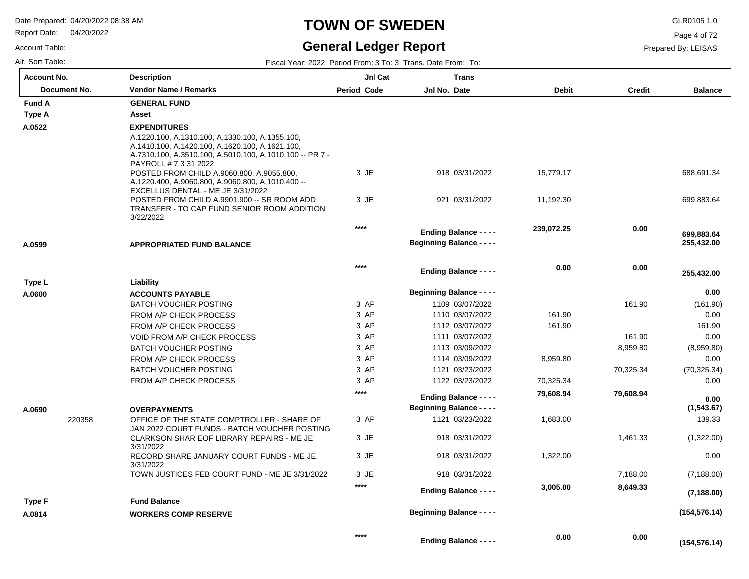Report Date: 04/20/2022

Account Table:

# **TOWN OF SWEDEN** GLR0105 1.0

#### **General Ledger Report**

Page 4 of 72

| Alt. Sort Table: | Fiscal Year: 2022 Period From: 3 To: 3 Trans. Date From: To: |
|------------------|--------------------------------------------------------------|
|                  |                                                              |

| <b>Account No.</b>  | <b>Description</b>                                                                                                                                             | JnI Cat            | <b>Trans</b>                                                      |              |               |                          |
|---------------------|----------------------------------------------------------------------------------------------------------------------------------------------------------------|--------------------|-------------------------------------------------------------------|--------------|---------------|--------------------------|
| <b>Document No.</b> | <b>Vendor Name / Remarks</b>                                                                                                                                   | <b>Period Code</b> | Jnl No. Date                                                      | <b>Debit</b> | <b>Credit</b> | <b>Balance</b>           |
| <b>Fund A</b>       | <b>GENERAL FUND</b>                                                                                                                                            |                    |                                                                   |              |               |                          |
| Type A              | Asset                                                                                                                                                          |                    |                                                                   |              |               |                          |
| A.0522              | <b>EXPENDITURES</b>                                                                                                                                            |                    |                                                                   |              |               |                          |
|                     | A.1220.100, A.1310.100, A.1330.100, A.1355.100,<br>A.1410.100, A.1420.100, A.1620.100, A.1621.100,<br>A.7310.100, A.3510.100, A.5010.100, A.1010.100 -- PR 7 - |                    |                                                                   |              |               |                          |
|                     | PAYROLL # 7 3 31 2022                                                                                                                                          |                    |                                                                   |              |               |                          |
|                     | POSTED FROM CHILD A.9060.800, A.9055.800,<br>A.1220.400, A.9060.800, A.9060.800, A.1010.400 --<br>EXCELLUS DENTAL - ME JE 3/31/2022                            | 3 JE               | 918 03/31/2022                                                    | 15,779.17    |               | 688,691.34               |
|                     | POSTED FROM CHILD A.9901.900 -- SR ROOM ADD<br>TRANSFER - TO CAP FUND SENIOR ROOM ADDITION<br>3/22/2022                                                        | 3 JE               | 921 03/31/2022                                                    | 11,192.30    |               | 699,883.64               |
|                     |                                                                                                                                                                | $****$             |                                                                   | 239,072.25   | 0.00          |                          |
| A.0599              | <b>APPROPRIATED FUND BALANCE</b>                                                                                                                               |                    | <b>Ending Balance - - - -</b><br><b>Beginning Balance - - - -</b> |              |               | 699,883.64<br>255,432.00 |
|                     |                                                                                                                                                                |                    |                                                                   |              |               |                          |
|                     |                                                                                                                                                                | $****$             | <b>Ending Balance - - - -</b>                                     | 0.00         | 0.00          | 255,432.00               |
| Type L              | Liability                                                                                                                                                      |                    |                                                                   |              |               |                          |
| A.0600              | <b>ACCOUNTS PAYABLE</b>                                                                                                                                        |                    | <b>Beginning Balance - - - -</b>                                  |              |               | 0.00                     |
|                     | <b>BATCH VOUCHER POSTING</b>                                                                                                                                   | 3 AP               | 1109 03/07/2022                                                   |              | 161.90        | (161.90)                 |
|                     | FROM A/P CHECK PROCESS                                                                                                                                         | 3 AP               | 1110 03/07/2022                                                   | 161.90       |               | 0.00                     |
|                     | FROM A/P CHECK PROCESS                                                                                                                                         | 3 AP               | 1112 03/07/2022                                                   | 161.90       |               | 161.90                   |
|                     | <b>VOID FROM A/P CHECK PROCESS</b>                                                                                                                             | 3 AP               | 1111 03/07/2022                                                   |              | 161.90        | 0.00                     |
|                     | <b>BATCH VOUCHER POSTING</b>                                                                                                                                   | 3 AP               | 1113 03/09/2022                                                   |              | 8,959.80      | (8,959.80)               |
|                     | FROM A/P CHECK PROCESS                                                                                                                                         | 3 AP               | 1114 03/09/2022                                                   | 8,959.80     |               | 0.00                     |
|                     | <b>BATCH VOUCHER POSTING</b>                                                                                                                                   | 3 AP               | 1121 03/23/2022                                                   |              | 70,325.34     | (70, 325.34)             |
|                     | FROM A/P CHECK PROCESS                                                                                                                                         | 3 AP               | 1122 03/23/2022                                                   | 70,325.34    |               | 0.00                     |
|                     |                                                                                                                                                                | $****$             | <b>Ending Balance - - - -</b>                                     | 79,608.94    | 79,608.94     | 0.00                     |
| A.0690              | <b>OVERPAYMENTS</b>                                                                                                                                            |                    | <b>Beginning Balance - - - -</b>                                  |              |               | (1,543.67)               |
| 220358              | OFFICE OF THE STATE COMPTROLLER - SHARE OF<br>JAN 2022 COURT FUNDS - BATCH VOUCHER POSTING                                                                     | 3 AP               | 1121 03/23/2022                                                   | 1,683.00     |               | 139.33                   |
|                     | CLARKSON SHAR EOF LIBRARY REPAIRS - ME JE<br>3/31/2022                                                                                                         | 3 JE               | 918 03/31/2022                                                    |              | 1,461.33      | (1,322.00)               |
|                     | RECORD SHARE JANUARY COURT FUNDS - ME JE<br>3/31/2022                                                                                                          | 3 JE               | 918 03/31/2022                                                    | 1,322.00     |               | 0.00                     |
|                     | TOWN JUSTICES FEB COURT FUND - ME JE 3/31/2022                                                                                                                 | 3 JE               | 918 03/31/2022                                                    |              | 7,188.00      | (7, 188.00)              |
|                     |                                                                                                                                                                | $****$             | <b>Ending Balance - - - -</b>                                     | 3,005.00     | 8,649.33      | (7, 188.00)              |
| Type F              | <b>Fund Balance</b>                                                                                                                                            |                    |                                                                   |              |               |                          |
| A.0814              | <b>WORKERS COMP RESERVE</b>                                                                                                                                    |                    | <b>Beginning Balance - - - -</b>                                  |              |               | (154, 576.14)            |
|                     |                                                                                                                                                                | $***$              | <b>Ending Balance - - - -</b>                                     | 0.00         | 0.00          | (154, 576.14)            |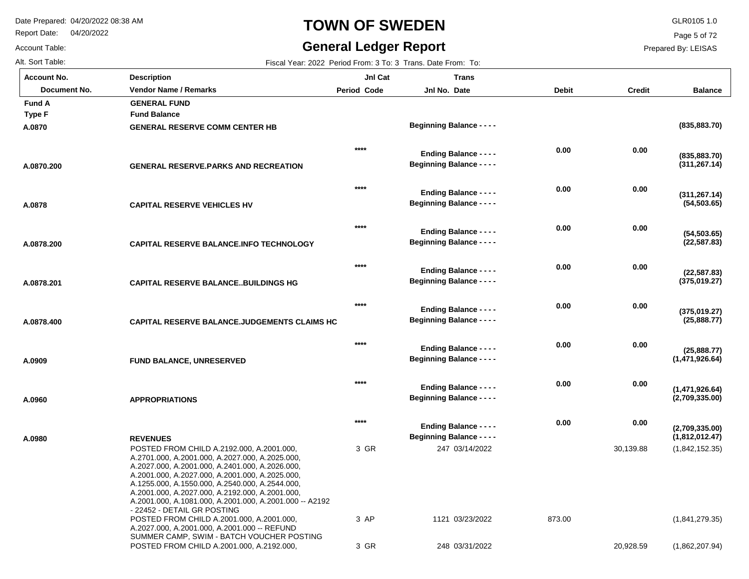Report Date: 04/20/2022

#### Account Table:

# **TOWN OF SWEDEN** GLR0105 1.0

#### **General Ledger Report**

Page 5 of 72

| Fiscal Year: 2022 Period From: 3 To: 3 Trans. Date From: To: |
|--------------------------------------------------------------|
|                                                              |

| <b>Account No.</b> | <b>Description</b>                                                                                                                                                                                                                                                                                                                                                                                 | JnI Cat            | <b>Trans</b>                                                      |              |               |                                  |
|--------------------|----------------------------------------------------------------------------------------------------------------------------------------------------------------------------------------------------------------------------------------------------------------------------------------------------------------------------------------------------------------------------------------------------|--------------------|-------------------------------------------------------------------|--------------|---------------|----------------------------------|
| Document No.       | <b>Vendor Name / Remarks</b>                                                                                                                                                                                                                                                                                                                                                                       | <b>Period Code</b> | Jnl No. Date                                                      | <b>Debit</b> | <b>Credit</b> | <b>Balance</b>                   |
| <b>Fund A</b>      | <b>GENERAL FUND</b>                                                                                                                                                                                                                                                                                                                                                                                |                    |                                                                   |              |               |                                  |
| <b>Type F</b>      | <b>Fund Balance</b>                                                                                                                                                                                                                                                                                                                                                                                |                    |                                                                   |              |               |                                  |
| A.0870             | <b>GENERAL RESERVE COMM CENTER HB</b>                                                                                                                                                                                                                                                                                                                                                              |                    | <b>Beginning Balance - - - -</b>                                  |              |               | (835, 883.70)                    |
| A.0870.200         | <b>GENERAL RESERVE.PARKS AND RECREATION</b>                                                                                                                                                                                                                                                                                                                                                        | $***$              | <b>Ending Balance - - - -</b><br><b>Beginning Balance - - - -</b> | 0.00         | 0.00          | (835, 883.70)<br>(311, 267.14)   |
| A.0878             | <b>CAPITAL RESERVE VEHICLES HV</b>                                                                                                                                                                                                                                                                                                                                                                 | $****$             | <b>Ending Balance - - - -</b><br><b>Beginning Balance - - - -</b> | 0.00         | 0.00          | (311, 267.14)<br>(54, 503.65)    |
| A.0878.200         | CAPITAL RESERVE BALANCE.INFO TECHNOLOGY                                                                                                                                                                                                                                                                                                                                                            | $****$             | <b>Ending Balance - - - -</b><br><b>Beginning Balance - - - -</b> | 0.00         | 0.00          | (54, 503.65)<br>(22, 587.83)     |
| A.0878.201         | <b>CAPITAL RESERVE BALANCEBUILDINGS HG</b>                                                                                                                                                                                                                                                                                                                                                         | $***$              | <b>Ending Balance - - - -</b><br><b>Beginning Balance - - - -</b> | 0.00         | 0.00          | (22, 587.83)<br>(375,019.27)     |
| A.0878.400         | <b>CAPITAL RESERVE BALANCE.JUDGEMENTS CLAIMS HC</b>                                                                                                                                                                                                                                                                                                                                                | $***$              | <b>Ending Balance - - - -</b><br><b>Beginning Balance - - - -</b> | 0.00         | 0.00          | (375,019.27)<br>(25,888.77)      |
| A.0909             | <b>FUND BALANCE, UNRESERVED</b>                                                                                                                                                                                                                                                                                                                                                                    | $***$              | <b>Ending Balance - - - -</b><br><b>Beginning Balance - - - -</b> | 0.00         | 0.00          | (25,888.77)<br>(1,471,926.64)    |
| A.0960             | <b>APPROPRIATIONS</b>                                                                                                                                                                                                                                                                                                                                                                              | $****$             | <b>Ending Balance - - - -</b><br><b>Beginning Balance - - - -</b> | 0.00         | 0.00          | (1,471,926.64)<br>(2,709,335.00) |
| A.0980             | <b>REVENUES</b>                                                                                                                                                                                                                                                                                                                                                                                    | $***$              | <b>Ending Balance - - - -</b><br><b>Beginning Balance - - - -</b> | 0.00         | 0.00          | (2,709,335.00)<br>(1,812,012.47) |
|                    | POSTED FROM CHILD A.2192.000, A.2001.000,<br>A.2701.000, A.2001.000, A.2027.000, A.2025.000,<br>A.2027.000, A.2001.000, A.2401.000, A.2026.000,<br>A.2001.000, A.2027.000, A.2001.000, A.2025.000,<br>A.1255.000, A.1550.000, A.2540.000, A.2544.000,<br>A.2001.000, A.2027.000, A.2192.000, A.2001.000,<br>A.2001.000, A.1081.000, A.2001.000, A.2001.000 -- A2192<br>- 22452 - DETAIL GR POSTING | 3 GR               | 247 03/14/2022                                                    |              | 30,139.88     | (1,842,152.35)                   |
|                    | POSTED FROM CHILD A.2001.000, A.2001.000,<br>A.2027.000, A.2001.000, A.2001.000 -- REFUND<br>SUMMER CAMP, SWIM - BATCH VOUCHER POSTING                                                                                                                                                                                                                                                             | 3 AP               | 1121 03/23/2022                                                   | 873.00       |               | (1,841,279.35)                   |
|                    | POSTED FROM CHILD A.2001.000, A.2192.000,                                                                                                                                                                                                                                                                                                                                                          | 3 GR               | 248 03/31/2022                                                    |              | 20,928.59     | (1,862,207.94)                   |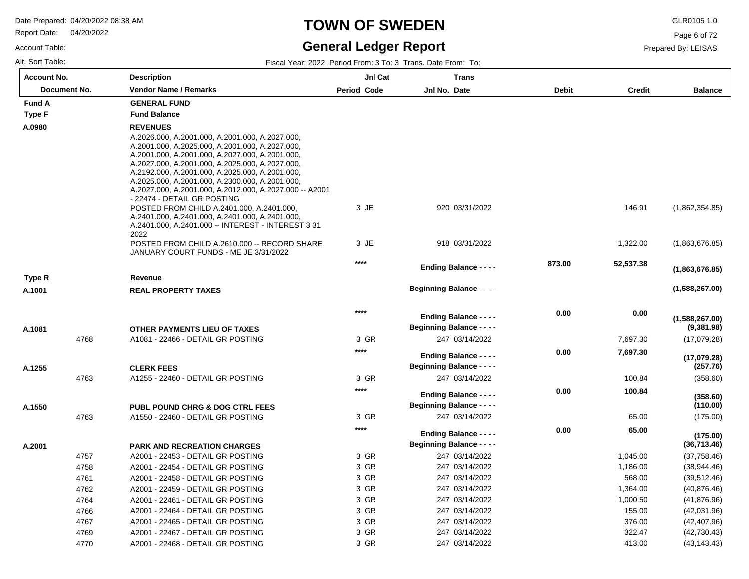Report Date: 04/20/2022

Account Table:

### **TOWN OF SWEDEN** GLR0105 1.0

### **General Ledger Report**

Page 6 of 72

Prepared By: LEISAS

| <b>Account No.</b> |              | <b>Description</b>                                                                                                                                                                                                                                                                                                                                                                                       | JnI Cat      | <b>Trans</b>                                                      |              |                      |                              |
|--------------------|--------------|----------------------------------------------------------------------------------------------------------------------------------------------------------------------------------------------------------------------------------------------------------------------------------------------------------------------------------------------------------------------------------------------------------|--------------|-------------------------------------------------------------------|--------------|----------------------|------------------------------|
|                    | Document No. | <b>Vendor Name / Remarks</b>                                                                                                                                                                                                                                                                                                                                                                             | Period Code  | Jnl No. Date                                                      | <b>Debit</b> | <b>Credit</b>        | <b>Balance</b>               |
| <b>Fund A</b>      |              | <b>GENERAL FUND</b>                                                                                                                                                                                                                                                                                                                                                                                      |              |                                                                   |              |                      |                              |
| Type F             |              | <b>Fund Balance</b>                                                                                                                                                                                                                                                                                                                                                                                      |              |                                                                   |              |                      |                              |
| A.0980             |              | <b>REVENUES</b>                                                                                                                                                                                                                                                                                                                                                                                          |              |                                                                   |              |                      |                              |
|                    |              | A.2026.000, A.2001.000, A.2001.000, A.2027.000,<br>A.2001.000, A.2025.000, A.2001.000, A.2027.000,<br>A.2001.000, A.2001.000, A.2027.000, A.2001.000,<br>A.2027.000, A.2001.000, A.2025.000, A.2027.000,<br>A.2192.000, A.2001.000, A.2025.000, A.2001.000,<br>A.2025.000, A.2001.000, A.2300.000, A.2001.000,<br>A.2027.000, A.2001.000, A.2012.000, A.2027.000 -- A2001<br>- 22474 - DETAIL GR POSTING |              |                                                                   |              |                      |                              |
|                    |              | POSTED FROM CHILD A.2401.000, A.2401.000,<br>A.2401.000, A.2401.000, A.2401.000, A.2401.000,<br>A.2401.000, A.2401.000 -- INTEREST - INTEREST 3 31<br>2022                                                                                                                                                                                                                                               | 3 JE         | 920 03/31/2022                                                    |              | 146.91               | (1,862,354.85)               |
|                    |              | POSTED FROM CHILD A.2610.000 -- RECORD SHARE<br>JANUARY COURT FUNDS - ME JE 3/31/2022                                                                                                                                                                                                                                                                                                                    | 3 JE         | 918 03/31/2022                                                    |              | 1,322.00             | (1,863,676.85)               |
|                    |              |                                                                                                                                                                                                                                                                                                                                                                                                          | $***$        | <b>Ending Balance - - - -</b>                                     | 873.00       | 52,537.38            | (1,863,676.85)               |
| Type R             |              | Revenue                                                                                                                                                                                                                                                                                                                                                                                                  |              |                                                                   |              |                      |                              |
| A.1001             |              | <b>REAL PROPERTY TAXES</b>                                                                                                                                                                                                                                                                                                                                                                               |              | <b>Beginning Balance - - - -</b>                                  |              |                      | (1,588,267.00)               |
| A.1081             |              | OTHER PAYMENTS LIEU OF TAXES                                                                                                                                                                                                                                                                                                                                                                             | $****$       | <b>Ending Balance - - - -</b><br><b>Beginning Balance - - - -</b> | 0.00         | 0.00                 | (1,588,267.00)<br>(9,381.98) |
|                    | 4768         | A1081 - 22466 - DETAIL GR POSTING                                                                                                                                                                                                                                                                                                                                                                        | 3 GR         | 247 03/14/2022                                                    |              | 7,697.30             | (17,079.28)                  |
| A.1255             |              | <b>CLERK FEES</b>                                                                                                                                                                                                                                                                                                                                                                                        | $***$        | <b>Ending Balance - - - -</b><br><b>Beginning Balance - - - -</b> | 0.00         | 7,697.30             | (17,079.28)<br>(257.76)      |
|                    | 4763         | A1255 - 22460 - DETAIL GR POSTING                                                                                                                                                                                                                                                                                                                                                                        | 3 GR         | 247 03/14/2022                                                    |              | 100.84               | (358.60)                     |
| A.1550             |              | <b>PUBL POUND CHRG &amp; DOG CTRL FEES</b>                                                                                                                                                                                                                                                                                                                                                               | $***$        | <b>Ending Balance - - - -</b><br><b>Beginning Balance - - - -</b> | 0.00         | 100.84               | (358.60)<br>(110.00)         |
|                    | 4763         | A1550 - 22460 - DETAIL GR POSTING                                                                                                                                                                                                                                                                                                                                                                        | 3 GR         | 247 03/14/2022                                                    |              | 65.00                | (175.00)                     |
|                    |              |                                                                                                                                                                                                                                                                                                                                                                                                          | $****$       | <b>Ending Balance - - - -</b>                                     | 0.00         | 65.00                | (175.00)                     |
| A.2001             |              | <b>PARK AND RECREATION CHARGES</b>                                                                                                                                                                                                                                                                                                                                                                       |              | <b>Beginning Balance - - - -</b>                                  |              |                      | (36,713.46)                  |
|                    | 4757<br>4758 | A2001 - 22453 - DETAIL GR POSTING<br>A2001 - 22454 - DETAIL GR POSTING                                                                                                                                                                                                                                                                                                                                   | 3 GR<br>3 GR | 247 03/14/2022<br>247 03/14/2022                                  |              | 1,045.00<br>1,186.00 | (37,758.46)<br>(38, 944.46)  |
|                    |              | A2001 - 22458 - DETAIL GR POSTING                                                                                                                                                                                                                                                                                                                                                                        | 3 GR         | 247 03/14/2022                                                    |              | 568.00               | (39, 512.46)                 |
|                    | 4761<br>4762 | A2001 - 22459 - DETAIL GR POSTING                                                                                                                                                                                                                                                                                                                                                                        | 3 GR         | 247 03/14/2022                                                    |              | 1,364.00             | (40, 876.46)                 |
|                    | 4764         | A2001 - 22461 - DETAIL GR POSTING                                                                                                                                                                                                                                                                                                                                                                        | 3 GR         | 247 03/14/2022                                                    |              | 1,000.50             | (41, 876.96)                 |
|                    | 4766         | A2001 - 22464 - DETAIL GR POSTING                                                                                                                                                                                                                                                                                                                                                                        | 3 GR         | 247 03/14/2022                                                    |              | 155.00               | (42,031.96)                  |
|                    | 4767         | A2001 - 22465 - DETAIL GR POSTING                                                                                                                                                                                                                                                                                                                                                                        | 3 GR         | 247 03/14/2022                                                    |              | 376.00               | (42, 407.96)                 |
|                    | 4769         | A2001 - 22467 - DETAIL GR POSTING                                                                                                                                                                                                                                                                                                                                                                        | 3 GR         | 247 03/14/2022                                                    |              | 322.47               | (42, 730.43)                 |
|                    | 4770         | A2001 - 22468 - DETAIL GR POSTING                                                                                                                                                                                                                                                                                                                                                                        | 3 GR         | 247 03/14/2022                                                    |              | 413.00               | (43, 143.43)                 |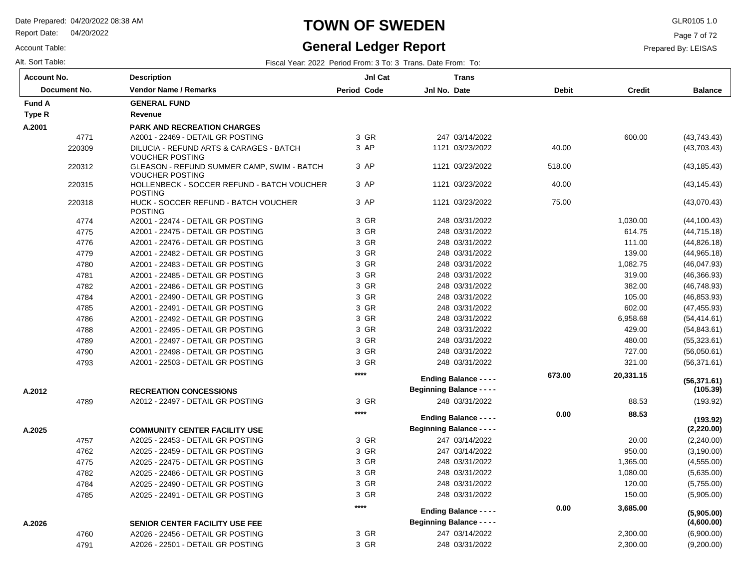Report Date: 04/20/2022

Account Table:

# **TOWN OF SWEDEN** GLR0105 1.0

### **General Ledger Report**

Page 7 of 72

| <b>Account No.</b> |              | <b>Description</b>                                                   | JnI Cat     |              | <b>Trans</b>                     |              |               |                          |
|--------------------|--------------|----------------------------------------------------------------------|-------------|--------------|----------------------------------|--------------|---------------|--------------------------|
|                    | Document No. | <b>Vendor Name / Remarks</b>                                         | Period Code | Jnl No. Date |                                  | <b>Debit</b> | <b>Credit</b> | <b>Balance</b>           |
| <b>Fund A</b>      |              | <b>GENERAL FUND</b>                                                  |             |              |                                  |              |               |                          |
| Type R             |              | Revenue                                                              |             |              |                                  |              |               |                          |
| A.2001             |              | <b>PARK AND RECREATION CHARGES</b>                                   |             |              |                                  |              |               |                          |
|                    | 4771         | A2001 - 22469 - DETAIL GR POSTING                                    | 3 GR        |              | 247 03/14/2022                   |              | 600.00        | (43, 743.43)             |
|                    | 220309       | DILUCIA - REFUND ARTS & CARAGES - BATCH<br><b>VOUCHER POSTING</b>    | 3 AP        |              | 1121 03/23/2022                  | 40.00        |               | (43,703.43)              |
|                    | 220312       | GLEASON - REFUND SUMMER CAMP, SWIM - BATCH<br><b>VOUCHER POSTING</b> | 3 AP        |              | 1121 03/23/2022                  | 518.00       |               | (43, 185.43)             |
|                    | 220315       | HOLLENBECK - SOCCER REFUND - BATCH VOUCHER<br><b>POSTING</b>         | 3 AP        |              | 1121 03/23/2022                  | 40.00        |               | (43, 145.43)             |
|                    | 220318       | HUCK - SOCCER REFUND - BATCH VOUCHER<br><b>POSTING</b>               | 3 AP        |              | 1121 03/23/2022                  | 75.00        |               | (43,070.43)              |
|                    | 4774         | A2001 - 22474 - DETAIL GR POSTING                                    | 3 GR        |              | 248 03/31/2022                   |              | 1,030.00      | (44, 100.43)             |
|                    | 4775         | A2001 - 22475 - DETAIL GR POSTING                                    | 3 GR        |              | 248 03/31/2022                   |              | 614.75        | (44, 715.18)             |
|                    | 4776         | A2001 - 22476 - DETAIL GR POSTING                                    | 3 GR        |              | 248 03/31/2022                   |              | 111.00        | (44, 826.18)             |
|                    | 4779         | A2001 - 22482 - DETAIL GR POSTING                                    | 3 GR        |              | 248 03/31/2022                   |              | 139.00        | (44, 965.18)             |
|                    | 4780         | A2001 - 22483 - DETAIL GR POSTING                                    | 3 GR        |              | 248 03/31/2022                   |              | 1,082.75      | (46, 047.93)             |
|                    | 4781         | A2001 - 22485 - DETAIL GR POSTING                                    | 3 GR        |              | 248 03/31/2022                   |              | 319.00        | (46, 366.93)             |
|                    | 4782         | A2001 - 22486 - DETAIL GR POSTING                                    | 3 GR        |              | 248 03/31/2022                   |              | 382.00        | (46,748.93)              |
|                    | 4784         | A2001 - 22490 - DETAIL GR POSTING                                    | 3 GR        |              | 248 03/31/2022                   |              | 105.00        | (46, 853.93)             |
|                    | 4785         | A2001 - 22491 - DETAIL GR POSTING                                    | 3 GR        |              | 248 03/31/2022                   |              | 602.00        | (47, 455.93)             |
|                    | 4786         | A2001 - 22492 - DETAIL GR POSTING                                    | 3 GR        |              | 248 03/31/2022                   |              | 6,958.68      | (54, 414.61)             |
|                    | 4788         | A2001 - 22495 - DETAIL GR POSTING                                    | 3 GR        |              | 248 03/31/2022                   |              | 429.00        | (54, 843.61)             |
|                    | 4789         | A2001 - 22497 - DETAIL GR POSTING                                    | 3 GR        |              | 248 03/31/2022                   |              | 480.00        | (55, 323.61)             |
|                    | 4790         | A2001 - 22498 - DETAIL GR POSTING                                    | 3 GR        |              | 248 03/31/2022                   |              | 727.00        | (56,050.61)              |
|                    | 4793         | A2001 - 22503 - DETAIL GR POSTING                                    | 3 GR        |              | 248 03/31/2022                   |              | 321.00        | (56, 371.61)             |
|                    |              |                                                                      | $****$      |              | <b>Ending Balance - - - -</b>    | 673.00       | 20,331.15     | (56, 371.61)             |
| A.2012             |              | <b>RECREATION CONCESSIONS</b>                                        |             |              | <b>Beginning Balance - - - -</b> |              |               | (105.39)                 |
|                    | 4789         | A2012 - 22497 - DETAIL GR POSTING                                    | 3 GR        |              | 248 03/31/2022                   |              | 88.53         | (193.92)                 |
|                    |              |                                                                      | $****$      |              | <b>Ending Balance - - - -</b>    | 0.00         | 88.53         | (193.92)                 |
| A.2025             |              | <b>COMMUNITY CENTER FACILITY USE</b>                                 |             |              | <b>Beginning Balance - - - -</b> |              |               | (2, 220.00)              |
|                    | 4757         | A2025 - 22453 - DETAIL GR POSTING                                    | 3 GR        |              | 247 03/14/2022                   |              | 20.00         | (2,240.00)               |
|                    | 4762         | A2025 - 22459 - DETAIL GR POSTING                                    | 3 GR        |              | 247 03/14/2022                   |              | 950.00        | (3, 190.00)              |
|                    | 4775         | A2025 - 22475 - DETAIL GR POSTING                                    | 3 GR        |              | 248 03/31/2022                   |              | 1,365.00      | (4, 555.00)              |
|                    | 4782         | A2025 - 22486 - DETAIL GR POSTING                                    | 3 GR        |              | 248 03/31/2022                   |              | 1,080.00      | (5,635.00)               |
|                    | 4784         | A2025 - 22490 - DETAIL GR POSTING                                    | 3 GR        |              | 248 03/31/2022                   |              | 120.00        | (5,755.00)               |
|                    | 4785         | A2025 - 22491 - DETAIL GR POSTING                                    | 3 GR        |              | 248 03/31/2022                   |              | 150.00        | (5,905.00)               |
|                    |              |                                                                      | ****        |              | <b>Ending Balance - - - -</b>    | 0.00         | 3,685.00      |                          |
|                    |              | <b>SENIOR CENTER FACILITY USE FEE</b>                                |             |              | <b>Beginning Balance - - - -</b> |              |               | (5,905.00)<br>(4,600.00) |
| A.2026             | 4760         | A2026 - 22456 - DETAIL GR POSTING                                    | 3 GR        |              | 247 03/14/2022                   |              | 2,300.00      | (6,900.00)               |
|                    | 4791         | A2026 - 22501 - DETAIL GR POSTING                                    | 3 GR        |              | 248 03/31/2022                   |              | 2,300.00      | (9,200.00)               |
|                    |              |                                                                      |             |              |                                  |              |               |                          |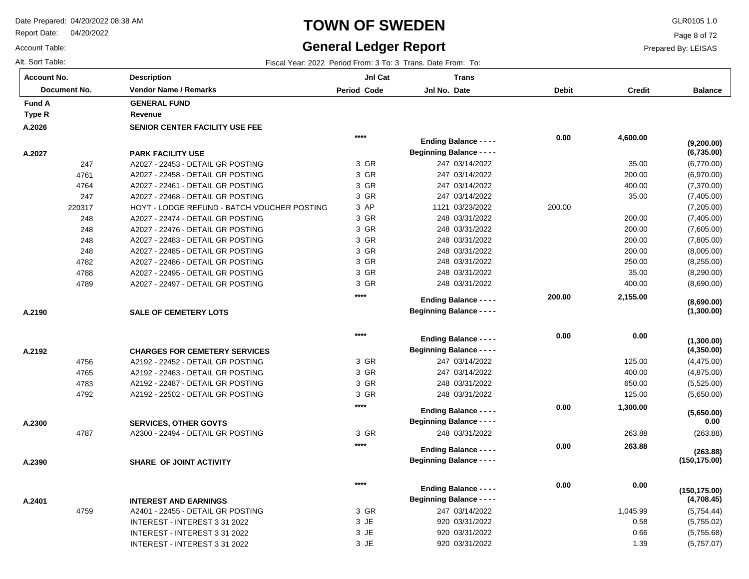Report Date: 04/20/2022

Account Table:

**A.2190**

**A.2192**

**A.2300**

**A.2390**

**A.2401**

### **TOWN OF SWEDEN** GLR0105 1.0

#### **General Ledger Report**

Alt. Sort Table: Fiscal Year: 2022 Period From: 3 To: 3 Trans. Date From: To:

INTEREST - INTEREST 3 31 2022 INTEREST - INTEREST 3 31 2022 INTEREST - INTEREST 3 31 2022

**Balance**

(6,770.00) (6,970.00) (7,370.00) (7,405.00) (7,205.00) (7,405.00) (7,605.00) (7,805.00) (8,005.00) (8,255.00) (8,290.00) (8,690.00)

**(6,735.00)**

**(9,200.00)**

(4,475.00) (4,875.00) (5,525.00) (5,650.00)

**(4,350.00)**

**(1,300.00)**

**(1,300.00)**

**(8,690.00)**

(263.88)

**(263.88)**

**(5,650.00)**

**(150,175.00)**

 **0.00** 

(5,754.44) (5,755.02) (5,755.68) (5,757.07)

**(4,708.45)**

**(150,175.00)**

Page 8 of 72

Prepared By: LEISAS

 0.58 0.66 1.39

| Account No.   | <b>Description</b>                    | <b>Jnl Cat</b> | Trans                            |              |               |
|---------------|---------------------------------------|----------------|----------------------------------|--------------|---------------|
| Document No.  | <b>Vendor Name / Remarks</b>          | Period Code    | Jnl No. Date                     | <b>Debit</b> | <b>Credit</b> |
| <b>Fund A</b> | <b>GENERAL FUND</b>                   |                |                                  |              |               |
| Type R        | Revenue                               |                |                                  |              |               |
| A.2026        | <b>SENIOR CENTER FACILITY USE FEE</b> |                |                                  |              |               |
|               |                                       | $****$         | <b>Ending Balance - - - -</b>    | 0.00         | 4,600.00      |
| A.2027        | <b>PARK FACILITY USE</b>              |                | <b>Beginning Balance - - - -</b> |              |               |
| 247           | A2027 - 22453 - DETAIL GR POSTING     | 3 GR           | 247 03/14/2022                   |              | 35.00         |

 $2203$ 

|       | <b>GENERAL FUND</b>                         |       |                                  |        |          |
|-------|---------------------------------------------|-------|----------------------------------|--------|----------|
|       | Revenue                                     |       |                                  |        |          |
|       | SENIOR CENTER FACILITY USE FEE              |       |                                  |        |          |
|       |                                             | $***$ | <b>Ending Balance - - - -</b>    | 0.00   | 4,600.00 |
|       | <b>PARK FACILITY USE</b>                    |       | <b>Beginning Balance - - - -</b> |        |          |
| 247   | A2027 - 22453 - DETAIL GR POSTING           | 3 GR  | 247 03/14/2022                   |        | 35.00    |
| 4761  | A2027 - 22458 - DETAIL GR POSTING           | 3 GR  | 247 03/14/2022                   |        | 200.00   |
| 4764  | A2027 - 22461 - DETAIL GR POSTING           | 3 GR  | 247 03/14/2022                   |        | 400.00   |
| 247   | A2027 - 22468 - DETAIL GR POSTING           | 3 GR  | 247 03/14/2022                   |        | 35.00    |
| 20317 | HOYT - LODGE REFUND - BATCH VOUCHER POSTING | 3 AP  | 1121 03/23/2022                  | 200.00 |          |
| 248   | A2027 - 22474 - DETAIL GR POSTING           | 3 GR  | 248 03/31/2022                   |        | 200.00   |
| 248   | A2027 - 22476 - DETAIL GR POSTING           | 3 GR  | 248 03/31/2022                   |        | 200.00   |
| 248   | A2027 - 22483 - DETAIL GR POSTING           | 3 GR  | 248 03/31/2022                   |        | 200.00   |
| 248   | A2027 - 22485 - DETAIL GR POSTING           | 3 GR  | 248 03/31/2022                   |        | 200.00   |
| 4782  | A2027 - 22486 - DETAIL GR POSTING           | 3 GR  | 248 03/31/2022                   |        | 250.00   |
| 4788  | A2027 - 22495 - DETAIL GR POSTING           | 3 GR  | 248 03/31/2022                   |        | 35.00    |
| 4789  | A2027 - 22497 - DETAIL GR POSTING           | 3 GR  | 248 03/31/2022                   |        | 400.00   |
|       |                                             | $***$ | <b>Ending Balance - - - -</b>    | 200.00 | 2,155.00 |
|       | <b>SALE OF CEMETERY LOTS</b>                |       | <b>Beginning Balance - - - -</b> |        |          |
|       |                                             |       |                                  |        |          |
|       |                                             | $***$ | <b>Ending Balance - - - -</b>    | 0.00   | 0.00     |
|       | <b>CHARGES FOR CEMETERY SERVICES</b>        |       | <b>Beginning Balance - - - -</b> |        |          |
| 4756  | A2192 - 22452 - DETAIL GR POSTING           | 3 GR  | 247 03/14/2022                   |        | 125.00   |
| 4765  | A2192 - 22463 - DETAIL GR POSTING           | 3 GR  | 247 03/14/2022                   |        | 400.00   |
| 4783  | A2192 - 22487 - DETAIL GR POSTING           | 3 GR  | 248 03/31/2022                   |        | 650.00   |
| 4792  | A2192 - 22502 - DETAIL GR POSTING           | 3 GR  | 248 03/31/2022                   |        | 125.00   |
|       |                                             | $***$ |                                  |        |          |
|       |                                             |       | <b>Ending Balance - - - -</b>    | 0.00   | 1,300.00 |
|       | <b>SERVICES, OTHER GOVTS</b>                |       | <b>Beginning Balance - - - -</b> |        |          |
| 4787  | A2300 - 22494 - DETAIL GR POSTING           | 3 GR  | 248 03/31/2022                   |        | 263.88   |
|       |                                             | $***$ | <b>Ending Balance - - - -</b>    | 0.00   | 263.88   |
|       | SHARE OF JOINT ACTIVITY                     |       | <b>Beginning Balance - - - -</b> |        |          |
|       |                                             |       |                                  |        |          |
|       |                                             | $***$ |                                  | 0.00   | 0.00     |
|       |                                             |       | <b>Ending Balance - - - -</b>    |        |          |
|       | <b>INTEREST AND EARNINGS</b>                |       | <b>Beginning Balance - - - -</b> |        |          |
| 4759  | A2401 - 22455 - DETAIL GR POSTING           | 3 GR  | 247 03/14/2022                   |        | 1,045.99 |

JE 3 JE 3 JE 3 920 03/31/2022 920 03/31/2022 920 03/31/2022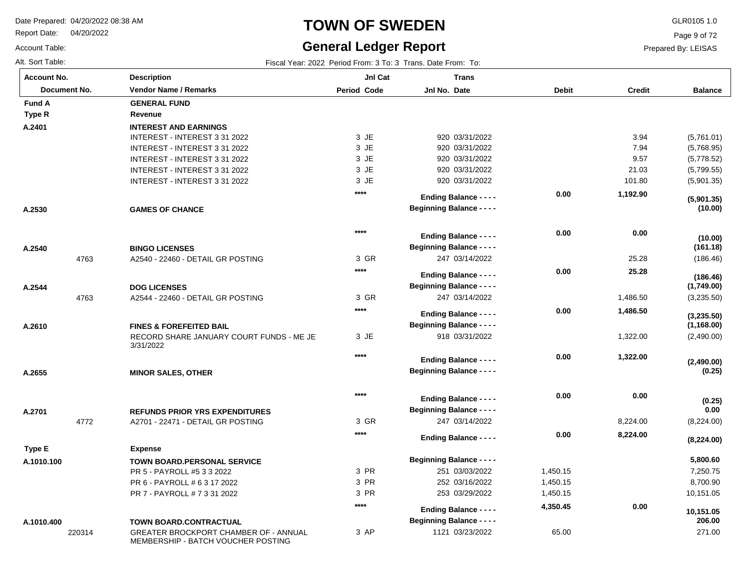Report Date: 04/20/2022

#### Account Table:

#### **TOWN OF SWEDEN** GLR0105 1.0

## **General Ledger Report**

Page 9 of 72

Prepared By: LEISAS

| <b>Account No.</b> |              | <b>Description</b>                                                                 | JnI Cat            | <b>Trans</b>                     |              |               |                       |
|--------------------|--------------|------------------------------------------------------------------------------------|--------------------|----------------------------------|--------------|---------------|-----------------------|
|                    | Document No. | <b>Vendor Name / Remarks</b>                                                       | <b>Period Code</b> | Jnl No. Date                     | <b>Debit</b> | <b>Credit</b> | <b>Balance</b>        |
| <b>Fund A</b>      |              | <b>GENERAL FUND</b>                                                                |                    |                                  |              |               |                       |
| Type R             |              | Revenue                                                                            |                    |                                  |              |               |                       |
| A.2401             |              | <b>INTEREST AND EARNINGS</b>                                                       |                    |                                  |              |               |                       |
|                    |              | INTEREST - INTEREST 3 31 2022                                                      | 3 JE               | 920 03/31/2022                   |              | 3.94          | (5,761.01)            |
|                    |              | INTEREST - INTEREST 3 31 2022                                                      | 3 JE               | 920 03/31/2022                   |              | 7.94          | (5,768.95)            |
|                    |              | INTEREST - INTEREST 3 31 2022                                                      | 3 JE               | 920 03/31/2022                   |              | 9.57          | (5,778.52)            |
|                    |              | INTEREST - INTEREST 3 31 2022                                                      | 3 JE               | 920 03/31/2022                   |              | 21.03         | (5,799.55)            |
|                    |              | INTEREST - INTEREST 3 31 2022                                                      | 3 JE               | 920 03/31/2022                   |              | 101.80        | (5,901.35)            |
|                    |              |                                                                                    | $***$              | <b>Ending Balance - - - -</b>    | 0.00         | 1,192.90      |                       |
| A.2530             |              | <b>GAMES OF CHANCE</b>                                                             |                    | <b>Beginning Balance - - - -</b> |              |               | (5,901.35)<br>(10.00) |
|                    |              |                                                                                    |                    |                                  |              |               |                       |
|                    |              |                                                                                    | $***$              | <b>Ending Balance - - - -</b>    | 0.00         | 0.00          |                       |
| A.2540             |              | <b>BINGO LICENSES</b>                                                              |                    | <b>Beginning Balance - - - -</b> |              |               | (10.00)<br>(161.18)   |
|                    | 4763         | A2540 - 22460 - DETAIL GR POSTING                                                  | 3 GR               | 247 03/14/2022                   |              | 25.28         | (186.46)              |
|                    |              |                                                                                    | $****$             |                                  |              |               |                       |
|                    |              |                                                                                    |                    | <b>Ending Balance - - - -</b>    | 0.00         | 25.28         | (186.46)              |
| A.2544             |              | <b>DOG LICENSES</b>                                                                |                    | <b>Beginning Balance - - - -</b> |              |               | (1,749.00)            |
|                    | 4763         | A2544 - 22460 - DETAIL GR POSTING                                                  | 3 GR               | 247 03/14/2022                   |              | 1,486.50      | (3,235.50)            |
|                    |              |                                                                                    | $****$             | <b>Ending Balance - - - -</b>    | 0.00         | 1,486.50      | (3,235.50)            |
| A.2610             |              | <b>FINES &amp; FOREFEITED BAIL</b>                                                 |                    | <b>Beginning Balance - - - -</b> |              |               | (1, 168.00)           |
|                    |              | RECORD SHARE JANUARY COURT FUNDS - ME JE                                           | 3 JE               | 918 03/31/2022                   |              | 1,322.00      | (2,490.00)            |
|                    |              | 3/31/2022                                                                          |                    |                                  |              |               |                       |
|                    |              |                                                                                    | $***$              | <b>Ending Balance - - - -</b>    | 0.00         | 1,322.00      | (2,490.00)            |
| A.2655             |              | <b>MINOR SALES, OTHER</b>                                                          |                    | <b>Beginning Balance - - - -</b> |              |               | (0.25)                |
|                    |              |                                                                                    |                    |                                  |              |               |                       |
|                    |              |                                                                                    | $***$              | <b>Ending Balance - - - -</b>    | 0.00         | 0.00          |                       |
| A.2701             |              | <b>REFUNDS PRIOR YRS EXPENDITURES</b>                                              |                    | <b>Beginning Balance - - - -</b> |              |               | (0.25)<br>0.00        |
|                    | 4772         | A2701 - 22471 - DETAIL GR POSTING                                                  | 3 GR               | 247 03/14/2022                   |              | 8,224.00      | (8,224.00)            |
|                    |              |                                                                                    | $****$             |                                  |              |               |                       |
|                    |              |                                                                                    |                    | <b>Ending Balance - - - -</b>    | 0.00         | 8,224.00      | (8,224.00)            |
| Type E             |              | <b>Expense</b>                                                                     |                    |                                  |              |               |                       |
| A.1010.100         |              | <b>TOWN BOARD.PERSONAL SERVICE</b>                                                 |                    | <b>Beginning Balance - - - -</b> |              |               | 5,800.60              |
|                    |              | PR 5 - PAYROLL #5 3 3 2022                                                         | 3 PR               | 251 03/03/2022                   | 1,450.15     |               | 7,250.75              |
|                    |              | PR 6 - PAYROLL # 6 3 17 2022                                                       | 3 PR               | 252 03/16/2022                   | 1,450.15     |               | 8,700.90              |
|                    |              | PR 7 - PAYROLL # 7 3 31 2022                                                       | 3 PR               | 253 03/29/2022                   | 1,450.15     |               | 10,151.05             |
|                    |              |                                                                                    | $****$             | <b>Ending Balance - - - -</b>    | 4,350.45     | 0.00          | 10,151.05             |
| A.1010.400         |              | TOWN BOARD.CONTRACTUAL                                                             |                    | <b>Beginning Balance - - - -</b> |              |               | 206.00                |
|                    | 220314       | <b>GREATER BROCKPORT CHAMBER OF - ANNUAL</b><br>MEMBERSHIP - BATCH VOUCHER POSTING | 3 AP               | 1121 03/23/2022                  | 65.00        |               | 271.00                |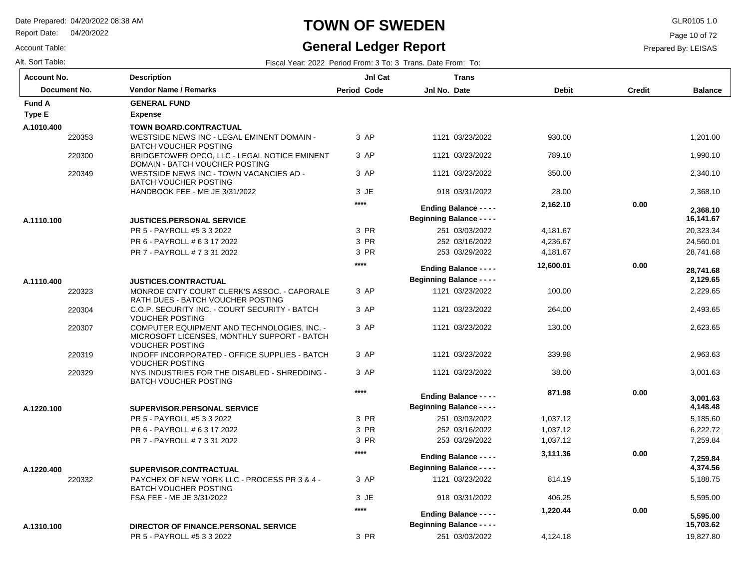Report Date: 04/20/2022

#### Account Table:

#### **TOWN OF SWEDEN** GLR0105 1.0

### **General Ledger Report**

Page 10 of 72

Prepared By: LEISAS

| <b>Account No.</b> | <b>Description</b>                                                                                                   | JnI Cat            | <b>Trans</b>                     |              |               |                |
|--------------------|----------------------------------------------------------------------------------------------------------------------|--------------------|----------------------------------|--------------|---------------|----------------|
| Document No.       | <b>Vendor Name / Remarks</b>                                                                                         | <b>Period Code</b> | Jnl No. Date                     | <b>Debit</b> | <b>Credit</b> | <b>Balance</b> |
| <b>Fund A</b>      | <b>GENERAL FUND</b>                                                                                                  |                    |                                  |              |               |                |
| Type E             | <b>Expense</b>                                                                                                       |                    |                                  |              |               |                |
| A.1010.400         | <b>TOWN BOARD.CONTRACTUAL</b>                                                                                        |                    |                                  |              |               |                |
| 220353             | WESTSIDE NEWS INC - LEGAL EMINENT DOMAIN -<br><b>BATCH VOUCHER POSTING</b>                                           | 3 AP               | 1121 03/23/2022                  | 930.00       |               | 1,201.00       |
| 220300             | BRIDGETOWER OPCO, LLC - LEGAL NOTICE EMINENT<br>DOMAIN - BATCH VOUCHER POSTING                                       | 3 AP               | 1121 03/23/2022                  | 789.10       |               | 1,990.10       |
| 220349             | WESTSIDE NEWS INC - TOWN VACANCIES AD -<br><b>BATCH VOUCHER POSTING</b>                                              | 3 AP               | 1121 03/23/2022                  | 350.00       |               | 2,340.10       |
|                    | HANDBOOK FEE - ME JE 3/31/2022                                                                                       | 3 JE               | 918 03/31/2022                   | 28.00        |               | 2.368.10       |
|                    |                                                                                                                      | $****$             | <b>Ending Balance - - - -</b>    | 2,162.10     | 0.00          | 2,368.10       |
| A.1110.100         | <b>JUSTICES.PERSONAL SERVICE</b>                                                                                     |                    | <b>Beginning Balance - - - -</b> |              |               | 16,141.67      |
|                    | PR 5 - PAYROLL #5 3 3 2022                                                                                           | 3 PR               | 251 03/03/2022                   | 4,181.67     |               | 20,323.34      |
|                    | PR 6 - PAYROLL # 6 3 17 2022                                                                                         | 3 PR               | 252 03/16/2022                   | 4,236.67     |               | 24,560.01      |
|                    | PR 7 - PAYROLL # 7 3 31 2022                                                                                         | 3 PR               | 253 03/29/2022                   | 4,181.67     |               | 28,741.68      |
|                    |                                                                                                                      | $***$              | <b>Ending Balance - - - -</b>    | 12,600.01    | 0.00          | 28.741.68      |
| A.1110.400         | <b>JUSTICES.CONTRACTUAL</b>                                                                                          |                    | <b>Beginning Balance - - - -</b> |              |               | 2,129.65       |
| 220323             | MONROE CNTY COURT CLERK'S ASSOC. - CAPORALE<br>RATH DUES - BATCH VOUCHER POSTING                                     | 3 AP               | 1121 03/23/2022                  | 100.00       |               | 2,229.65       |
| 220304             | C.O.P. SECURITY INC. - COURT SECURITY - BATCH<br><b>VOUCHER POSTING</b>                                              | 3 AP               | 1121 03/23/2022                  | 264.00       |               | 2,493.65       |
| 220307             | COMPUTER EQUIPMENT AND TECHNOLOGIES, INC. -<br>MICROSOFT LICENSES, MONTHLY SUPPORT - BATCH<br><b>VOUCHER POSTING</b> | 3 AP               | 1121 03/23/2022                  | 130.00       |               | 2,623.65       |
| 220319             | INDOFF INCORPORATED - OFFICE SUPPLIES - BATCH<br><b>VOUCHER POSTING</b>                                              | 3 AP               | 1121 03/23/2022                  | 339.98       |               | 2,963.63       |
| 220329             | NYS INDUSTRIES FOR THE DISABLED - SHREDDING -<br><b>BATCH VOUCHER POSTING</b>                                        | 3 AP               | 1121 03/23/2022                  | 38.00        |               | 3,001.63       |
|                    |                                                                                                                      | $***$              | <b>Ending Balance - - - -</b>    | 871.98       | 0.00          | 3,001.63       |
| A.1220.100         | SUPERVISOR.PERSONAL SERVICE                                                                                          |                    | <b>Beginning Balance - - - -</b> |              |               | 4,148.48       |
|                    | PR 5 - PAYROLL #5 3 3 2022                                                                                           | 3 PR               | 251 03/03/2022                   | 1,037.12     |               | 5,185.60       |
|                    | PR 6 - PAYROLL # 6 3 17 2022                                                                                         | 3 PR               | 252 03/16/2022                   | 1,037.12     |               | 6,222.72       |
|                    | PR 7 - PAYROLL # 7 3 31 2022                                                                                         | 3 PR               | 253 03/29/2022                   | 1,037.12     |               | 7,259.84       |
|                    |                                                                                                                      | $***$              |                                  | 3,111.36     | 0.00          |                |
|                    |                                                                                                                      |                    | <b>Ending Balance - - - -</b>    |              |               | 7,259.84       |
| A.1220.400         | SUPERVISOR.CONTRACTUAL                                                                                               |                    | <b>Beginning Balance - - - -</b> |              |               | 4,374.56       |
| 220332             | PAYCHEX OF NEW YORK LLC - PROCESS PR 3 & 4 -<br><b>BATCH VOUCHER POSTING</b>                                         | 3 AP               | 1121 03/23/2022                  | 814.19       |               | 5,188.75       |
|                    | FSA FEE - ME JE 3/31/2022                                                                                            | 3 JE               | 918 03/31/2022                   | 406.25       |               | 5,595.00       |
|                    |                                                                                                                      | $***$              | <b>Ending Balance - - - -</b>    | 1,220.44     | 0.00          | 5,595.00       |
| A.1310.100         | DIRECTOR OF FINANCE.PERSONAL SERVICE                                                                                 |                    | <b>Beginning Balance - - - -</b> |              |               | 15,703.62      |
|                    | PR 5 - PAYROLL #5 3 3 2022                                                                                           | 3 PR               | 251 03/03/2022                   | 4,124.18     |               | 19,827.80      |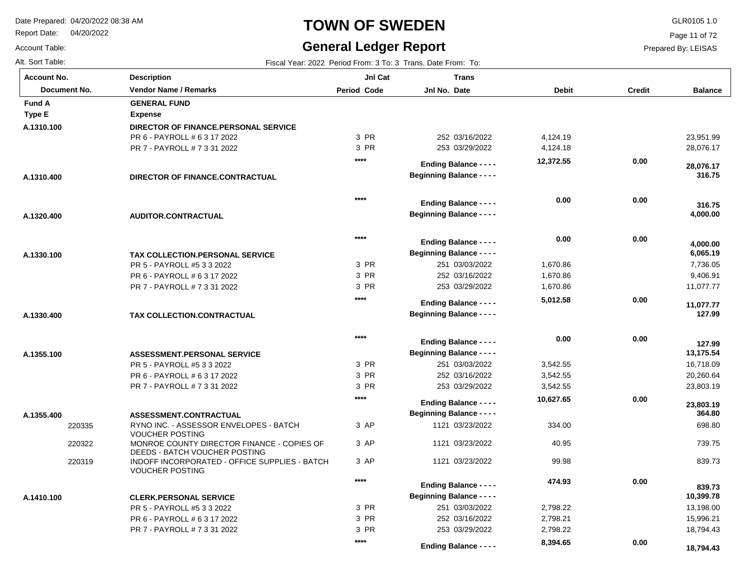**Description**

Report Date: 04/20/2022

Account Table:

# **TOWN OF SWEDEN** GLR0105 1.0

Alt. Sort Table: Fiscal Year: 2022 Period From: 3 To: 3 Trans. Date From: To: 7 Trans. Date From: To: 7 Trans. Date From: To: 7 Trans. Date From: To: 7 Trans. Date From: To: 7 Trans. Date From: To: 7 Trans. Date From: To:

#### **General Ledger Report**

**Jnl Cat**

**Trans**

Page 11 of 72

| <b>Account No.</b>            |
|-------------------------------|
| Document No.                  |
| Fund A                        |
| $\mathbf{m} \cdot \mathbf{r}$ |

| Document No.  | <b>Vendor Name / Remarks</b>                                                | <b>Period Code</b> | Jnl No. Date                     | <b>Debit</b> | <b>Credit</b> | <b>Balance</b> |
|---------------|-----------------------------------------------------------------------------|--------------------|----------------------------------|--------------|---------------|----------------|
| <b>Fund A</b> | <b>GENERAL FUND</b>                                                         |                    |                                  |              |               |                |
| Type E        | <b>Expense</b>                                                              |                    |                                  |              |               |                |
| A.1310.100    | DIRECTOR OF FINANCE.PERSONAL SERVICE                                        |                    |                                  |              |               |                |
|               | PR 6 - PAYROLL # 6 3 17 2022                                                | 3 PR               | 252 03/16/2022                   | 4,124.19     |               | 23,951.99      |
|               | PR 7 - PAYROLL # 7 3 31 2022                                                | 3 PR               | 253 03/29/2022                   | 4,124.18     |               | 28,076.17      |
|               |                                                                             | ****               |                                  | 12,372.55    | 0.00          |                |
|               |                                                                             |                    | <b>Ending Balance - - - -</b>    |              |               | 28,076.17      |
| A.1310.400    | DIRECTOR OF FINANCE.CONTRACTUAL                                             |                    | <b>Beginning Balance - - - -</b> |              |               | 316.75         |
|               |                                                                             | $***$              |                                  | 0.00         | 0.00          |                |
|               |                                                                             |                    | <b>Ending Balance - - - -</b>    |              |               | 316.75         |
| A.1320.400    | AUDITOR.CONTRACTUAL                                                         |                    | <b>Beginning Balance - - - -</b> |              |               | 4,000.00       |
|               |                                                                             | $***$              |                                  | 0.00         | 0.00          |                |
|               |                                                                             |                    | <b>Ending Balance - - - -</b>    |              |               | 4,000.00       |
| A.1330.100    | <b>TAX COLLECTION PERSONAL SERVICE</b>                                      |                    | <b>Beginning Balance - - - -</b> |              |               | 6,065.19       |
|               | PR 5 - PAYROLL #5 3 3 2022                                                  | 3 PR               | 251 03/03/2022                   | 1,670.86     |               | 7,736.05       |
|               | PR 6 - PAYROLL # 6 3 17 2022                                                | 3 PR               | 252 03/16/2022                   | 1,670.86     |               | 9,406.91       |
|               | PR 7 - PAYROLL # 7 3 31 2022                                                | 3 PR               | 253 03/29/2022                   | 1,670.86     |               | 11,077.77      |
|               |                                                                             | ****               | <b>Ending Balance - - - -</b>    | 5,012.58     | 0.00          | 11,077.77      |
| A.1330.400    | TAX COLLECTION.CONTRACTUAL                                                  |                    | <b>Beginning Balance - - - -</b> |              |               | 127.99         |
|               |                                                                             | $***$              |                                  |              |               |                |
|               |                                                                             |                    | <b>Ending Balance - - - -</b>    | 0.00         | 0.00          | 127.99         |
| A.1355.100    | ASSESSMENT.PERSONAL SERVICE                                                 |                    | <b>Beginning Balance - - - -</b> |              |               | 13,175.54      |
|               | PR 5 - PAYROLL #5 3 3 2022                                                  | 3 PR               | 251 03/03/2022                   | 3,542.55     |               | 16,718.09      |
|               | PR 6 - PAYROLL # 6 3 17 2022                                                | 3 PR               | 252 03/16/2022                   | 3,542.55     |               | 20,260.64      |
|               | PR 7 - PAYROLL # 7 3 31 2022                                                | 3 PR               | 253 03/29/2022                   | 3,542.55     |               | 23,803.19      |
|               |                                                                             | ****               | <b>Ending Balance - - - -</b>    | 10,627.65    | 0.00          | 23,803.19      |
| A.1355.400    | ASSESSMENT.CONTRACTUAL                                                      |                    | <b>Beginning Balance - - - -</b> |              |               | 364.80         |
| 220335        | RYNO INC. - ASSESSOR ENVELOPES - BATCH                                      | 3 AP               | 1121 03/23/2022                  | 334.00       |               | 698.80         |
|               | <b>VOUCHER POSTING</b>                                                      |                    |                                  |              |               |                |
| 220322        | MONROE COUNTY DIRECTOR FINANCE - COPIES OF<br>DEEDS - BATCH VOUCHER POSTING | 3 AP               | 1121 03/23/2022                  | 40.95        |               | 739.75         |
| 220319        | INDOFF INCORPORATED - OFFICE SUPPLIES - BATCH<br><b>VOUCHER POSTING</b>     | 3 AP               | 1121 03/23/2022                  | 99.98        |               | 839.73         |
|               |                                                                             | $***$              | <b>Ending Balance - - - -</b>    | 474.93       | 0.00          | 839.73         |
| A.1410.100    | <b>CLERK.PERSONAL SERVICE</b>                                               |                    | <b>Beginning Balance - - - -</b> |              |               | 10,399.78      |
|               | PR 5 - PAYROLL #5 3 3 2022                                                  | 3 PR               | 251 03/03/2022                   | 2,798.22     |               | 13,198.00      |
|               | PR 6 - PAYROLL # 6 3 17 2022                                                | 3 PR               | 252 03/16/2022                   | 2,798.21     |               | 15,996.21      |
|               | PR 7 - PAYROLL # 7 3 31 2022                                                | 3 PR               | 253 03/29/2022                   | 2,798.22     |               | 18,794.43      |
|               |                                                                             | $***$              |                                  | 8,394.65     | 0.00          |                |
|               |                                                                             |                    | <b>Ending Balance - - - -</b>    |              |               | 18,794.43      |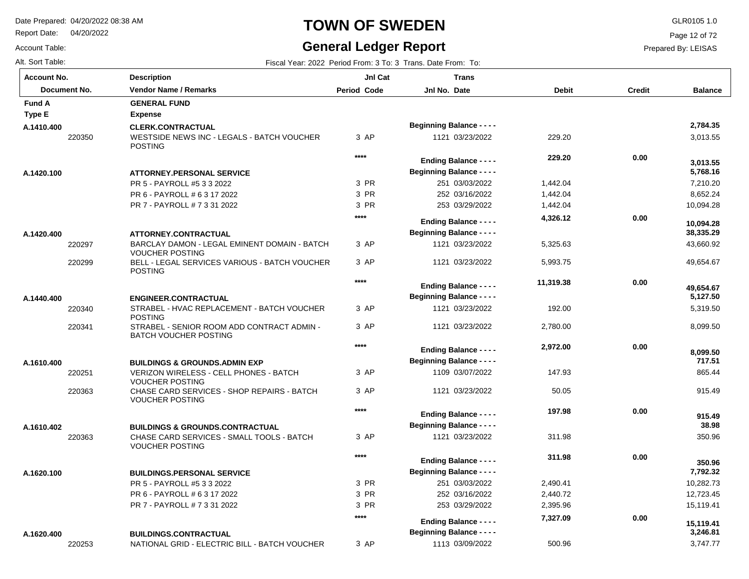Report Date: 04/20/2022

#### Account Table:

# **TOWN OF SWEDEN** GLR0105 1.0

#### **General Ledger Report**

Page 12 of 72

| Alt. Sort Table: | Fiscal Year: 2022 Period From: 3 To: 3 Trans. Date From: To: |
|------------------|--------------------------------------------------------------|
|                  |                                                              |

| <b>Account No.</b>   | <b>Description</b>                                                                         | JnI Cat            | <b>Trans</b>                     |              |               |                    |
|----------------------|--------------------------------------------------------------------------------------------|--------------------|----------------------------------|--------------|---------------|--------------------|
| Document No.         | <b>Vendor Name / Remarks</b>                                                               | <b>Period Code</b> | Jnl No. Date                     | <b>Debit</b> | <b>Credit</b> | <b>Balance</b>     |
| <b>Fund A</b>        | <b>GENERAL FUND</b>                                                                        |                    |                                  |              |               |                    |
| Type E               | <b>Expense</b>                                                                             |                    |                                  |              |               |                    |
| A.1410.400           | <b>CLERK.CONTRACTUAL</b>                                                                   |                    | <b>Beginning Balance - - - -</b> |              |               | 2,784.35           |
| 220350               | WESTSIDE NEWS INC - LEGALS - BATCH VOUCHER<br><b>POSTING</b>                               | 3 AP               | 1121 03/23/2022                  | 229.20       |               | 3,013.55           |
|                      |                                                                                            | ****               | <b>Ending Balance - - - -</b>    | 229.20       | 0.00          | 3,013.55           |
| A.1420.100           | <b>ATTORNEY.PERSONAL SERVICE</b>                                                           |                    | <b>Beginning Balance - - - -</b> |              |               | 5,768.16           |
|                      | PR 5 - PAYROLL #5 3 3 2022                                                                 | 3 PR               | 251 03/03/2022                   | 1,442.04     |               | 7,210.20           |
|                      | PR 6 - PAYROLL # 6 3 17 2022                                                               | 3 PR               | 252 03/16/2022                   | 1,442.04     |               | 8,652.24           |
|                      | PR 7 - PAYROLL # 7 3 31 2022                                                               | 3 PR               | 253 03/29/2022                   | 1,442.04     |               | 10,094.28          |
|                      |                                                                                            | ****               | <b>Ending Balance - - - -</b>    | 4,326.12     | 0.00          | 10,094.28          |
| A.1420.400           | <b>ATTORNEY.CONTRACTUAL</b>                                                                |                    | <b>Beginning Balance - - - -</b> |              |               | 38,335.29          |
| 220297               | BARCLAY DAMON - LEGAL EMINENT DOMAIN - BATCH<br><b>VOUCHER POSTING</b>                     | 3 AP               | 1121 03/23/2022                  | 5,325.63     |               | 43,660.92          |
| 220299               | BELL - LEGAL SERVICES VARIOUS - BATCH VOUCHER<br><b>POSTING</b>                            | 3 AP               | 1121 03/23/2022                  | 5,993.75     |               | 49,654.67          |
|                      |                                                                                            | $****$             | <b>Ending Balance - - - -</b>    | 11,319.38    | 0.00          | 49,654.67          |
| A.1440.400           | <b>ENGINEER.CONTRACTUAL</b>                                                                |                    | <b>Beginning Balance - - - -</b> |              |               | 5,127.50           |
| 220340               | STRABEL - HVAC REPLACEMENT - BATCH VOUCHER                                                 | 3 AP               | 1121 03/23/2022                  | 192.00       |               | 5,319.50           |
|                      | <b>POSTING</b>                                                                             |                    |                                  |              |               |                    |
| 220341               | STRABEL - SENIOR ROOM ADD CONTRACT ADMIN -<br><b>BATCH VOUCHER POSTING</b>                 | 3 AP               | 1121 03/23/2022                  | 2,780.00     |               | 8,099.50           |
|                      |                                                                                            | ****               | <b>Ending Balance - - - -</b>    | 2,972.00     | 0.00          |                    |
|                      |                                                                                            |                    | <b>Beginning Balance - - - -</b> |              |               | 8,099.50<br>717.51 |
| A.1610.400<br>220251 | <b>BUILDINGS &amp; GROUNDS, ADMIN EXP</b><br><b>VERIZON WIRELESS - CELL PHONES - BATCH</b> | 3 AP               | 1109 03/07/2022                  | 147.93       |               | 865.44             |
|                      | <b>VOUCHER POSTING</b>                                                                     |                    |                                  |              |               |                    |
| 220363               | CHASE CARD SERVICES - SHOP REPAIRS - BATCH<br><b>VOUCHER POSTING</b>                       | 3 AP               | 1121 03/23/2022                  | 50.05        |               | 915.49             |
|                      |                                                                                            | ****               | <b>Ending Balance - - - -</b>    | 197.98       | 0.00          |                    |
|                      |                                                                                            |                    | <b>Beginning Balance - - - -</b> |              |               | 915.49<br>38.98    |
| A.1610.402           | <b>BUILDINGS &amp; GROUNDS.CONTRACTUAL</b>                                                 | 3 AP               | 1121 03/23/2022                  | 311.98       |               | 350.96             |
| 220363               | CHASE CARD SERVICES - SMALL TOOLS - BATCH<br><b>VOUCHER POSTING</b>                        |                    |                                  |              |               |                    |
|                      |                                                                                            | ****               | <b>Ending Balance - - - -</b>    | 311.98       | 0.00          | 350.96             |
| A.1620.100           | <b>BUILDINGS.PERSONAL SERVICE</b>                                                          |                    | <b>Beginning Balance - - - -</b> |              |               | 7,792.32           |
|                      | PR 5 - PAYROLL #5 3 3 2022                                                                 | 3 PR               | 251 03/03/2022                   | 2,490.41     |               | 10,282.73          |
|                      | PR 6 - PAYROLL # 6 3 17 2022                                                               | 3 PR               | 252 03/16/2022                   | 2,440.72     |               | 12,723.45          |
|                      | PR 7 - PAYROLL # 7 3 31 2022                                                               | 3 PR               | 253 03/29/2022                   | 2,395.96     |               | 15,119.41          |
|                      |                                                                                            | ****               |                                  | 7,327.09     | 0.00          |                    |
|                      |                                                                                            |                    | <b>Ending Balance - - - -</b>    |              |               | 15,119.41          |
| A.1620.400           | <b>BUILDINGS.CONTRACTUAL</b>                                                               |                    | <b>Beginning Balance - - - -</b> |              |               | 3,246.81           |
| 220253               | NATIONAL GRID - ELECTRIC BILL - BATCH VOUCHER                                              | 3 AP               | 1113 03/09/2022                  | 500.96       |               | 3.747.77           |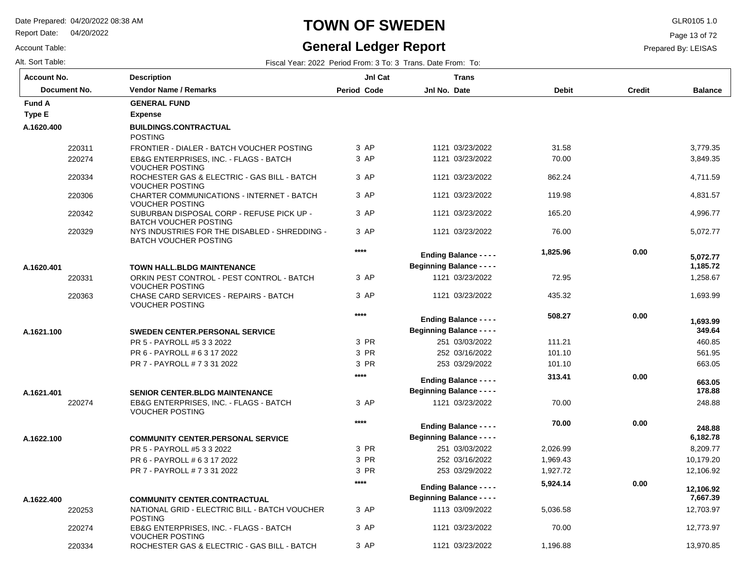Report Date: 04/20/2022

Account Table:

### **TOWN OF SWEDEN** GLR0105 1.0

### **General Ledger Report**

Page 13 of 72

Prepared By: LEISAS

| <b>Account No.</b> |              | <b>Description</b>                                                            | JnI Cat            | <b>Trans</b>                     |              |               |                |
|--------------------|--------------|-------------------------------------------------------------------------------|--------------------|----------------------------------|--------------|---------------|----------------|
|                    | Document No. | <b>Vendor Name / Remarks</b>                                                  | <b>Period Code</b> | Jnl No. Date                     | <b>Debit</b> | <b>Credit</b> | <b>Balance</b> |
| <b>Fund A</b>      |              | <b>GENERAL FUND</b>                                                           |                    |                                  |              |               |                |
| Type E             |              | <b>Expense</b>                                                                |                    |                                  |              |               |                |
| A.1620.400         |              | <b>BUILDINGS.CONTRACTUAL</b><br><b>POSTING</b>                                |                    |                                  |              |               |                |
|                    | 220311       | FRONTIER - DIALER - BATCH VOUCHER POSTING                                     | 3 AP               | 1121 03/23/2022                  | 31.58        |               | 3,779.35       |
|                    | 220274       | EB&G ENTERPRISES, INC. - FLAGS - BATCH<br><b>VOUCHER POSTING</b>              | 3 AP               | 1121 03/23/2022                  | 70.00        |               | 3,849.35       |
|                    | 220334       | ROCHESTER GAS & ELECTRIC - GAS BILL - BATCH<br><b>VOUCHER POSTING</b>         | 3 AP               | 1121 03/23/2022                  | 862.24       |               | 4,711.59       |
|                    | 220306       | <b>CHARTER COMMUNICATIONS - INTERNET - BATCH</b><br><b>VOUCHER POSTING</b>    | 3 AP               | 1121 03/23/2022                  | 119.98       |               | 4,831.57       |
|                    | 220342       | SUBURBAN DISPOSAL CORP - REFUSE PICK UP -<br><b>BATCH VOUCHER POSTING</b>     | 3 AP               | 1121 03/23/2022                  | 165.20       |               | 4,996.77       |
|                    | 220329       | NYS INDUSTRIES FOR THE DISABLED - SHREDDING -<br><b>BATCH VOUCHER POSTING</b> | 3 AP               | 1121 03/23/2022                  | 76.00        |               | 5,072.77       |
|                    |              |                                                                               | $***$              | <b>Ending Balance - - - -</b>    | 1,825.96     | 0.00          | 5.072.77       |
| A.1620.401         |              | <b>TOWN HALL.BLDG MAINTENANCE</b>                                             |                    | <b>Beginning Balance - - - -</b> |              |               | 1,185.72       |
|                    | 220331       | ORKIN PEST CONTROL - PEST CONTROL - BATCH<br><b>VOUCHER POSTING</b>           | 3 AP               | 1121 03/23/2022                  | 72.95        |               | 1,258.67       |
|                    | 220363       | CHASE CARD SERVICES - REPAIRS - BATCH<br><b>VOUCHER POSTING</b>               | 3 AP               | 1121 03/23/2022                  | 435.32       |               | 1,693.99       |
|                    |              |                                                                               | $***$              | <b>Ending Balance - - - -</b>    | 508.27       | 0.00          | 1,693.99       |
| A.1621.100         |              | <b>SWEDEN CENTER.PERSONAL SERVICE</b>                                         |                    | <b>Beginning Balance - - - -</b> |              |               | 349.64         |
|                    |              | PR 5 - PAYROLL #5 3 3 2022                                                    | 3 PR               | 251 03/03/2022                   | 111.21       |               | 460.85         |
|                    |              | PR 6 - PAYROLL # 6 3 17 2022                                                  | 3 PR               | 252 03/16/2022                   | 101.10       |               | 561.95         |
|                    |              | PR 7 - PAYROLL # 7 3 31 2022                                                  | 3 PR               | 253 03/29/2022                   | 101.10       |               | 663.05         |
|                    |              |                                                                               | $***$              | <b>Ending Balance - - - -</b>    | 313.41       | 0.00          | 663.05         |
| A.1621.401         |              | <b>SENIOR CENTER.BLDG MAINTENANCE</b>                                         |                    | <b>Beginning Balance - - - -</b> |              |               | 178.88         |
|                    | 220274       | EB&G ENTERPRISES, INC. - FLAGS - BATCH<br><b>VOUCHER POSTING</b>              | 3 AP               | 1121 03/23/2022                  | 70.00        |               | 248.88         |
|                    |              |                                                                               | $***$              | <b>Ending Balance - - - -</b>    | 70.00        | 0.00          | 248.88         |
| A.1622.100         |              | <b>COMMUNITY CENTER.PERSONAL SERVICE</b>                                      |                    | <b>Beginning Balance - - - -</b> |              |               | 6,182.78       |
|                    |              | PR 5 - PAYROLL #5 3 3 2022                                                    | 3 PR               | 251 03/03/2022                   | 2,026.99     |               | 8,209.77       |
|                    |              | PR 6 - PAYROLL # 6 3 17 2022                                                  | 3 PR               | 252 03/16/2022                   | 1,969.43     |               | 10,179.20      |
|                    |              | PR 7 - PAYROLL # 7 3 31 2022                                                  | 3 PR               | 253 03/29/2022                   | 1,927.72     |               | 12,106.92      |
|                    |              |                                                                               | $***$              |                                  | 5,924.14     | 0.00          |                |
|                    |              |                                                                               |                    | <b>Ending Balance - - - -</b>    |              |               | 12,106.92      |
| A.1622.400         |              | <b>COMMUNITY CENTER.CONTRACTUAL</b>                                           |                    | <b>Beginning Balance - - - -</b> |              |               | 7,667.39       |
|                    | 220253       | NATIONAL GRID - ELECTRIC BILL - BATCH VOUCHER<br><b>POSTING</b>               | 3 AP               | 1113 03/09/2022                  | 5,036.58     |               | 12,703.97      |
|                    | 220274       | EB&G ENTERPRISES, INC. - FLAGS - BATCH<br><b>VOUCHER POSTING</b>              | 3 AP               | 1121 03/23/2022                  | 70.00        |               | 12,773.97      |
|                    | 220334       | ROCHESTER GAS & ELECTRIC - GAS BILL - BATCH                                   | 3 AP               | 1121 03/23/2022                  | 1,196.88     |               | 13,970.85      |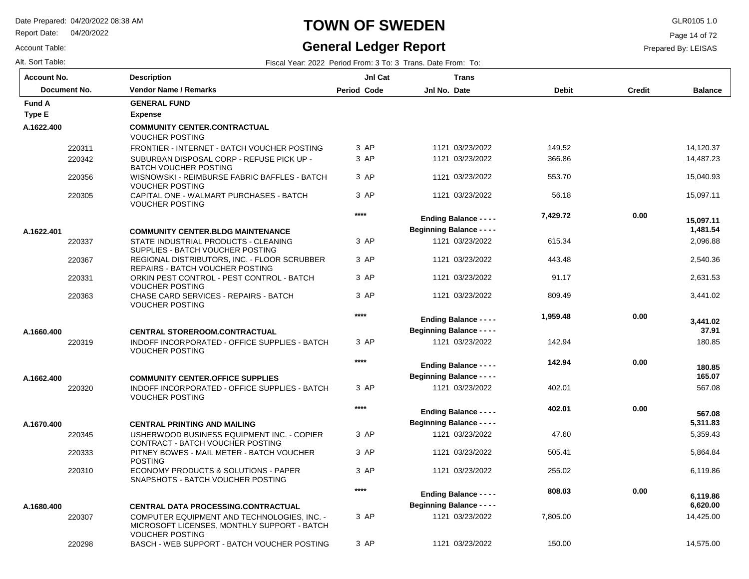Report Date: 04/20/2022

Account Table:

# **TOWN OF SWEDEN** GLR0105 1.0

### **General Ledger Report**

Page 14 of 72

| Fiscal Year: 2022 Period From: 3 To: 3 Trans. Date From: To: |
|--------------------------------------------------------------|
|                                                              |

| <b>Account No.</b> |              | <b>Description</b>                                                                | JnI Cat            |                                  | <b>Trans</b>                  |              |        |                      |
|--------------------|--------------|-----------------------------------------------------------------------------------|--------------------|----------------------------------|-------------------------------|--------------|--------|----------------------|
|                    | Document No. | <b>Vendor Name / Remarks</b>                                                      | <b>Period Code</b> | Jnl No. Date                     |                               | <b>Debit</b> | Credit | <b>Balance</b>       |
| <b>Fund A</b>      |              | <b>GENERAL FUND</b>                                                               |                    |                                  |                               |              |        |                      |
| Type E             |              | <b>Expense</b>                                                                    |                    |                                  |                               |              |        |                      |
| A.1622.400         |              | <b>COMMUNITY CENTER.CONTRACTUAL</b><br><b>VOUCHER POSTING</b>                     |                    |                                  |                               |              |        |                      |
|                    | 220311       | FRONTIER - INTERNET - BATCH VOUCHER POSTING                                       | 3 AP               |                                  | 1121 03/23/2022               | 149.52       |        | 14.120.37            |
|                    | 220342       | SUBURBAN DISPOSAL CORP - REFUSE PICK UP -<br><b>BATCH VOUCHER POSTING</b>         | 3 AP               |                                  | 1121 03/23/2022               | 366.86       |        | 14,487.23            |
|                    | 220356       | WISNOWSKI - REIMBURSE FABRIC BAFFLES - BATCH<br><b>VOUCHER POSTING</b>            | 3 AP               |                                  | 1121 03/23/2022               | 553.70       |        | 15,040.93            |
|                    | 220305       | CAPITAL ONE - WALMART PURCHASES - BATCH<br><b>VOUCHER POSTING</b>                 | 3 AP               |                                  | 1121 03/23/2022               | 56.18        |        | 15,097.11            |
|                    |              |                                                                                   | $***$              |                                  | <b>Ending Balance - - - -</b> | 7,429.72     | 0.00   | 15.097.11            |
| A.1622.401         |              | <b>COMMUNITY CENTER.BLDG MAINTENANCE</b>                                          |                    | <b>Beginning Balance - - - -</b> |                               |              |        | 1,481.54             |
|                    | 220337       | STATE INDUSTRIAL PRODUCTS - CLEANING<br>SUPPLIES - BATCH VOUCHER POSTING          | 3 AP               |                                  | 1121 03/23/2022               | 615.34       |        | 2,096.88             |
|                    | 220367       | REGIONAL DISTRIBUTORS, INC. - FLOOR SCRUBBER<br>REPAIRS - BATCH VOUCHER POSTING   | 3 AP               |                                  | 1121 03/23/2022               | 443.48       |        | 2,540.36             |
|                    | 220331       | ORKIN PEST CONTROL - PEST CONTROL - BATCH<br><b>VOUCHER POSTING</b>               | 3 AP               |                                  | 1121 03/23/2022               | 91.17        |        | 2,631.53             |
|                    | 220363       | CHASE CARD SERVICES - REPAIRS - BATCH<br><b>VOUCHER POSTING</b>                   | 3 AP               |                                  | 1121 03/23/2022               | 809.49       |        | 3,441.02             |
| A.1660.400         |              | <b>CENTRAL STOREROOM.CONTRACTUAL</b>                                              | $****$             | <b>Beginning Balance - - - -</b> | <b>Ending Balance - - - -</b> | 1,959.48     | 0.00   | 3,441.02<br>37.91    |
|                    | 220319       | INDOFF INCORPORATED - OFFICE SUPPLIES - BATCH<br><b>VOUCHER POSTING</b>           | 3 AP               |                                  | 1121 03/23/2022               | 142.94       |        | 180.85               |
|                    |              |                                                                                   | $****$             |                                  | <b>Ending Balance - - - -</b> | 142.94       | 0.00   | 180.85               |
| A.1662.400         |              | <b>COMMUNITY CENTER, OFFICE SUPPLIES</b>                                          |                    | <b>Beginning Balance - - - -</b> |                               |              |        | 165.07               |
|                    | 220320       | INDOFF INCORPORATED - OFFICE SUPPLIES - BATCH<br><b>VOUCHER POSTING</b>           | 3 AP               |                                  | 1121 03/23/2022               | 402.01       |        | 567.08               |
|                    |              |                                                                                   | $***$              | <b>Beginning Balance - - - -</b> | <b>Ending Balance - - - -</b> | 402.01       | 0.00   | 567.08<br>5,311.83   |
| A.1670.400         | 220345       | <b>CENTRAL PRINTING AND MAILING</b><br>USHERWOOD BUSINESS EQUIPMENT INC. - COPIER | 3 AP               |                                  | 1121 03/23/2022               | 47.60        |        | 5.359.43             |
|                    |              | CONTRACT - BATCH VOUCHER POSTING                                                  |                    |                                  |                               |              |        |                      |
|                    | 220333       | PITNEY BOWES - MAIL METER - BATCH VOUCHER<br><b>POSTING</b>                       | 3 AP               |                                  | 1121 03/23/2022               | 505.41       |        | 5,864.84             |
|                    | 220310       | ECONOMY PRODUCTS & SOLUTIONS - PAPER<br>SNAPSHOTS - BATCH VOUCHER POSTING         | 3 AP               |                                  | 1121 03/23/2022               | 255.02       |        | 6,119.86             |
| A.1680.400         |              | <b>CENTRAL DATA PROCESSING.CONTRACTUAL</b>                                        | $****$             | <b>Beginning Balance - - - -</b> | <b>Ending Balance - - - -</b> | 808.03       | 0.00   | 6.119.86<br>6,620.00 |
|                    | 220307       | COMPUTER EQUIPMENT AND TECHNOLOGIES, INC. -                                       | 3 AP               |                                  | 1121 03/23/2022               | 7,805.00     |        | 14,425.00            |
|                    |              | MICROSOFT LICENSES, MONTHLY SUPPORT - BATCH<br><b>VOUCHER POSTING</b>             |                    |                                  |                               |              |        |                      |
|                    | 220298       | BASCH - WEB SUPPORT - BATCH VOUCHER POSTING                                       | 3 AP               |                                  | 1121 03/23/2022               | 150.00       |        | 14,575.00            |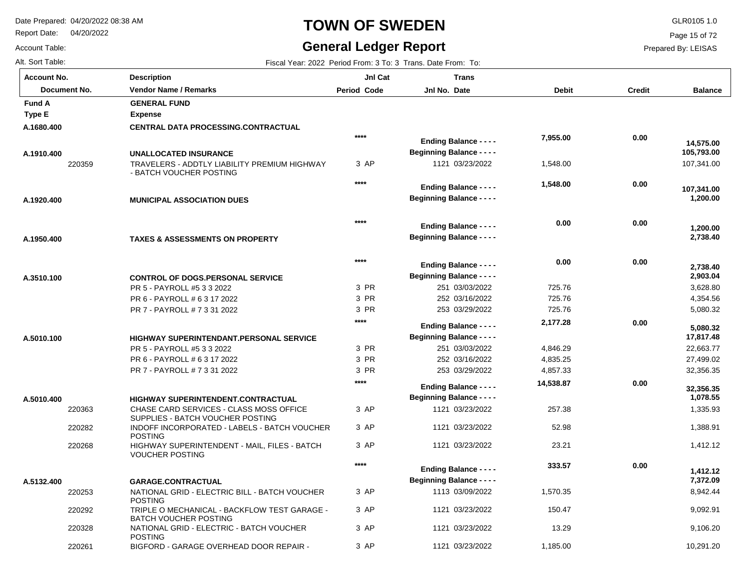POSTING

POSTING

BATCH VOUCHER POSTING

NATIONAL GRID - ELECTRIC BILL - BATCH VOUCHER

TRIPLE O MECHANICAL - BACKFLOW TEST GARAGE -

NATIONAL GRID - ELECTRIC - BATCH VOUCHER

BIGFORD - GARAGE OVERHEAD DOOR REPAIR -

Report Date: 04/20/2022

### **TOWN OF SWEDEN** GLR0105 1.0

#### **General Ledger Report**

**Balance**

107,341.00

 **1,200.00** 

 **107,341.00** 

 **2,738.40** 

 **1,200.00** 

 **105,793.00** 

 **14,575.00** 

 3,628.80 4,354.56 5,080.32

 **2,903.04** 

 **2,738.40** 

 22,663.77 27,499.02 32,356.35

 **17,817.48** 

 **5,080.32** 

 1,335.93 1,388.91 1,412.12

 **1,078.55** 

 **32,356.35** 

 8,942.44 9,092.91 9,106.20 10,291.20

 **7,372.09** 

 **1,412.12** 

Page 15 of 72

Prepared By: LEISAS

Account Table: Alt. Sort Table: Fiscal Year: 2022 Period From: 3 To: 3 Trans. Date From: To: 3 Trans. Date From: To: 3 Trans. Date From: To: **Account No.**

**A.1680.400**

**Type E Fund A** 

**A.1910.400**

**A.1920.400**

**A.1950.400**

**A.3510.100**

**A.5010.100**

**A.5010.400**

**A.5132.400**

| unt No.      | <b>Description</b>                                                          | <b>JnI Cat</b>     | Trans                            |              |               |
|--------------|-----------------------------------------------------------------------------|--------------------|----------------------------------|--------------|---------------|
| Document No. | <b>Vendor Name / Remarks</b>                                                | <b>Period Code</b> | Jnl No. Date                     | <b>Debit</b> | <b>Credit</b> |
| l A          | <b>GENERAL FUND</b>                                                         |                    |                                  |              |               |
| E            | <b>Expense</b>                                                              |                    |                                  |              |               |
| 30.400       | <b>CENTRAL DATA PROCESSING.CONTRACTUAL</b>                                  |                    |                                  |              |               |
|              |                                                                             | ****               | <b>Ending Balance - - - -</b>    | 7,955.00     | 0.00          |
| 10.400       | <b>UNALLOCATED INSURANCE</b>                                                |                    | <b>Beginning Balance - - - -</b> |              |               |
| 220359       | TRAVELERS - ADDTLY LIABILITY PREMIUM HIGHWAY<br>- BATCH VOUCHER POSTING     | 3 AP               | 1121 03/23/2022                  | 1,548.00     |               |
|              |                                                                             | ****               | <b>Ending Balance - - - -</b>    | 1,548.00     | 0.00          |
| 20.400       | <b>MUNICIPAL ASSOCIATION DUES</b>                                           |                    | <b>Beginning Balance - - - -</b> |              |               |
|              |                                                                             |                    |                                  |              |               |
|              |                                                                             | $****$             | <b>Ending Balance - - - -</b>    | 0.00         | 0.00          |
| 50.400       | <b>TAXES &amp; ASSESSMENTS ON PROPERTY</b>                                  |                    | <b>Beginning Balance - - - -</b> |              |               |
|              |                                                                             | ****               | <b>Ending Balance - - - -</b>    | 0.00         | 0.00          |
| 10.100       | <b>CONTROL OF DOGS.PERSONAL SERVICE</b>                                     |                    | <b>Beginning Balance - - - -</b> |              |               |
|              | PR 5 - PAYROLL #5 3 3 2022                                                  | 3 PR               | 251 03/03/2022                   | 725.76       |               |
|              | PR 6 - PAYROLL # 6 3 17 2022                                                | 3 PR               | 252 03/16/2022                   | 725.76       |               |
|              | PR 7 - PAYROLL # 7 3 31 2022                                                | 3 PR               | 253 03/29/2022                   | 725.76       |               |
|              |                                                                             | ****               | <b>Ending Balance - - - -</b>    | 2,177.28     | 0.00          |
| 10.100       | <b>HIGHWAY SUPERINTENDANT PERSONAL SERVICE</b>                              |                    | <b>Beginning Balance - - - -</b> |              |               |
|              | PR 5 - PAYROLL #5 3 3 2022                                                  | 3 PR               | 251 03/03/2022                   | 4,846.29     |               |
|              | PR 6 - PAYROLL # 6 3 17 2022                                                | 3 PR               | 252 03/16/2022                   | 4,835.25     |               |
|              | PR 7 - PAYROLL # 7 3 31 2022                                                | 3 PR               | 253 03/29/2022                   | 4,857.33     |               |
|              |                                                                             | ****               | <b>Ending Balance - - - -</b>    | 14,538.87    | 0.00          |
| 10.400       | HIGHWAY SUPERINTENDENT.CONTRACTUAL                                          |                    | <b>Beginning Balance - - - -</b> |              |               |
| 220363       | CHASE CARD SERVICES - CLASS MOSS OFFICE<br>SUPPLIES - BATCH VOUCHER POSTING | 3 AP               | 1121 03/23/2022                  | 257.38       |               |
| 220282       | INDOFF INCORPORATED - LABELS - BATCH VOUCHER<br><b>POSTING</b>              | 3 AP               | 1121 03/23/2022                  | 52.98        |               |
| 220268       | HIGHWAY SUPERINTENDENT - MAIL, FILES - BATCH<br><b>VOUCHER POSTING</b>      | 3 AP               | 1121 03/23/2022                  | 23.21        |               |
|              |                                                                             | $****$             | <b>Ending Balance - - - -</b>    | 333.57       | 0.00          |
| 32.400       | <b>GARAGE.CONTRACTUAL</b>                                                   |                    | <b>Beginning Balance - - - -</b> |              |               |

3 AP 3 AP 3 AP 3 AP  03/09/2022 03/23/2022 03/23/2022 03/23/2022 1,570.35

 150.47 13.29

1,185.00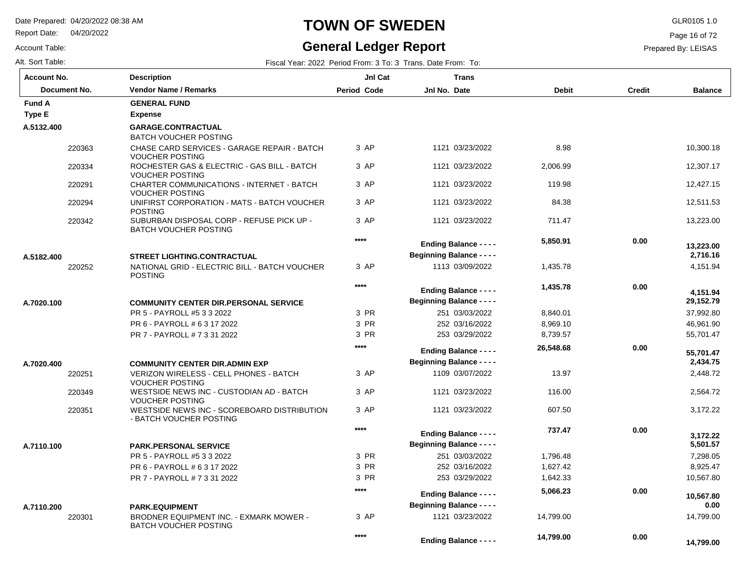Report Date: 04/20/2022

#### Account Table:

# **TOWN OF SWEDEN** GLR0105 1.0

#### **General Ledger Report**

Page 16 of 72

| Fiscal Year: 2022 Period From: 3 To: 3 Trans. Date From: To: |
|--------------------------------------------------------------|
|                                                              |

| <b>Account No.</b> |              | <b>Description</b>                                                                     | JnI Cat     | <b>Trans</b>                                                      |              |               |                       |
|--------------------|--------------|----------------------------------------------------------------------------------------|-------------|-------------------------------------------------------------------|--------------|---------------|-----------------------|
|                    | Document No. | <b>Vendor Name / Remarks</b>                                                           | Period Code | Jnl No. Date                                                      | <b>Debit</b> | <b>Credit</b> | <b>Balance</b>        |
| <b>Fund A</b>      |              | <b>GENERAL FUND</b>                                                                    |             |                                                                   |              |               |                       |
| <b>Type E</b>      |              | <b>Expense</b>                                                                         |             |                                                                   |              |               |                       |
| A.5132.400         |              | GARAGE.CONTRACTUAL                                                                     |             |                                                                   |              |               |                       |
|                    |              | <b>BATCH VOUCHER POSTING</b>                                                           |             |                                                                   |              |               |                       |
|                    | 220363       | CHASE CARD SERVICES - GARAGE REPAIR - BATCH<br><b>VOUCHER POSTING</b>                  | 3 AP        | 1121 03/23/2022                                                   | 8.98         |               | 10,300.18             |
|                    | 220334       | ROCHESTER GAS & ELECTRIC - GAS BILL - BATCH<br><b>VOUCHER POSTING</b>                  | 3 AP        | 1121 03/23/2022                                                   | 2,006.99     |               | 12,307.17             |
|                    | 220291       | CHARTER COMMUNICATIONS - INTERNET - BATCH<br><b>VOUCHER POSTING</b>                    | 3 AP        | 1121 03/23/2022                                                   | 119.98       |               | 12,427.15             |
|                    | 220294       | UNIFIRST CORPORATION - MATS - BATCH VOUCHER<br><b>POSTING</b>                          | 3 AP        | 1121 03/23/2022                                                   | 84.38        |               | 12,511.53             |
|                    | 220342       | SUBURBAN DISPOSAL CORP - REFUSE PICK UP -<br><b>BATCH VOUCHER POSTING</b>              | 3 AP        | 1121 03/23/2022                                                   | 711.47       |               | 13,223.00             |
|                    |              |                                                                                        | $***$       | <b>Ending Balance - - - -</b>                                     | 5,850.91     | 0.00          |                       |
| A.5182.400         |              | <b>STREET LIGHTING.CONTRACTUAL</b>                                                     |             | <b>Beginning Balance - - - -</b>                                  |              |               | 13,223.00<br>2,716.16 |
|                    | 220252       | NATIONAL GRID - ELECTRIC BILL - BATCH VOUCHER                                          | 3 AP        | 1113 03/09/2022                                                   | 1,435.78     |               | 4,151.94              |
|                    |              | <b>POSTING</b>                                                                         |             |                                                                   |              |               |                       |
|                    |              |                                                                                        | ****        | <b>Ending Balance - - - -</b>                                     | 1,435.78     | 0.00          | 4,151.94              |
| A.7020.100         |              | <b>COMMUNITY CENTER DIR.PERSONAL SERVICE</b>                                           |             | <b>Beginning Balance - - - -</b>                                  |              |               | 29,152.79             |
|                    |              | PR 5 - PAYROLL #5 3 3 2022                                                             | 3 PR        | 251 03/03/2022                                                    | 8,840.01     |               | 37.992.80             |
|                    |              | PR 6 - PAYROLL # 6 3 17 2022                                                           | 3 PR        | 252 03/16/2022                                                    | 8,969.10     |               | 46,961.90             |
|                    |              | PR 7 - PAYROLL # 7 3 31 2022                                                           | 3 PR        | 253 03/29/2022                                                    | 8,739.57     |               | 55,701.47             |
|                    |              |                                                                                        | $***$       |                                                                   | 26,548.68    | 0.00          |                       |
|                    |              |                                                                                        |             | <b>Ending Balance - - - -</b><br><b>Beginning Balance - - - -</b> |              |               | 55.701.47<br>2,434.75 |
| A.7020.400         |              | <b>COMMUNITY CENTER DIR.ADMIN EXP</b><br><b>VERIZON WIRELESS - CELL PHONES - BATCH</b> | 3 AP        | 1109 03/07/2022                                                   | 13.97        |               | 2,448.72              |
|                    | 220251       | <b>VOUCHER POSTING</b>                                                                 |             |                                                                   |              |               |                       |
|                    | 220349       | WESTSIDE NEWS INC - CUSTODIAN AD - BATCH<br><b>VOUCHER POSTING</b>                     | 3 AP        | 1121 03/23/2022                                                   | 116.00       |               | 2.564.72              |
|                    | 220351       | WESTSIDE NEWS INC - SCOREBOARD DISTRIBUTION<br>- BATCH VOUCHER POSTING                 | 3 AP        | 1121 03/23/2022                                                   | 607.50       |               | 3,172.22              |
|                    |              |                                                                                        | ****        | <b>Ending Balance - - - -</b>                                     | 737.47       | 0.00          | 3.172.22              |
| A.7110.100         |              | <b>PARK.PERSONAL SERVICE</b>                                                           |             | <b>Beginning Balance - - - -</b>                                  |              |               | 5,501.57              |
|                    |              | PR 5 - PAYROLL #5 3 3 2022                                                             | 3 PR        | 251 03/03/2022                                                    | 1,796.48     |               | 7,298.05              |
|                    |              | PR 6 - PAYROLL # 6 3 17 2022                                                           | 3 PR        | 252 03/16/2022                                                    | 1,627.42     |               | 8,925.47              |
|                    |              | PR 7 - PAYROLL # 7 3 31 2022                                                           | 3 PR        | 253 03/29/2022                                                    | 1,642.33     |               | 10,567.80             |
|                    |              |                                                                                        | ****        |                                                                   | 5,066.23     | 0.00          |                       |
| A.7110.200         |              | <b>PARK.EQUIPMENT</b>                                                                  |             | <b>Ending Balance - - - -</b><br><b>Beginning Balance - - - -</b> |              |               | 10,567.80<br>0.00     |
|                    | 220301       | BRODNER EQUIPMENT INC. - EXMARK MOWER -<br><b>BATCH VOUCHER POSTING</b>                | 3 AP        | 1121 03/23/2022                                                   | 14,799.00    |               | 14,799.00             |
|                    |              |                                                                                        | ****        | <b>Ending Balance - - - -</b>                                     | 14,799.00    | 0.00          | 14,799.00             |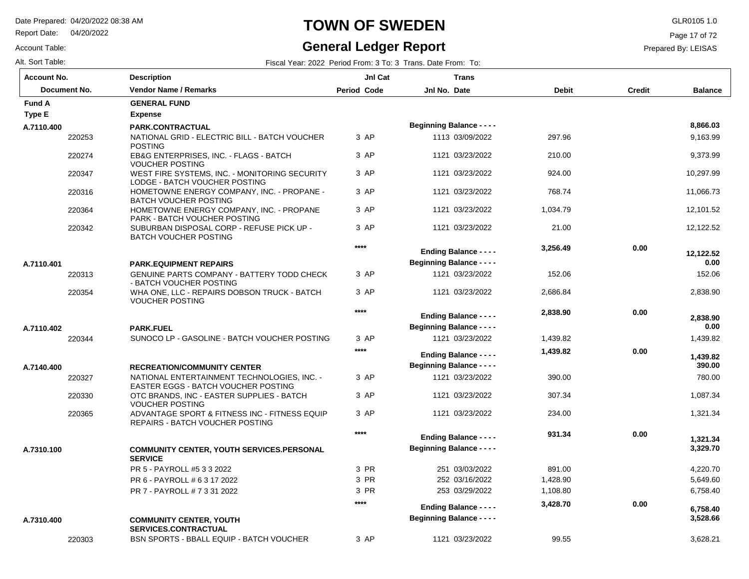Report Date: 04/20/2022

Account Table:

#### **TOWN OF SWEDEN** GLR0105 1.0

### **General Ledger Report**

Page 17 of 72

#### Prepared By: LEISAS

| <b>Account No.</b> |        | <b>Description</b>                                                                 | JnI Cat            | <b>Trans</b>                                                      |              |               |                    |
|--------------------|--------|------------------------------------------------------------------------------------|--------------------|-------------------------------------------------------------------|--------------|---------------|--------------------|
| Document No.       |        | <b>Vendor Name / Remarks</b>                                                       | <b>Period Code</b> | Jnl No. Date                                                      | <b>Debit</b> | <b>Credit</b> | <b>Balance</b>     |
| <b>Fund A</b>      |        | <b>GENERAL FUND</b>                                                                |                    |                                                                   |              |               |                    |
| Type E             |        | <b>Expense</b>                                                                     |                    |                                                                   |              |               |                    |
| A.7110.400         |        | PARK.CONTRACTUAL                                                                   |                    | <b>Beginning Balance - - - -</b>                                  |              |               | 8.866.03           |
|                    | 220253 | NATIONAL GRID - ELECTRIC BILL - BATCH VOUCHER<br><b>POSTING</b>                    | 3 AP               | 1113 03/09/2022                                                   | 297.96       |               | 9,163.99           |
|                    | 220274 | EB&G ENTERPRISES, INC. - FLAGS - BATCH<br><b>VOUCHER POSTING</b>                   | 3 AP               | 1121 03/23/2022                                                   | 210.00       |               | 9,373.99           |
|                    | 220347 | WEST FIRE SYSTEMS, INC. - MONITORING SECURITY<br>LODGE - BATCH VOUCHER POSTING     | 3 AP               | 1121 03/23/2022                                                   | 924.00       |               | 10,297.99          |
|                    | 220316 | HOMETOWNE ENERGY COMPANY, INC. - PROPANE -<br><b>BATCH VOUCHER POSTING</b>         | 3 AP               | 1121 03/23/2022                                                   | 768.74       |               | 11,066.73          |
|                    | 220364 | HOMETOWNE ENERGY COMPANY, INC. - PROPANE<br>PARK - BATCH VOUCHER POSTING           | 3 AP               | 1121 03/23/2022                                                   | 1.034.79     |               | 12,101.52          |
|                    | 220342 | SUBURBAN DISPOSAL CORP - REFUSE PICK UP -<br><b>BATCH VOUCHER POSTING</b>          | 3 AP               | 1121 03/23/2022                                                   | 21.00        |               | 12,122.52          |
|                    |        |                                                                                    | $***$              | <b>Ending Balance - - - -</b>                                     | 3,256.49     | 0.00          | 12,122.52          |
| A.7110.401         |        | <b>PARK.EQUIPMENT REPAIRS</b>                                                      |                    | <b>Beginning Balance - - - -</b>                                  |              |               | 0.00               |
|                    | 220313 | <b>GENUINE PARTS COMPANY - BATTERY TODD CHECK</b><br>- BATCH VOUCHER POSTING       | 3 AP               | 1121 03/23/2022                                                   | 152.06       |               | 152.06             |
|                    | 220354 | WHA ONE, LLC - REPAIRS DOBSON TRUCK - BATCH<br><b>VOUCHER POSTING</b>              | 3 AP               | 1121 03/23/2022                                                   | 2,686.84     |               | 2,838.90           |
|                    |        |                                                                                    | $****$             | <b>Ending Balance - - - -</b>                                     | 2,838.90     | 0.00          | 2,838.90           |
| A.7110.402         |        | <b>PARK.FUEL</b>                                                                   |                    | <b>Beginning Balance - - - -</b>                                  |              |               | 0.00               |
|                    | 220344 | SUNOCO LP - GASOLINE - BATCH VOUCHER POSTING                                       | 3 AP               | 1121 03/23/2022                                                   | 1,439.82     |               | 1,439.82           |
|                    |        |                                                                                    | $***$              | <b>Ending Balance - - - -</b><br><b>Beginning Balance - - - -</b> | 1,439.82     | 0.00          | 1,439.82<br>390.00 |
| A.7140.400         |        | <b>RECREATION/COMMUNITY CENTER</b>                                                 |                    |                                                                   |              |               |                    |
|                    | 220327 | NATIONAL ENTERTAINMENT TECHNOLOGIES, INC. -<br>EASTER EGGS - BATCH VOUCHER POSTING | 3 AP               | 1121 03/23/2022                                                   | 390.00       |               | 780.00             |
|                    | 220330 | OTC BRANDS, INC - EASTER SUPPLIES - BATCH<br><b>VOUCHER POSTING</b>                | 3 AP               | 1121 03/23/2022                                                   | 307.34       |               | 1,087.34           |
|                    | 220365 | ADVANTAGE SPORT & FITNESS INC - FITNESS EQUIP<br>REPAIRS - BATCH VOUCHER POSTING   | 3 AP               | 1121 03/23/2022                                                   | 234.00       |               | 1,321.34           |
|                    |        |                                                                                    | $****$             | <b>Ending Balance - - - -</b>                                     | 931.34       | 0.00          | 1,321.34           |
| A.7310.100         |        | COMMUNITY CENTER, YOUTH SERVICES.PERSONAL<br><b>SERVICE</b>                        |                    | <b>Beginning Balance - - - -</b>                                  |              |               | 3,329.70           |
|                    |        | PR 5 - PAYROLL #5 3 3 2022                                                         | 3 PR               | 251 03/03/2022                                                    | 891.00       |               | 4,220.70           |
|                    |        | PR 6 - PAYROLL # 6 3 17 2022                                                       | 3 PR               | 252 03/16/2022                                                    | 1,428.90     |               | 5,649.60           |
|                    |        | PR 7 - PAYROLL # 7 3 31 2022                                                       | 3 PR               | 253 03/29/2022                                                    | 1,108.80     |               | 6,758.40           |
|                    |        |                                                                                    | $****$             | <b>Ending Balance - - - -</b>                                     | 3,428.70     | 0.00          | 6,758.40           |
| A.7310.400         |        | <b>COMMUNITY CENTER, YOUTH</b><br><b>SERVICES.CONTRACTUAL</b>                      |                    | <b>Beginning Balance - - - -</b>                                  |              |               | 3,528.66           |
|                    | 220303 | BSN SPORTS - BBALL EQUIP - BATCH VOUCHER                                           | 3 AP               | 1121 03/23/2022                                                   | 99.55        |               | 3,628.21           |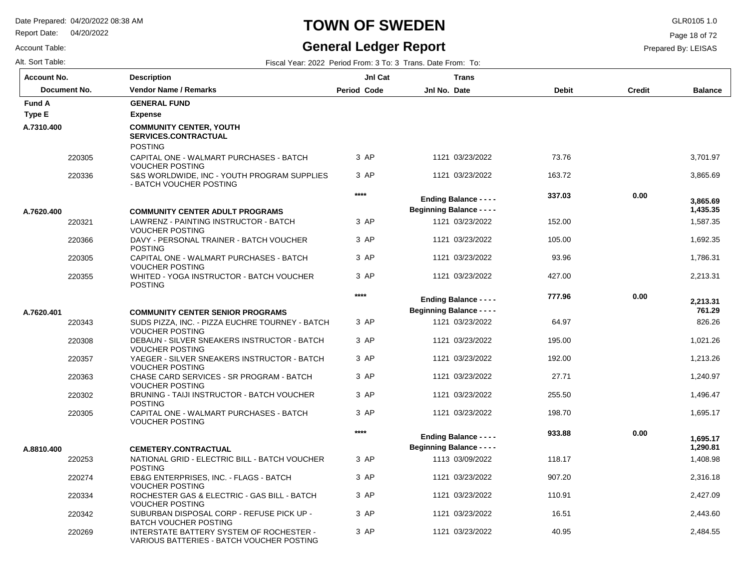Report Date: 04/20/2022

### **TOWN OF SWEDEN** GLR0105 1.0

### **General Ledger Report**

Page 18 of 72

Prepared By: LEISAS

Account Table:

| Alt. Sort Table:   |                                                                                       |                    | Fiscal Year: 2022 Period From: 3 To: 3 Trans. Date From: To: |              |               |                |
|--------------------|---------------------------------------------------------------------------------------|--------------------|--------------------------------------------------------------|--------------|---------------|----------------|
| <b>Account No.</b> | <b>Description</b>                                                                    | JnI Cat            | <b>Trans</b>                                                 |              |               |                |
| Document No.       | <b>Vendor Name / Remarks</b>                                                          | <b>Period Code</b> | Jnl No. Date                                                 | <b>Debit</b> | <b>Credit</b> | <b>Balance</b> |
| <b>Fund A</b>      | <b>GENERAL FUND</b>                                                                   |                    |                                                              |              |               |                |
| <b>Type E</b>      | <b>Expense</b>                                                                        |                    |                                                              |              |               |                |
| A.7310.400         | <b>COMMUNITY CENTER, YOUTH</b><br>SERVICES.CONTRACTUAL<br><b>POSTING</b>              |                    |                                                              |              |               |                |
| 220305             | CAPITAL ONE - WALMART PURCHASES - BATCH<br><b>VOUCHER POSTING</b>                     | 3 AP               | 1121 03/23/2022                                              | 73.76        |               | 3,701.97       |
| 220336             | S&S WORLDWIDE, INC - YOUTH PROGRAM SUPPLIES<br>- BATCH VOUCHER POSTING                | 3 AP               | 1121 03/23/2022                                              | 163.72       |               | 3,865.69       |
|                    |                                                                                       | $****$             | <b>Ending Balance - - - -</b>                                | 337.03       | 0.00          | 3,865.69       |
| A.7620.400         | <b>COMMUNITY CENTER ADULT PROGRAMS</b>                                                |                    | <b>Beginning Balance - - - -</b>                             |              |               | 1,435.35       |
| 220321             | LAWRENZ - PAINTING INSTRUCTOR - BATCH<br><b>VOUCHER POSTING</b>                       | 3 AP               | 1121 03/23/2022                                              | 152.00       |               | 1,587.35       |
| 220366             | DAVY - PERSONAL TRAINER - BATCH VOUCHER<br><b>POSTING</b>                             | 3 AP               | 1121 03/23/2022                                              | 105.00       |               | 1,692.35       |
| 220305             | CAPITAL ONE - WALMART PURCHASES - BATCH<br><b>VOUCHER POSTING</b>                     | 3 AP               | 1121 03/23/2022                                              | 93.96        |               | 1,786.31       |
| 220355             | WHITED - YOGA INSTRUCTOR - BATCH VOUCHER<br><b>POSTING</b>                            | 3 AP               | 1121 03/23/2022                                              | 427.00       |               | 2,213.31       |
|                    |                                                                                       | $****$             | <b>Ending Balance - - - -</b>                                | 777.96       | 0.00          | 2,213.31       |
| A.7620.401         | <b>COMMUNITY CENTER SENIOR PROGRAMS</b>                                               |                    | <b>Beginning Balance - - - -</b>                             |              |               | 761.29         |
| 220343             | SUDS PIZZA, INC. - PIZZA EUCHRE TOURNEY - BATCH<br><b>VOUCHER POSTING</b>             | 3 AP               | 1121 03/23/2022                                              | 64.97        |               | 826.26         |
| 220308             | DEBAUN - SILVER SNEAKERS INSTRUCTOR - BATCH<br><b>VOUCHER POSTING</b>                 | 3 AP               | 1121 03/23/2022                                              | 195.00       |               | 1,021.26       |
| 220357             | YAEGER - SILVER SNEAKERS INSTRUCTOR - BATCH<br><b>VOUCHER POSTING</b>                 | 3 AP               | 1121 03/23/2022                                              | 192.00       |               | 1,213.26       |
| 220363             | CHASE CARD SERVICES - SR PROGRAM - BATCH<br><b>VOUCHER POSTING</b>                    | 3 AP               | 1121 03/23/2022                                              | 27.71        |               | 1,240.97       |
| 220302             | BRUNING - TAIJI INSTRUCTOR - BATCH VOUCHER<br><b>POSTING</b>                          | 3 AP               | 1121 03/23/2022                                              | 255.50       |               | 1,496.47       |
| 220305             | CAPITAL ONE - WALMART PURCHASES - BATCH<br><b>VOUCHER POSTING</b>                     | 3 AP               | 1121 03/23/2022                                              | 198.70       |               | 1,695.17       |
|                    |                                                                                       | $***$              | <b>Ending Balance - - - -</b>                                | 933.88       | 0.00          | 1,695.17       |
| A.8810.400         | <b>CEMETERY.CONTRACTUAL</b>                                                           |                    | <b>Beginning Balance - - - -</b>                             |              |               | 1,290.81       |
| 220253             | NATIONAL GRID - ELECTRIC BILL - BATCH VOUCHER<br><b>POSTING</b>                       | 3 AP               | 1113 03/09/2022                                              | 118.17       |               | 1,408.98       |
| 220274             | EB&G ENTERPRISES, INC. - FLAGS - BATCH<br><b>VOUCHER POSTING</b>                      | 3 AP               | 1121 03/23/2022                                              | 907.20       |               | 2,316.18       |
| 220334             | ROCHESTER GAS & ELECTRIC - GAS BILL - BATCH<br><b>VOUCHER POSTING</b>                 | 3 AP               | 1121 03/23/2022                                              | 110.91       |               | 2,427.09       |
| 220342             | SUBURBAN DISPOSAL CORP - REFUSE PICK UP -<br>BATCH VOUCHER POSTING                    | 3 AP               | 1121 03/23/2022                                              | 16.51        |               | 2,443.60       |
| 220269             | INTERSTATE BATTERY SYSTEM OF ROCHESTER -<br>VARIOUS BATTERIES - BATCH VOUCHER POSTING | 3 AP               | 1121 03/23/2022                                              | 40.95        |               | 2,484.55       |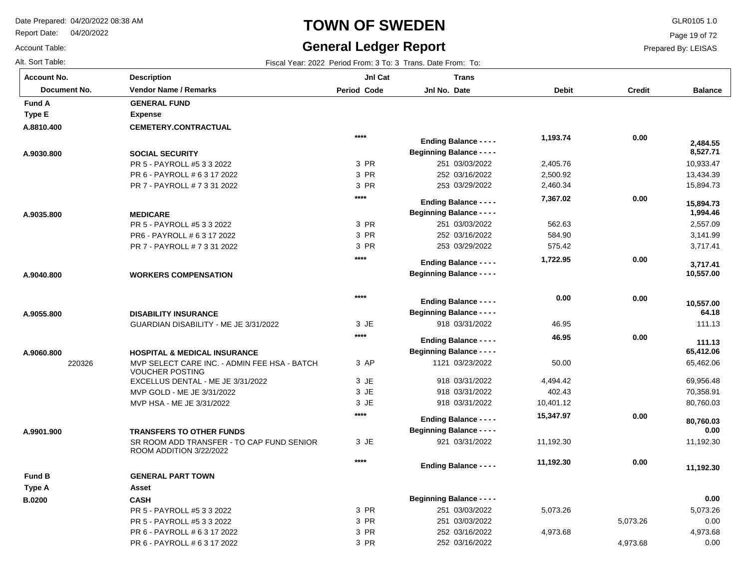Report Date: 04/20/2022

Account Table:

### **TOWN OF SWEDEN** GLR0105 1.0

### **General Ledger Report**

Page 19 of 72

Prepared By: LEISAS

| <b>Account No.</b> | <b>Description</b>                                                   | JnI Cat     | <b>Trans</b>                     |              |               |                       |
|--------------------|----------------------------------------------------------------------|-------------|----------------------------------|--------------|---------------|-----------------------|
| Document No.       | <b>Vendor Name / Remarks</b>                                         | Period Code | Jnl No. Date                     | <b>Debit</b> | <b>Credit</b> | <b>Balance</b>        |
| <b>Fund A</b>      | <b>GENERAL FUND</b>                                                  |             |                                  |              |               |                       |
| <b>Type E</b>      | <b>Expense</b>                                                       |             |                                  |              |               |                       |
| A.8810.400         | <b>CEMETERY.CONTRACTUAL</b>                                          |             |                                  |              |               |                       |
|                    |                                                                      | $****$      | <b>Ending Balance - - - -</b>    | 1,193.74     | 0.00          | 2,484.55              |
| A.9030.800         | <b>SOCIAL SECURITY</b>                                               |             | <b>Beginning Balance - - - -</b> |              |               | 8,527.71              |
|                    | PR 5 - PAYROLL #5 3 3 2022                                           | 3 PR        | 251 03/03/2022                   | 2,405.76     |               | 10,933.47             |
|                    | PR 6 - PAYROLL # 6 3 17 2022                                         | 3 PR        | 252 03/16/2022                   | 2,500.92     |               | 13,434.39             |
|                    | PR 7 - PAYROLL # 7 3 31 2022                                         | 3 PR        | 253 03/29/2022                   | 2,460.34     |               | 15,894.73             |
|                    |                                                                      | $***$       | <b>Ending Balance - - - -</b>    | 7,367.02     | 0.00          |                       |
| A.9035.800         | <b>MEDICARE</b>                                                      |             | <b>Beginning Balance - - - -</b> |              |               | 15,894.73<br>1,994.46 |
|                    | PR 5 - PAYROLL #5 3 3 2022                                           | 3 PR        | 251 03/03/2022                   | 562.63       |               | 2,557.09              |
|                    | PR6 - PAYROLL # 6 3 17 2022                                          | 3 PR        | 252 03/16/2022                   | 584.90       |               | 3,141.99              |
|                    | PR 7 - PAYROLL # 7 3 31 2022                                         | 3 PR        | 253 03/29/2022                   | 575.42       |               | 3,717.41              |
|                    |                                                                      | ****        |                                  | 1,722.95     | 0.00          |                       |
|                    |                                                                      |             | <b>Ending Balance - - - -</b>    |              |               | 3,717.41              |
| A.9040.800         | <b>WORKERS COMPENSATION</b>                                          |             | <b>Beginning Balance - - - -</b> |              |               | 10,557.00             |
|                    |                                                                      | $****$      |                                  |              |               |                       |
|                    |                                                                      |             | <b>Ending Balance - - - -</b>    | 0.00         | 0.00          | 10,557.00             |
| A.9055.800         | <b>DISABILITY INSURANCE</b>                                          |             | <b>Beginning Balance - - - -</b> |              |               | 64.18                 |
|                    | GUARDIAN DISABILITY - ME JE 3/31/2022                                | 3 JE        | 918 03/31/2022                   | 46.95        |               | 111.13                |
|                    |                                                                      | $****$      | <b>Ending Balance - - - -</b>    | 46.95        | 0.00          | 111.13                |
| A.9060.800         | <b>HOSPITAL &amp; MEDICAL INSURANCE</b>                              |             | <b>Beginning Balance - - - -</b> |              |               | 65,412.06             |
| 220326             | MVP SELECT CARE INC. - ADMIN FEE HSA - BATCH                         | 3 AP        | 1121 03/23/2022                  | 50.00        |               | 65,462.06             |
|                    | <b>VOUCHER POSTING</b>                                               |             |                                  |              |               |                       |
|                    | EXCELLUS DENTAL - ME JE 3/31/2022                                    | 3 JE        | 918 03/31/2022                   | 4,494.42     |               | 69,956.48             |
|                    | MVP GOLD - ME JE 3/31/2022                                           | 3 JE        | 918 03/31/2022                   | 402.43       |               | 70,358.91             |
|                    | MVP HSA - ME JE 3/31/2022                                            | 3 JE        | 918 03/31/2022                   | 10,401.12    |               | 80,760.03             |
|                    |                                                                      | $***$       | <b>Ending Balance - - - -</b>    | 15,347.97    | 0.00          | 80,760.03             |
| A.9901.900         | <b>TRANSFERS TO OTHER FUNDS</b>                                      |             | <b>Beginning Balance - - - -</b> |              |               | 0.00                  |
|                    | SR ROOM ADD TRANSFER - TO CAP FUND SENIOR<br>ROOM ADDITION 3/22/2022 | 3 JE        | 921 03/31/2022                   | 11,192.30    |               | 11,192.30             |
|                    |                                                                      | $***$       | <b>Ending Balance - - - -</b>    | 11,192.30    | 0.00          | 11,192.30             |
| <b>Fund B</b>      | <b>GENERAL PART TOWN</b>                                             |             |                                  |              |               |                       |
| Type A             | <b>Asset</b>                                                         |             |                                  |              |               |                       |
| <b>B.0200</b>      | <b>CASH</b>                                                          |             | <b>Beginning Balance - - - -</b> |              |               | 0.00                  |
|                    | PR 5 - PAYROLL #5 3 3 2022                                           | 3 PR        | 251 03/03/2022                   | 5,073.26     |               | 5,073.26              |
|                    | PR 5 - PAYROLL #5 3 3 2022                                           | 3 PR        | 251 03/03/2022                   |              | 5,073.26      | 0.00                  |
|                    | PR 6 - PAYROLL # 6 3 17 2022                                         | 3 PR        | 252 03/16/2022                   | 4,973.68     |               | 4,973.68              |
|                    | PR 6 - PAYROLL # 6 3 17 2022                                         | 3 PR        | 252 03/16/2022                   |              | 4,973.68      | 0.00                  |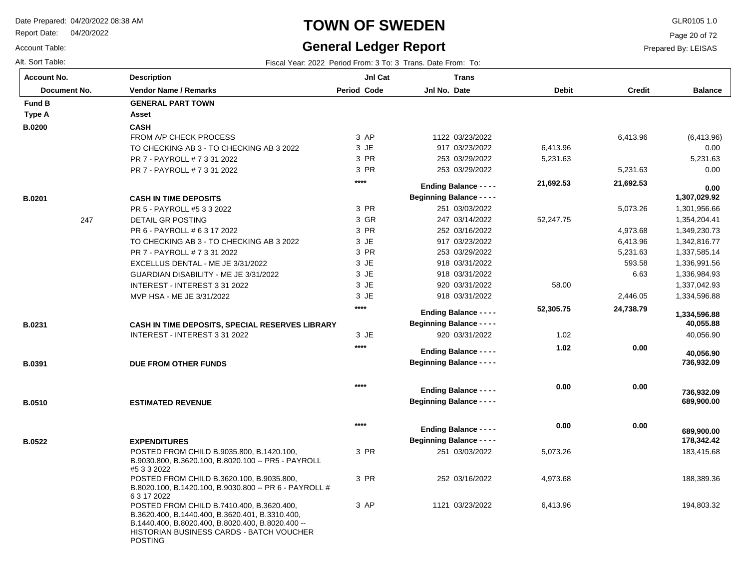Report Date: 04/20/2022

#### Account Table:

#### **TOWN OF SWEDEN** GLR0105 1.0

### **General Ledger Report**

Page 20 of 72

#### Prepared By: LEISAS

| <b>Account No.</b> | <b>Description</b>                                                                                                                                                                                                             | Jnl Cat     | <b>Trans</b>                     |              |               |                          |
|--------------------|--------------------------------------------------------------------------------------------------------------------------------------------------------------------------------------------------------------------------------|-------------|----------------------------------|--------------|---------------|--------------------------|
| Document No.       | <b>Vendor Name / Remarks</b>                                                                                                                                                                                                   | Period Code | Jnl No. Date                     | <b>Debit</b> | <b>Credit</b> | <b>Balance</b>           |
| <b>Fund B</b>      | <b>GENERAL PART TOWN</b>                                                                                                                                                                                                       |             |                                  |              |               |                          |
| Type A             | Asset                                                                                                                                                                                                                          |             |                                  |              |               |                          |
| <b>B.0200</b>      | <b>CASH</b>                                                                                                                                                                                                                    |             |                                  |              |               |                          |
|                    | FROM A/P CHECK PROCESS                                                                                                                                                                                                         | 3 AP        | 1122 03/23/2022                  |              | 6,413.96      | (6,413.96)               |
|                    | TO CHECKING AB 3 - TO CHECKING AB 3 2022                                                                                                                                                                                       | 3 JE        | 917 03/23/2022                   | 6,413.96     |               | 0.00                     |
|                    | PR 7 - PAYROLL # 7 3 31 2022                                                                                                                                                                                                   | 3 PR        | 253 03/29/2022                   | 5,231.63     |               | 5,231.63                 |
|                    | PR 7 - PAYROLL # 7 3 31 2022                                                                                                                                                                                                   | 3 PR        | 253 03/29/2022                   |              | 5,231.63      | 0.00                     |
|                    |                                                                                                                                                                                                                                | $***$       | <b>Ending Balance - - - -</b>    | 21,692.53    | 21,692.53     | 0.00                     |
| <b>B.0201</b>      | <b>CASH IN TIME DEPOSITS</b>                                                                                                                                                                                                   |             | <b>Beginning Balance - - - -</b> |              |               | 1,307,029.92             |
|                    | PR 5 - PAYROLL #5 3 3 2022                                                                                                                                                                                                     | 3 PR        | 251 03/03/2022                   |              | 5,073.26      | 1,301,956.66             |
| 247                | DETAIL GR POSTING                                                                                                                                                                                                              | 3 GR        | 247 03/14/2022                   | 52,247.75    |               | 1,354,204.41             |
|                    | PR 6 - PAYROLL # 6 3 17 2022                                                                                                                                                                                                   | 3 PR        | 252 03/16/2022                   |              | 4,973.68      | 1,349,230.73             |
|                    | TO CHECKING AB 3 - TO CHECKING AB 3 2022                                                                                                                                                                                       | 3 JE        | 917 03/23/2022                   |              | 6,413.96      | 1,342,816.77             |
|                    | PR 7 - PAYROLL # 7 3 31 2022                                                                                                                                                                                                   | 3 PR        | 253 03/29/2022                   |              | 5,231.63      | 1,337,585.14             |
|                    | EXCELLUS DENTAL - ME JE 3/31/2022                                                                                                                                                                                              | 3 JE        | 918 03/31/2022                   |              | 593.58        | 1,336,991.56             |
|                    | GUARDIAN DISABILITY - ME JE 3/31/2022                                                                                                                                                                                          | 3 JE        | 918 03/31/2022                   |              | 6.63          | 1,336,984.93             |
|                    | INTEREST - INTEREST 3 31 2022                                                                                                                                                                                                  | 3 JE        | 920 03/31/2022                   | 58.00        |               | 1,337,042.93             |
|                    | MVP HSA - ME JE 3/31/2022                                                                                                                                                                                                      | 3 JE        | 918 03/31/2022                   |              | 2,446.05      | 1,334,596.88             |
|                    |                                                                                                                                                                                                                                | $***$       |                                  |              |               |                          |
|                    |                                                                                                                                                                                                                                |             | <b>Ending Balance - - - -</b>    | 52,305.75    | 24,738.79     | 1,334,596.88             |
| B.0231             | CASH IN TIME DEPOSITS, SPECIAL RESERVES LIBRARY                                                                                                                                                                                |             | <b>Beginning Balance - - - -</b> |              |               | 40,055.88                |
|                    | INTEREST - INTEREST 3 31 2022                                                                                                                                                                                                  | 3 JE        | 920 03/31/2022                   | 1.02         |               | 40,056.90                |
|                    |                                                                                                                                                                                                                                | $***$       | <b>Ending Balance - - - -</b>    | 1.02         | 0.00          | 40,056.90                |
| B.0391             | DUE FROM OTHER FUNDS                                                                                                                                                                                                           |             | <b>Beginning Balance - - - -</b> |              |               | 736,932.09               |
|                    |                                                                                                                                                                                                                                |             |                                  |              |               |                          |
|                    |                                                                                                                                                                                                                                | $***$       | <b>Ending Balance - - - -</b>    | 0.00         | 0.00          |                          |
| <b>B.0510</b>      | <b>ESTIMATED REVENUE</b>                                                                                                                                                                                                       |             | <b>Beginning Balance - - - -</b> |              |               | 736,932.09<br>689,900.00 |
|                    |                                                                                                                                                                                                                                |             |                                  |              |               |                          |
|                    |                                                                                                                                                                                                                                | $***$       |                                  | 0.00         | 0.00          |                          |
|                    |                                                                                                                                                                                                                                |             | <b>Ending Balance - - - -</b>    |              |               | 689,900.00               |
| B.0522             | <b>EXPENDITURES</b>                                                                                                                                                                                                            |             | <b>Beginning Balance - - - -</b> |              |               | 178,342.42               |
|                    | POSTED FROM CHILD B.9035.800, B.1420.100,<br>B.9030.800, B.3620.100, B.8020.100 -- PR5 - PAYROLL<br>#5 3 3 2022                                                                                                                | 3 PR        | 251 03/03/2022                   | 5,073.26     |               | 183,415.68               |
|                    | POSTED FROM CHILD B.3620.100, B.9035.800,<br>B.8020.100, B.1420.100, B.9030.800 -- PR 6 - PAYROLL #                                                                                                                            | 3 PR        | 252 03/16/2022                   | 4,973.68     |               | 188,389.36               |
|                    | 6 3 17 2022<br>POSTED FROM CHILD B.7410.400, B.3620.400,<br>B.3620.400, B.1440.400, B.3620.401, B.3310.400,<br>B.1440.400, B.8020.400, B.8020.400, B.8020.400 --<br>HISTORIAN BUSINESS CARDS - BATCH VOUCHER<br><b>POSTING</b> | 3 AP        | 1121 03/23/2022                  | 6,413.96     |               | 194,803.32               |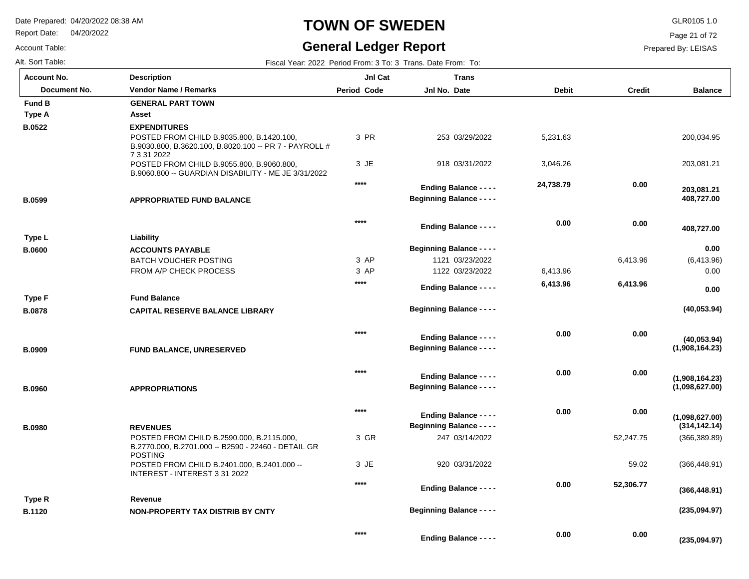Report Date: 04/20/2022

#### Account Table:

#### **TOWN OF SWEDEN** GLR0105 1.0

### **General Ledger Report**

**Balance**

200,034.95

203,081.21

 **408,727.00** 

 **408,727.00** 

 **203,081.21** 

(6,413.96) 0.00

**(40,053.94)**

**(40,053.94)**

**(1,908,164.23)**

**(1,908,164.23)**

**(235,094.97)**

 **0.00** 

 **0.00** 

Page 21 of 72

| Alt. Sort Table:   | Fiscal Year: 2022 Period From: 3 To: 3 Trans. Date From: To:                                                       |                    |                                  |              |               |  |  |  |
|--------------------|--------------------------------------------------------------------------------------------------------------------|--------------------|----------------------------------|--------------|---------------|--|--|--|
| <b>Account No.</b> | <b>Description</b>                                                                                                 | JnI Cat            | <b>Trans</b>                     |              |               |  |  |  |
| Document No.       | <b>Vendor Name / Remarks</b>                                                                                       | <b>Period Code</b> | Jnl No. Date                     | <b>Debit</b> | <b>Credit</b> |  |  |  |
| <b>Fund B</b>      | <b>GENERAL PART TOWN</b>                                                                                           |                    |                                  |              |               |  |  |  |
| Type A             | Asset                                                                                                              |                    |                                  |              |               |  |  |  |
| <b>B.0522</b>      | <b>EXPENDITURES</b>                                                                                                |                    |                                  |              |               |  |  |  |
|                    | POSTED FROM CHILD B.9035.800, B.1420.100,<br>B.9030.800, B.3620.100, B.8020.100 -- PR 7 - PAYROLL #<br>7 3 31 2022 | 3 PR               | 253 03/29/2022                   | 5,231.63     |               |  |  |  |
|                    | POSTED FROM CHILD B.9055.800, B.9060.800,<br>B.9060.800 -- GUARDIAN DISABILITY - ME JE 3/31/2022                   | 3 JE               | 918 03/31/2022                   | 3,046.26     |               |  |  |  |
|                    |                                                                                                                    | $****$             | <b>Ending Balance - - - -</b>    | 24,738.79    | 0.00          |  |  |  |
| <b>B.0599</b>      | <b>APPROPRIATED FUND BALANCE</b>                                                                                   |                    | <b>Beginning Balance - - - -</b> |              |               |  |  |  |
|                    |                                                                                                                    | $***$              | <b>Ending Balance - - - -</b>    | 0.00         | 0.00          |  |  |  |
| Type L             | Liability                                                                                                          |                    |                                  |              |               |  |  |  |
| <b>B.0600</b>      | <b>ACCOUNTS PAYABLE</b>                                                                                            |                    | <b>Beginning Balance - - - -</b> |              |               |  |  |  |
|                    | <b>BATCH VOUCHER POSTING</b>                                                                                       | 3 AP               | 1121 03/23/2022                  |              | 6,413.96      |  |  |  |
|                    | FROM A/P CHECK PROCESS                                                                                             | 3 AP               | 1122 03/23/2022                  | 6,413.96     |               |  |  |  |
|                    |                                                                                                                    | $****$             | <b>Ending Balance - - - -</b>    | 6,413.96     | 6,413.96      |  |  |  |
| <b>Type F</b>      | <b>Fund Balance</b>                                                                                                |                    |                                  |              |               |  |  |  |
| <b>B.0878</b>      | <b>CAPITAL RESERVE BALANCE LIBRARY</b>                                                                             |                    | <b>Beginning Balance - - - -</b> |              |               |  |  |  |
|                    |                                                                                                                    | $***$              | <b>Ending Balance - - - -</b>    | 0.00         | 0.00          |  |  |  |
| <b>B.0909</b>      | <b>FUND BALANCE, UNRESERVED</b>                                                                                    |                    | <b>Beginning Balance - - - -</b> |              |               |  |  |  |
|                    |                                                                                                                    | $****$             | Ending Balance - - - -           | 0.00         | 0.00          |  |  |  |

| <b>B.0960</b> | <b>APPROPRIATIONS</b>                                                                                              |        | <b>Beginning Balance - - - -</b>                                  |      |           | (1,098,627.00)                  |
|---------------|--------------------------------------------------------------------------------------------------------------------|--------|-------------------------------------------------------------------|------|-----------|---------------------------------|
| <b>B.0980</b> | <b>REVENUES</b>                                                                                                    | $***$  | <b>Ending Balance - - - -</b><br><b>Beginning Balance - - - -</b> | 0.00 | 0.00      | (1,098,627.00)<br>(314, 142.14) |
|               | POSTED FROM CHILD B.2590.000, B.2115.000,<br>B.2770.000, B.2701.000 -- B2590 - 22460 - DETAIL GR<br><b>POSTING</b> | 3 GR   | 247 03/14/2022                                                    |      | 52.247.75 | (366, 389.89)                   |
|               | POSTED FROM CHILD B.2401.000, B.2401.000 --<br>INTEREST - INTEREST 3 31 2022                                       | 3 JE   | 920 03/31/2022                                                    |      | 59.02     | (366, 448.91)                   |
|               |                                                                                                                    | $****$ | <b>Ending Balance - - - -</b>                                     | 0.00 | 52,306.77 | (366, 448.91)                   |
| Type R        | Revenue                                                                                                            |        |                                                                   |      |           |                                 |
| <b>B.1120</b> | NON-PROPERTY TAX DISTRIB BY CNTY                                                                                   |        | <b>Beginning Balance - - - -</b>                                  |      |           | (235,094.97)                    |
|               |                                                                                                                    | $****$ | <b>Ending Balance - - - -</b>                                     | 0.00 | 0.00      | (235.094.97)                    |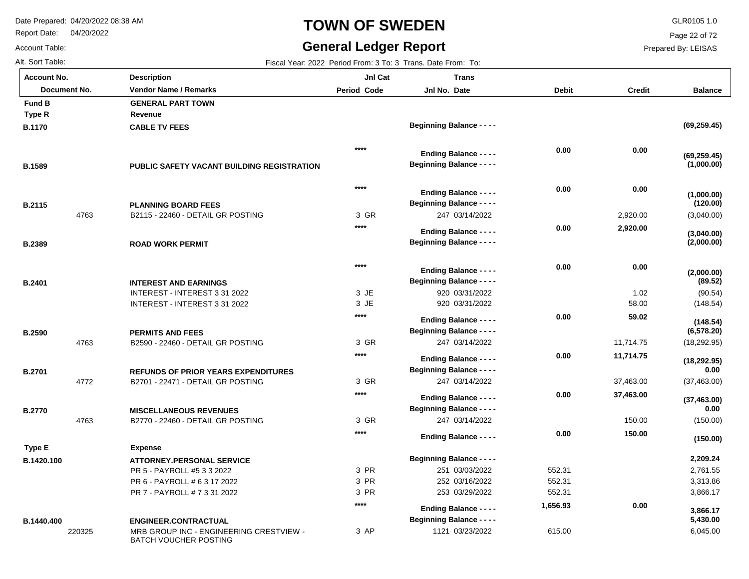Report Date: 04/20/2022

## **TOWN OF SWEDEN** GLR0105 1.0

#### **General Ledger Report**

**Balance**

**(69,259.45)**

**(1,000.00)**

**(69,259.45)**

(3,040.00)

**(1,000.00)**

**(2,000.00)**

**(2,000.00)**

**(3,040.00)**

**(120.00)**

(90.54) (148.54)

**(89.52)**

(18,292.95)

**(18,292.95)**

**(6,578.20)**

**(148.54)**

(37,463.00)

**(37,463.00)**

 **0.00** 

(150.00)

**(150.00)**

 **0.00** 

 2,761.55 3,313.86 3,866.17

 **2,209.24** 

6,045.00

 **5,430.00** 

 **3,866.17** 

Page 22 of 72

Prepared By: LEISAS

Account Table: Alt. Sort Table: Fiscal Year: 2022 Period From: 3 To: 3 Trans. Date From: To: 4 Trans. Date From: To: 3 Trans. Date From: To: **Account No.**

**B.1170**

**Type R**

**Fund B** 

**B.1589**

**B.2115**

**B.2389**

**B.2401**

**B.2590**

**B.2701**

**B.2770**

**B.1420.100**

**Type E**

| unt No.      | <b>Description</b>                                | JnI Cat            | <b>Trans</b>                                                      |              |               |
|--------------|---------------------------------------------------|--------------------|-------------------------------------------------------------------|--------------|---------------|
| Document No. | <b>Vendor Name / Remarks</b>                      | <b>Period Code</b> | Jnl No. Date                                                      | <b>Debit</b> | <b>Credit</b> |
| I B          | <b>GENERAL PART TOWN</b>                          |                    |                                                                   |              |               |
| ۰R           | Revenue                                           |                    |                                                                   |              |               |
| 70           | <b>CABLE TV FEES</b>                              |                    | <b>Beginning Balance - - - -</b>                                  |              |               |
|              |                                                   | ****               | <b>Ending Balance - - - -</b>                                     | 0.00         | 0.00          |
| 39           | <b>PUBLIC SAFETY VACANT BUILDING REGISTRATION</b> |                    | <b>Beginning Balance - - - -</b>                                  |              |               |
|              |                                                   | $****$             |                                                                   | 0.00         | 0.00          |
|              |                                                   |                    | <b>Ending Balance - - - -</b><br><b>Beginning Balance - - - -</b> |              |               |
| 15<br>4763   | <b>PLANNING BOARD FEES</b>                        | 3 GR               | 247 03/14/2022                                                    |              | 2,920.00      |
|              | B2115 - 22460 - DETAIL GR POSTING                 | ****               |                                                                   |              |               |
|              |                                                   |                    | <b>Ending Balance - - - -</b>                                     | 0.00         | 2,920.00      |
| 39           | <b>ROAD WORK PERMIT</b>                           |                    | <b>Beginning Balance - - - -</b>                                  |              |               |
|              |                                                   | $****$             | <b>Ending Balance - - - -</b>                                     | 0.00         | 0.00          |
| )1           | <b>INTEREST AND EARNINGS</b>                      |                    | <b>Beginning Balance - - - -</b>                                  |              |               |
|              | INTEREST - INTEREST 3 31 2022                     | 3 JE               | 920 03/31/2022                                                    |              | 1.02          |
|              | INTEREST - INTEREST 3 31 2022                     | 3 JE               | 920 03/31/2022                                                    |              | 58.00         |
|              |                                                   | ****               | <b>Ending Balance - - - -</b>                                     | 0.00         | 59.02         |
| 90           | <b>PERMITS AND FEES</b>                           |                    | <b>Beginning Balance - - - -</b>                                  |              |               |
| 4763         | B2590 - 22460 - DETAIL GR POSTING                 | 3 GR               | 247 03/14/2022                                                    |              | 11,714.75     |
|              |                                                   | $****$             | <b>Ending Balance - - - -</b>                                     | 0.00         | 11,714.75     |
| )1           | <b>REFUNDS OF PRIOR YEARS EXPENDITURES</b>        |                    | <b>Beginning Balance - - - -</b>                                  |              |               |
| 4772         | B2701 - 22471 - DETAIL GR POSTING                 | 3 GR               | 247 03/14/2022                                                    |              | 37,463.00     |
|              |                                                   | ****               | <b>Ending Balance - - - -</b>                                     | 0.00         | 37,463.00     |
| 70           | <b>MISCELLANEOUS REVENUES</b>                     |                    | <b>Beginning Balance - - - -</b>                                  |              |               |
| 4763         | B2770 - 22460 - DETAIL GR POSTING                 | 3 GR               | 247 03/14/2022                                                    |              | 150.00        |
|              |                                                   | ****               | <b>Ending Balance - - - -</b>                                     | 0.00         | 150.00        |
| ۱E           | <b>Expense</b>                                    |                    |                                                                   |              |               |
| 20.100       | <b>ATTORNEY.PERSONAL SERVICE</b>                  |                    | <b>Beginning Balance - - - -</b>                                  |              |               |
|              | PR 5 - PAYROLL #5 3 3 2022                        | 3 PR               | 251 03/03/2022                                                    | 552.31       |               |
|              | PR 6 - PAYROLL # 6 3 17 2022                      | 3 PR               | 252 03/16/2022                                                    | 552.31       |               |
|              | PR 7 - PAYROLL # 7 3 31 2022                      | 3 PR               | 253 03/29/2022                                                    | 552.31       |               |
|              |                                                   | ****               | <b>Ending Balance - - - -</b>                                     | 1,656.93     | 0.00          |

3 AP

1121 03/23/2022

**Beginning Balance - - - -**

615.00

220325 MRB GROUP INC - ENGINEERING CRESTVIEW - BATCH VOUCHER POSTING **ENGINEER.CONTRACTUAL B.1440.400**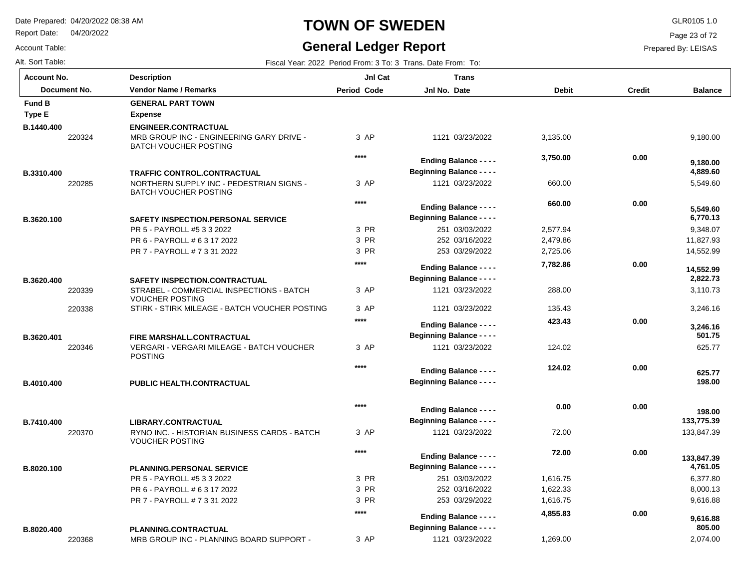220368

Report Date: 04/20/2022

Account Table:

### **TOWN OF SWEDEN** GLR0105 1.0

#### **General Ledger Report**

3 AP

1121 03/23/2022

1,269.00

**Balance**

9,180.00

5,549.60

 **4,889.60** 

 **9,180.00** 

 9,348.07 11,827.93 14,552.99

 **6,770.13** 

 **5,549.60** 

 3,110.73 3,246.16

 **2,822.73** 

 **14,552.99** 

625.77

 **198.00** 

 **198.00** 

 **625.77** 

 **501.75** 

 **3,246.16** 

133,847.39

 **133,847.39** 

 **133,775.39** 

 6,377.80 8,000.13 9,616.88

 **4,761.05** 

2,074.00

 **9,616.88** 

 **805.00** 

Page 23 of 72

Prepared By: LEISAS

| Alt. Sort Table:<br>Fiscal Year: 2022 Period From: 3 To: 3 Trans. Date From: To: |                                                                                               |                    |                                                                   |              |        |
|----------------------------------------------------------------------------------|-----------------------------------------------------------------------------------------------|--------------------|-------------------------------------------------------------------|--------------|--------|
| <b>Account No.</b>                                                               | <b>Description</b>                                                                            | JnI Cat            | <b>Trans</b>                                                      |              |        |
| Document No.                                                                     | <b>Vendor Name / Remarks</b>                                                                  | <b>Period Code</b> | Jnl No. Date                                                      | <b>Debit</b> | Credit |
| <b>Fund B</b>                                                                    | <b>GENERAL PART TOWN</b>                                                                      |                    |                                                                   |              |        |
| <b>Type E</b>                                                                    | <b>Expense</b>                                                                                |                    |                                                                   |              |        |
| B.1440.400                                                                       | <b>ENGINEER.CONTRACTUAL</b>                                                                   |                    |                                                                   |              |        |
| 220324                                                                           | MRB GROUP INC - ENGINEERING GARY DRIVE -<br><b>BATCH VOUCHER POSTING</b>                      | 3 AP               | 1121 03/23/2022                                                   | 3,135.00     |        |
|                                                                                  |                                                                                               | $***$              | <b>Ending Balance - - - -</b>                                     | 3,750.00     | 0.00   |
| B.3310.400                                                                       | <b>TRAFFIC CONTROL.CONTRACTUAL</b>                                                            |                    | <b>Beginning Balance - - - -</b>                                  |              |        |
| 220285                                                                           | NORTHERN SUPPLY INC - PEDESTRIAN SIGNS -<br><b>BATCH VOUCHER POSTING</b>                      | 3 AP               | 1121 03/23/2022                                                   | 660.00       |        |
|                                                                                  |                                                                                               | $***$              |                                                                   | 660.00       | 0.00   |
|                                                                                  |                                                                                               |                    | <b>Ending Balance - - - -</b>                                     |              |        |
| B.3620.100                                                                       | SAFETY INSPECTION.PERSONAL SERVICE                                                            |                    | <b>Beginning Balance - - - -</b>                                  |              |        |
|                                                                                  | PR 5 - PAYROLL #5 3 3 2022                                                                    | 3 PR               | 251 03/03/2022                                                    | 2,577.94     |        |
|                                                                                  | PR 6 - PAYROLL # 6 3 17 2022                                                                  | 3 PR               | 252 03/16/2022                                                    | 2,479.86     |        |
|                                                                                  | PR 7 - PAYROLL # 7 3 31 2022                                                                  | 3 PR               | 253 03/29/2022                                                    | 2,725.06     |        |
|                                                                                  |                                                                                               | $***$              | <b>Ending Balance - - - -</b>                                     | 7,782.86     | 0.00   |
| B.3620.400                                                                       | SAFETY INSPECTION.CONTRACTUAL                                                                 |                    | <b>Beginning Balance - - - -</b>                                  |              |        |
| 220339                                                                           | STRABEL - COMMERCIAL INSPECTIONS - BATCH<br><b>VOUCHER POSTING</b>                            | 3 AP               | 1121 03/23/2022                                                   | 288.00       |        |
| 220338                                                                           | STIRK - STIRK MILEAGE - BATCH VOUCHER POSTING                                                 | 3 AP               | 1121 03/23/2022                                                   | 135.43       |        |
|                                                                                  |                                                                                               | $***$              | <b>Ending Balance - - - -</b>                                     | 423.43       | 0.00   |
|                                                                                  |                                                                                               |                    | <b>Beginning Balance - - - -</b>                                  |              |        |
| B.3620.401<br>220346                                                             | FIRE MARSHALL.CONTRACTUAL<br>VERGARI - VERGARI MILEAGE - BATCH VOUCHER<br><b>POSTING</b>      | 3 AP               | 1121 03/23/2022                                                   | 124.02       |        |
|                                                                                  |                                                                                               | $***$              | <b>Ending Balance - - - -</b>                                     | 124.02       | 0.00   |
| B.4010.400                                                                       | PUBLIC HEALTH.CONTRACTUAL                                                                     |                    | <b>Beginning Balance - - - -</b>                                  |              |        |
|                                                                                  |                                                                                               | $***$              |                                                                   | 0.00         | 0.00   |
|                                                                                  |                                                                                               |                    | <b>Ending Balance - - - -</b><br><b>Beginning Balance - - - -</b> |              |        |
| B.7410.400<br>220370                                                             | LIBRARY.CONTRACTUAL<br>RYNO INC. - HISTORIAN BUSINESS CARDS - BATCH<br><b>VOUCHER POSTING</b> | 3 AP               | 1121 03/23/2022                                                   | 72.00        |        |
|                                                                                  |                                                                                               | ****               |                                                                   | 72.00        | 0.00   |
|                                                                                  |                                                                                               |                    | <b>Ending Balance - - - -</b>                                     |              |        |
| B.8020.100                                                                       | <b>PLANNING.PERSONAL SERVICE</b>                                                              |                    | <b>Beginning Balance - - - -</b>                                  |              |        |
|                                                                                  | PR 5 - PAYROLL #5 3 3 2022                                                                    | 3 PR               | 251 03/03/2022                                                    | 1,616.75     |        |
|                                                                                  | PR 6 - PAYROLL # 6 3 17 2022                                                                  | 3 PR               | 252 03/16/2022                                                    | 1,622.33     |        |
|                                                                                  | PR 7 - PAYROLL # 7 3 31 2022                                                                  | 3 PR               | 253 03/29/2022                                                    | 1,616.75     |        |
|                                                                                  |                                                                                               | $***$              | <b>Ending Balance - - - -</b>                                     | 4,855.83     | 0.00   |
| B.8020,400                                                                       | PLANNING.CONTRACTUAL                                                                          |                    | <b>Beginning Balance - - - -</b>                                  |              |        |

MRB GROUP INC - PLANNING BOARD SUPPORT -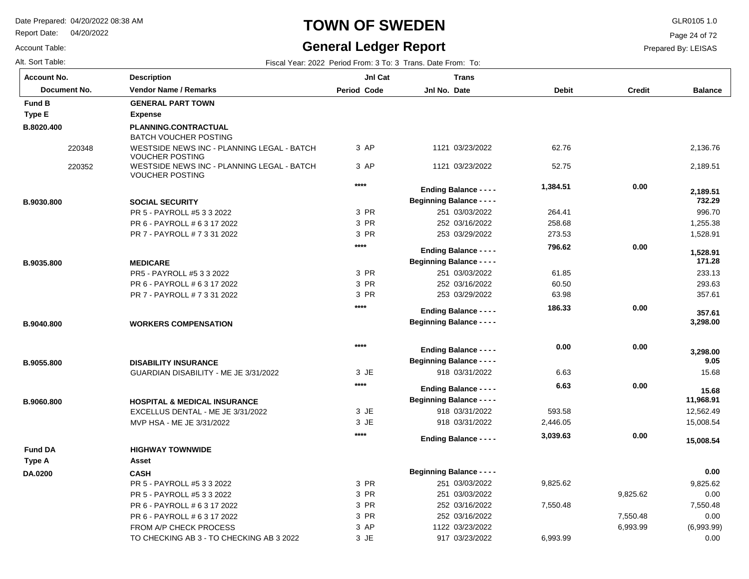Report Date: 04/20/2022

## **TOWN OF SWEDEN** GLR0105 1.0

### **General Ledger Report**

Page 24 of 72

| Account Table:   |
|------------------|
| Alt. Sort Table: |

| Alt. Sort Table:   |                                                                              |                    | Fiscal Year: 2022 Period From: 3 To: 3 Trans. Date From: To: |              |               |                    |
|--------------------|------------------------------------------------------------------------------|--------------------|--------------------------------------------------------------|--------------|---------------|--------------------|
| <b>Account No.</b> | <b>Description</b>                                                           | JnI Cat            | <b>Trans</b>                                                 |              |               |                    |
| Document No.       | <b>Vendor Name / Remarks</b>                                                 | <b>Period Code</b> | Jnl No. Date                                                 | <b>Debit</b> | <b>Credit</b> | <b>Balance</b>     |
| <b>Fund B</b>      | <b>GENERAL PART TOWN</b>                                                     |                    |                                                              |              |               |                    |
| Type E             | <b>Expense</b>                                                               |                    |                                                              |              |               |                    |
| B.8020.400         | PLANNING.CONTRACTUAL<br><b>BATCH VOUCHER POSTING</b>                         |                    |                                                              |              |               |                    |
| 220348             | WESTSIDE NEWS INC - PLANNING LEGAL - BATCH<br><b>VOUCHER POSTING</b>         | 3 AP               | 1121 03/23/2022                                              | 62.76        |               | 2,136.76           |
| 220352             | WESTSIDE NEWS INC - PLANNING LEGAL - BATCH<br><b>VOUCHER POSTING</b>         | 3 AP               | 1121 03/23/2022                                              | 52.75        |               | 2,189.51           |
|                    |                                                                              | $****$             | <b>Ending Balance - - - -</b>                                | 1,384.51     | 0.00          | 2,189.51           |
| B.9030.800         | <b>SOCIAL SECURITY</b>                                                       |                    | <b>Beginning Balance - - - -</b>                             |              |               | 732.29             |
|                    | PR 5 - PAYROLL #5 3 3 2022                                                   | 3 PR               | 251 03/03/2022                                               | 264.41       |               | 996.70             |
|                    | PR 6 - PAYROLL # 6 3 17 2022                                                 | 3 PR               | 252 03/16/2022                                               | 258.68       |               | 1,255.38           |
|                    | PR 7 - PAYROLL # 7 3 31 2022                                                 | 3 PR               | 253 03/29/2022                                               | 273.53       |               | 1,528.91           |
|                    |                                                                              | $***$              | <b>Ending Balance - - - -</b>                                | 796.62       | 0.00          | 1,528.91           |
| B.9035.800         | <b>MEDICARE</b>                                                              |                    | <b>Beginning Balance - - - -</b>                             |              |               | 171.28             |
|                    | PR5 - PAYROLL #5 3 3 2022                                                    | 3 PR               | 251 03/03/2022                                               | 61.85        |               | 233.13             |
|                    | PR 6 - PAYROLL # 6 3 17 2022                                                 | 3 PR               | 252 03/16/2022                                               | 60.50        |               | 293.63             |
|                    | PR 7 - PAYROLL # 7 3 31 2022                                                 | 3 PR               | 253 03/29/2022                                               | 63.98        |               | 357.61             |
|                    |                                                                              | $***$              | <b>Ending Balance - - - -</b>                                | 186.33       | 0.00          | 357.61             |
| B.9040.800         | <b>WORKERS COMPENSATION</b>                                                  |                    | <b>Beginning Balance - - - -</b>                             |              |               | 3,298.00           |
|                    |                                                                              | $****$             | <b>Ending Balance - - - -</b>                                | 0.00         | 0.00          | 3,298.00           |
| B.9055.800         | <b>DISABILITY INSURANCE</b>                                                  |                    | <b>Beginning Balance - - - -</b>                             |              |               | 9.05               |
|                    | GUARDIAN DISABILITY - ME JE 3/31/2022                                        | 3 JE               | 918 03/31/2022                                               | 6.63         |               | 15.68              |
|                    |                                                                              | ****               | <b>Ending Balance - - - -</b>                                | 6.63         | 0.00          |                    |
|                    |                                                                              |                    | <b>Beginning Balance - - - -</b>                             |              |               | 15.68<br>11,968.91 |
| B.9060.800         | <b>HOSPITAL &amp; MEDICAL INSURANCE</b><br>EXCELLUS DENTAL - ME JE 3/31/2022 | 3 JE               | 918 03/31/2022                                               | 593.58       |               | 12,562.49          |
|                    | MVP HSA - ME JE 3/31/2022                                                    | 3 JE               | 918 03/31/2022                                               | 2,446.05     |               | 15,008.54          |
|                    |                                                                              | $***$              | <b>Ending Balance - - - -</b>                                | 3,039.63     | 0.00          |                    |
| <b>Fund DA</b>     | <b>HIGHWAY TOWNWIDE</b>                                                      |                    |                                                              |              |               | 15,008.54          |
| Type A             | Asset                                                                        |                    |                                                              |              |               |                    |
| DA.0200            | <b>CASH</b>                                                                  |                    | <b>Beginning Balance - - - -</b>                             |              |               | 0.00               |
|                    | PR 5 - PAYROLL #5 3 3 2022                                                   | 3 PR               | 251 03/03/2022                                               | 9,825.62     |               | 9,825.62           |
|                    | PR 5 - PAYROLL #5 3 3 2022                                                   | 3 PR               | 251 03/03/2022                                               |              | 9,825.62      | 0.00               |
|                    | PR 6 - PAYROLL # 6 3 17 2022                                                 | 3 PR               | 252 03/16/2022                                               | 7,550.48     |               | 7,550.48           |
|                    | PR 6 - PAYROLL # 6 3 17 2022                                                 | 3 PR               | 252 03/16/2022                                               |              | 7,550.48      | 0.00               |
|                    | FROM A/P CHECK PROCESS                                                       | 3 AP               | 1122 03/23/2022                                              |              | 6,993.99      | (6,993.99)         |
|                    | TO CHECKING AB 3 - TO CHECKING AB 3 2022                                     | 3 JE               | 917 03/23/2022                                               | 6,993.99     |               | 0.00               |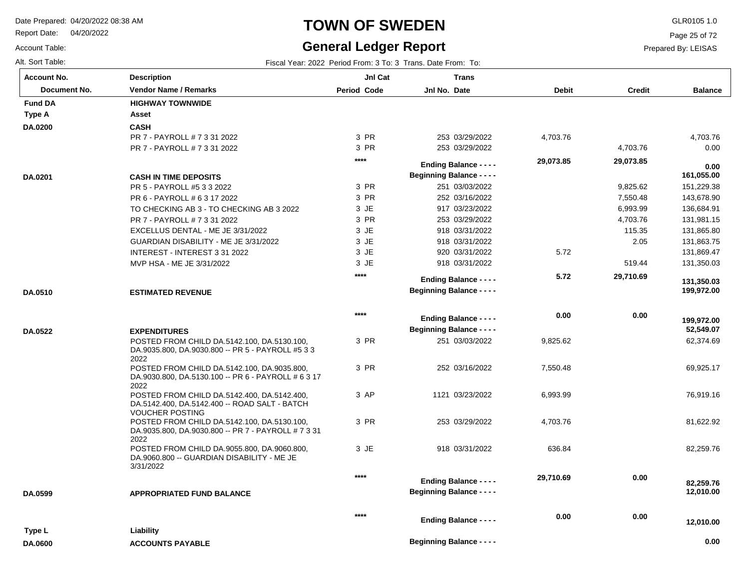Report Date: 04/20/2022

#### Account Table:

#### **TOWN OF SWEDEN** GLR0105 1.0

### **General Ledger Report**

Page 25 of 72

Prepared By: LEISAS

| <b>Account No.</b> | <b>Description</b>                                                                                 | JnI Cat            | <b>Trans</b>                     |              |               |                |
|--------------------|----------------------------------------------------------------------------------------------------|--------------------|----------------------------------|--------------|---------------|----------------|
| Document No.       | Vendor Name / Remarks                                                                              | <b>Period Code</b> | Jnl No. Date                     | <b>Debit</b> | <b>Credit</b> | <b>Balance</b> |
| <b>Fund DA</b>     | <b>HIGHWAY TOWNWIDE</b>                                                                            |                    |                                  |              |               |                |
| Type A             | Asset                                                                                              |                    |                                  |              |               |                |
| DA.0200            | <b>CASH</b>                                                                                        |                    |                                  |              |               |                |
|                    | PR 7 - PAYROLL # 7 3 31 2022                                                                       | 3 PR               | 253 03/29/2022                   | 4,703.76     |               | 4,703.76       |
|                    | PR 7 - PAYROLL # 7 3 31 2022                                                                       | 3 PR               | 253 03/29/2022                   |              | 4,703.76      | 0.00           |
|                    |                                                                                                    | $***$              | <b>Ending Balance - - - -</b>    | 29,073.85    | 29,073.85     | 0.00           |
| DA.0201            | <b>CASH IN TIME DEPOSITS</b>                                                                       |                    | <b>Beginning Balance - - - -</b> |              |               | 161,055.00     |
|                    | PR 5 - PAYROLL #5 3 3 2022                                                                         | 3 PR               | 251 03/03/2022                   |              | 9,825.62      | 151,229.38     |
|                    | PR 6 - PAYROLL # 6 3 17 2022                                                                       | 3 PR               | 252 03/16/2022                   |              | 7,550.48      | 143,678.90     |
|                    | TO CHECKING AB 3 - TO CHECKING AB 3 2022                                                           | 3 JE               | 917 03/23/2022                   |              | 6,993.99      | 136,684.91     |
|                    | PR 7 - PAYROLL # 7 3 31 2022                                                                       | 3 PR               | 253 03/29/2022                   |              | 4,703.76      | 131,981.15     |
|                    | EXCELLUS DENTAL - ME JE 3/31/2022                                                                  | 3 JE               | 918 03/31/2022                   |              | 115.35        | 131,865.80     |
|                    | GUARDIAN DISABILITY - ME JE 3/31/2022                                                              | 3 JE               | 918 03/31/2022                   |              | 2.05          | 131,863.75     |
|                    | INTEREST - INTEREST 3 31 2022                                                                      | $3$ JE             | 920 03/31/2022                   | 5.72         |               | 131,869.47     |
|                    | MVP HSA - ME JE 3/31/2022                                                                          | 3 JE               | 918 03/31/2022                   |              | 519.44        | 131,350.03     |
|                    |                                                                                                    | $***$              | <b>Ending Balance - - - -</b>    | 5.72         | 29,710.69     | 131,350.03     |
| DA.0510            | <b>ESTIMATED REVENUE</b>                                                                           |                    | <b>Beginning Balance - - - -</b> |              |               | 199,972.00     |
|                    |                                                                                                    |                    |                                  |              |               |                |
|                    |                                                                                                    | $****$             | <b>Ending Balance - - - -</b>    | 0.00         | 0.00          | 199,972.00     |
| DA.0522            | <b>EXPENDITURES</b>                                                                                |                    | <b>Beginning Balance - - - -</b> |              |               | 52,549.07      |
|                    | POSTED FROM CHILD DA.5142.100, DA.5130.100,                                                        | 3 PR               | 251 03/03/2022                   | 9,825.62     |               | 62,374.69      |
|                    | DA.9035.800, DA.9030.800 -- PR 5 - PAYROLL #5 3 3<br>2022                                          |                    |                                  |              |               |                |
|                    | POSTED FROM CHILD DA.5142.100, DA.9035.800,                                                        | 3 PR               | 252 03/16/2022                   | 7,550.48     |               | 69,925.17      |
|                    | DA.9030.800, DA.5130.100 -- PR 6 - PAYROLL # 6 3 17<br>2022                                        |                    |                                  |              |               |                |
|                    | POSTED FROM CHILD DA.5142.400, DA.5142.400,                                                        | 3 AP               | 1121 03/23/2022                  | 6,993.99     |               | 76,919.16      |
|                    | DA.5142.400, DA.5142.400 -- ROAD SALT - BATCH<br><b>VOUCHER POSTING</b>                            |                    |                                  |              |               |                |
|                    | POSTED FROM CHILD DA.5142.100, DA.5130.100,<br>DA.9035.800, DA.9030.800 -- PR 7 - PAYROLL # 7 3 31 | 3 PR               | 253 03/29/2022                   | 4,703.76     |               | 81,622.92      |
|                    | 2022                                                                                               |                    |                                  |              |               |                |
|                    | POSTED FROM CHILD DA.9055.800, DA.9060.800,<br>DA.9060.800 -- GUARDIAN DISABILITY - ME JE          | 3 JE               | 918 03/31/2022                   | 636.84       |               | 82,259.76      |
|                    | 3/31/2022                                                                                          |                    |                                  |              |               |                |
|                    |                                                                                                    | $****$             | <b>Ending Balance - - - -</b>    | 29,710.69    | 0.00          | 82,259.76      |
| DA.0599            | <b>APPROPRIATED FUND BALANCE</b>                                                                   |                    | <b>Beginning Balance - - - -</b> |              |               | 12,010.00      |
|                    |                                                                                                    |                    |                                  |              |               |                |
|                    |                                                                                                    | $***$              | <b>Ending Balance - - - -</b>    | 0.00         | 0.00          | 12,010.00      |
| Type L             | Liability                                                                                          |                    |                                  |              |               |                |
| <b>DA.0600</b>     | <b>ACCOUNTS PAYABLE</b>                                                                            |                    | <b>Beginning Balance - - - -</b> |              |               | 0.00           |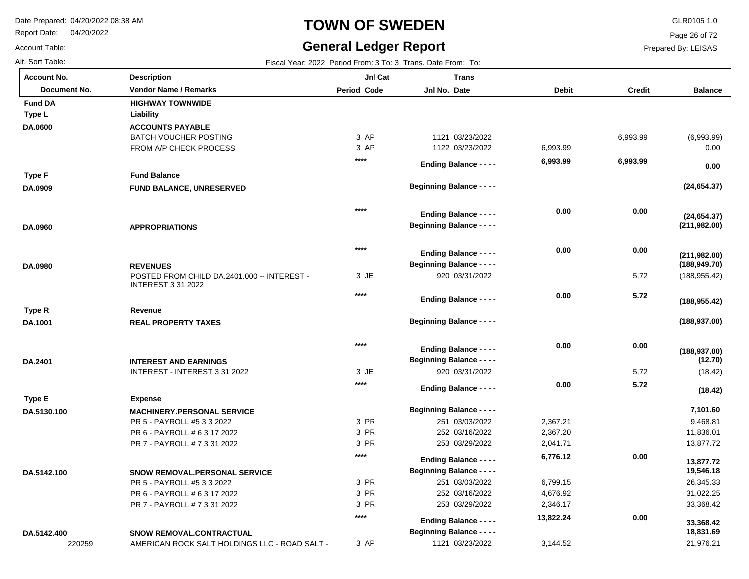Report Date: 04/20/2022

Account Table:

# **TOWN OF SWEDEN** GLR0105 1.0

#### **General Ledger Report**

Page 26 of 72

| Alt. Sort Table:   |                                                                          |                    | Fiscal Year: 2022 Period From: 3 To: 3 Trans. Date From: To:      |              |               |                                |
|--------------------|--------------------------------------------------------------------------|--------------------|-------------------------------------------------------------------|--------------|---------------|--------------------------------|
| <b>Account No.</b> | <b>Description</b>                                                       | JnI Cat            | <b>Trans</b>                                                      |              |               |                                |
| Document No.       | <b>Vendor Name / Remarks</b>                                             | <b>Period Code</b> | Jnl No. Date                                                      | <b>Debit</b> | <b>Credit</b> | <b>Balance</b>                 |
| <b>Fund DA</b>     | <b>HIGHWAY TOWNWIDE</b>                                                  |                    |                                                                   |              |               |                                |
| Type L             | Liability                                                                |                    |                                                                   |              |               |                                |
| DA.0600            | <b>ACCOUNTS PAYABLE</b>                                                  |                    |                                                                   |              |               |                                |
|                    | <b>BATCH VOUCHER POSTING</b>                                             | 3 AP               | 1121 03/23/2022                                                   |              | 6,993.99      | (6,993.99)                     |
|                    | FROM A/P CHECK PROCESS                                                   | 3 AP               | 1122 03/23/2022                                                   | 6,993.99     |               | 0.00                           |
|                    |                                                                          | $***$              | <b>Ending Balance - - - -</b>                                     | 6,993.99     | 6,993.99      | 0.00                           |
| Type F             | <b>Fund Balance</b>                                                      |                    |                                                                   |              |               |                                |
| DA.0909            | FUND BALANCE, UNRESERVED                                                 |                    | <b>Beginning Balance - - - -</b>                                  |              |               | (24, 654.37)                   |
|                    |                                                                          | $***$              |                                                                   | 0.00         | 0.00          |                                |
|                    |                                                                          |                    | <b>Ending Balance - - - -</b><br><b>Beginning Balance - - - -</b> |              |               | (24, 654.37)<br>(211, 982.00)  |
| DA.0960            | <b>APPROPRIATIONS</b>                                                    |                    |                                                                   |              |               |                                |
|                    |                                                                          | $***$              | <b>Ending Balance - - - -</b>                                     | 0.00         | 0.00          |                                |
| DA.0980            | <b>REVENUES</b>                                                          |                    | <b>Beginning Balance - - - -</b>                                  |              |               | (211, 982.00)<br>(188, 949.70) |
|                    | POSTED FROM CHILD DA.2401.000 -- INTEREST -<br><b>INTEREST 3 31 2022</b> | 3 JE               | 920 03/31/2022                                                    |              | 5.72          | (188, 955.42)                  |
|                    |                                                                          | $***$              | <b>Ending Balance - - - -</b>                                     | 0.00         | 5.72          | (188, 955.42)                  |
| Type R             | Revenue                                                                  |                    |                                                                   |              |               |                                |
| DA.1001            | <b>REAL PROPERTY TAXES</b>                                               |                    | <b>Beginning Balance - - - -</b>                                  |              |               | (188, 937.00)                  |
|                    |                                                                          | $***$              | <b>Ending Balance - - - -</b>                                     | 0.00         | 0.00          |                                |
| DA.2401            | <b>INTEREST AND EARNINGS</b>                                             |                    | <b>Beginning Balance - - - -</b>                                  |              |               | (188, 937.00)<br>(12.70)       |
|                    | INTEREST - INTEREST 3 31 2022                                            | 3 JE               | 920 03/31/2022                                                    |              | 5.72          | (18.42)                        |
|                    |                                                                          | $****$             | <b>Ending Balance - - - -</b>                                     | 0.00         | 5.72          | (18.42)                        |
| Type E             | <b>Expense</b>                                                           |                    |                                                                   |              |               |                                |
| DA.5130.100        | <b>MACHINERY.PERSONAL SERVICE</b>                                        |                    | <b>Beginning Balance - - - -</b>                                  |              |               | 7,101.60                       |
|                    | PR 5 - PAYROLL #5 3 3 2022                                               | 3 PR               | 251 03/03/2022                                                    | 2,367.21     |               | 9,468.81                       |
|                    | PR 6 - PAYROLL # 6 3 17 2022                                             | 3 PR               | 252 03/16/2022                                                    | 2,367.20     |               | 11,836.01                      |
|                    | PR 7 - PAYROLL # 7 3 31 2022                                             | 3 PR               | 253 03/29/2022                                                    | 2,041.71     |               | 13,877.72                      |
|                    |                                                                          | $***$              | <b>Ending Balance - - - -</b>                                     | 6,776.12     | 0.00          | 13,877.72                      |
| DA.5142.100        | <b>SNOW REMOVAL.PERSONAL SERVICE</b>                                     |                    | <b>Beginning Balance - - - -</b>                                  |              |               | 19,546.18                      |
|                    | PR 5 - PAYROLL #5 3 3 2022                                               | 3 PR               | 251 03/03/2022                                                    | 6,799.15     |               | 26,345.33                      |
|                    | PR 6 - PAYROLL # 6 3 17 2022                                             | 3 PR               | 252 03/16/2022                                                    | 4,676.92     |               | 31,022.25                      |
|                    | PR 7 - PAYROLL # 7 3 31 2022                                             | 3 PR               | 253 03/29/2022                                                    | 2,346.17     |               | 33,368.42                      |
|                    |                                                                          | $****$             | <b>Ending Balance - - - -</b>                                     | 13,822.24    | 0.00          | 33,368.42                      |
| DA.5142.400        | <b>SNOW REMOVAL.CONTRACTUAL</b>                                          |                    | <b>Beginning Balance - - - -</b>                                  |              |               | 18,831.69                      |
| 220259             | AMERICAN ROCK SALT HOLDINGS LLC - ROAD SALT -                            | 3 AP               | 1121 03/23/2022                                                   | 3,144.52     |               | 21,976.21                      |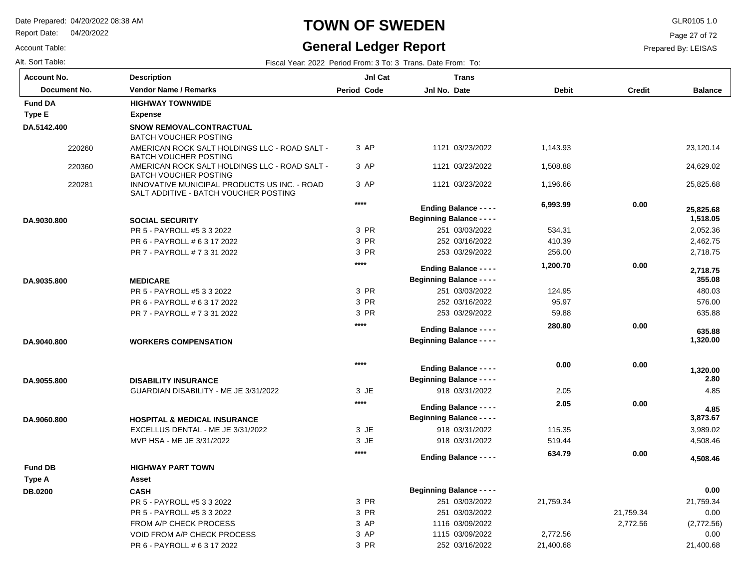Report Date: 04/20/2022

Account Table:

# **TOWN OF SWEDEN** GLR0105 1.0

### **General Ledger Report**

Page 27 of 72

| Alt. Sort Table: | Fiscal Year: 2022 Period From: 3 To: 3 Trans. Date From: To: |
|------------------|--------------------------------------------------------------|
|                  |                                                              |

| <b>Account No.</b> | <b>Description</b>                                                                    | JnI Cat     | <b>Trans</b>                                                      |              |               |                    |
|--------------------|---------------------------------------------------------------------------------------|-------------|-------------------------------------------------------------------|--------------|---------------|--------------------|
| Document No.       | <b>Vendor Name / Remarks</b>                                                          | Period Code | Jnl No. Date                                                      | <b>Debit</b> | <b>Credit</b> | <b>Balance</b>     |
| <b>Fund DA</b>     | <b>HIGHWAY TOWNWIDE</b>                                                               |             |                                                                   |              |               |                    |
| <b>Type E</b>      | Expense                                                                               |             |                                                                   |              |               |                    |
| DA.5142.400        | SNOW REMOVAL.CONTRACTUAL<br><b>BATCH VOUCHER POSTING</b>                              |             |                                                                   |              |               |                    |
| 220260             | AMERICAN ROCK SALT HOLDINGS LLC - ROAD SALT -<br><b>BATCH VOUCHER POSTING</b>         | 3 AP        | 1121 03/23/2022                                                   | 1,143.93     |               | 23,120.14          |
| 220360             | AMERICAN ROCK SALT HOLDINGS LLC - ROAD SALT -<br>BATCH VOUCHER POSTING                | 3 AP        | 1121 03/23/2022                                                   | 1,508.88     |               | 24,629.02          |
| 220281             | INNOVATIVE MUNICIPAL PRODUCTS US INC. - ROAD<br>SALT ADDITIVE - BATCH VOUCHER POSTING | 3 AP        | 1121 03/23/2022                                                   | 1,196.66     |               | 25,825.68          |
|                    |                                                                                       | $***$       | <b>Ending Balance - - - -</b>                                     | 6,993.99     | 0.00          | 25.825.68          |
| DA.9030.800        | <b>SOCIAL SECURITY</b>                                                                |             | <b>Beginning Balance - - - -</b>                                  |              |               | 1,518.05           |
|                    | PR 5 - PAYROLL #5 3 3 2022                                                            | 3 PR        | 251 03/03/2022                                                    | 534.31       |               | 2,052.36           |
|                    | PR 6 - PAYROLL # 6 3 17 2022                                                          | 3 PR        | 252 03/16/2022                                                    | 410.39       |               | 2,462.75           |
|                    | PR 7 - PAYROLL # 7 3 31 2022                                                          | 3 PR        | 253 03/29/2022                                                    | 256.00       |               | 2,718.75           |
|                    |                                                                                       | $****$      | <b>Ending Balance - - - -</b>                                     | 1,200.70     | 0.00          | 2,718.75           |
| DA.9035.800        | <b>MEDICARE</b>                                                                       |             | <b>Beginning Balance - - - -</b>                                  |              |               | 355.08             |
|                    | PR 5 - PAYROLL #5 3 3 2022                                                            | 3 PR        | 251 03/03/2022                                                    | 124.95       |               | 480.03             |
|                    | PR 6 - PAYROLL # 6 3 17 2022                                                          | 3 PR        | 252 03/16/2022                                                    | 95.97        |               | 576.00             |
|                    | PR 7 - PAYROLL # 7 3 31 2022                                                          | 3 PR        | 253 03/29/2022                                                    | 59.88        |               | 635.88             |
|                    |                                                                                       | $****$      |                                                                   | 280.80       | 0.00          |                    |
|                    |                                                                                       |             | <b>Ending Balance - - - -</b><br><b>Beginning Balance - - - -</b> |              |               | 635.88<br>1,320.00 |
| DA.9040.800        | <b>WORKERS COMPENSATION</b>                                                           |             |                                                                   |              |               |                    |
|                    |                                                                                       | $****$      | <b>Ending Balance - - - -</b>                                     | 0.00         | 0.00          |                    |
|                    |                                                                                       |             | <b>Beginning Balance - - - -</b>                                  |              |               | 1,320.00<br>2.80   |
| DA.9055.800        | <b>DISABILITY INSURANCE</b><br>GUARDIAN DISABILITY - ME JE 3/31/2022                  | 3 JE        | 918 03/31/2022                                                    | 2.05         |               | 4.85               |
|                    |                                                                                       | $***$       |                                                                   | 2.05         | 0.00          |                    |
|                    |                                                                                       |             | <b>Ending Balance - - - -</b>                                     |              |               | 4.85               |
| DA.9060.800        | <b>HOSPITAL &amp; MEDICAL INSURANCE</b>                                               |             | <b>Beginning Balance - - - -</b>                                  |              |               | 3,873.67           |
|                    | EXCELLUS DENTAL - ME JE 3/31/2022                                                     | 3 JE        | 918 03/31/2022                                                    | 115.35       |               | 3,989.02           |
|                    | MVP HSA - ME JE 3/31/2022                                                             | 3 JE        | 918 03/31/2022                                                    | 519.44       |               | 4,508.46           |
|                    |                                                                                       | $****$      | <b>Ending Balance - - - -</b>                                     | 634.79       | 0.00          | 4,508.46           |
| <b>Fund DB</b>     | <b>HIGHWAY PART TOWN</b>                                                              |             |                                                                   |              |               |                    |
| Type A             | Asset                                                                                 |             |                                                                   |              |               |                    |
| <b>DB.0200</b>     | <b>CASH</b>                                                                           |             | <b>Beginning Balance - - - -</b>                                  |              |               | 0.00               |
|                    | PR 5 - PAYROLL #5 3 3 2022                                                            | 3 PR        | 251 03/03/2022                                                    | 21,759.34    |               | 21,759.34          |
|                    | PR 5 - PAYROLL #5 3 3 2022                                                            | 3 PR        | 251 03/03/2022                                                    |              | 21,759.34     | 0.00               |
|                    | FROM A/P CHECK PROCESS                                                                | 3 AP        | 1116 03/09/2022                                                   |              | 2,772.56      | (2,772.56)         |
|                    | <b>VOID FROM A/P CHECK PROCESS</b>                                                    | 3 AP        | 1115 03/09/2022                                                   | 2,772.56     |               | 0.00               |
|                    | PR 6 - PAYROLL # 6 3 17 2022                                                          | 3 PR        | 252 03/16/2022                                                    | 21,400.68    |               | 21,400.68          |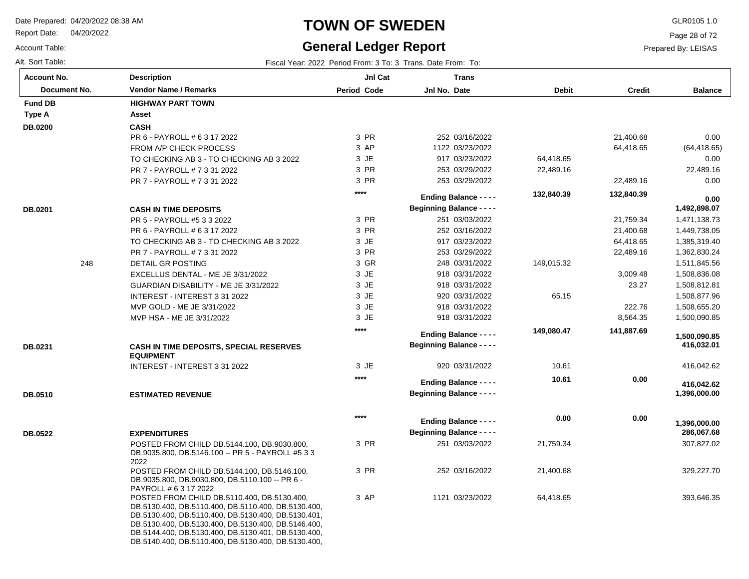Report Date: 04/20/2022

#### Account Table:

Alt. Sort Table: Fiscal Year: 2022 Period From: 3 To: 3 Trans. Date From: To:

#### **TOWN OF SWEDEN** GLR0105 1.0

## **General Ledger Report**

Page 28 of 72

| Period Code<br>Jnl No. Date<br><b>Debit</b><br>Document No.<br><b>Vendor Name / Remarks</b><br><b>Credit</b>                            | <b>Balance</b>             |
|-----------------------------------------------------------------------------------------------------------------------------------------|----------------------------|
| <b>Fund DB</b><br><b>HIGHWAY PART TOWN</b>                                                                                              |                            |
| Type A<br>Asset                                                                                                                         |                            |
| <b>CASH</b><br>DB.0200                                                                                                                  |                            |
| 3 PR<br>252 03/16/2022<br>21,400.68<br>PR 6 - PAYROLL # 6 3 17 2022                                                                     | 0.00                       |
| 3 AP<br>1122 03/23/2022<br>64,418.65<br>FROM A/P CHECK PROCESS                                                                          | (64, 418.65)               |
| 3 JE<br>917 03/23/2022<br>64,418.65<br>TO CHECKING AB 3 - TO CHECKING AB 3 2022                                                         | 0.00                       |
| 3 PR<br>253 03/29/2022<br>PR 7 - PAYROLL # 7 3 31 2022<br>22,489.16                                                                     | 22,489.16                  |
| 253 03/29/2022<br>3 PR<br>PR 7 - PAYROLL # 7 3 31 2022<br>22,489.16                                                                     | 0.00                       |
| ****<br>132,840.39<br>132,840.39<br><b>Ending Balance - - - -</b>                                                                       | 0.00                       |
| <b>Beginning Balance - - - -</b><br>DB.0201<br><b>CASH IN TIME DEPOSITS</b>                                                             | 1,492,898.07               |
| 3 PR<br>21,759.34<br>PR 5 - PAYROLL #5 3 3 2022<br>251 03/03/2022                                                                       | 1,471,138.73               |
| 3 PR<br>252 03/16/2022<br>21,400.68<br>PR 6 - PAYROLL # 6 3 17 2022                                                                     | 1,449,738.05               |
| 3 JE<br>917 03/23/2022<br>64,418.65<br>TO CHECKING AB 3 - TO CHECKING AB 3 2022                                                         | 1,385,319.40               |
| 3 PR<br>253 03/29/2022<br>22,489.16<br>PR 7 - PAYROLL # 7 3 31 2022                                                                     | 1,362,830.24               |
| 3 GR<br>248 03/31/2022<br>248<br>DETAIL GR POSTING<br>149,015.32                                                                        | 1,511,845.56               |
| 3 JE<br>918 03/31/2022<br>EXCELLUS DENTAL - ME JE 3/31/2022<br>3,009.48                                                                 | 1,508,836.08               |
| 3 JE<br>918 03/31/2022<br>23.27<br>GUARDIAN DISABILITY - ME JE 3/31/2022                                                                | 1,508,812.81               |
| 3 JE<br>920 03/31/2022<br>65.15<br>INTEREST - INTEREST 3 31 2022                                                                        | 1,508,877.96               |
| 3 JE<br>MVP GOLD - ME JE 3/31/2022<br>918 03/31/2022<br>222.76                                                                          | 1,508,655.20               |
| 3 JE<br>918 03/31/2022<br>8,564.35<br>MVP HSA - ME JE 3/31/2022                                                                         | 1,500,090.85               |
| ****<br>141,887.69<br>149,080.47<br><b>Ending Balance - - - -</b>                                                                       |                            |
| <b>Beginning Balance - - - -</b><br>DB.0231                                                                                             | 1,500,090.85<br>416,032.01 |
| <b>CASH IN TIME DEPOSITS, SPECIAL RESERVES</b><br><b>EQUIPMENT</b>                                                                      |                            |
| 3 JE<br>920 03/31/2022<br>10.61<br>INTEREST - INTEREST 3 31 2022                                                                        | 416,042.62                 |
| ****<br>10.61<br>0.00<br><b>Ending Balance - - - -</b>                                                                                  |                            |
| <b>Beginning Balance - - - -</b><br><b>ESTIMATED REVENUE</b>                                                                            | 416,042.62<br>1,396,000.00 |
| DB.0510                                                                                                                                 |                            |
| $****$<br>0.00<br>0.00                                                                                                                  |                            |
| <b>Ending Balance - - - -</b>                                                                                                           | 1,396,000.00               |
| <b>Beginning Balance - - - -</b><br><b>DB.0522</b><br><b>EXPENDITURES</b>                                                               | 286,067.68                 |
| 3 PR<br>POSTED FROM CHILD DB.5144.100, DB.9030.800,<br>251 03/03/2022<br>21,759.34<br>DB.9035.800, DB.5146.100 -- PR 5 - PAYROLL #5 3 3 | 307,827.02                 |
| 2022                                                                                                                                    |                            |
| 3 PR<br>252 03/16/2022<br>21,400.68<br>POSTED FROM CHILD DB.5144.100, DB.5146.100,                                                      | 329,227.70                 |
| DB.9035.800, DB.9030.800, DB.5110.100 -- PR 6 -                                                                                         |                            |
| PAYROLL # 6 3 17 2022<br>3 AP<br>1121 03/23/2022<br>64,418.65                                                                           | 393,646.35                 |
| POSTED FROM CHILD DB.5110.400, DB.5130.400,<br>DB.5130.400, DB.5110.400, DB.5110.400, DB.5130.400,                                      |                            |
| DB.5130.400, DB.5110.400, DB.5130.400, DB.5130.401,                                                                                     |                            |
| DB.5130.400, DB.5130.400, DB.5130.400, DB.5146.400,                                                                                     |                            |
| DB.5144.400, DB.5130.400, DB.5130.401, DB.5130.400,<br>DB.5140.400, DB.5110.400, DB.5130.400, DB.5130.400,                              |                            |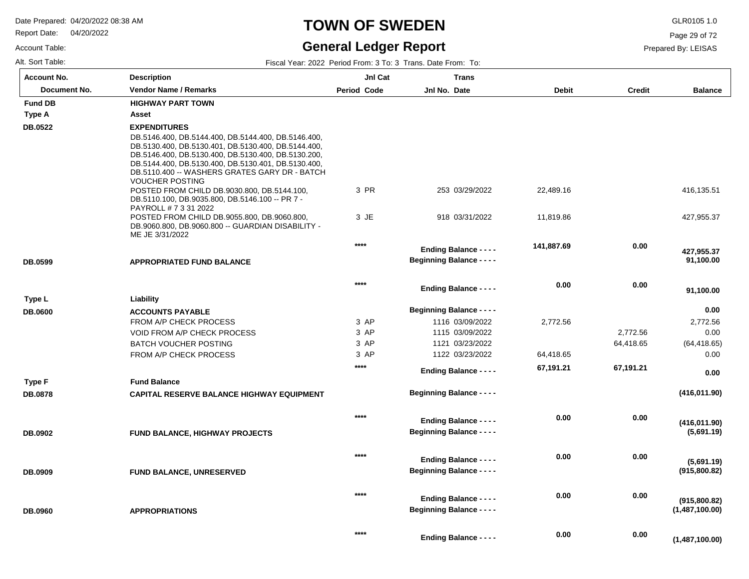Report Date: 04/20/2022

Account Table:

### **TOWN OF SWEDEN** GLR0105 1.0

### **General Ledger Report**

Page 29 of 72

Prepared By: LEISAS

| <b>Account No.</b> | <b>Description</b>                                                                                         | Jnl Cat            | <b>Trans</b>                     |              |               |                |
|--------------------|------------------------------------------------------------------------------------------------------------|--------------------|----------------------------------|--------------|---------------|----------------|
| Document No.       | <b>Vendor Name / Remarks</b>                                                                               | <b>Period Code</b> | Jnl No. Date                     | <b>Debit</b> | <b>Credit</b> | <b>Balance</b> |
| <b>Fund DB</b>     | <b>HIGHWAY PART TOWN</b>                                                                                   |                    |                                  |              |               |                |
| Type A             | Asset                                                                                                      |                    |                                  |              |               |                |
| <b>DB.0522</b>     | <b>EXPENDITURES</b>                                                                                        |                    |                                  |              |               |                |
|                    | DB.5146.400, DB.5144.400, DB.5144.400, DB.5146.400,                                                        |                    |                                  |              |               |                |
|                    | DB.5130.400, DB.5130.401, DB.5130.400, DB.5144.400,<br>DB.5146.400, DB.5130.400, DB.5130.400, DB.5130.200, |                    |                                  |              |               |                |
|                    | DB.5144.400, DB.5130.400, DB.5130.401, DB.5130.400,                                                        |                    |                                  |              |               |                |
|                    | DB.5110.400 -- WASHERS GRATES GARY DR - BATCH                                                              |                    |                                  |              |               |                |
|                    | <b>VOUCHER POSTING</b>                                                                                     | 3 PR               |                                  |              |               |                |
|                    | POSTED FROM CHILD DB.9030.800, DB.5144.100,<br>DB.5110.100, DB.9035.800, DB.5146.100 -- PR 7 -             |                    | 253 03/29/2022                   | 22,489.16    |               | 416,135.51     |
|                    | PAYROLL # 7 3 31 2022                                                                                      |                    |                                  |              |               |                |
|                    | POSTED FROM CHILD DB.9055.800, DB.9060.800,                                                                | 3 JE               | 918 03/31/2022                   | 11,819.86    |               | 427,955.37     |
|                    | DB.9060.800, DB.9060.800 -- GUARDIAN DISABILITY -                                                          |                    |                                  |              |               |                |
|                    | ME JE 3/31/2022                                                                                            | $****$             |                                  |              | 0.00          |                |
|                    |                                                                                                            |                    | <b>Ending Balance - - - -</b>    | 141,887.69   |               | 427,955.37     |
| DB.0599            | <b>APPROPRIATED FUND BALANCE</b>                                                                           |                    | <b>Beginning Balance - - - -</b> |              |               | 91,100.00      |
|                    |                                                                                                            |                    |                                  |              |               |                |
|                    |                                                                                                            | $***$              | <b>Ending Balance - - - -</b>    | 0.00         | 0.00          | 91,100.00      |
| Type L             | Liability                                                                                                  |                    |                                  |              |               |                |
| <b>DB.0600</b>     | <b>ACCOUNTS PAYABLE</b>                                                                                    |                    | <b>Beginning Balance - - - -</b> |              |               | 0.00           |
|                    | FROM A/P CHECK PROCESS                                                                                     | 3 AP               | 1116 03/09/2022                  | 2,772.56     |               | 2,772.56       |
|                    | VOID FROM A/P CHECK PROCESS                                                                                | 3 AP               | 1115 03/09/2022                  |              | 2,772.56      | 0.00           |
|                    | <b>BATCH VOUCHER POSTING</b>                                                                               | 3 AP               | 1121 03/23/2022                  |              | 64,418.65     | (64, 418.65)   |
|                    | FROM A/P CHECK PROCESS                                                                                     | 3 AP               | 1122 03/23/2022                  | 64,418.65    |               | 0.00           |
|                    |                                                                                                            | $****$             | <b>Ending Balance - - - -</b>    | 67,191.21    | 67,191.21     |                |
| Type F             | <b>Fund Balance</b>                                                                                        |                    |                                  |              |               | 0.00           |
|                    |                                                                                                            |                    | <b>Beginning Balance - - - -</b> |              |               | (416, 011.90)  |
| <b>DB.0878</b>     | <b>CAPITAL RESERVE BALANCE HIGHWAY EQUIPMENT</b>                                                           |                    |                                  |              |               |                |
|                    |                                                                                                            | $***$              |                                  | 0.00         | 0.00          |                |
|                    |                                                                                                            |                    | <b>Ending Balance - - - -</b>    |              |               | (416, 011.90)  |
| DB.0902            | <b>FUND BALANCE, HIGHWAY PROJECTS</b>                                                                      |                    | <b>Beginning Balance - - - -</b> |              |               | (5,691.19)     |
|                    |                                                                                                            |                    |                                  |              |               |                |
|                    |                                                                                                            | $***$              | <b>Ending Balance - - - -</b>    | 0.00         | 0.00          | (5,691.19)     |
| DB.0909            | FUND BALANCE, UNRESERVED                                                                                   |                    | <b>Beginning Balance - - - -</b> |              |               | (915,800.82)   |
|                    |                                                                                                            |                    |                                  |              |               |                |
|                    |                                                                                                            | $***$              |                                  | 0.00         | 0.00          |                |
|                    |                                                                                                            |                    | <b>Ending Balance - - - -</b>    |              |               | (915,800.82)   |
| <b>DB.0960</b>     | <b>APPROPRIATIONS</b>                                                                                      |                    | <b>Beginning Balance - - - -</b> |              |               | (1,487,100.00) |
|                    |                                                                                                            |                    |                                  |              |               |                |
|                    |                                                                                                            | $***$              | <b>Ending Balance - - - -</b>    | 0.00         | 0.00          | (1,487,100.00) |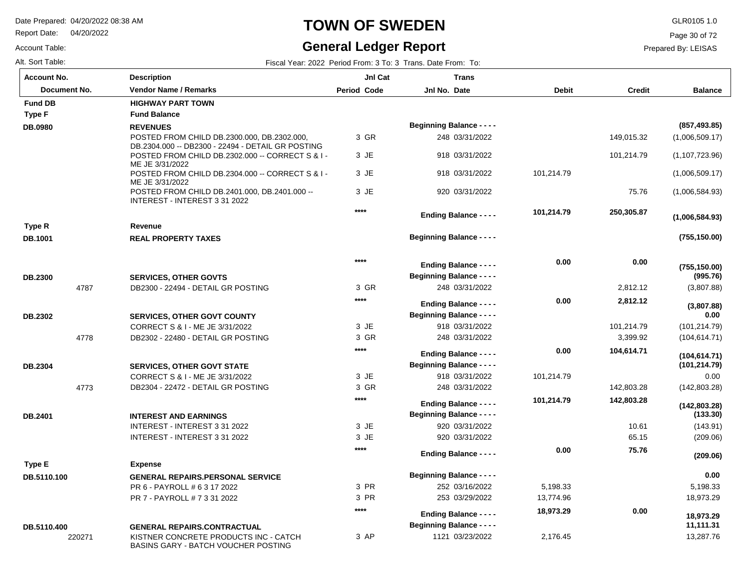Report Date: 04/20/2022

#### Account Table:

### **TOWN OF SWEDEN** GLR0105 1.0

### **General Ledger Report**

Page 30 of 72

#### Prepared By: LEISAS

Alt. Sort Table: Fiscal Year: 2022 Period From: 3 To: 3 Trans. Date From: To: 4 Trans. Date From: To: 7 Trans. Date From: To:

| <b>Account No.</b> | <b>Description</b>                                                                                    | JnI Cat            | <b>Trans</b>                                                      |              |               |                                |
|--------------------|-------------------------------------------------------------------------------------------------------|--------------------|-------------------------------------------------------------------|--------------|---------------|--------------------------------|
| Document No.       | <b>Vendor Name / Remarks</b>                                                                          | <b>Period Code</b> | Jnl No. Date                                                      | <b>Debit</b> | <b>Credit</b> | <b>Balance</b>                 |
| <b>Fund DB</b>     | <b>HIGHWAY PART TOWN</b>                                                                              |                    |                                                                   |              |               |                                |
| <b>Type F</b>      | <b>Fund Balance</b>                                                                                   |                    |                                                                   |              |               |                                |
| DB.0980            | <b>REVENUES</b>                                                                                       |                    | <b>Beginning Balance - - - -</b>                                  |              |               | (857, 493.85)                  |
|                    | POSTED FROM CHILD DB.2300.000, DB.2302.000                                                            | 3 GR               | 248 03/31/2022                                                    |              | 149,015.32    | (1,006,509.17)                 |
|                    | DB.2304.000 -- DB2300 - 22494 - DETAIL GR POSTING<br>POSTED FROM CHILD DB.2302.000 -- CORRECT S & I - | 3 JE               | 918 03/31/2022                                                    |              | 101,214.79    | (1, 107, 723.96)               |
|                    | ME JE 3/31/2022                                                                                       |                    |                                                                   |              |               |                                |
|                    | POSTED FROM CHILD DB.2304.000 -- CORRECT S & I -<br>ME JE 3/31/2022                                   | 3 JE               | 918 03/31/2022                                                    | 101,214.79   |               | (1,006,509.17)                 |
|                    | POSTED FROM CHILD DB.2401.000, DB.2401.000 --<br>INTEREST - INTEREST 3 31 2022                        | 3 JE               | 920 03/31/2022                                                    |              | 75.76         | (1,006,584.93)                 |
|                    |                                                                                                       | ****               | <b>Ending Balance - - - -</b>                                     | 101,214.79   | 250,305.87    | (1,006,584.93)                 |
| Type R             | Revenue                                                                                               |                    |                                                                   |              |               |                                |
| DB.1001            | <b>REAL PROPERTY TAXES</b>                                                                            |                    | <b>Beginning Balance - - - -</b>                                  |              |               | (755, 150.00)                  |
|                    |                                                                                                       | ****               | <b>Ending Balance - - - -</b>                                     | 0.00         | 0.00          | (755, 150.00)                  |
| DB.2300            | <b>SERVICES, OTHER GOVTS</b>                                                                          |                    | <b>Beginning Balance - - - -</b>                                  |              |               | (995.76)                       |
| 4787               | DB2300 - 22494 - DETAIL GR POSTING                                                                    | 3 GR               | 248 03/31/2022                                                    |              | 2,812.12      | (3,807.88)                     |
|                    |                                                                                                       | ****               | <b>Ending Balance - - - -</b>                                     | 0.00         | 2,812.12      |                                |
| <b>DB.2302</b>     | <b>SERVICES, OTHER GOVT COUNTY</b>                                                                    |                    | <b>Beginning Balance - - - -</b>                                  |              |               | (3,807.88)<br>0.00             |
|                    | CORRECT S & I - ME JE 3/31/2022                                                                       | $3$ JE             | 918 03/31/2022                                                    |              | 101,214.79    | (101, 214.79)                  |
| 4778               | DB2302 - 22480 - DETAIL GR POSTING                                                                    | 3 GR               | 248 03/31/2022                                                    |              | 3,399.92      | (104, 614.71)                  |
|                    |                                                                                                       | ****               | <b>Ending Balance - - - -</b>                                     | 0.00         | 104,614.71    |                                |
| DB.2304            | <b>SERVICES, OTHER GOVT STATE</b>                                                                     |                    | <b>Beginning Balance - - - -</b>                                  |              |               | (104, 614.71)<br>(101, 214.79) |
|                    | CORRECT S & I - ME JE 3/31/2022                                                                       | 3 JE               | 918 03/31/2022                                                    | 101,214.79   |               | 0.00                           |
| 4773               | DB2304 - 22472 - DETAIL GR POSTING                                                                    | 3 GR               | 248 03/31/2022                                                    |              | 142,803.28    | (142,803.28)                   |
|                    |                                                                                                       | ****               | <b>Ending Balance - - - -</b>                                     | 101,214.79   | 142,803.28    |                                |
| DB.2401            | <b>INTEREST AND EARNINGS</b>                                                                          |                    | <b>Beginning Balance - - - -</b>                                  |              |               | (142, 803.28)<br>(133.30)      |
|                    | INTEREST - INTEREST 3 31 2022                                                                         | 3 JE               | 920 03/31/2022                                                    |              | 10.61         | (143.91)                       |
|                    | INTEREST - INTEREST 3 31 2022                                                                         | 3 JE               | 920 03/31/2022                                                    |              | 65.15         | (209.06)                       |
|                    |                                                                                                       | ****               |                                                                   | 0.00         | 75.76         |                                |
| Type E             | <b>Expense</b>                                                                                        |                    | <b>Ending Balance - - - -</b>                                     |              |               | (209.06)                       |
| DB.5110.100        | <b>GENERAL REPAIRS.PERSONAL SERVICE</b>                                                               |                    | <b>Beginning Balance - - - -</b>                                  |              |               | 0.00                           |
|                    | PR 6 - PAYROLL # 6 3 17 2022                                                                          | 3 PR               | 252 03/16/2022                                                    | 5,198.33     |               | 5,198.33                       |
|                    | PR 7 - PAYROLL # 7 3 31 2022                                                                          | 3 PR               | 253 03/29/2022                                                    | 13,774.96    |               | 18,973.29                      |
|                    |                                                                                                       | ****               |                                                                   | 18,973.29    | 0.00          |                                |
|                    |                                                                                                       |                    | <b>Ending Balance - - - -</b><br><b>Beginning Balance - - - -</b> |              |               | 18.973.29<br>11,111.31         |
| DB.5110.400        | <b>GENERAL REPAIRS.CONTRACTUAL</b>                                                                    | 3 AP               | 1121 03/23/2022                                                   |              |               | 13,287.76                      |
| 220271             | KISTNER CONCRETE PRODUCTS INC - CATCH<br><b>BASINS GARY - BATCH VOUCHER POSTING</b>                   |                    |                                                                   | 2,176.45     |               |                                |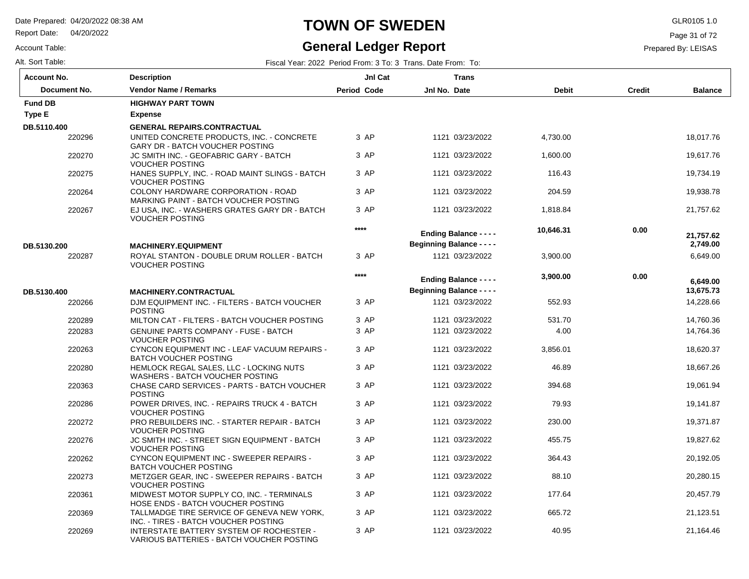Report Date: 04/20/2022

#### Account Table:

# **TOWN OF SWEDEN** GLR0105 1.0

### **General Ledger Report**

Page 31 of 72

| Alt. Sort Table: |  |  | Fiscal Year: 2022 Period From: 3 To: 3 Trans. Date From: To: |  |
|------------------|--|--|--------------------------------------------------------------|--|
|------------------|--|--|--------------------------------------------------------------|--|

| <b>Account No.</b> | <b>Description</b>                                                                    | JnI Cat            | <b>Trans</b>                     |              |               |                       |
|--------------------|---------------------------------------------------------------------------------------|--------------------|----------------------------------|--------------|---------------|-----------------------|
| Document No.       | <b>Vendor Name / Remarks</b>                                                          | <b>Period Code</b> | Jnl No. Date                     | <b>Debit</b> | <b>Credit</b> | <b>Balance</b>        |
| <b>Fund DB</b>     | <b>HIGHWAY PART TOWN</b>                                                              |                    |                                  |              |               |                       |
| Type E             | <b>Expense</b>                                                                        |                    |                                  |              |               |                       |
| DB.5110.400        | <b>GENERAL REPAIRS.CONTRACTUAL</b>                                                    |                    |                                  |              |               |                       |
| 220296             | UNITED CONCRETE PRODUCTS, INC. - CONCRETE<br>GARY DR - BATCH VOUCHER POSTING          | 3 AP               | 1121 03/23/2022                  | 4,730.00     |               | 18,017.76             |
| 220270             | JC SMITH INC. - GEOFABRIC GARY - BATCH<br><b>VOUCHER POSTING</b>                      | 3 AP               | 1121 03/23/2022                  | 1,600.00     |               | 19,617.76             |
| 220275             | HANES SUPPLY, INC. - ROAD MAINT SLINGS - BATCH<br><b>VOUCHER POSTING</b>              | 3 AP               | 1121 03/23/2022                  | 116.43       |               | 19,734.19             |
| 220264             | <b>COLONY HARDWARE CORPORATION - ROAD</b><br>MARKING PAINT - BATCH VOUCHER POSTING    | 3 AP               | 1121 03/23/2022                  | 204.59       |               | 19,938.78             |
| 220267             | EJ USA, INC. - WASHERS GRATES GARY DR - BATCH<br><b>VOUCHER POSTING</b>               | 3 AP               | 1121 03/23/2022                  | 1.818.84     |               | 21.757.62             |
|                    |                                                                                       | $***$              | <b>Ending Balance - - - -</b>    | 10,646.31    | 0.00          |                       |
| DB.5130.200        | <b>MACHINERY.EQUIPMENT</b>                                                            |                    | <b>Beginning Balance - - - -</b> |              |               | 21,757.62<br>2,749.00 |
| 220287             | ROYAL STANTON - DOUBLE DRUM ROLLER - BATCH<br><b>VOUCHER POSTING</b>                  | 3 AP               | 1121 03/23/2022                  | 3,900.00     |               | 6,649.00              |
|                    |                                                                                       | ****               | <b>Ending Balance - - - -</b>    | 3,900.00     | 0.00          | 6,649.00              |
| DB.5130.400        | <b>MACHINERY.CONTRACTUAL</b>                                                          |                    | <b>Beginning Balance - - - -</b> |              |               | 13,675.73             |
| 220266             | DJM EQUIPMENT INC. - FILTERS - BATCH VOUCHER<br><b>POSTING</b>                        | 3 AP               | 1121 03/23/2022                  | 552.93       |               | 14,228.66             |
| 220289             | MILTON CAT - FILTERS - BATCH VOUCHER POSTING                                          | 3 AP               | 1121 03/23/2022                  | 531.70       |               | 14,760.36             |
| 220283             | <b>GENUINE PARTS COMPANY - FUSE - BATCH</b><br><b>VOUCHER POSTING</b>                 | 3 AP               | 1121 03/23/2022                  | 4.00         |               | 14,764.36             |
| 220263             | CYNCON EQUIPMENT INC - LEAF VACUUM REPAIRS -<br><b>BATCH VOUCHER POSTING</b>          | 3 AP               | 1121 03/23/2022                  | 3,856.01     |               | 18,620.37             |
| 220280             | HEMLOCK REGAL SALES, LLC - LOCKING NUTS<br>WASHERS - BATCH VOUCHER POSTING            | 3 AP               | 1121 03/23/2022                  | 46.89        |               | 18,667.26             |
| 220363             | CHASE CARD SERVICES - PARTS - BATCH VOUCHER<br><b>POSTING</b>                         | 3 AP               | 1121 03/23/2022                  | 394.68       |               | 19,061.94             |
| 220286             | POWER DRIVES, INC. - REPAIRS TRUCK 4 - BATCH<br><b>VOUCHER POSTING</b>                | 3 AP               | 1121 03/23/2022                  | 79.93        |               | 19.141.87             |
| 220272             | PRO REBUILDERS INC. - STARTER REPAIR - BATCH<br><b>VOUCHER POSTING</b>                | 3 AP               | 1121 03/23/2022                  | 230.00       |               | 19,371.87             |
| 220276             | JC SMITH INC. - STREET SIGN EQUIPMENT - BATCH<br><b>VOUCHER POSTING</b>               | 3 AP               | 1121 03/23/2022                  | 455.75       |               | 19,827.62             |
| 220262             | CYNCON EQUIPMENT INC - SWEEPER REPAIRS -<br><b>BATCH VOUCHER POSTING</b>              | 3 AP               | 1121 03/23/2022                  | 364.43       |               | 20,192.05             |
| 220273             | METZGER GEAR, INC - SWEEPER REPAIRS - BATCH<br><b>VOUCHER POSTING</b>                 | 3 AP               | 1121 03/23/2022                  | 88.10        |               | 20,280.15             |
| 220361             | MIDWEST MOTOR SUPPLY CO, INC. - TERMINALS<br>HOSE ENDS - BATCH VOUCHER POSTING        | 3 AP               | 1121 03/23/2022                  | 177.64       |               | 20,457.79             |
| 220369             | TALLMADGE TIRE SERVICE OF GENEVA NEW YORK,<br>INC. - TIRES - BATCH VOUCHER POSTING    | 3 AP               | 1121 03/23/2022                  | 665.72       |               | 21,123.51             |
| 220269             | INTERSTATE BATTERY SYSTEM OF ROCHESTER -<br>VARIOUS BATTERIES - BATCH VOUCHER POSTING | 3 AP               | 1121 03/23/2022                  | 40.95        |               | 21,164.46             |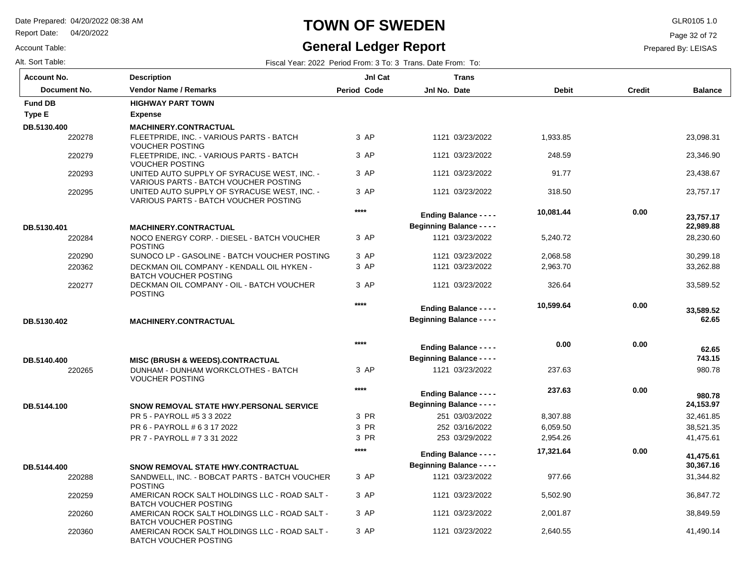Report Date: 04/20/2022

Account Table:

### **TOWN OF SWEDEN** GLR0105 1.0

#### **General Ledger Report**

Page 32 of 72

| Fiscal Year: 2022 Period From: 3 To: 3 Trans. Date From: To: |
|--------------------------------------------------------------|
|                                                              |

| <b>Account No.</b> | <b>Description</b>                                                                   | JnI Cat            | <b>Trans</b>                     |              |               |                |
|--------------------|--------------------------------------------------------------------------------------|--------------------|----------------------------------|--------------|---------------|----------------|
| Document No.       | <b>Vendor Name / Remarks</b>                                                         | <b>Period Code</b> | Jnl No. Date                     | <b>Debit</b> | <b>Credit</b> | <b>Balance</b> |
| <b>Fund DB</b>     | <b>HIGHWAY PART TOWN</b>                                                             |                    |                                  |              |               |                |
| <b>Type E</b>      | <b>Expense</b>                                                                       |                    |                                  |              |               |                |
| DB.5130.400        | <b>MACHINERY.CONTRACTUAL</b>                                                         |                    |                                  |              |               |                |
| 220278             | FLEETPRIDE, INC. - VARIOUS PARTS - BATCH<br><b>VOUCHER POSTING</b>                   | 3 AP               | 1121 03/23/2022                  | 1,933.85     |               | 23,098.31      |
| 220279             | FLEETPRIDE, INC. - VARIOUS PARTS - BATCH<br><b>VOUCHER POSTING</b>                   | 3 AP               | 1121 03/23/2022                  | 248.59       |               | 23,346.90      |
| 220293             | UNITED AUTO SUPPLY OF SYRACUSE WEST, INC. -<br>VARIOUS PARTS - BATCH VOUCHER POSTING | 3 AP               | 1121 03/23/2022                  | 91.77        |               | 23.438.67      |
| 220295             | UNITED AUTO SUPPLY OF SYRACUSE WEST, INC. -<br>VARIOUS PARTS - BATCH VOUCHER POSTING | 3 AP               | 1121 03/23/2022                  | 318.50       |               | 23,757.17      |
|                    |                                                                                      | $****$             | <b>Ending Balance - - - -</b>    | 10,081.44    | 0.00          | 23.757.17      |
| DB.5130.401        | <b>MACHINERY.CONTRACTUAL</b>                                                         |                    | <b>Beginning Balance - - - -</b> |              |               | 22,989.88      |
| 220284             | NOCO ENERGY CORP. - DIESEL - BATCH VOUCHER<br><b>POSTING</b>                         | 3 AP               | 1121 03/23/2022                  | 5,240.72     |               | 28,230.60      |
| 220290             | SUNOCO LP - GASOLINE - BATCH VOUCHER POSTING                                         | 3 AP               | 1121 03/23/2022                  | 2,068.58     |               | 30,299.18      |
| 220362             | DECKMAN OIL COMPANY - KENDALL OIL HYKEN -<br><b>BATCH VOUCHER POSTING</b>            | 3 AP               | 1121 03/23/2022                  | 2,963.70     |               | 33,262.88      |
| 220277             | DECKMAN OIL COMPANY - OIL - BATCH VOUCHER<br><b>POSTING</b>                          | 3 AP               | 1121 03/23/2022                  | 326.64       |               | 33,589.52      |
|                    |                                                                                      | $****$             | <b>Ending Balance - - - -</b>    | 10,599.64    | 0.00          | 33,589.52      |
| DB.5130.402        | MACHINERY.CONTRACTUAL                                                                |                    | <b>Beginning Balance - - - -</b> |              |               | 62.65          |
|                    |                                                                                      | $***$              | <b>Ending Balance - - - -</b>    | 0.00         | 0.00          | 62.65          |
| DB.5140.400        | <b>MISC (BRUSH &amp; WEEDS).CONTRACTUAL</b>                                          |                    | <b>Beginning Balance - - - -</b> |              |               | 743.15         |
| 220265             | DUNHAM - DUNHAM WORKCLOTHES - BATCH<br><b>VOUCHER POSTING</b>                        | 3 AP               | 1121 03/23/2022                  | 237.63       |               | 980.78         |
|                    |                                                                                      | $***$              | <b>Ending Balance - - - -</b>    | 237.63       | 0.00          | 980.78         |
| DB.5144.100        | SNOW REMOVAL STATE HWY.PERSONAL SERVICE                                              |                    | <b>Beginning Balance - - - -</b> |              |               | 24,153.97      |
|                    | PR 5 - PAYROLL #5 3 3 2022                                                           | 3 PR               | 251 03/03/2022                   | 8,307.88     |               | 32,461.85      |
|                    | PR 6 - PAYROLL # 6 3 17 2022                                                         | 3 PR               | 252 03/16/2022                   | 6,059.50     |               | 38,521.35      |
|                    | PR 7 - PAYROLL # 7 3 31 2022                                                         | 3 PR               | 253 03/29/2022                   | 2,954.26     |               | 41,475.61      |
|                    |                                                                                      | $***$              | <b>Ending Balance - - - -</b>    | 17,321.64    | 0.00          | 41,475.61      |
| DB.5144.400        | SNOW REMOVAL STATE HWY.CONTRACTUAL                                                   |                    | <b>Beginning Balance - - - -</b> |              |               | 30,367.16      |
| 220288             | SANDWELL, INC. - BOBCAT PARTS - BATCH VOUCHER<br><b>POSTING</b>                      | 3 AP               | 1121 03/23/2022                  | 977.66       |               | 31,344.82      |
| 220259             | AMERICAN ROCK SALT HOLDINGS LLC - ROAD SALT -<br><b>BATCH VOUCHER POSTING</b>        | 3 AP               | 1121 03/23/2022                  | 5,502.90     |               | 36,847.72      |
| 220260             | AMERICAN ROCK SALT HOLDINGS LLC - ROAD SALT -<br><b>BATCH VOUCHER POSTING</b>        | 3 AP               | 1121 03/23/2022                  | 2,001.87     |               | 38,849.59      |
| 220360             | AMERICAN ROCK SALT HOLDINGS LLC - ROAD SALT -<br>BATCH VOUCHER POSTING               | 3 AP               | 1121 03/23/2022                  | 2,640.55     |               | 41,490.14      |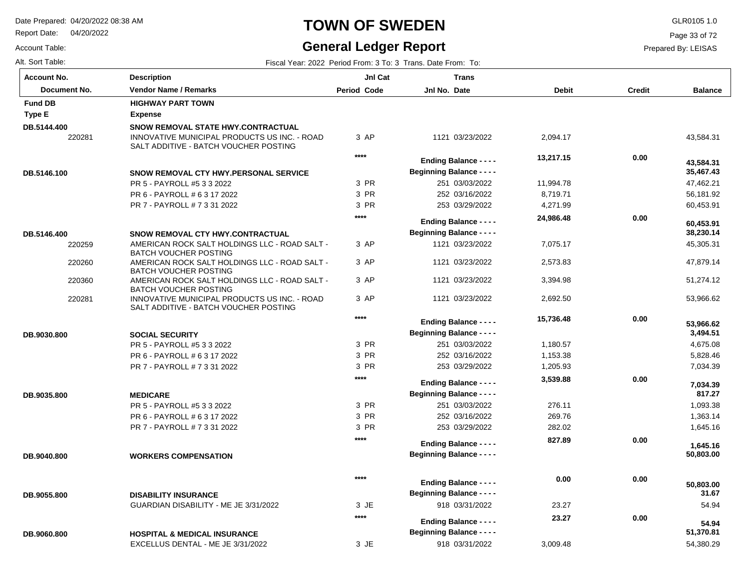Report Date: 04/20/2022

#### Account Table:

## **TOWN OF SWEDEN** GLR0105 1.0

#### **General Ledger Report**

Page 33 of 72

| Alt. Sort Table: | Fiscal Year: 2022 Period From: 3 To: 3 Trans. Date From: To: |
|------------------|--------------------------------------------------------------|
|------------------|--------------------------------------------------------------|

| <b>Account No.</b> |              | <b>Description</b>                                                                    | JnI Cat            | <b>Trans</b>                     |              |               |                |
|--------------------|--------------|---------------------------------------------------------------------------------------|--------------------|----------------------------------|--------------|---------------|----------------|
|                    | Document No. | <b>Vendor Name / Remarks</b>                                                          | <b>Period Code</b> | Jnl No. Date                     | <b>Debit</b> | <b>Credit</b> | <b>Balance</b> |
| <b>Fund DB</b>     |              | <b>HIGHWAY PART TOWN</b>                                                              |                    |                                  |              |               |                |
| Type E             |              | <b>Expense</b>                                                                        |                    |                                  |              |               |                |
| DB.5144.400        |              | SNOW REMOVAL STATE HWY.CONTRACTUAL                                                    |                    |                                  |              |               |                |
|                    | 220281       | INNOVATIVE MUNICIPAL PRODUCTS US INC. - ROAD<br>SALT ADDITIVE - BATCH VOUCHER POSTING | 3 AP               | 1121 03/23/2022                  | 2,094.17     |               | 43.584.31      |
|                    |              |                                                                                       | ****               | <b>Ending Balance - - - -</b>    | 13,217.15    | 0.00          | 43,584.31      |
| DB.5146.100        |              | SNOW REMOVAL CTY HWY.PERSONAL SERVICE                                                 |                    | <b>Beginning Balance - - - -</b> |              |               | 35,467.43      |
|                    |              | PR 5 - PAYROLL #5 3 3 2022                                                            | 3 PR               | 251 03/03/2022                   | 11,994.78    |               | 47,462.21      |
|                    |              | PR 6 - PAYROLL # 6 3 17 2022                                                          | 3 PR               | 252 03/16/2022                   | 8,719.71     |               | 56,181.92      |
|                    |              | PR 7 - PAYROLL # 7 3 31 2022                                                          | 3 PR               | 253 03/29/2022                   | 4,271.99     |               | 60,453.91      |
|                    |              |                                                                                       | $***$              | <b>Ending Balance - - - -</b>    | 24,986.48    | 0.00          | 60,453.91      |
| DB.5146.400        |              | <b>SNOW REMOVAL CTY HWY.CONTRACTUAL</b>                                               |                    | <b>Beginning Balance - - - -</b> |              |               | 38,230.14      |
|                    | 220259       | AMERICAN ROCK SALT HOLDINGS LLC - ROAD SALT -<br><b>BATCH VOUCHER POSTING</b>         | 3 AP               | 1121 03/23/2022                  | 7,075.17     |               | 45,305.31      |
|                    | 220260       | AMERICAN ROCK SALT HOLDINGS LLC - ROAD SALT -<br><b>BATCH VOUCHER POSTING</b>         | 3 AP               | 1121 03/23/2022                  | 2,573.83     |               | 47,879.14      |
|                    | 220360       | AMERICAN ROCK SALT HOLDINGS LLC - ROAD SALT -<br><b>BATCH VOUCHER POSTING</b>         | 3 AP               | 1121 03/23/2022                  | 3,394.98     |               | 51,274.12      |
|                    | 220281       | INNOVATIVE MUNICIPAL PRODUCTS US INC. - ROAD<br>SALT ADDITIVE - BATCH VOUCHER POSTING | 3 AP               | 1121 03/23/2022                  | 2,692.50     |               | 53,966.62      |
|                    |              |                                                                                       | ****               | <b>Ending Balance - - - -</b>    | 15,736.48    | 0.00          | 53,966.62      |
| DB.9030.800        |              | <b>SOCIAL SECURITY</b>                                                                |                    | <b>Beginning Balance - - - -</b> |              |               | 3,494.51       |
|                    |              | PR 5 - PAYROLL #5 3 3 2022                                                            | 3 PR               | 251 03/03/2022                   | 1,180.57     |               | 4,675.08       |
|                    |              | PR 6 - PAYROLL # 6 3 17 2022                                                          | 3 PR               | 252 03/16/2022                   | 1,153.38     |               | 5,828.46       |
|                    |              | PR 7 - PAYROLL # 7 3 31 2022                                                          | 3 PR               | 253 03/29/2022                   | 1,205.93     |               | 7,034.39       |
|                    |              |                                                                                       | ****               | <b>Ending Balance - - - -</b>    | 3,539.88     | 0.00          | 7,034.39       |
| DB.9035.800        |              | <b>MEDICARE</b>                                                                       |                    | <b>Beginning Balance - - - -</b> |              |               | 817.27         |
|                    |              | PR 5 - PAYROLL #5 3 3 2022                                                            | 3 PR               | 251 03/03/2022                   | 276.11       |               | 1,093.38       |
|                    |              | PR 6 - PAYROLL # 6 3 17 2022                                                          | 3 PR               | 252 03/16/2022                   | 269.76       |               | 1,363.14       |
|                    |              | PR 7 - PAYROLL # 7 3 31 2022                                                          | 3 PR               | 253 03/29/2022                   | 282.02       |               | 1,645.16       |
|                    |              |                                                                                       | ****               | <b>Ending Balance - - - -</b>    | 827.89       | 0.00          | 1,645.16       |
| DB.9040.800        |              | <b>WORKERS COMPENSATION</b>                                                           |                    | <b>Beginning Balance - - - -</b> |              |               | 50,803.00      |
|                    |              |                                                                                       | ****               | <b>Ending Balance - - - -</b>    | 0.00         | 0.00          | 50,803.00      |
| DB.9055.800        |              | <b>DISABILITY INSURANCE</b>                                                           |                    | <b>Beginning Balance - - - -</b> |              |               | 31.67          |
|                    |              | GUARDIAN DISABILITY - ME JE 3/31/2022                                                 | 3 JE               | 918 03/31/2022                   | 23.27        |               | 54.94          |
|                    |              |                                                                                       | ****               | <b>Ending Balance - - - -</b>    | 23.27        | 0.00          | 54.94          |
| DB.9060.800        |              | <b>HOSPITAL &amp; MEDICAL INSURANCE</b>                                               |                    | <b>Beginning Balance - - - -</b> |              |               | 51,370.81      |
|                    |              | EXCELLUS DENTAL - ME JE 3/31/2022                                                     | 3 JE               | 918 03/31/2022                   | 3,009.48     |               | 54,380.29      |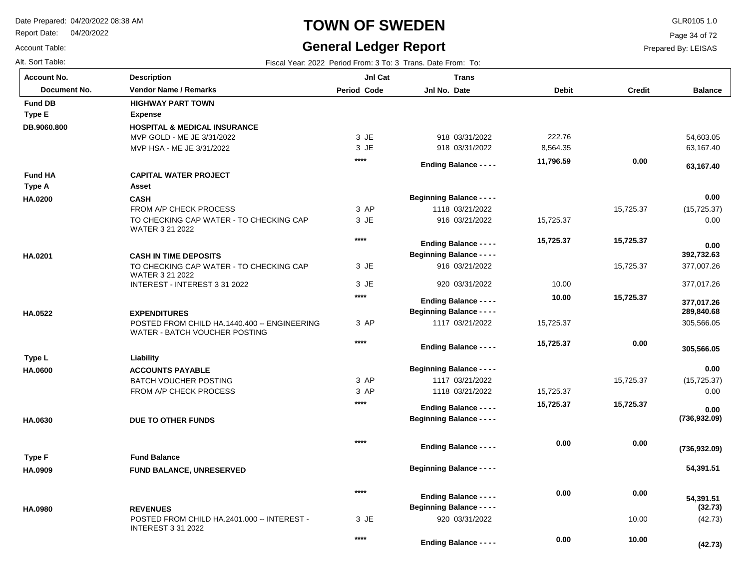Report Date: 04/20/2022

Account Table:

### **TOWN OF SWEDEN** GLR0105 1.0

### **General Ledger Report**

Page 34 of 72

| Alt. Sort Table:   | Fiscal Year: 2022 Period From: 3 To: 3 Trans. Date From: To:                  |             |                                  |              |               |                          |  |
|--------------------|-------------------------------------------------------------------------------|-------------|----------------------------------|--------------|---------------|--------------------------|--|
| <b>Account No.</b> | <b>Description</b>                                                            | JnI Cat     | <b>Trans</b>                     |              |               |                          |  |
| Document No.       | <b>Vendor Name / Remarks</b>                                                  | Period Code | Jnl No. Date                     | <b>Debit</b> | <b>Credit</b> | <b>Balance</b>           |  |
| <b>Fund DB</b>     | <b>HIGHWAY PART TOWN</b>                                                      |             |                                  |              |               |                          |  |
| <b>Type E</b>      | <b>Expense</b>                                                                |             |                                  |              |               |                          |  |
| DB.9060.800        | <b>HOSPITAL &amp; MEDICAL INSURANCE</b>                                       |             |                                  |              |               |                          |  |
|                    | MVP GOLD - ME JE 3/31/2022                                                    | 3 JE        | 918 03/31/2022                   | 222.76       |               | 54,603.05                |  |
|                    | MVP HSA - ME JE 3/31/2022                                                     | 3 JE        | 918 03/31/2022                   | 8,564.35     |               | 63,167.40                |  |
|                    |                                                                               | $***$       | <b>Ending Balance - - - -</b>    | 11,796.59    | 0.00          | 63,167.40                |  |
| <b>Fund HA</b>     | <b>CAPITAL WATER PROJECT</b>                                                  |             |                                  |              |               |                          |  |
| Type A             | Asset                                                                         |             |                                  |              |               |                          |  |
| HA.0200            | <b>CASH</b>                                                                   |             | <b>Beginning Balance - - - -</b> |              |               | 0.00                     |  |
|                    | FROM A/P CHECK PROCESS                                                        | 3 AP        | 1118 03/21/2022                  |              | 15,725.37     | (15, 725.37)             |  |
|                    | TO CHECKING CAP WATER - TO CHECKING CAP<br>WATER 3 21 2022                    | 3 JE        | 916 03/21/2022                   | 15,725.37    |               | 0.00                     |  |
|                    |                                                                               | $***$       | <b>Ending Balance - - - -</b>    | 15,725.37    | 15,725.37     | 0.00                     |  |
| HA.0201            | <b>CASH IN TIME DEPOSITS</b>                                                  |             | <b>Beginning Balance - - - -</b> |              |               | 392,732.63               |  |
|                    | TO CHECKING CAP WATER - TO CHECKING CAP<br>WATER 3 21 2022                    | 3 JE        | 916 03/21/2022                   |              | 15,725.37     | 377,007.26               |  |
|                    | INTEREST - INTEREST 3 31 2022                                                 | 3 JE        | 920 03/31/2022                   | 10.00        |               | 377,017.26               |  |
|                    |                                                                               | $***$       | <b>Ending Balance - - - -</b>    | 10.00        | 15,725.37     |                          |  |
| HA.0522            | <b>EXPENDITURES</b>                                                           |             | <b>Beginning Balance - - - -</b> |              |               | 377,017.26<br>289,840.68 |  |
|                    | POSTED FROM CHILD HA.1440.400 -- ENGINEERING<br>WATER - BATCH VOUCHER POSTING | 3 AP        | 1117 03/21/2022                  | 15,725.37    |               | 305,566.05               |  |
|                    |                                                                               | $***$       | <b>Ending Balance - - - -</b>    | 15,725.37    | 0.00          |                          |  |
| Type L             | Liability                                                                     |             |                                  |              |               | 305,566.05               |  |
| HA.0600            | <b>ACCOUNTS PAYABLE</b>                                                       |             | <b>Beginning Balance - - - -</b> |              |               | 0.00                     |  |
|                    | <b>BATCH VOUCHER POSTING</b>                                                  | 3 AP        | 1117 03/21/2022                  |              | 15,725.37     | (15, 725.37)             |  |
|                    | <b>FROM A/P CHECK PROCESS</b>                                                 | 3 AP        | 1118 03/21/2022                  | 15,725.37    |               | 0.00                     |  |
|                    |                                                                               | $***$       |                                  | 15,725.37    | 15,725.37     |                          |  |
|                    |                                                                               |             | <b>Ending Balance - - - -</b>    |              |               | 0.00                     |  |
| HA.0630            | DUE TO OTHER FUNDS                                                            |             | <b>Beginning Balance - - - -</b> |              |               | (736, 932.09)            |  |
|                    |                                                                               | $***$       | <b>Ending Balance - - - -</b>    | 0.00         | 0.00          | (736, 932.09)            |  |
| Type F             | <b>Fund Balance</b>                                                           |             |                                  |              |               |                          |  |
| HA.0909            | <b>FUND BALANCE, UNRESERVED</b>                                               |             | <b>Beginning Balance - - - -</b> |              |               | 54,391.51                |  |
|                    |                                                                               | $***$       | <b>Ending Balance - - - -</b>    | 0.00         | 0.00          | 54,391.51                |  |
| <b>HA.0980</b>     | <b>REVENUES</b>                                                               |             | <b>Beginning Balance - - - -</b> |              |               | (32.73)                  |  |
|                    | POSTED FROM CHILD HA.2401.000 -- INTEREST -<br><b>INTEREST 3 31 2022</b>      | 3 JE        | 920 03/31/2022                   |              | 10.00         | (42.73)                  |  |
|                    |                                                                               | $***$       | <b>Ending Balance - - - -</b>    | 0.00         | 10.00         | (42.73)                  |  |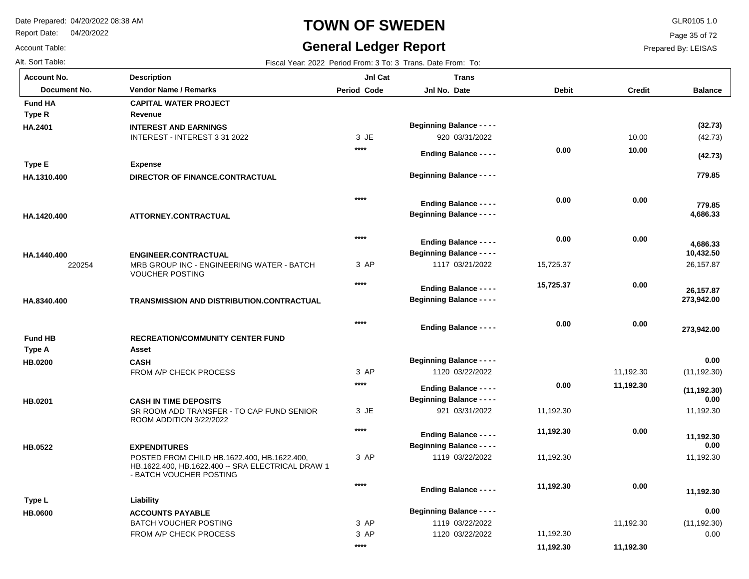Report Date: 04/20/2022

Account Table:

### **TOWN OF SWEDEN** GLR0105 1.0

### **General Ledger Report**

**Balance**

(42.73)

**(42.73)**

 **779.85** 

 **779.85** 

**(32.73)**

26,157.87

 **273,942.00** 

 **273,942.00** 

 **26,157.87** 

 **10,432.50** 

 **4,686.33** 

 **4,686.33** 

(11,192.30)

**(11,192.30)**

 **0.00** 

 **0.00** 

 **0.00** 

11,192.30

11,192.30

 **11,192.30** 

 **11,192.30** 

(11,192.30) 0.00

 **0.00** 

Page 35 of 72

Prepared By: LEISAS

 **11,192.30** 

 **11,192.30** 

| Alt. Sort Table:      |                                                                              |                    | Fiscal Year: 2022 Period From: 3 To: 3 Trans. Date From: To:      |              |               |
|-----------------------|------------------------------------------------------------------------------|--------------------|-------------------------------------------------------------------|--------------|---------------|
| <b>Account No.</b>    | <b>Description</b>                                                           | JnI Cat            | <b>Trans</b>                                                      |              |               |
| Document No.          | <b>Vendor Name / Remarks</b>                                                 | <b>Period Code</b> | Jnl No. Date                                                      | <b>Debit</b> | <b>Credit</b> |
| <b>Fund HA</b>        | <b>CAPITAL WATER PROJECT</b>                                                 |                    |                                                                   |              |               |
| Type R                | Revenue                                                                      |                    |                                                                   |              |               |
| HA.2401               | <b>INTEREST AND EARNINGS</b>                                                 |                    | <b>Beginning Balance - - - -</b>                                  |              |               |
|                       | INTEREST - INTEREST 3 31 2022                                                | 3 JE               | 920 03/31/2022                                                    |              | 10.00         |
|                       |                                                                              | $***$              | <b>Ending Balance - - - -</b>                                     | 0.00         | 10.00         |
| Type E                | <b>Expense</b>                                                               |                    |                                                                   |              |               |
| HA.1310.400           | DIRECTOR OF FINANCE.CONTRACTUAL                                              |                    | <b>Beginning Balance - - - -</b>                                  |              |               |
|                       |                                                                              | ****               | <b>Ending Balance - - - -</b>                                     | 0.00         | 0.00          |
| HA.1420.400           | ATTORNEY.CONTRACTUAL                                                         |                    | <b>Beginning Balance - - - -</b>                                  |              |               |
|                       |                                                                              |                    |                                                                   |              |               |
|                       |                                                                              | $***$              |                                                                   | 0.00         | 0.00          |
|                       |                                                                              |                    | <b>Ending Balance - - - -</b><br><b>Beginning Balance - - - -</b> |              |               |
| HA.1440.400<br>220254 | <b>ENGINEER.CONTRACTUAL</b><br>MRB GROUP INC - ENGINEERING WATER - BATCH     | 3 AP               | 1117 03/21/2022                                                   | 15,725.37    |               |
|                       | <b>VOUCHER POSTING</b>                                                       |                    |                                                                   |              |               |
|                       |                                                                              | $***$              | <b>Ending Balance - - - -</b>                                     | 15,725.37    | 0.00          |
| HA.8340.400           | TRANSMISSION AND DISTRIBUTION.CONTRACTUAL                                    |                    | <b>Beginning Balance - - - -</b>                                  |              |               |
|                       |                                                                              | ****               |                                                                   | 0.00         | 0.00          |
| <b>Fund HB</b>        | <b>RECREATION/COMMUNITY CENTER FUND</b>                                      |                    | <b>Ending Balance - - - -</b>                                     |              |               |
| Type A                | Asset                                                                        |                    |                                                                   |              |               |
| <b>HB.0200</b>        | <b>CASH</b>                                                                  |                    | <b>Beginning Balance - - - -</b>                                  |              |               |
|                       | FROM A/P CHECK PROCESS                                                       | 3 AP               | 1120 03/22/2022                                                   |              | 11,192.30     |
|                       |                                                                              | $***$              |                                                                   | 0.00         | 11,192.30     |
|                       |                                                                              |                    | <b>Ending Balance - - - -</b>                                     |              |               |
| HB.0201               | <b>CASH IN TIME DEPOSITS</b>                                                 |                    | <b>Beginning Balance - - - -</b>                                  |              |               |
|                       | SR ROOM ADD TRANSFER - TO CAP FUND SENIOR<br>ROOM ADDITION 3/22/2022         | 3 JE               | 921 03/31/2022                                                    | 11,192.30    |               |
|                       |                                                                              | $***$              | <b>Ending Balance - - - -</b>                                     | 11,192.30    | 0.00          |
| HB.0522               | <b>EXPENDITURES</b>                                                          |                    | <b>Beginning Balance - - - -</b>                                  |              |               |
|                       | POSTED FROM CHILD HB.1622.400, HB.1622.400,                                  | 3 AP               | 1119 03/22/2022                                                   | 11,192.30    |               |
|                       | HB.1622.400, HB.1622.400 -- SRA ELECTRICAL DRAW 1<br>- BATCH VOUCHER POSTING |                    |                                                                   |              |               |
|                       |                                                                              | $***$              | <b>Ending Balance - - - -</b>                                     | 11,192.30    | 0.00          |
| Type L                | Liability                                                                    |                    |                                                                   |              |               |
| <b>HB.0600</b>        | <b>ACCOUNTS PAYABLE</b>                                                      |                    | <b>Beginning Balance - - - -</b>                                  |              |               |
|                       | <b>BATCH VOUCHER POSTING</b>                                                 | 3 AP               | 1119 03/22/2022                                                   |              | 11,192.30     |
|                       | FROM A/P CHECK PROCESS                                                       | 3 AP               | 1120 03/22/2022                                                   | 11,192.30    |               |

**\*\*\*\***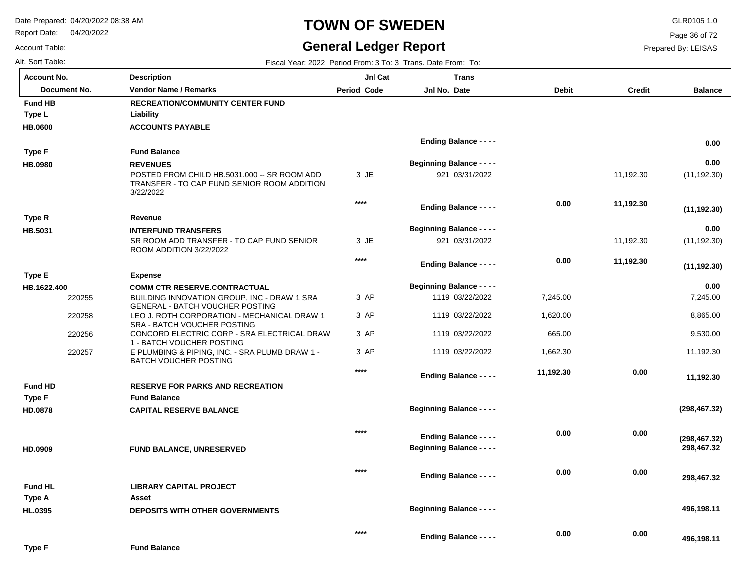**Liability**

**Description**

Report Date: 04/20/2022

# **TOWN OF SWEDEN** GLR0105 1.0

## **General Ledger Report** Fiscal Year: 2022 Period From: 3 To: 3 Trans. Date From: To:

**Balance**

Page 36 of 72

Prepared By: LEISAS

| Alt. Sort Table:   |  |
|--------------------|--|
| <b>Account No.</b> |  |

Account Table:

**Type L**

**Fund HB**

**RECREATION/COMMUNITY CENTER FUND Document No. Vendor Name / Remarks Period Jnl No. Debit Credit Period Code Jnl Cat Jnl No. Date Trans**

| <b>HB.0600</b> |        | <b>ACCOUNTS PAYABLE</b>                                                                                  |        |                                  |           |           |                             |
|----------------|--------|----------------------------------------------------------------------------------------------------------|--------|----------------------------------|-----------|-----------|-----------------------------|
|                |        |                                                                                                          |        | <b>Ending Balance - - - -</b>    |           |           | 0.00                        |
| Type F         |        | <b>Fund Balance</b>                                                                                      |        |                                  |           |           |                             |
| HB.0980        |        | <b>REVENUES</b>                                                                                          |        | <b>Beginning Balance - - - -</b> |           |           | 0.00                        |
|                |        | POSTED FROM CHILD HB.5031.000 -- SR ROOM ADD<br>TRANSFER - TO CAP FUND SENIOR ROOM ADDITION<br>3/22/2022 | 3 JE   | 921 03/31/2022                   |           | 11,192.30 | (11, 192.30)                |
|                |        |                                                                                                          | $***$  | <b>Ending Balance - - - -</b>    | 0.00      | 11,192.30 | (11, 192.30)                |
| Type R         |        | Revenue                                                                                                  |        |                                  |           |           |                             |
| HB.5031        |        | <b>INTERFUND TRANSFERS</b>                                                                               |        | <b>Beginning Balance - - - -</b> |           |           | 0.00                        |
|                |        | SR ROOM ADD TRANSFER - TO CAP FUND SENIOR<br>ROOM ADDITION 3/22/2022                                     | 3 JE   | 921 03/31/2022                   |           | 11,192.30 | (11, 192.30)                |
|                |        |                                                                                                          | $****$ | <b>Ending Balance - - - -</b>    | 0.00      | 11,192.30 | (11, 192.30)                |
| <b>Type E</b>  |        | <b>Expense</b>                                                                                           |        |                                  |           |           |                             |
| HB.1622.400    |        | <b>COMM CTR RESERVE.CONTRACTUAL</b>                                                                      |        | <b>Beginning Balance - - - -</b> |           |           | 0.00                        |
|                | 220255 | BUILDING INNOVATION GROUP, INC - DRAW 1 SRA<br><b>GENERAL - BATCH VOUCHER POSTING</b>                    | 3 AP   | 1119 03/22/2022                  | 7,245.00  |           | 7,245.00                    |
|                | 220258 | LEO J. ROTH CORPORATION - MECHANICAL DRAW 1<br>SRA - BATCH VOUCHER POSTING                               | 3 AP   | 1119 03/22/2022                  | 1,620.00  |           | 8,865.00                    |
|                | 220256 | CONCORD ELECTRIC CORP - SRA ELECTRICAL DRAW<br>1 - BATCH VOUCHER POSTING                                 | 3 AP   | 1119 03/22/2022                  | 665.00    |           | 9,530.00                    |
|                | 220257 | E PLUMBING & PIPING, INC. - SRA PLUMB DRAW 1 -<br><b>BATCH VOUCHER POSTING</b>                           | 3 AP   | 1119 03/22/2022                  | 1,662.30  |           | 11,192.30                   |
|                |        |                                                                                                          | $****$ | <b>Ending Balance - - - -</b>    | 11,192.30 | 0.00      | 11,192.30                   |
| <b>Fund HD</b> |        | <b>RESERVE FOR PARKS AND RECREATION</b>                                                                  |        |                                  |           |           |                             |
| <b>Type F</b>  |        | <b>Fund Balance</b>                                                                                      |        |                                  |           |           |                             |
| HD.0878        |        | <b>CAPITAL RESERVE BALANCE</b>                                                                           |        | <b>Beginning Balance - - - -</b> |           |           | (298, 467.32)               |
|                |        |                                                                                                          | $***$  | <b>Ending Balance - - - -</b>    | 0.00      | 0.00      |                             |
| HD.0909        |        | FUND BALANCE, UNRESERVED                                                                                 |        | <b>Beginning Balance - - - -</b> |           |           | (298, 467.32)<br>298,467.32 |
|                |        |                                                                                                          | $***$  |                                  | 0.00      | 0.00      |                             |
|                |        |                                                                                                          |        | <b>Ending Balance - - - -</b>    |           |           | 298,467.32                  |
| <b>Fund HL</b> |        | <b>LIBRARY CAPITAL PROJECT</b>                                                                           |        |                                  |           |           |                             |
| Type A         |        | Asset                                                                                                    |        |                                  |           |           |                             |
| HL.0395        |        | <b>DEPOSITS WITH OTHER GOVERNMENTS</b>                                                                   |        | <b>Beginning Balance - - - -</b> |           |           | 496,198.11                  |
|                |        |                                                                                                          | $***$  | <b>Ending Balance - - - -</b>    | 0.00      | 0.00      | 496,198.11                  |
| <b>Type F</b>  |        | <b>Fund Balance</b>                                                                                      |        |                                  |           |           |                             |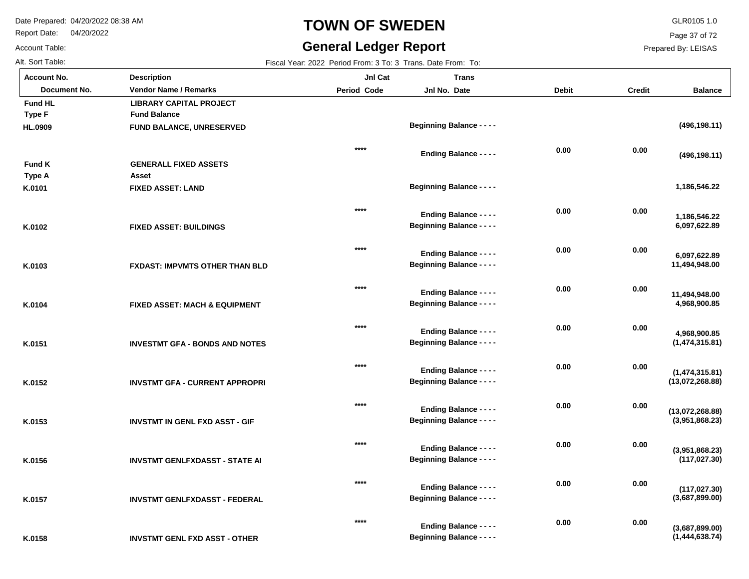Report Date: 04/20/2022

### Account Table:

# **TOWN OF SWEDEN** GLR0105 1.0

## **General Ledger Report**

Page 37 of 72

Prepared By: LEISAS

| Fiscal Year: 2022 Period From: 3 To: 3 Trans. Date From: To: |
|--------------------------------------------------------------|
|                                                              |

| <b>Account No.</b> | <b>Description</b>                       | JnI Cat            | <b>Trans</b>                                                      |              |               |                                   |
|--------------------|------------------------------------------|--------------------|-------------------------------------------------------------------|--------------|---------------|-----------------------------------|
| Document No.       | <b>Vendor Name / Remarks</b>             | <b>Period Code</b> | Jnl No. Date                                                      | <b>Debit</b> | <b>Credit</b> | <b>Balance</b>                    |
| <b>Fund HL</b>     | <b>LIBRARY CAPITAL PROJECT</b>           |                    |                                                                   |              |               |                                   |
| <b>Type F</b>      | <b>Fund Balance</b>                      |                    |                                                                   |              |               |                                   |
| HL.0909            | <b>FUND BALANCE, UNRESERVED</b>          |                    | <b>Beginning Balance - - - -</b>                                  |              |               | (496, 198.11)                     |
|                    |                                          |                    |                                                                   |              |               |                                   |
|                    |                                          | $***$              | Ending Balance - - - -                                            | 0.00         | 0.00          | (496, 198.11)                     |
| <b>Fund K</b>      | <b>GENERALL FIXED ASSETS</b>             |                    |                                                                   |              |               |                                   |
| Type A             | Asset                                    |                    |                                                                   |              |               |                                   |
| K.0101             | <b>FIXED ASSET: LAND</b>                 |                    | <b>Beginning Balance - - - -</b>                                  |              |               | 1,186,546.22                      |
|                    |                                          |                    |                                                                   |              |               |                                   |
|                    |                                          | $***$              | <b>Ending Balance - - - -</b>                                     | 0.00         | 0.00          | 1,186,546.22                      |
| K.0102             | <b>FIXED ASSET: BUILDINGS</b>            |                    | <b>Beginning Balance - - - -</b>                                  |              |               | 6,097,622.89                      |
|                    |                                          |                    |                                                                   |              |               |                                   |
|                    |                                          | $***$              |                                                                   | 0.00         | 0.00          |                                   |
|                    |                                          |                    | <b>Ending Balance - - - -</b><br><b>Beginning Balance - - - -</b> |              |               | 6,097,622.89<br>11,494,948.00     |
| K.0103             | <b>FXDAST: IMPVMTS OTHER THAN BLD</b>    |                    |                                                                   |              |               |                                   |
|                    |                                          | $***$              |                                                                   | 0.00         | 0.00          |                                   |
|                    |                                          |                    | <b>Ending Balance - - - -</b>                                     |              |               | 11,494,948.00                     |
| K.0104             | <b>FIXED ASSET: MACH &amp; EQUIPMENT</b> |                    | <b>Beginning Balance - - - -</b>                                  |              |               | 4,968,900.85                      |
|                    |                                          | $***$              |                                                                   |              |               |                                   |
|                    |                                          |                    | <b>Ending Balance - - - -</b>                                     | 0.00         | 0.00          | 4,968,900.85                      |
| K.0151             | <b>INVESTMT GFA - BONDS AND NOTES</b>    |                    | <b>Beginning Balance - - - -</b>                                  |              |               | (1,474,315.81)                    |
|                    |                                          |                    |                                                                   |              |               |                                   |
|                    |                                          | $***$              | <b>Ending Balance - - - -</b>                                     | 0.00         | 0.00          | (1,474,315.81)                    |
| K.0152             | <b>INVSTMT GFA - CURRENT APPROPRI</b>    |                    | <b>Beginning Balance - - - -</b>                                  |              |               | (13,072,268.88)                   |
|                    |                                          |                    |                                                                   |              |               |                                   |
|                    |                                          | $***$              | <b>Ending Balance - - - -</b>                                     | 0.00         | 0.00          |                                   |
| K.0153             | <b>INVSTMT IN GENL FXD ASST - GIF</b>    |                    | <b>Beginning Balance - - - -</b>                                  |              |               | (13,072,268.88)<br>(3,951,868.23) |
|                    |                                          |                    |                                                                   |              |               |                                   |
|                    |                                          | $***$              |                                                                   | 0.00         | 0.00          |                                   |
|                    |                                          |                    | <b>Ending Balance - - - -</b><br><b>Beginning Balance - - - -</b> |              |               | (3,951,868.23)<br>(117, 027.30)   |
| K.0156             | <b>INVSTMT GENLFXDASST - STATE AI</b>    |                    |                                                                   |              |               |                                   |
|                    |                                          | $***$              |                                                                   | 0.00         | 0.00          |                                   |
|                    |                                          |                    | <b>Ending Balance - - - -</b>                                     |              |               | (117, 027.30)                     |
| K.0157             | <b>INVSTMT GENLFXDASST - FEDERAL</b>     |                    | <b>Beginning Balance - - - -</b>                                  |              |               | (3,687,899.00)                    |
|                    |                                          |                    |                                                                   |              |               |                                   |
|                    |                                          | ****               | <b>Ending Balance - - - -</b>                                     | 0.00         | 0.00          | (3,687,899.00)                    |
| K.0158             | <b>INVSTMT GENL FXD ASST - OTHER</b>     |                    | <b>Beginning Balance - - - -</b>                                  |              |               | (1,444,638.74)                    |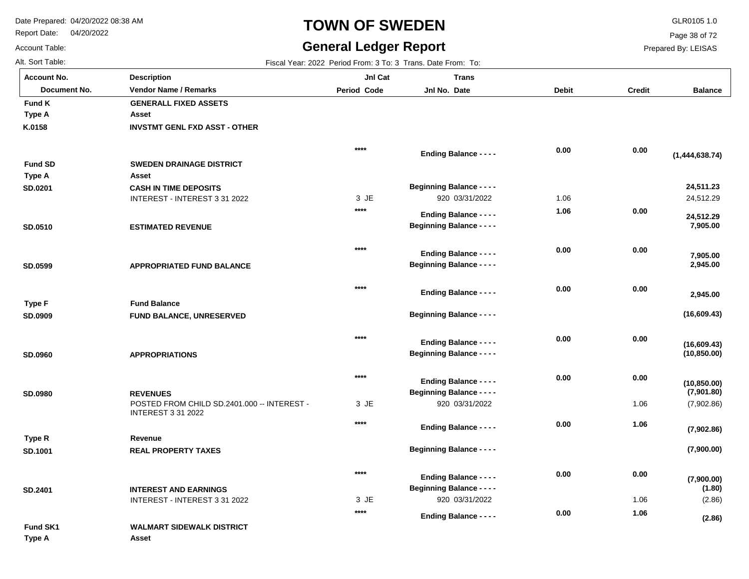Report Date: 04/20/2022

# **TOWN OF SWEDEN** GLR0105 1.0

## **General Ledger Report**

Page 38 of 72

Prepared By: LEISAS

Account Table:

| Alt. Sort Table:   |                                                                          |                    | Fiscal Year: 2022 Period From: 3 To: 3 Trans. Date From: To:      |              |               |                            |
|--------------------|--------------------------------------------------------------------------|--------------------|-------------------------------------------------------------------|--------------|---------------|----------------------------|
| <b>Account No.</b> | <b>Description</b>                                                       | JnI Cat            | <b>Trans</b>                                                      |              |               |                            |
| Document No.       | <b>Vendor Name / Remarks</b>                                             | <b>Period Code</b> | Jnl No. Date                                                      | <b>Debit</b> | <b>Credit</b> | <b>Balance</b>             |
| Fund K             | <b>GENERALL FIXED ASSETS</b>                                             |                    |                                                                   |              |               |                            |
| Type A             | Asset                                                                    |                    |                                                                   |              |               |                            |
| K.0158             | <b>INVSTMT GENL FXD ASST - OTHER</b>                                     |                    |                                                                   |              |               |                            |
|                    |                                                                          | $***$              | <b>Ending Balance - - - -</b>                                     | 0.00         | 0.00          | (1,444,638.74)             |
| <b>Fund SD</b>     | <b>SWEDEN DRAINAGE DISTRICT</b>                                          |                    |                                                                   |              |               |                            |
| Type A             | Asset                                                                    |                    |                                                                   |              |               |                            |
| SD.0201            | <b>CASH IN TIME DEPOSITS</b>                                             |                    | <b>Beginning Balance - - - -</b>                                  |              |               | 24,511.23                  |
|                    | INTEREST - INTEREST 3 31 2022                                            | 3 JE               | 920 03/31/2022                                                    | 1.06         |               | 24,512.29                  |
|                    |                                                                          | ****               | <b>Ending Balance - - - -</b>                                     | 1.06         | 0.00          | 24,512.29                  |
| SD.0510            | <b>ESTIMATED REVENUE</b>                                                 |                    | <b>Beginning Balance - - - -</b>                                  |              |               | 7,905.00                   |
|                    |                                                                          | $***$              |                                                                   | 0.00         | 0.00          |                            |
|                    |                                                                          |                    | <b>Ending Balance - - - -</b><br><b>Beginning Balance - - - -</b> |              |               | 7,905.00<br>2,945.00       |
| SD.0599            | <b>APPROPRIATED FUND BALANCE</b>                                         |                    |                                                                   |              |               |                            |
|                    |                                                                          | $****$             | <b>Ending Balance - - - -</b>                                     | 0.00         | 0.00          | 2,945.00                   |
| Type F             | <b>Fund Balance</b>                                                      |                    |                                                                   |              |               |                            |
| SD.0909            | FUND BALANCE, UNRESERVED                                                 |                    | <b>Beginning Balance - - - -</b>                                  |              |               | (16,609.43)                |
|                    |                                                                          | $***$              | <b>Ending Balance - - - -</b>                                     | 0.00         | 0.00          | (16,609.43)                |
| <b>SD.0960</b>     | <b>APPROPRIATIONS</b>                                                    |                    | <b>Beginning Balance - - - -</b>                                  |              |               | (10, 850.00)               |
|                    |                                                                          | $***$              | <b>Ending Balance - - - -</b>                                     | 0.00         | 0.00          |                            |
| <b>SD.0980</b>     | <b>REVENUES</b>                                                          |                    | <b>Beginning Balance - - - -</b>                                  |              |               | (10, 850.00)<br>(7,901.80) |
|                    | POSTED FROM CHILD SD.2401.000 -- INTEREST -<br><b>INTEREST 3 31 2022</b> | 3 JE               | 920 03/31/2022                                                    |              | 1.06          | (7,902.86)                 |
|                    |                                                                          | $****$             |                                                                   | 0.00         | 1.06          |                            |
|                    | Revenue                                                                  |                    | <b>Ending Balance - - - -</b>                                     |              |               | (7,902.86)                 |
| Type R             |                                                                          |                    | <b>Beginning Balance - - - -</b>                                  |              |               | (7,900.00)                 |
| SD.1001            | <b>REAL PROPERTY TAXES</b>                                               |                    |                                                                   |              |               |                            |
|                    |                                                                          | $****$             | <b>Ending Balance - - - -</b>                                     | 0.00         | 0.00          | (7,900.00)                 |
| SD.2401            | <b>INTEREST AND EARNINGS</b>                                             |                    | <b>Beginning Balance - - - -</b>                                  |              |               | (1.80)                     |
|                    | INTEREST - INTEREST 3 31 2022                                            | 3 JE               | 920 03/31/2022                                                    |              | 1.06          | (2.86)                     |
|                    |                                                                          | $****$             | <b>Ending Balance - - - -</b>                                     | 0.00         | 1.06          | (2.86)                     |
| Fund SK1           | <b>WALMART SIDEWALK DISTRICT</b>                                         |                    |                                                                   |              |               |                            |
| Type A             | Asset                                                                    |                    |                                                                   |              |               |                            |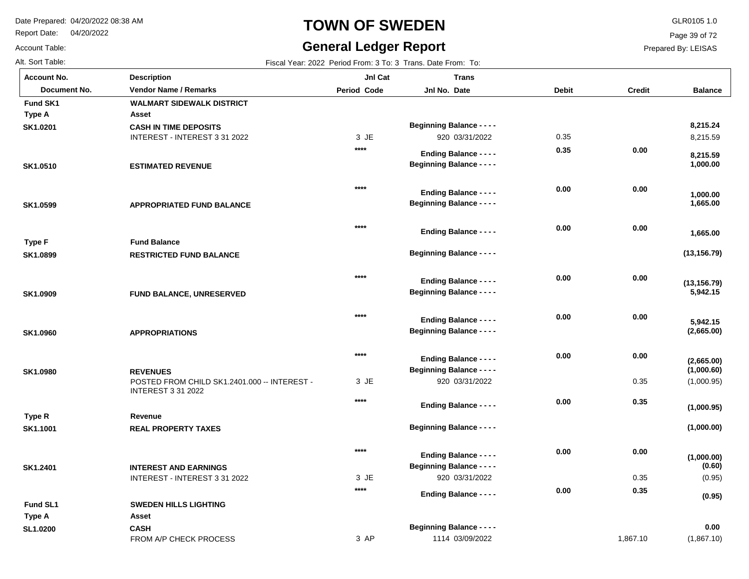Report Date: 04/20/2022

# **TOWN OF SWEDEN** GLR0105 1.0

## **General Ledger Report**

Page 39 of 72

Prepared By: LEISAS

Account Table:

| Alt. Sort Table:   |                                                                           |             | Fiscal Year: 2022 Period From: 3 To: 3 Trans. Date From: To: |              |               |                      |
|--------------------|---------------------------------------------------------------------------|-------------|--------------------------------------------------------------|--------------|---------------|----------------------|
| <b>Account No.</b> | <b>Description</b>                                                        | JnI Cat     | <b>Trans</b>                                                 |              |               |                      |
| Document No.       | <b>Vendor Name / Remarks</b>                                              | Period Code | Jnl No. Date                                                 | <b>Debit</b> | <b>Credit</b> | <b>Balance</b>       |
| Fund SK1           | <b>WALMART SIDEWALK DISTRICT</b>                                          |             |                                                              |              |               |                      |
| Type A             | Asset                                                                     |             |                                                              |              |               |                      |
| SK1.0201           | <b>CASH IN TIME DEPOSITS</b>                                              |             | <b>Beginning Balance - - - -</b>                             |              |               | 8,215.24             |
|                    | INTEREST - INTEREST 3 31 2022                                             | 3 JE        | 920 03/31/2022                                               | 0.35         |               | 8,215.59             |
|                    |                                                                           | $***$       | <b>Ending Balance - - - -</b>                                | 0.35         | 0.00          | 8,215.59             |
| SK1.0510           | <b>ESTIMATED REVENUE</b>                                                  |             | <b>Beginning Balance - - - -</b>                             |              |               | 1,000.00             |
|                    |                                                                           |             |                                                              |              |               |                      |
|                    |                                                                           | $***$       | <b>Ending Balance - - - -</b>                                | 0.00         | 0.00          | 1,000.00             |
| SK1.0599           | <b>APPROPRIATED FUND BALANCE</b>                                          |             | <b>Beginning Balance - - - -</b>                             |              |               | 1,665.00             |
|                    |                                                                           |             |                                                              |              |               |                      |
|                    |                                                                           | $****$      |                                                              | 0.00         | 0.00          |                      |
|                    | <b>Fund Balance</b>                                                       |             | <b>Ending Balance - - - -</b>                                |              |               | 1,665.00             |
| Type F             |                                                                           |             | <b>Beginning Balance - - - -</b>                             |              |               | (13, 156.79)         |
| SK1.0899           | <b>RESTRICTED FUND BALANCE</b>                                            |             |                                                              |              |               |                      |
|                    |                                                                           | $****$      |                                                              | 0.00         | 0.00          |                      |
|                    |                                                                           |             | <b>Ending Balance - - - -</b>                                |              |               | (13, 156.79)         |
| SK1.0909           | <b>FUND BALANCE, UNRESERVED</b>                                           |             | <b>Beginning Balance - - - -</b>                             |              |               | 5,942.15             |
|                    |                                                                           | $***$       |                                                              | 0.00         | 0.00          |                      |
|                    |                                                                           |             | <b>Ending Balance - - - -</b>                                |              |               | 5,942.15             |
| SK1.0960           | <b>APPROPRIATIONS</b>                                                     |             | <b>Beginning Balance - - - -</b>                             |              |               | (2,665.00)           |
|                    |                                                                           | $***$       |                                                              | 0.00         | 0.00          |                      |
|                    |                                                                           |             | <b>Ending Balance - - - -</b>                                |              |               | (2,665.00)           |
| SK1.0980           | <b>REVENUES</b>                                                           |             | <b>Beginning Balance - - - -</b>                             |              |               | (1,000.60)           |
|                    | POSTED FROM CHILD SK1.2401.000 -- INTEREST -<br><b>INTEREST 3 31 2022</b> | 3 JE        | 920 03/31/2022                                               |              | 0.35          | (1,000.95)           |
|                    |                                                                           | ****        | <b>Ending Balance - - - -</b>                                | 0.00         | 0.35          |                      |
| Type R             | Revenue                                                                   |             |                                                              |              |               | (1,000.95)           |
| SK1.1001           | <b>REAL PROPERTY TAXES</b>                                                |             | <b>Beginning Balance - - - -</b>                             |              |               | (1,000.00)           |
|                    |                                                                           |             |                                                              |              |               |                      |
|                    |                                                                           | $****$      | <b>Ending Balance - - - -</b>                                | 0.00         | 0.00          |                      |
| SK1.2401           | <b>INTEREST AND EARNINGS</b>                                              |             | <b>Beginning Balance - - - -</b>                             |              |               | (1,000.00)<br>(0.60) |
|                    | INTEREST - INTEREST 3 31 2022                                             | 3 JE        | 920 03/31/2022                                               |              | 0.35          | (0.95)               |
|                    |                                                                           | $***$       |                                                              | 0.00         | 0.35          |                      |
|                    |                                                                           |             | <b>Ending Balance - - - -</b>                                |              |               | (0.95)               |
| <b>Fund SL1</b>    | <b>SWEDEN HILLS LIGHTING</b><br>Asset                                     |             |                                                              |              |               |                      |
| Type A             |                                                                           |             | <b>Beginning Balance - - - -</b>                             |              |               | 0.00                 |
| <b>SL1.0200</b>    | <b>CASH</b><br>FROM A/P CHECK PROCESS                                     | 3 AP        | 1114 03/09/2022                                              |              | 1,867.10      | (1,867.10)           |
|                    |                                                                           |             |                                                              |              |               |                      |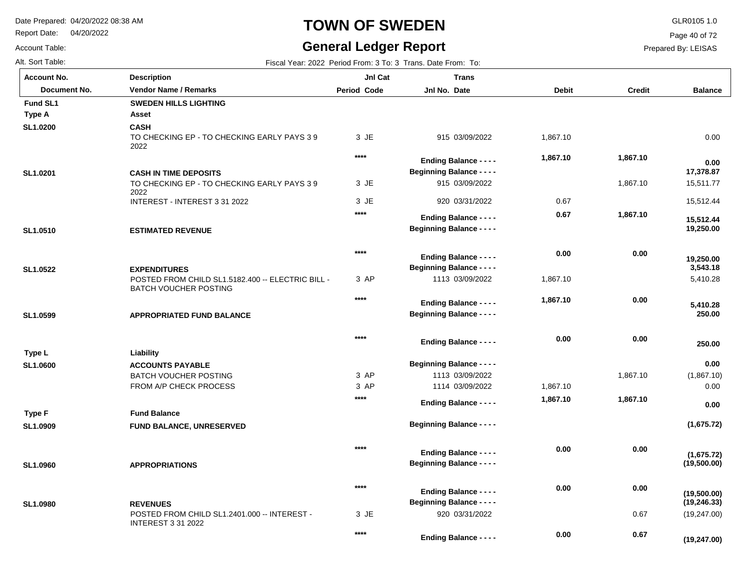Report Date: 04/20/2022

### Account Table:

# **TOWN OF SWEDEN** GLR0105 1.0

## **General Ledger Report**

Page 40 of 72

Prepared By: LEISAS

| Alt. Sort Table: | Fiscal Year: 2022 Period From: 3 To: 3 Trans. Date From: To: |
|------------------|--------------------------------------------------------------|
|------------------|--------------------------------------------------------------|

| <b>Account No.</b> | <b>Description</b>                                                                                       | JnI Cat            | <b>Trans</b>                                                      |              |               |                             |
|--------------------|----------------------------------------------------------------------------------------------------------|--------------------|-------------------------------------------------------------------|--------------|---------------|-----------------------------|
| Document No.       | <b>Vendor Name / Remarks</b>                                                                             | <b>Period Code</b> | Jnl No. Date                                                      | <b>Debit</b> | <b>Credit</b> | <b>Balance</b>              |
| Fund SL1           | <b>SWEDEN HILLS LIGHTING</b>                                                                             |                    |                                                                   |              |               |                             |
| Type A             | Asset                                                                                                    |                    |                                                                   |              |               |                             |
| SL1.0200           | <b>CASH</b><br>TO CHECKING EP - TO CHECKING EARLY PAYS 39<br>2022                                        | 3 JE               | 915 03/09/2022                                                    | 1,867.10     |               | 0.00                        |
|                    |                                                                                                          | $****$             | <b>Ending Balance - - - -</b>                                     | 1,867.10     | 1,867.10      | 0.00                        |
| SL1.0201           | <b>CASH IN TIME DEPOSITS</b>                                                                             |                    | <b>Beginning Balance - - - -</b>                                  |              |               | 17,378.87                   |
|                    | TO CHECKING EP - TO CHECKING EARLY PAYS 39<br>2022                                                       | 3 JE               | 915 03/09/2022                                                    |              | 1,867.10      | 15,511.77                   |
|                    | INTEREST - INTEREST 3 31 2022                                                                            | 3 JE               | 920 03/31/2022                                                    | 0.67         |               | 15,512.44                   |
|                    |                                                                                                          | $***$              | <b>Ending Balance - - - -</b>                                     | 0.67         | 1,867.10      | 15,512.44                   |
| SL1.0510           | <b>ESTIMATED REVENUE</b>                                                                                 |                    | <b>Beginning Balance - - - -</b>                                  |              |               | 19,250.00                   |
| SL1.0522           |                                                                                                          | $***$              | <b>Ending Balance - - - -</b><br><b>Beginning Balance - - - -</b> | 0.00         | 0.00          | 19,250.00<br>3,543.18       |
|                    | <b>EXPENDITURES</b><br>POSTED FROM CHILD SL1.5182.400 -- ELECTRIC BILL -<br><b>BATCH VOUCHER POSTING</b> | 3 AP               | 1113 03/09/2022                                                   | 1,867.10     |               | 5,410.28                    |
|                    |                                                                                                          | $***$              | <b>Ending Balance - - - -</b>                                     | 1,867.10     | 0.00          | 5,410.28                    |
| SL1.0599           | <b>APPROPRIATED FUND BALANCE</b>                                                                         |                    | <b>Beginning Balance - - - -</b>                                  |              |               | 250.00                      |
|                    |                                                                                                          | $****$             | <b>Ending Balance - - - -</b>                                     | 0.00         | 0.00          | 250.00                      |
| Type L             | Liability                                                                                                |                    |                                                                   |              |               |                             |
| SL1.0600           | <b>ACCOUNTS PAYABLE</b>                                                                                  |                    | <b>Beginning Balance - - - -</b>                                  |              |               | 0.00                        |
|                    | <b>BATCH VOUCHER POSTING</b>                                                                             | 3 AP               | 1113 03/09/2022                                                   |              | 1,867.10      | (1,867.10)                  |
|                    | FROM A/P CHECK PROCESS                                                                                   | 3 AP               | 1114 03/09/2022                                                   | 1,867.10     |               | 0.00                        |
|                    |                                                                                                          | $***$              | <b>Ending Balance - - - -</b>                                     | 1,867.10     | 1,867.10      | 0.00                        |
| Type F             | <b>Fund Balance</b>                                                                                      |                    |                                                                   |              |               |                             |
| SL1.0909           | FUND BALANCE, UNRESERVED                                                                                 |                    | <b>Beginning Balance - - - -</b>                                  |              |               | (1,675.72)                  |
| SL1.0960           | <b>APPROPRIATIONS</b>                                                                                    | $***$              | <b>Ending Balance - - - -</b><br><b>Beginning Balance - - - -</b> | 0.00         | 0.00          | (1,675.72)<br>(19,500.00)   |
|                    |                                                                                                          |                    |                                                                   |              |               |                             |
| SL1.0980           | <b>REVENUES</b>                                                                                          | $****$             | <b>Ending Balance - - - -</b><br><b>Beginning Balance - - - -</b> | 0.00         | 0.00          | (19,500.00)<br>(19, 246.33) |
|                    | POSTED FROM CHILD SL1.2401.000 -- INTEREST -                                                             | 3 JE               | 920 03/31/2022                                                    |              | 0.67          | (19, 247.00)                |
|                    | <b>INTEREST 3 31 2022</b>                                                                                | $****$             | <b>Ending Balance - - - -</b>                                     | 0.00         | 0.67          | (19, 247.00)                |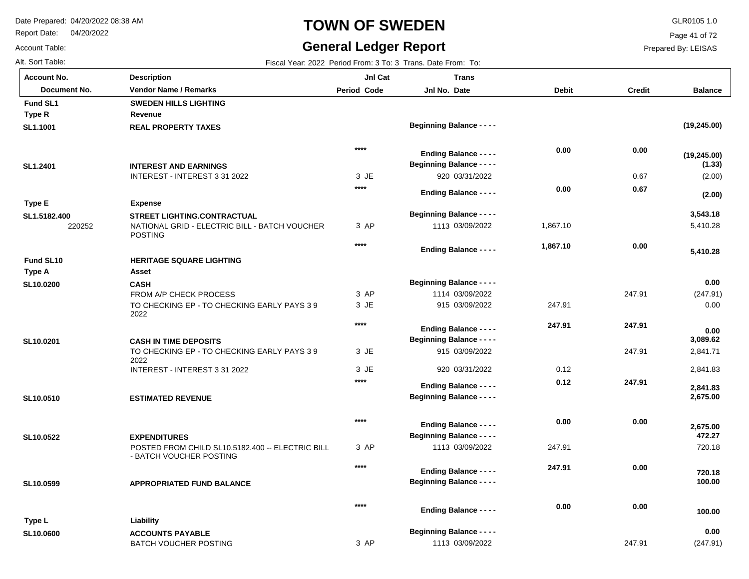BATCH VOUCHER POSTING

Report Date: 04/20/2022

# **TOWN OF SWEDEN** GLR0105 1.0

## **General Ledger Report**

Page 41 of 72

Prepared By: LEISAS

247.91

(247.91)

Account Table: Alt. Sort Table: Fiscal Year: 2022 Period From: 3 To: 3 Trans. Date From: To:

| <b>Account No.</b> | <b>Description</b>                                                          | JnI Cat            | <b>Trans</b>                     |              |               |                        |
|--------------------|-----------------------------------------------------------------------------|--------------------|----------------------------------|--------------|---------------|------------------------|
| Document No.       | <b>Vendor Name / Remarks</b>                                                | <b>Period Code</b> | Jnl No. Date                     | <b>Debit</b> | <b>Credit</b> | <b>Balance</b>         |
| Fund SL1           | <b>SWEDEN HILLS LIGHTING</b>                                                |                    |                                  |              |               |                        |
| Type R             | Revenue                                                                     |                    |                                  |              |               |                        |
| SL1.1001           | <b>REAL PROPERTY TAXES</b>                                                  |                    | <b>Beginning Balance - - - -</b> |              |               | (19, 245.00)           |
|                    |                                                                             | $****$             | <b>Ending Balance - - - -</b>    | 0.00         | 0.00          |                        |
|                    | <b>INTEREST AND EARNINGS</b>                                                |                    | <b>Beginning Balance - - - -</b> |              |               | (19, 245.00)<br>(1.33) |
| SL1.2401           | INTEREST - INTEREST 3 31 2022                                               | 3 JE               | 920 03/31/2022                   |              | 0.67          | (2.00)                 |
|                    |                                                                             | $****$             |                                  | 0.00         | 0.67          |                        |
|                    |                                                                             |                    | <b>Ending Balance - - - -</b>    |              |               | (2.00)                 |
| <b>Type E</b>      | <b>Expense</b>                                                              |                    |                                  |              |               |                        |
| SL1.5182.400       | <b>STREET LIGHTING.CONTRACTUAL</b>                                          |                    | <b>Beginning Balance - - - -</b> |              |               | 3,543.18               |
| 220252             | NATIONAL GRID - ELECTRIC BILL - BATCH VOUCHER<br><b>POSTING</b>             | 3 AP               | 1113 03/09/2022                  | 1,867.10     |               | 5,410.28               |
|                    |                                                                             | $****$             | <b>Ending Balance - - - -</b>    | 1,867.10     | 0.00          | 5,410.28               |
| Fund SL10          | <b>HERITAGE SQUARE LIGHTING</b>                                             |                    |                                  |              |               |                        |
| Type A             | <b>Asset</b>                                                                |                    |                                  |              |               |                        |
| SL10.0200          | <b>CASH</b>                                                                 |                    | <b>Beginning Balance - - - -</b> |              |               | 0.00                   |
|                    | FROM A/P CHECK PROCESS                                                      | 3 AP               | 1114 03/09/2022                  |              | 247.91        | (247.91)               |
|                    | TO CHECKING EP - TO CHECKING EARLY PAYS 39<br>2022                          | 3 JE               | 915 03/09/2022                   | 247.91       |               | 0.00                   |
|                    |                                                                             | $***$              | <b>Ending Balance - - - -</b>    | 247.91       | 247.91        | 0.00                   |
| SL10.0201          | <b>CASH IN TIME DEPOSITS</b>                                                |                    | <b>Beginning Balance - - - -</b> |              |               | 3,089.62               |
|                    | TO CHECKING EP - TO CHECKING EARLY PAYS 39                                  | 3 JE               | 915 03/09/2022                   |              | 247.91        | 2,841.71               |
|                    | 2022                                                                        |                    |                                  |              |               |                        |
|                    | INTEREST - INTEREST 3 31 2022                                               | 3 JE               | 920 03/31/2022                   | 0.12         |               | 2,841.83               |
|                    |                                                                             | $****$             | <b>Ending Balance - - - -</b>    | 0.12         | 247.91        | 2,841.83               |
| SL10.0510          | <b>ESTIMATED REVENUE</b>                                                    |                    | <b>Beginning Balance - - - -</b> |              |               | 2,675.00               |
|                    |                                                                             | $****$             |                                  | 0.00         | 0.00          |                        |
|                    |                                                                             |                    | <b>Ending Balance - - - -</b>    |              |               | 2,675.00               |
| SL10.0522          | <b>EXPENDITURES</b>                                                         |                    | <b>Beginning Balance - - - -</b> |              |               | 472.27                 |
|                    | POSTED FROM CHILD SL10.5182.400 -- ELECTRIC BILL<br>- BATCH VOUCHER POSTING | 3 AP               | 1113 03/09/2022                  | 247.91       |               | 720.18                 |
|                    |                                                                             | $***$              | <b>Ending Balance - - - -</b>    | 247.91       | 0.00          | 720.18                 |
| SL10.0599          | <b>APPROPRIATED FUND BALANCE</b>                                            |                    | <b>Beginning Balance - - - -</b> |              |               | 100.00                 |
|                    |                                                                             | $***$              |                                  | 0.00         | 0.00          |                        |
|                    |                                                                             |                    | <b>Ending Balance - - - -</b>    |              |               | 100.00                 |
| Type L             | Liability                                                                   |                    |                                  |              |               |                        |
| SL10.0600          | <b>ACCOUNTS PAYABLE</b>                                                     |                    | <b>Beginning Balance - - - -</b> |              |               | 0.00                   |

3 AP

1113 03/09/2022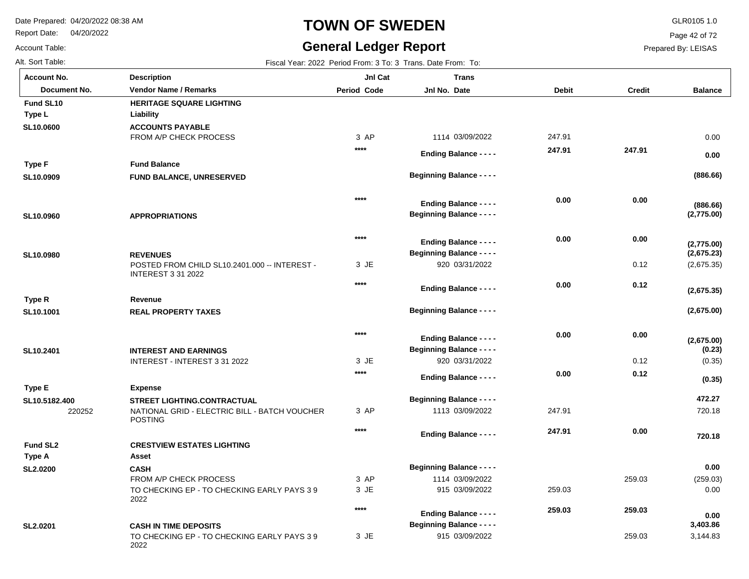2022

Report Date: 04/20/2022

# **TOWN OF SWEDEN** GLR0105 1.0

## **General Ledger Report**

Page 42 of 72

Prepared By: LEISAS

Alt. Sort Table: Fiscal Year: 2022 Period From: 3 To: 3 Trans. Date From: To: **Balance** 220252 FROM A/P CHECK PROCESS POSTED FROM CHILD SL10.2401.000 -- INTEREST - INTEREST 3 31 2022 INTEREST - INTEREST 3 31 2022 NATIONAL GRID - ELECTRIC BILL - BATCH VOUCHER POSTING FROM A/P CHECK PROCESS TO CHECKING EP - TO CHECKING EARLY PAYS 3 9 2022 TO CHECKING EP - TO CHECKING EARLY PAYS 3 9 0.12 0.12 259.03 259.03 **ACCOUNTS PAYABLE FUND BALANCE, UNRESERVED APPROPRIATIONS REVENUES REAL PROPERTY TAXES INTEREST AND EARNINGS STREET LIGHTING.CONTRACTUAL CASH CASH IN TIME DEPOSITS SL10.0600 SL10.0909 SL10.0960 SL10.0980 SL10.1001 SL10.2401 SL10.5182.400 SL2.0200 SL2.0201** 3 AP JE 3 JE 3 3 AP 3 AP JE 3 JE 3 1114 03/09/2022 920 03/31/2022 920 03/31/2022 1113 03/09/2022 1114 03/09/2022 915 03/09/2022 915 03/09/2022 0.00 (2,675.35) (0.35) 720.18 (259.03) 0.00 3,144.83 247.91 247.91 259.03 **(886.66) (2,775.00) (2,675.23) (2,675.00) (0.23) 472.27 0.00 3,403.86 Liability Fund Balance Revenue Expense Asset Type L Type F Type R Type E Type A HERITAGE SQUARE LIGHTING CRESTVIEW ESTATES LIGHTING Fund SL10 Fund SL2 0.00 (886.66) (2,775.00) (2,675.35) (2,675.00) (0.35) 720.18 0.00 247.91 0.00 0.00 0.12 0.00 0.12 0.00 259.03 247.91 0.00 0.00 0.00 0.00 0.00 247.91 259.03 \*\*\*\* \*\*\*\* \*\*\*\* \*\*\*\* \*\*\*\* \*\*\*\* \*\*\*\* \*\*\*\* Account No. Document No. Vendor Name / Remarks Period Jnl No. Debit Credit Description Period Code Jnl Cat Jnl No. Date Trans Beginning Balance - - - - Beginning Balance - - - - Beginning Balance - - - - Beginning Balance - - - - Beginning Balance - - - - Beginning Balance - - - - Beginning Balance - - - - Beginning Balance - - - - Ending Balance - - - - Ending Balance - - - - Ending Balance - - - - Ending Balance - - - - Ending Balance - - - - Ending Balance - - - - Ending Balance - - - - Ending Balance - - - -**

Account Table: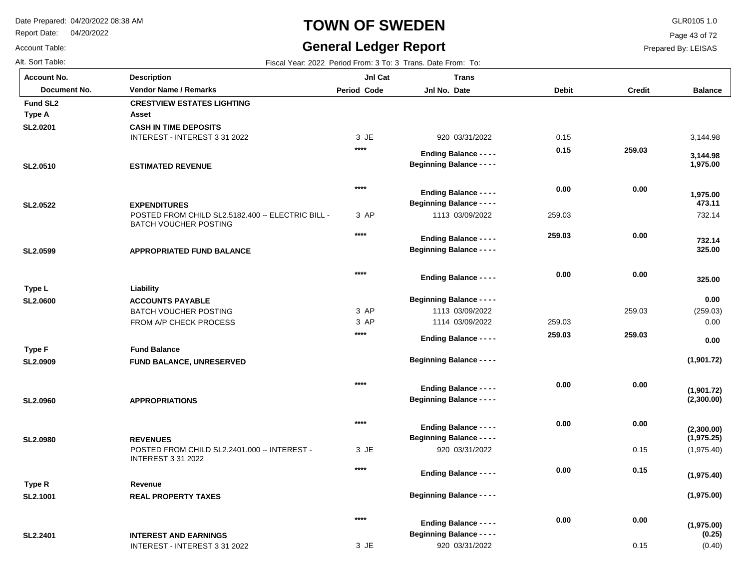Report Date: 04/20/2022

Account Table:

# **TOWN OF SWEDEN** GLR0105 1.0

## **General Ledger Report**

Page 43 of 72

Prepared By: LEISAS

Alt. Sort Table: Fiscal Year: 2022 Period From: 3 To: 3 Trans. Date From: To: **Balance** INTEREST - INTEREST 3 31 2022 POSTED FROM CHILD SL2.5182.400 -- ELECTRIC BILL -BATCH VOUCHER POSTING BATCH VOUCHER POSTING FROM A/P CHECK PROCESS POSTED FROM CHILD SL2.2401.000 -- INTEREST - INTEREST 3 31 2022 INTEREST - INTEREST 3 31 2022 259.03 0.15 0.15 **CASH IN TIME DEPOSITS ESTIMATED REVENUE EXPENDITURES APPROPRIATED FUND BALANCE ACCOUNTS PAYABLE FUND BALANCE, UNRESERVED APPROPRIATIONS REVENUES REAL PROPERTY TAXES INTEREST AND EARNINGS SL2.0201 SL2.0510 SL2.0522 SL2.0599 SL2.0600 SL2.0909 SL2.0960 SL2.0980 SL2.1001 SL2.2401** JE 3 3 AP 3 AP 3 AP JE 3 JE 3 920 03/31/2022 1113 03/09/2022 1113 03/09/2022 1114 03/09/2022 920 03/31/2022 920 03/31/2022 3,144.98 732.14 (259.03) 0.00 (1,975.40) (0.40) 0.15 259.03 259.03  **1,975.00 473.11 325.00 0.00 (1,901.72) (2,300.00) (1,975.25) (1,975.00) (0.25) Asset Liability Fund Balance Revenue Type A Type L Type F Type R Fund SL2 CRESTVIEW ESTATES LIGHTING 3,144.98 1,975.00 732.14 325.00 0.00 (1,901.72) (2,300.00) (1,975.40) (1,975.00) 259.03 0.00 0.00 0.00 259.03 0.00 0.00 0.15 0.00 0.15 0.00 259.03 0.00 259.03 0.00 0.00 0.00 0.00 \*\*\*\* \*\*\*\* \*\*\*\* \*\*\*\* \*\*\*\* \*\*\*\* \*\*\*\* \*\*\*\* \*\*\*\* Account No. Document No. Vendor Name / Remarks Period Jnl No. Debit Credit Description Period Code Jnl Cat Jnl No. Date Trans Beginning Balance - - - - Beginning Balance - - - - Beginning Balance - - - - Beginning Balance - - - - Beginning Balance - - - - Beginning Balance - - - - Beginning Balance - - - - Beginning Balance - - - - Beginning Balance - - - - Ending Balance - - - - Ending Balance - - - - Ending Balance - - - - Ending Balance - - - - Ending Balance - - - - Ending Balance - - - - Ending Balance - - - - Ending Balance - - - - Ending Balance - - - -**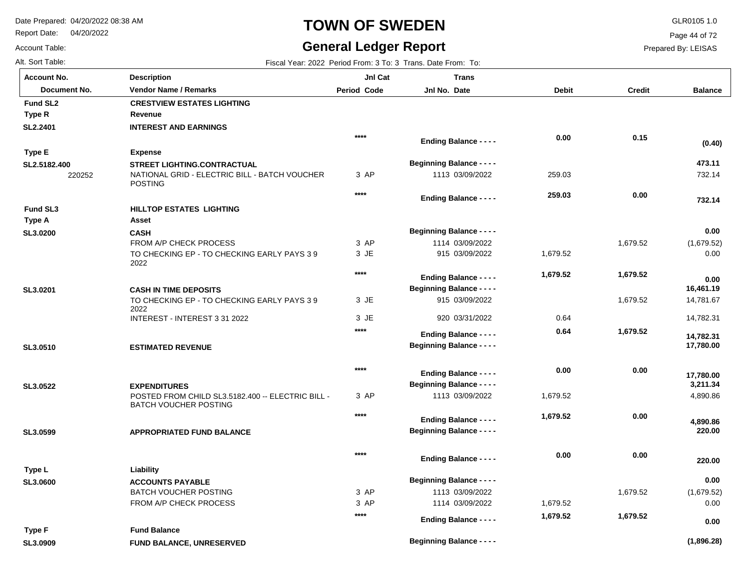Report Date: 04/20/2022

## **TOWN OF SWEDEN** GLR0105 1.0

## **General Ledger Report**

**Balance**

732.14

 **732.14** 

 **473.11** 

**(0.40)**

(1,679.52) 0.00

 **0.00** 

 **0.00** 

 14,781.67 14,782.31

 **17,780.00** 

 **14,782.31** 

 **16,461.19** 

4,890.86

 **220.00** 

 **220.00** 

 **4,890.86** 

 **3,211.34** 

 **17,780.00** 

(1,679.52) 0.00

 **0.00** 

 **0.00** 

Page 44 of 72

Prepared By: LEISAS

Account Table:

| Alt. Sort Table:     |                                                                                   |                    | Fiscal Year: 2022 Period From: 3 To: 3 Trans. Date From: To: |              |               |
|----------------------|-----------------------------------------------------------------------------------|--------------------|--------------------------------------------------------------|--------------|---------------|
| <b>Account No.</b>   | <b>Description</b>                                                                | JnI Cat            | <b>Trans</b>                                                 |              |               |
| Document No.         | <b>Vendor Name / Remarks</b>                                                      | <b>Period Code</b> | Jnl No. Date                                                 | <b>Debit</b> | <b>Credit</b> |
| Fund SL <sub>2</sub> | <b>CRESTVIEW ESTATES LIGHTING</b>                                                 |                    |                                                              |              |               |
| Type R               | Revenue                                                                           |                    |                                                              |              |               |
| SL2.2401             | <b>INTEREST AND EARNINGS</b>                                                      |                    |                                                              |              |               |
|                      |                                                                                   | $***$              | <b>Ending Balance - - - -</b>                                | 0.00         | 0.15          |
| <b>Type E</b>        | <b>Expense</b>                                                                    |                    |                                                              |              |               |
| SL2.5182.400         | STREET LIGHTING.CONTRACTUAL                                                       |                    | <b>Beginning Balance - - - -</b>                             |              |               |
| 220252               | NATIONAL GRID - ELECTRIC BILL - BATCH VOUCHER<br><b>POSTING</b>                   | 3 AP               | 1113 03/09/2022                                              | 259.03       |               |
|                      |                                                                                   | $***$              | <b>Ending Balance - - - -</b>                                | 259.03       | 0.00          |
| <b>Fund SL3</b>      | HILLTOP ESTATES LIGHTING                                                          |                    |                                                              |              |               |
| <b>Type A</b>        | Asset                                                                             |                    |                                                              |              |               |
| SL3.0200             | <b>CASH</b>                                                                       |                    | <b>Beginning Balance - - - -</b>                             |              |               |
|                      | FROM A/P CHECK PROCESS                                                            | 3 AP               | 1114 03/09/2022                                              |              | 1,679.52      |
|                      | TO CHECKING EP - TO CHECKING EARLY PAYS 39<br>2022                                | 3 JE               | 915 03/09/2022                                               | 1,679.52     |               |
|                      |                                                                                   | $****$             | <b>Ending Balance - - - -</b>                                | 1,679.52     | 1,679.52      |
| SL3.0201             | <b>CASH IN TIME DEPOSITS</b>                                                      |                    | <b>Beginning Balance - - - -</b>                             |              |               |
|                      | TO CHECKING EP - TO CHECKING EARLY PAYS 39<br>2022                                | 3 JE               | 915 03/09/2022                                               |              | 1,679.52      |
|                      | INTEREST - INTEREST 3 31 2022                                                     | 3 JE               | 920 03/31/2022                                               | 0.64         |               |
|                      |                                                                                   | ****               | <b>Ending Balance - - - -</b>                                | 0.64         | 1,679.52      |
| SL3.0510             | <b>ESTIMATED REVENUE</b>                                                          |                    | <b>Beginning Balance - - - -</b>                             |              |               |
|                      |                                                                                   | $***$              | <b>Ending Balance - - - -</b>                                | 0.00         | 0.00          |
| SL3.0522             | <b>EXPENDITURES</b>                                                               |                    | <b>Beginning Balance - - - -</b>                             |              |               |
|                      | POSTED FROM CHILD SL3.5182.400 -- ELECTRIC BILL -<br><b>BATCH VOUCHER POSTING</b> | 3 AP               | 1113 03/09/2022                                              | 1,679.52     |               |
|                      |                                                                                   | $***$              | <b>Ending Balance - - - -</b>                                | 1,679.52     | 0.00          |
| SL3.0599             | <b>APPROPRIATED FUND BALANCE</b>                                                  |                    | <b>Beginning Balance - - - -</b>                             |              |               |
|                      |                                                                                   | $***$              | <b>Ending Balance - - - -</b>                                | 0.00         | 0.00          |
| Type L               | Liability                                                                         |                    |                                                              |              |               |
| SL3.0600             | <b>ACCOUNTS PAYABLE</b>                                                           |                    | <b>Beginning Balance - - - -</b>                             |              |               |
|                      | <b>BATCH VOUCHER POSTING</b>                                                      | 3 AP               | 1113 03/09/2022                                              |              | 1,679.52      |
|                      | FROM A/P CHECK PROCESS                                                            | 3 AP               | 1114 03/09/2022                                              | 1,679.52     |               |
|                      |                                                                                   | $***$              | <b>Ending Balance - - - -</b>                                | 1,679.52     | 1,679.52      |

**Beginning Balance - - - -**

**FUND BALANCE, UNRESERVED SL3.0909 Type F**

**Fund Balance**

**(1,896.28)**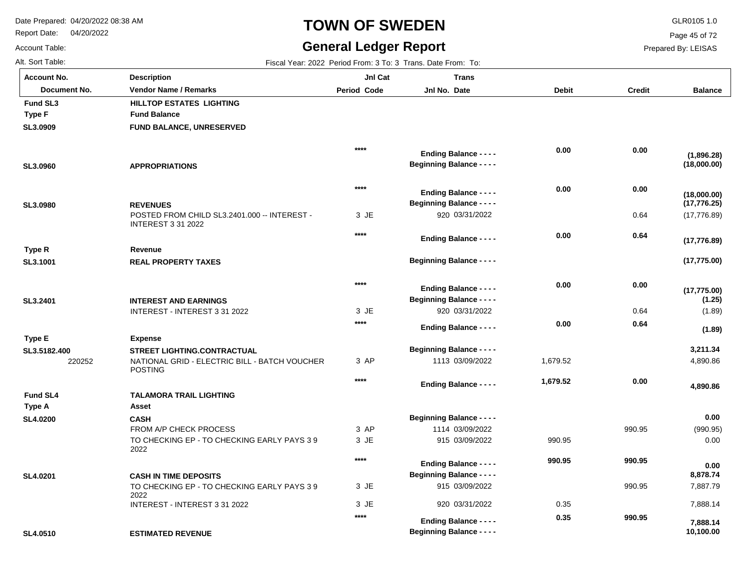Report Date: 04/20/2022

Account Table:

# **TOWN OF SWEDEN** GLR0105 1.0

## **General Ledger Report**

**Balance**

(17,776.89)

**(17,775.00)**

**(17,775.00)**

**(17,776.89)**

**(17,776.25)**

**(18,000.00)**

**(18,000.00)**

**(1,896.28)**

Page 45 of 72

Prepared By: LEISAS

| Alt. Sort Table:   |                                                                           |             | Fiscal Year: 2022 Period From: 3 To: 3 Trans. Date From: To:      |              |               |
|--------------------|---------------------------------------------------------------------------|-------------|-------------------------------------------------------------------|--------------|---------------|
| <b>Account No.</b> | <b>Description</b>                                                        | JnI Cat     | <b>Trans</b>                                                      |              |               |
| Document No.       | <b>Vendor Name / Remarks</b>                                              | Period Code | Jnl No. Date                                                      | <b>Debit</b> | <b>Credit</b> |
| <b>Fund SL3</b>    | HILLTOP ESTATES LIGHTING                                                  |             |                                                                   |              |               |
| <b>Type F</b>      | <b>Fund Balance</b>                                                       |             |                                                                   |              |               |
| SL3.0909           | <b>FUND BALANCE, UNRESERVED</b>                                           |             |                                                                   |              |               |
|                    |                                                                           | $***$       | <b>Ending Balance - - - -</b><br><b>Beginning Balance - - - -</b> | 0.00         | 0.00          |
| SL3.0960           | <b>APPROPRIATIONS</b>                                                     |             |                                                                   |              |               |
|                    |                                                                           | $****$      | <b>Ending Balance - - - -</b>                                     | 0.00         | 0.00          |
| SL3.0980           | <b>REVENUES</b>                                                           |             | <b>Beginning Balance - - - -</b>                                  |              |               |
|                    | POSTED FROM CHILD SL3.2401.000 -- INTEREST -<br><b>INTEREST 3 31 2022</b> | 3 JE        | 920 03/31/2022                                                    |              | 0.64          |
|                    |                                                                           | $****$      | <b>Ending Balance - - - -</b>                                     | 0.00         | 0.64          |
| Type R             | Revenue                                                                   |             |                                                                   |              |               |
| SL3.1001           | <b>REAL PROPERTY TAXES</b>                                                |             | <b>Beginning Balance - - - -</b>                                  |              |               |
|                    |                                                                           | $****$      | <b>Ending Balance - - - -</b>                                     | 0.00         | 0.00          |
| SL3.2401           | <b>INTEREST AND EARNINGS</b>                                              |             | <b>Beginning Balance - - - -</b>                                  |              |               |
|                    | INTEREST - INTEREST 3 31 2022                                             | 3 JE        | 920 03/31/2022                                                    |              | 0.64          |

| SL3.2401        | <b>INTEREST AND EARNINGS</b>                                    |       | <b>Beginning Balance - - - -</b>                                  |          |        | (1.25)                |
|-----------------|-----------------------------------------------------------------|-------|-------------------------------------------------------------------|----------|--------|-----------------------|
|                 | INTEREST - INTEREST 3 31 2022                                   | 3 JE  | 920 03/31/2022                                                    |          | 0.64   | (1.89)                |
|                 |                                                                 | $***$ | <b>Ending Balance - - - -</b>                                     | 0.00     | 0.64   | (1.89)                |
| Type E          | <b>Expense</b>                                                  |       |                                                                   |          |        |                       |
| SL3.5182.400    | <b>STREET LIGHTING.CONTRACTUAL</b>                              |       | <b>Beginning Balance - - - -</b>                                  |          |        | 3,211.34              |
| 220252          | NATIONAL GRID - ELECTRIC BILL - BATCH VOUCHER<br><b>POSTING</b> | 3 AP  | 1113 03/09/2022                                                   | 1,679.52 |        | 4,890.86              |
|                 |                                                                 | $***$ | <b>Ending Balance - - - -</b>                                     | 1,679.52 | 0.00   | 4,890.86              |
| <b>Fund SL4</b> | <b>TALAMORA TRAIL LIGHTING</b>                                  |       |                                                                   |          |        |                       |
| Type A          | Asset                                                           |       |                                                                   |          |        |                       |
| <b>SL4.0200</b> | <b>CASH</b>                                                     |       | <b>Beginning Balance - - - -</b>                                  |          |        | 0.00                  |
|                 | FROM A/P CHECK PROCESS                                          | 3 AP  | 1114 03/09/2022                                                   |          | 990.95 | (990.95)              |
|                 | TO CHECKING EP - TO CHECKING EARLY PAYS 39<br>2022              | 3 JE  | 915 03/09/2022                                                    | 990.95   |        | 0.00                  |
|                 |                                                                 | $***$ | <b>Ending Balance - - - -</b>                                     | 990.95   | 990.95 | 0.00                  |
| SL4.0201        | <b>CASH IN TIME DEPOSITS</b>                                    |       | <b>Beginning Balance - - - -</b>                                  |          |        | 8,878.74              |
|                 | TO CHECKING EP - TO CHECKING EARLY PAYS 39<br>2022              | 3 JE  | 915 03/09/2022                                                    |          | 990.95 | 7,887.79              |
|                 | INTEREST - INTEREST 3 31 2022                                   | 3 JE  | 920 03/31/2022                                                    | 0.35     |        | 7,888.14              |
| <b>SL4.0510</b> | <b>ESTIMATED REVENUE</b>                                        | $***$ | <b>Ending Balance - - - -</b><br><b>Beginning Balance - - - -</b> | 0.35     | 990.95 | 7,888.14<br>10,100.00 |
|                 |                                                                 |       |                                                                   |          |        |                       |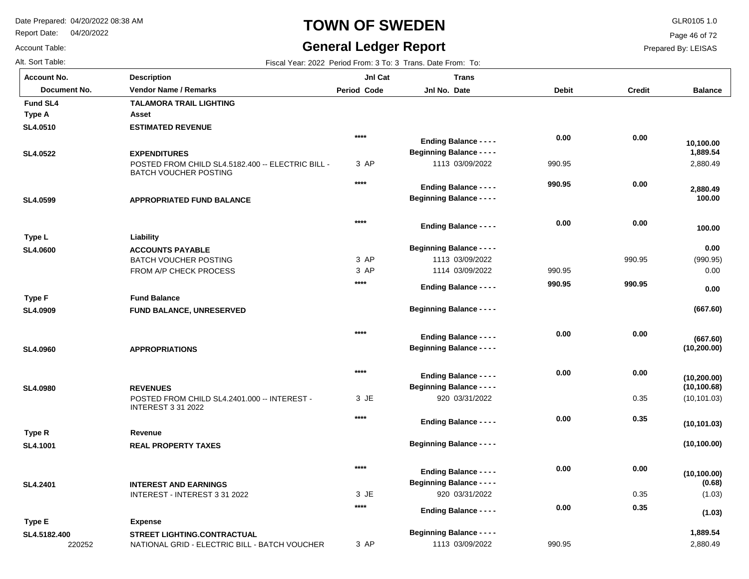Report Date: 04/20/2022

# **TOWN OF SWEDEN** GLR0105 1.0

## **General Ledger Report**

**Balance**

2,880.49

 **100.00** 

 **100.00** 

 **2,880.49** 

 **1,889.54** 

 **10,100.00** 

(990.95) 0.00

**(667.60)**

**(667.60)**

 **0.00** 

 **0.00** 

(10,101.03)

**(10,100.00)**

**(10,100.00)**

**(10,101.03)**

**(10,100.68)**

**(10,200.00)**

**(10,200.00)**

(1.03)

**(0.68)**

Page 46 of 72

Prepared By: LEISAS

Account Table: Alt. Sort Table: Fiscal Year: 2022 Period From: 3 To: 3 Trans. Date From: To: **Account No.**

**SL4.0510**

**Fund SL4** 

**Type A**

**SL4.0522**

**SL4.0599**

**SL4.0600**

**Type L**

**SL4.0909**

**Type F**

**SL4.0960**

**SL4.0980**

**SL4.1001**

**Type R**

**SL4.2401**

| unt No.      | <b>Description</b>                                                                | JnI Cat     | <b>Trans</b>                     |              |               |
|--------------|-----------------------------------------------------------------------------------|-------------|----------------------------------|--------------|---------------|
| Document No. | <b>Vendor Name / Remarks</b>                                                      | Period Code | Jnl No. Date                     | <b>Debit</b> | <b>Credit</b> |
| I SL4        | <b>TALAMORA TRAIL LIGHTING</b>                                                    |             |                                  |              |               |
| : A          | Asset                                                                             |             |                                  |              |               |
| )510         | <b>ESTIMATED REVENUE</b>                                                          |             |                                  |              |               |
|              |                                                                                   | $****$      | <b>Ending Balance - - - -</b>    | 0.00         | 0.00          |
| )522         | <b>EXPENDITURES</b>                                                               |             | <b>Beginning Balance - - - -</b> |              |               |
|              | POSTED FROM CHILD SL4.5182.400 -- ELECTRIC BILL -<br><b>BATCH VOUCHER POSTING</b> | 3 AP        | 1113 03/09/2022                  | 990.95       |               |
|              |                                                                                   | ****        | <b>Ending Balance - - - -</b>    | 990.95       | 0.00          |
| )599         | APPROPRIATED FUND BALANCE                                                         |             | <b>Beginning Balance - - - -</b> |              |               |
|              |                                                                                   | $****$      | <b>Ending Balance - - - -</b>    | 0.00         | 0.00          |
| ۱L           | Liability                                                                         |             |                                  |              |               |
| 000          | <b>ACCOUNTS PAYABLE</b>                                                           |             | <b>Beginning Balance - - - -</b> |              |               |
|              | <b>BATCH VOUCHER POSTING</b>                                                      | 3 AP        | 1113 03/09/2022                  |              | 990.95        |
|              | FROM A/P CHECK PROCESS                                                            | 3 AP        | 1114 03/09/2022                  | 990.95       |               |
|              |                                                                                   | $****$      | <b>Ending Balance - - - -</b>    | 990.95       | 990.95        |
| ۱F           | <b>Fund Balance</b>                                                               |             |                                  |              |               |
| )909         | FUND BALANCE, UNRESERVED                                                          |             | <b>Beginning Balance - - - -</b> |              |               |
|              |                                                                                   | $****$      | <b>Ending Balance - - - -</b>    | 0.00         | 0.00          |
| )960         | <b>APPROPRIATIONS</b>                                                             |             | <b>Beginning Balance - - - -</b> |              |               |
|              |                                                                                   | $****$      | <b>Ending Balance - - - -</b>    | 0.00         | 0.00          |
|              | <b>REVENUES</b>                                                                   |             | <b>Beginning Balance - - - -</b> |              |               |
| )980         | POSTED FROM CHILD SL4.2401.000 -- INTEREST -<br><b>INTEREST 3 31 2022</b>         | 3 JE        | 920 03/31/2022                   |              | 0.35          |
|              |                                                                                   | $****$      | <b>Ending Balance - - - -</b>    | 0.00         | 0.35          |
| R            | Revenue                                                                           |             |                                  |              |               |
| 1001         | <b>REAL PROPERTY TAXES</b>                                                        |             | <b>Beginning Balance - - - -</b> |              |               |
|              |                                                                                   | $****$      | <b>Ending Balance - - - -</b>    | 0.00         | 0.00          |
|              |                                                                                   |             | <b>Beginning Balance - - - -</b> |              |               |
| 2401         | <b>INTEREST AND EARNINGS</b><br>INTEREST - INTEREST 3 31 2022                     | 3 JE        | 920 03/31/2022                   |              | 0.35          |
|              |                                                                                   | $****$      | <b>Providence</b> Products       | 0.00         | 0.35          |
|              |                                                                                   |             |                                  |              |               |

220252 NATIONAL GRID - ELECTRIC BILL - BATCH VOUCHER **STREET LIGHTING.CONTRACTUAL SL4.5182.400** 3 AP 1113 03/09/2022 2,880.49 990.95  **1,889.54 Expense Type E (1.03) Beginning Balance - - - - Ending Balance - - - -**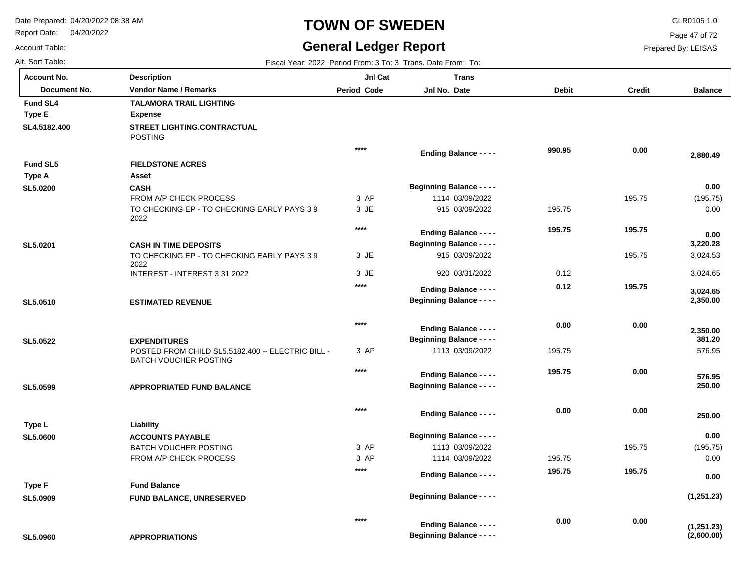Report Date: 04/20/2022

# **TOWN OF SWEDEN** GLR0105 1.0

## **General Ledger Report**

**Balance**

(195.75) 0.00

 **2,880.49** 

 **0.00** 

 3,024.53 3,024.65

 **2,350.00** 

 **3,024.65** 

 **3,220.28** 

 **0.00** 

576.95

 **250.00** 

 **250.00** 

 **576.95** 

 **381.20** 

 **2,350.00** 

(195.75) 0.00

**(1,251.23)**

 **0.00** 

 **0.00** 

Page 47 of 72

Prepared By: LEISAS

Account Table: Alt. Sort Table: Fiscal Year: 2022 Period From: 3 To: 3 Trans. Date From: To: 3 Trans. Date From: To: 3 Trans. Date From: To:

**SL5.0960**

| <b>Account No.</b> | <b>Description</b>                                                       | JnI Cat            | <b>Trans</b>                     |              |               |
|--------------------|--------------------------------------------------------------------------|--------------------|----------------------------------|--------------|---------------|
| Document No.       | <b>Vendor Name / Remarks</b>                                             | <b>Period Code</b> | Jnl No. Date                     | <b>Debit</b> | <b>Credit</b> |
| <b>Fund SL4</b>    | <b>TALAMORA TRAIL LIGHTING</b>                                           |                    |                                  |              |               |
| Type E             | <b>Expense</b>                                                           |                    |                                  |              |               |
| SL4.5182.400       | STREET LIGHTING.CONTRACTUAL<br><b>POSTING</b>                            |                    |                                  |              |               |
|                    |                                                                          | $***$              | <b>Ending Balance - - - -</b>    | 990.95       | 0.00          |
| <b>Fund SL5</b>    | <b>FIELDSTONE ACRES</b>                                                  |                    |                                  |              |               |
| <b>Type A</b>      | Asset                                                                    |                    |                                  |              |               |
| <b>SL5.0200</b>    | <b>CASH</b>                                                              |                    | <b>Beginning Balance - - - -</b> |              |               |
|                    | FROM A/P CHECK PROCESS                                                   | 3 AP               | 1114 03/09/2022                  |              | 195.75        |
|                    | TO CHECKING EP - TO CHECKING EARLY PAYS 39<br>2022                       | 3 JE               | 915 03/09/2022                   | 195.75       |               |
|                    |                                                                          | $****$             | <b>Ending Balance - - - -</b>    | 195.75       | 195.75        |
| SL5.0201           | <b>CASH IN TIME DEPOSITS</b>                                             |                    | <b>Beginning Balance - - - -</b> |              |               |
|                    | TO CHECKING EP - TO CHECKING EARLY PAYS 39<br>2022                       | 3 JE               | 915 03/09/2022                   |              | 195.75        |
|                    | INTEREST - INTEREST 3 31 2022                                            | 3 JE               | 920 03/31/2022                   | 0.12         |               |
|                    |                                                                          | ****               | <b>Ending Balance - - - -</b>    | 0.12         | 195.75        |
| SL5.0510           | <b>ESTIMATED REVENUE</b>                                                 |                    | <b>Beginning Balance - - - -</b> |              |               |
|                    |                                                                          |                    |                                  |              |               |
|                    |                                                                          | $****$             | <b>Ending Balance - - - -</b>    | 0.00         | 0.00          |
|                    |                                                                          |                    | <b>Beginning Balance - - - -</b> |              |               |
| SL5.0522           | <b>EXPENDITURES</b><br>POSTED FROM CHILD SL5.5182.400 -- ELECTRIC BILL - | 3 AP               | 1113 03/09/2022                  | 195.75       |               |
|                    | <b>BATCH VOUCHER POSTING</b>                                             |                    |                                  |              |               |
|                    |                                                                          | $****$             | <b>Ending Balance - - - -</b>    | 195.75       | 0.00          |
| SL5.0599           | <b>APPROPRIATED FUND BALANCE</b>                                         |                    | <b>Beginning Balance - - - -</b> |              |               |
|                    |                                                                          |                    |                                  |              |               |
|                    |                                                                          | $****$             | <b>Ending Balance - - - -</b>    | 0.00         | 0.00          |
| Type L             | Liability                                                                |                    |                                  |              |               |
| <b>SL5.0600</b>    | <b>ACCOUNTS PAYABLE</b>                                                  |                    | <b>Beginning Balance - - - -</b> |              |               |
|                    | BATCH VOUCHER POSTING                                                    | 3 AP               | 1113 03/09/2022                  |              | 195.75        |
|                    | FROM A/P CHECK PROCESS                                                   | 3 AP               | 1114 03/09/2022                  | 195.75       |               |
|                    |                                                                          | $***$              | <b>Ending Balance - - - -</b>    | 195.75       | 195.75        |
| <b>Type F</b>      | <b>Fund Balance</b>                                                      |                    |                                  |              |               |
| SL5.0909           | <b>FUND BALANCE, UNRESERVED</b>                                          |                    | <b>Beginning Balance - - - -</b> |              |               |

**APPROPRIATIONS (2,600.00) (1,251.23) 0.00 0.00 \*\*\*\* Beginning Balance - - - - Ending Balance - - - -**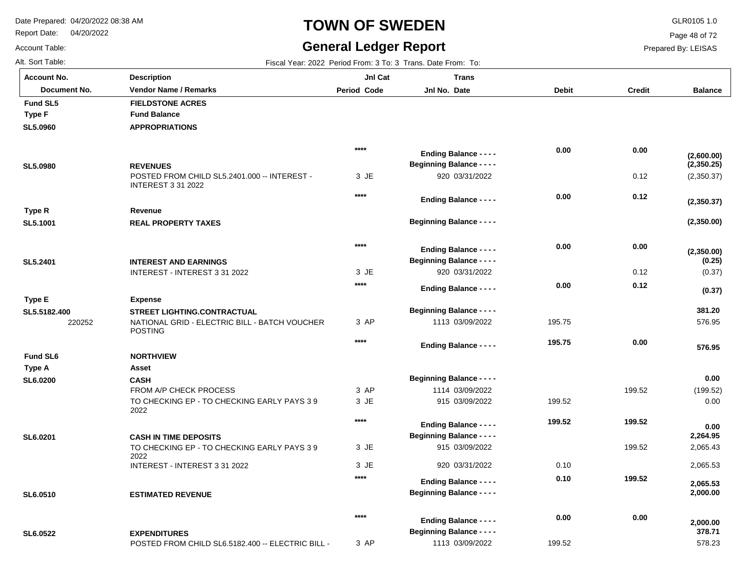Report Date: 04/20/2022

# **TOWN OF SWEDEN** GLR0105 1.0

## **General Ledger Report**

**Balance**

(2,350.37)

**(2,350.00)**

**(2,350.00)**

**(2,350.37)**

**(2,350.25)**

**(2,600.00)**

(0.37)

**(0.37)**

**(0.25)**

576.95

 **576.95** 

 **381.20** 

(199.52) 0.00

 **0.00** 

 2,065.43 2,065.53

 **2,000.00** 

 **2,065.53** 

 **2,264.95** 

 **0.00** 

578.23

 **378.71** 

 **2,000.00** 

Page 48 of 72

Prepared By: LEISAS

 **0.00** 

199.52

 **0.00** 

Account Table: Alt. Sort Table: Fiscal Year: 2022 Period From: 3 To: 3 Trans. Date From: To: 3 Trans. Date From: To: 3 Trans. Date From: To: **Account No.**

**SL5.0960**

**Fund SL5**

**Type F**

**SL5.0980**

**SL5.1001**

**Type R**

**SL5.2401**

**Type E**

**SL5.5182.400**

**SL6.0200**

**Type A**

**Fund SL6**

**SL6.0201**

**SL6.0510**

**SL6.0522**

| unt No.      | <b>Description</b>                                                        | JnI Cat     | <b>Trans</b>                     |              |               |
|--------------|---------------------------------------------------------------------------|-------------|----------------------------------|--------------|---------------|
| Document No. | <b>Vendor Name / Remarks</b>                                              | Period Code | Jnl No. Date                     | <b>Debit</b> | <b>Credit</b> |
| I SL5        | <b>FIELDSTONE ACRES</b>                                                   |             |                                  |              |               |
| ۰F           | <b>Fund Balance</b>                                                       |             |                                  |              |               |
| )960         | <b>APPROPRIATIONS</b>                                                     |             |                                  |              |               |
|              |                                                                           | $****$      | <b>Ending Balance - - - -</b>    | 0.00         | 0.00          |
| )980         | <b>REVENUES</b>                                                           |             | <b>Beginning Balance - - - -</b> |              |               |
|              | POSTED FROM CHILD SL5.2401.000 -- INTEREST -<br><b>INTEREST 3 31 2022</b> | 3 JE        | 920 03/31/2022                   |              | 0.12          |
|              |                                                                           | $****$      | <b>Ending Balance - - - -</b>    | 0.00         | 0.12          |
| ۱R.          | Revenue                                                                   |             |                                  |              |               |
| 1001         | <b>REAL PROPERTY TAXES</b>                                                |             | <b>Beginning Balance - - - -</b> |              |               |
|              |                                                                           | ****        | <b>Ending Balance - - - -</b>    | 0.00         | 0.00          |
| 2401         | <b>INTEREST AND EARNINGS</b>                                              |             | <b>Beginning Balance - - - -</b> |              |               |
|              | INTEREST - INTEREST 3 31 2022                                             | 3 JE        | 920 03/31/2022                   |              | 0.12          |
|              |                                                                           | ****        | <b>Ending Balance - - - -</b>    | 0.00         | 0.12          |
| ۰E           | <b>Expense</b>                                                            |             |                                  |              |               |
| 5182.400     | <b>STREET LIGHTING.CONTRACTUAL</b>                                        |             | <b>Beginning Balance - - - -</b> |              |               |
| 220252       | NATIONAL GRID - ELECTRIC BILL - BATCH VOUCHER<br><b>POSTING</b>           | 3 AP        | 1113 03/09/2022                  | 195.75       |               |
|              |                                                                           | ****        | <b>Ending Balance - - - -</b>    | 195.75       | 0.00          |
| I SL6        | <b>NORTHVIEW</b>                                                          |             |                                  |              |               |
| ۰A           | Asset                                                                     |             |                                  |              |               |
| )200         | <b>CASH</b>                                                               |             | <b>Beginning Balance - - - -</b> |              |               |
|              | FROM A/P CHECK PROCESS                                                    | 3 AP        | 1114 03/09/2022                  |              | 199.52        |
|              | TO CHECKING EP - TO CHECKING EARLY PAYS 39<br>2022                        | 3 JE        | 915 03/09/2022                   | 199.52       |               |
|              |                                                                           | ****        | <b>Ending Balance - - - -</b>    | 199.52       | 199.52        |
| )201         | <b>CASH IN TIME DEPOSITS</b>                                              |             | <b>Beginning Balance - - - -</b> |              |               |
|              | TO CHECKING EP - TO CHECKING EARLY PAYS 39<br>2022                        | 3 JE        | 915 03/09/2022                   |              | 199.52        |
|              | INTEREST - INTEREST 3 31 2022                                             | 3 JE        | 920 03/31/2022                   | 0.10         |               |
|              |                                                                           | ****        | <b>Ending Balance - - - -</b>    | 0.10         | 199.52        |
| )510         | <b>ESTIMATED REVENUE</b>                                                  |             | <b>Beginning Balance - - - -</b> |              |               |

3 AP

**\*\*\*\***

1113 03/09/2022

**Beginning Balance - - - -**

**Ending Balance - - - -**

POSTED FROM CHILD SL6.5182.400 -- ELECTRIC BILL -

**EXPENDITURES**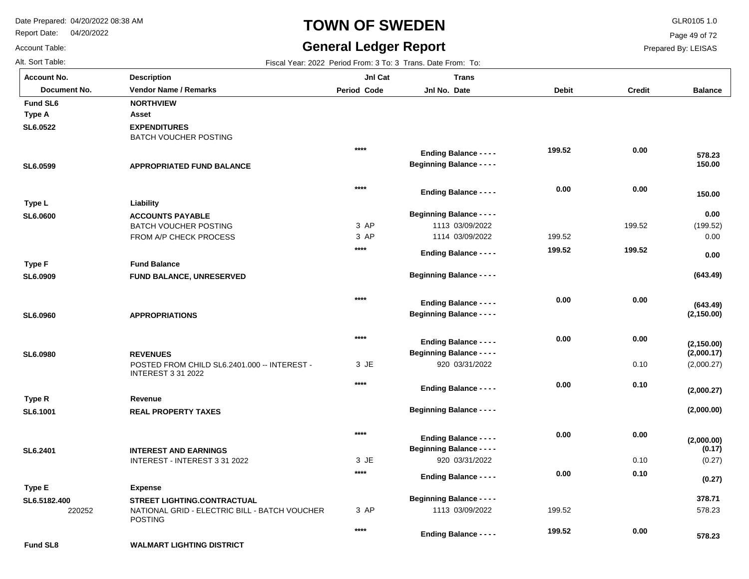Report Date: 04/20/2022

# **TOWN OF SWEDEN** GLR0105 1.0

## **General Ledger Report**

**Balance**

(199.52) 0.00

**(643.49)**

 **0.00** 

 **0.00** 

 **150.00** 

 **150.00** 

 **578.23** 

(2,000.27)

**(2,000.00)**

**(2,000.00)**

**(2,000.27)**

**(2,000.17)**

**(2,150.00)**

**(2,150.00)**

**(643.49)**

(0.27)

**(0.27)**

**(0.17)**

578.23

 **578.23** 

 **0.00** 

 **378.71** 

Page 49 of 72

Prepared By: LEISAS

Account Table: Alt. Sort Table: Fiscal Year: 2022 Period From: 3 To: 3 Trans. Date From: To: 3 Trans. Date From: To: 3 Trans. Date From: To: **Account No.**

| <b>Account No.</b> | Description                                                               | JnI Cat     | Trans                            |              |               |
|--------------------|---------------------------------------------------------------------------|-------------|----------------------------------|--------------|---------------|
| Document No.       | <b>Vendor Name / Remarks</b>                                              | Period Code | Jnl No. Date                     | <b>Debit</b> | <b>Credit</b> |
| Fund SL6           | <b>NORTHVIEW</b>                                                          |             |                                  |              |               |
| Type A             | Asset                                                                     |             |                                  |              |               |
| SL6.0522           | <b>EXPENDITURES</b><br><b>BATCH VOUCHER POSTING</b>                       |             |                                  |              |               |
|                    |                                                                           | $****$      | <b>Ending Balance - - - -</b>    | 199.52       | 0.00          |
| SL6.0599           | <b>APPROPRIATED FUND BALANCE</b>                                          |             | <b>Beginning Balance - - - -</b> |              |               |
|                    |                                                                           | ****        | <b>Ending Balance - - - -</b>    | 0.00         | 0.00          |
| Type L             | Liability                                                                 |             |                                  |              |               |
| <b>SL6.0600</b>    | <b>ACCOUNTS PAYABLE</b>                                                   |             | <b>Beginning Balance - - - -</b> |              |               |
|                    | <b>BATCH VOUCHER POSTING</b>                                              | 3 AP        | 1113 03/09/2022                  |              | 199.52        |
|                    | FROM A/P CHECK PROCESS                                                    | 3 AP        | 1114 03/09/2022                  | 199.52       |               |
|                    |                                                                           | ****        | <b>Ending Balance - - - -</b>    | 199.52       | 199.52        |
| <b>Type F</b>      | <b>Fund Balance</b>                                                       |             |                                  |              |               |
| SL6.0909           | FUND BALANCE, UNRESERVED                                                  |             | <b>Beginning Balance - - - -</b> |              |               |
|                    |                                                                           | $***$       | <b>Ending Balance - - - -</b>    | 0.00         | 0.00          |
| SL6.0960           | <b>APPROPRIATIONS</b>                                                     |             | <b>Beginning Balance - - - -</b> |              |               |
|                    |                                                                           | $****$      |                                  |              |               |
|                    |                                                                           |             | <b>Ending Balance - - - -</b>    | 0.00         | 0.00          |
| <b>SL6.0980</b>    | <b>REVENUES</b>                                                           |             | <b>Beginning Balance - - - -</b> |              |               |
|                    | POSTED FROM CHILD SL6.2401.000 -- INTEREST -<br><b>INTEREST 3 31 2022</b> | 3 JE        | 920 03/31/2022                   |              | 0.10          |
|                    |                                                                           | $***$       | <b>Ending Balance - - - -</b>    | 0.00         | 0.10          |
| Type R             | Revenue                                                                   |             |                                  |              |               |
| SL6.1001           | <b>REAL PROPERTY TAXES</b>                                                |             | <b>Beginning Balance - - - -</b> |              |               |
|                    |                                                                           | $***$       | <b>Ending Balance - - - -</b>    | 0.00         | 0.00          |
| SL6.2401           | <b>INTEREST AND EARNINGS</b>                                              |             | <b>Beginning Balance - - - -</b> |              |               |
|                    | INTEREST - INTEREST 3 31 2022                                             | 3 JE        | 920 03/31/2022                   |              | 0.10          |
|                    |                                                                           | $***$       | <b>Ending Balance - - - -</b>    | 0.00         | 0.10          |
| Type E             | <b>Expense</b>                                                            |             |                                  |              |               |
| SL6.5182.400       | <b>STREET LIGHTING.CONTRACTUAL</b>                                        |             | <b>Beginning Balance - - - -</b> |              |               |

3 AP

**\*\*\*\***

1113 03/09/2022

**Ending Balance - - - -**

199.52

 **199.52** 

**Fund SL8**

220252

POSTING

**WALMART LIGHTING DISTRICT**

NATIONAL GRID - ELECTRIC BILL - BATCH VOUCHER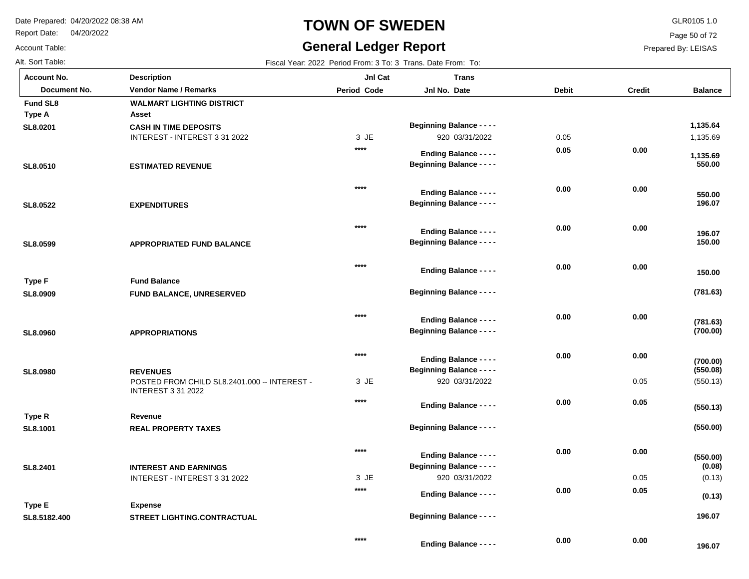**Fund SL8 WALMART LIGHTING DISTRICT**

**Description**

Report Date: 04/20/2022

### Account Table:

**Account No.**

## **TOWN OF SWEDEN** GLR0105 1.0

## **General Ledger Report**

Page 50 of 72

**Balance**

### Prepared By: LEISAS

Alt. Sort Table: Fiscal Year: 2022 Period From: 3 To: 3 Trans. Date From: To: **Jnl Cat**

**Jnl No. Date** 

**Trans**

**Document No. Vendor Name / Remarks Period Jnl No. Debit Credit**

**Period Code** 

| Type A        | Asset                                                                     |        |                                                                   |      |      |                    |
|---------------|---------------------------------------------------------------------------|--------|-------------------------------------------------------------------|------|------|--------------------|
| SL8.0201      | <b>CASH IN TIME DEPOSITS</b>                                              |        | <b>Beginning Balance - - - -</b>                                  |      |      | 1,135.64           |
|               | INTEREST - INTEREST 3 31 2022                                             | 3 JE   | 920 03/31/2022                                                    | 0.05 |      | 1,135.69           |
|               |                                                                           | ****   | <b>Ending Balance - - - -</b>                                     | 0.05 | 0.00 |                    |
| SL8.0510      | <b>ESTIMATED REVENUE</b>                                                  |        | <b>Beginning Balance - - - -</b>                                  |      |      | 1,135.69<br>550.00 |
|               |                                                                           |        |                                                                   |      |      |                    |
|               |                                                                           | $***$  |                                                                   | 0.00 | 0.00 |                    |
|               |                                                                           |        | <b>Ending Balance - - - -</b>                                     |      |      | 550.00             |
| SL8.0522      | <b>EXPENDITURES</b>                                                       |        | <b>Beginning Balance - - - -</b>                                  |      |      | 196.07             |
|               |                                                                           | $****$ |                                                                   | 0.00 | 0.00 |                    |
|               |                                                                           |        | <b>Ending Balance - - - -</b>                                     |      |      | 196.07             |
| SL8.0599      | <b>APPROPRIATED FUND BALANCE</b>                                          |        | <b>Beginning Balance - - - -</b>                                  |      |      | 150.00             |
|               |                                                                           | $***$  |                                                                   | 0.00 | 0.00 |                    |
|               |                                                                           |        | <b>Ending Balance - - - -</b>                                     |      |      | 150.00             |
| <b>Type F</b> | <b>Fund Balance</b>                                                       |        |                                                                   |      |      |                    |
| SL8.0909      | <b>FUND BALANCE, UNRESERVED</b>                                           |        | <b>Beginning Balance - - - -</b>                                  |      |      | (781.63)           |
|               |                                                                           | $****$ |                                                                   | 0.00 | 0.00 |                    |
|               |                                                                           |        | <b>Ending Balance - - - -</b>                                     |      |      | (781.63)           |
| SL8.0960      | <b>APPROPRIATIONS</b>                                                     |        | <b>Beginning Balance - - - -</b>                                  |      |      | (700.00)           |
|               |                                                                           | $***$  |                                                                   | 0.00 | 0.00 |                    |
|               |                                                                           |        | <b>Ending Balance - - - -</b><br><b>Beginning Balance - - - -</b> |      |      | (700.00)           |
| SL8.0980      | <b>REVENUES</b>                                                           |        |                                                                   |      |      | (550.08)           |
|               | POSTED FROM CHILD SL8.2401.000 -- INTEREST -<br><b>INTEREST 3 31 2022</b> | 3 JE   | 920 03/31/2022                                                    |      | 0.05 | (550.13)           |
|               |                                                                           | $****$ | <b>Ending Balance - - - -</b>                                     | 0.00 | 0.05 |                    |
| Type R        | Revenue                                                                   |        |                                                                   |      |      | (550.13)           |
| SL8.1001      | <b>REAL PROPERTY TAXES</b>                                                |        | <b>Beginning Balance - - - -</b>                                  |      |      | (550.00)           |
|               |                                                                           |        |                                                                   |      |      |                    |
|               |                                                                           | $****$ | <b>Ending Balance - - - -</b>                                     | 0.00 | 0.00 | (550.00)           |
| SL8.2401      | <b>INTEREST AND EARNINGS</b>                                              |        | <b>Beginning Balance - - - -</b>                                  |      |      | (0.08)             |
|               | INTEREST - INTEREST 3 31 2022                                             | 3 JE   | 920 03/31/2022                                                    |      | 0.05 | (0.13)             |

**STREET LIGHTING.CONTRACTUAL SL8.5182.400 Expense Type E**

**\*\*\*\***

JE 3

**\*\*\*\***

**Ending Balance - - - -**

920 03/31/2022

**Ending Balance - - - -**

**Beginning Balance - - - -**

 **196.07** 

 **196.07** 

 **0.05** 

 **0.00** 

 **0.00** 

 **0.00** 

**(0.13)**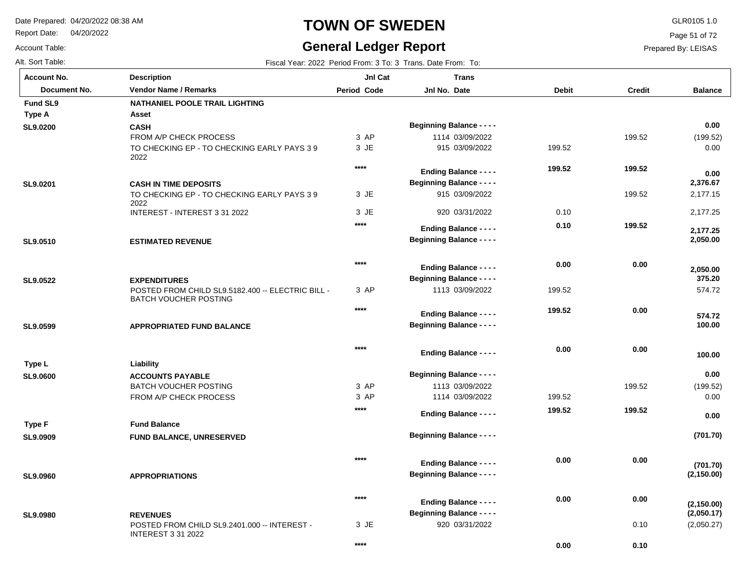Report Date: 04/20/2022

Account Table:

**SL9.0200**

**Type A**

**SL9.0201**

**SL9.0510**

**SL9.0522**

**SL9.0599**

**SL9.0600**

**Type L**

**SL9.0909**

**Type F**

**SL9.0960**

**SL9.0980**

# **TOWN OF SWEDEN** GLR0105 1.0

Alt. Sort Table: Fiscal Year: 2022 Period From: 3 To: 3 Trans. Date From: To: 3 Trans. Date From: To: 3 Trans. Date From: To:

POSTED FROM CHILD SL9.2401.000 -- INTEREST -

INTEREST 3 31 2022

## **General Ledger Report**

**Balance**

(199.52) 0.00

 **0.00** 

 **0.00** 

 2,177.15 2,177.25

 **2,050.00** 

 **2,177.25** 

 **2,376.67** 

574.72

 **100.00** 

 **100.00** 

 **574.72** 

 **375.20** 

 **2,050.00** 

(199.52) 0.00

**(701.70)**

 **0.00** 

 **0.00** 

(2,050.27)

**(2,050.17)**

**(2,150.00)**

**(2,150.00)**

**(701.70)**

Page 51 of 72

Prepared By: LEISAS

0.10

 **0.10** 

 **0.00** 

| <b>Account No.</b> |
|--------------------|
| Document No.       |
| <b>Fund SL9</b>    |

| unt No.      | <b>Description</b>                                                                                       | JnI Cat     | <b>Trans</b>                                                      |              |               |
|--------------|----------------------------------------------------------------------------------------------------------|-------------|-------------------------------------------------------------------|--------------|---------------|
| Document No. | <b>Vendor Name / Remarks</b>                                                                             | Period Code | Jnl No. Date                                                      | <b>Debit</b> | <b>Credit</b> |
| I SL9        | <b>NATHANIEL POOLE TRAIL LIGHTING</b>                                                                    |             |                                                                   |              |               |
| ۱A           | Asset                                                                                                    |             |                                                                   |              |               |
| )200         | <b>CASH</b>                                                                                              |             | <b>Beginning Balance - - - -</b>                                  |              |               |
|              | FROM A/P CHECK PROCESS                                                                                   | 3 AP        | 1114 03/09/2022                                                   |              | 199.52        |
|              | TO CHECKING EP - TO CHECKING EARLY PAYS 39<br>2022                                                       | 3 JE        | 915 03/09/2022                                                    | 199.52       |               |
|              |                                                                                                          | $****$      | <b>Ending Balance - - - -</b>                                     | 199.52       | 199.52        |
| )201         | <b>CASH IN TIME DEPOSITS</b>                                                                             |             | <b>Beginning Balance - - - -</b>                                  |              |               |
|              | TO CHECKING EP - TO CHECKING EARLY PAYS 39<br>2022                                                       | 3 JE        | 915 03/09/2022                                                    |              | 199.52        |
|              | INTEREST - INTEREST 3 31 2022                                                                            | 3 JE        | 920 03/31/2022                                                    | 0.10         |               |
|              |                                                                                                          | $****$      | <b>Ending Balance - - - -</b>                                     | 0.10         | 199.52        |
| )510         | <b>ESTIMATED REVENUE</b>                                                                                 |             | <b>Beginning Balance - - - -</b>                                  |              |               |
|              |                                                                                                          |             |                                                                   |              |               |
|              |                                                                                                          | $****$      |                                                                   | 0.00         | 0.00          |
|              |                                                                                                          |             | <b>Ending Balance - - - -</b><br><b>Beginning Balance - - - -</b> |              |               |
| )522         | <b>EXPENDITURES</b><br>POSTED FROM CHILD SL9.5182.400 -- ELECTRIC BILL -<br><b>BATCH VOUCHER POSTING</b> | 3 AP        | 1113 03/09/2022                                                   | 199.52       |               |
|              |                                                                                                          | $****$      |                                                                   | 199.52       | 0.00          |
|              |                                                                                                          |             | <b>Ending Balance - - - -</b><br><b>Beginning Balance - - - -</b> |              |               |
| )599         | <b>APPROPRIATED FUND BALANCE</b>                                                                         |             |                                                                   |              |               |
|              |                                                                                                          | $****$      |                                                                   | 0.00         | 0.00          |
|              |                                                                                                          |             | <b>Ending Balance - - - -</b>                                     |              |               |
| ۱L           | Liability                                                                                                |             | <b>Beginning Balance - - - -</b>                                  |              |               |
| 000          | <b>ACCOUNTS PAYABLE</b><br><b>BATCH VOUCHER POSTING</b>                                                  | 3 AP        | 1113 03/09/2022                                                   |              | 199.52        |
|              | FROM A/P CHECK PROCESS                                                                                   | 3 AP        | 1114 03/09/2022                                                   | 199.52       |               |
|              |                                                                                                          | $****$      |                                                                   | 199.52       | 199.52        |
|              |                                                                                                          |             | <b>Ending Balance - - - -</b>                                     |              |               |
| ۰F           | <b>Fund Balance</b>                                                                                      |             |                                                                   |              |               |
| )909         | FUND BALANCE, UNRESERVED                                                                                 |             | <b>Beginning Balance - - - -</b>                                  |              |               |
|              |                                                                                                          | $***$       | <b>Ending Balance - - - -</b>                                     | 0.00         | 0.00          |
| )960         | <b>APPROPRIATIONS</b>                                                                                    |             | <b>Beginning Balance - - - -</b>                                  |              |               |
|              |                                                                                                          |             |                                                                   |              |               |
|              |                                                                                                          | $****$      | <b>Ending Balance - - - -</b>                                     | 0.00         | 0.00          |
| )980         | <b>REVENUES</b>                                                                                          |             | <b>Beginning Balance - - - -</b>                                  |              |               |

JE 3

**\*\*\*\***

920 03/31/2022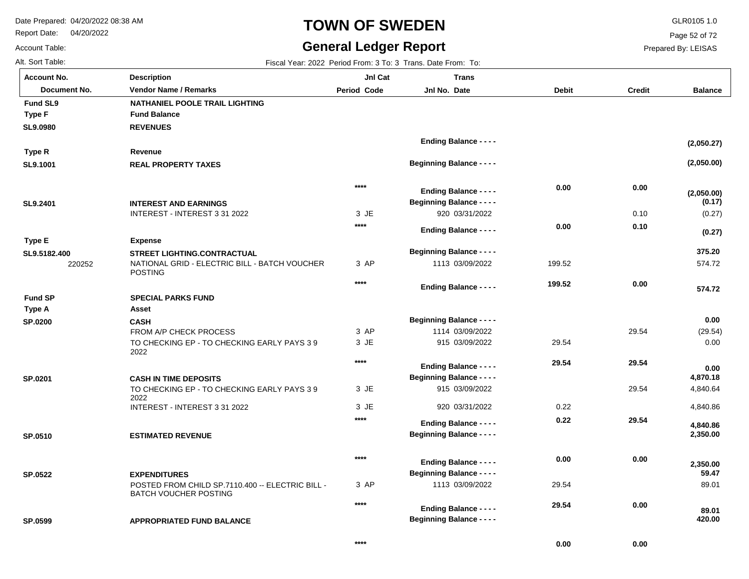Report Date: 04/20/2022

# **TOWN OF SWEDEN** GLR0105 1.0

## **General Ledger Report** Fiscal Year: 2022 Period From: 3 To: 3 Trans. Date From: To:

**Balance**

(0.27)

**(0.27)**

**(0.17)**

**(2,050.00)**

**(2,050.00)**

**(2,050.27)**

574.72

 **574.72** 

 **375.20** 

(29.54) 0.00

 **0.00** 

 **0.00** 

 4,840.64 4,840.86

 **2,350.00** 

 **2,350.00** 

 **4,840.86** 

 **4,870.18** 

89.01

 **420.00** 

 **89.01** 

 **59.47** 

Page 52 of 72

Prepared By: LEISAS

 **29.54** 

 **0.00** 

 **0.00** 

| <b>Account No.</b> |
|--------------------|
| Alt. Sort Table:   |
| Account Table:     |

**SL9.0980**

**Fund SL9**

**Type F**

**SL9.1001**

**Type R**

**SL9.2401**

**Type E**

**SL9.5182.400**

**SP.0200**

**Type A**

**Fund SP**

**SP.0201**

| unt No.      | <b>Description</b>                                              | JnI Cat            | <b>Trans</b>                     |              |               |
|--------------|-----------------------------------------------------------------|--------------------|----------------------------------|--------------|---------------|
| Document No. | <b>Vendor Name / Remarks</b>                                    | <b>Period Code</b> | Jnl No. Date                     | <b>Debit</b> | <b>Credit</b> |
| I SL9        | <b>NATHANIEL POOLE TRAIL LIGHTING</b>                           |                    |                                  |              |               |
| F            | <b>Fund Balance</b>                                             |                    |                                  |              |               |
| )980         | <b>REVENUES</b>                                                 |                    |                                  |              |               |
|              |                                                                 |                    | <b>Ending Balance - - - -</b>    |              |               |
| ۱R.          | Revenue                                                         |                    |                                  |              |               |
| 1001         | <b>REAL PROPERTY TAXES</b>                                      |                    | <b>Beginning Balance - - - -</b> |              |               |
|              |                                                                 | $***$              | <b>Ending Balance - - - -</b>    | 0.00         | 0.00          |
| 2401         | <b>INTEREST AND EARNINGS</b>                                    |                    | <b>Beginning Balance - - - -</b> |              |               |
|              | INTEREST - INTEREST 3 31 2022                                   | 3 JE               | 920 03/31/2022                   |              | 0.10          |
|              |                                                                 | ****               | <b>Ending Balance - - - -</b>    | 0.00         | 0.10          |
| Е            | <b>Expense</b>                                                  |                    |                                  |              |               |
| 5182.400     | <b>STREET LIGHTING.CONTRACTUAL</b>                              |                    | <b>Beginning Balance - - - -</b> |              |               |
| 220252       | NATIONAL GRID - ELECTRIC BILL - BATCH VOUCHER<br><b>POSTING</b> | 3 AP               | 1113 03/09/2022                  | 199.52       |               |
|              |                                                                 | $****$             | <b>Ending Balance - - - -</b>    | 199.52       | 0.00          |
| <b>SP</b>    | <b>SPECIAL PARKS FUND</b>                                       |                    |                                  |              |               |
| ۰A           | Asset                                                           |                    |                                  |              |               |
| 200          | <b>CASH</b>                                                     |                    | <b>Beginning Balance - - - -</b> |              |               |
|              | FROM A/P CHECK PROCESS                                          | 3 AP               | 1114 03/09/2022                  |              | 29.54         |
|              | TO CHECKING EP - TO CHECKING EARLY PAYS 39<br>2022              | 3 JE               | 915 03/09/2022                   | 29.54        |               |
|              |                                                                 | $****$             | <b>Ending Balance - - - -</b>    | 29.54        | 29.54         |
| 201          | <b>CASH IN TIME DEPOSITS</b>                                    |                    | <b>Beginning Balance - - - -</b> |              |               |
|              | TO CHECKING EP - TO CHECKING EARLY PAYS 39                      | 3 JE               | 915 03/09/2022                   |              | 29.54         |

**\*\*\*\***

| SP.0599 | <b>APPROPRIATED FUND BALANCE</b>                                                 |      | <b>Ending Balance - - - -</b><br><b>Beginning Balance - - - -</b> |
|---------|----------------------------------------------------------------------------------|------|-------------------------------------------------------------------|
|         |                                                                                  | **** |                                                                   |
|         | POSTED FROM CHILD SP.7110.400 -- ELECTRIC BILL -<br><b>BATCH VOUCHER POSTING</b> | 3 AP | 1113 03/09/2022                                                   |
| SP.0522 | <b>EXPENDITURES</b>                                                              | **** | <b>Ending Balance - - - -</b><br><b>Beginning Balance - - - -</b> |
| SP.0510 | <b>ESTIMATED REVENUE</b>                                                         |      | <b>Ending Balance - - - -</b><br><b>Beginning Balance - - - -</b> |
|         |                                                                                  | **** |                                                                   |
|         | 2022<br>INTEREST - INTEREST 3 31 2022                                            | 3 JE | 920 03/31/2022                                                    |

0.22

 **0.22** 

29.54

 **29.54** 

 **0.00** 

 **0.00**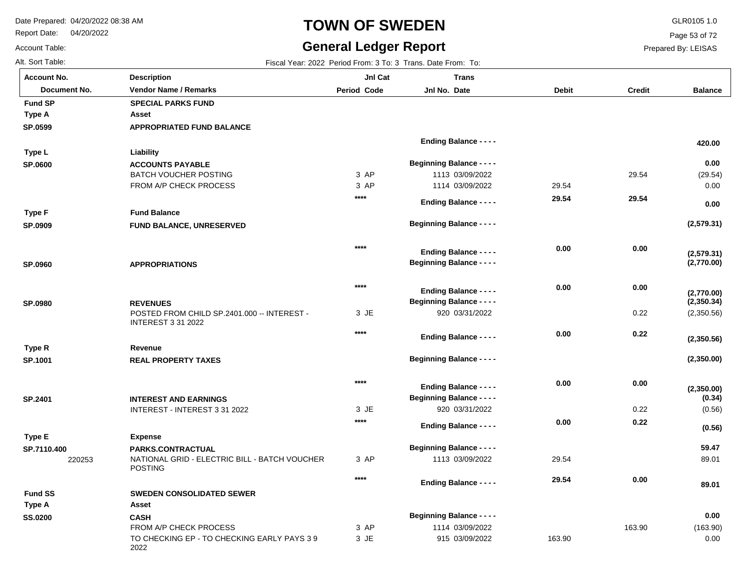**Asset**

Report Date: 04/20/2022

# **TOWN OF SWEDEN** GLR0105 1.0

## **General Ledger Report** Fiscal Year: 2022 Period From: 3 To: 3 Trans. Date From: To:

**Balance**

(29.54) 0.00

 **0.00** 

**(2,579.31)**

**(2,770.00)**

**(2,579.31)**

 **0.00** 

 **420.00** 

(2,350.56)

**(2,350.00)**

**(2,350.00)**

**(2,350.56)**

**(2,350.34)**

**(2,770.00)**

(0.56)

**(0.56)**

**(0.34)**

89.01

 **89.01** 

 **59.47** 

Page 53 of 72

Prepared By: LEISAS

| <b>Account No.</b> |
|--------------------|
| Alt. Sort Table:   |
| Account Table:     |

**SP.0599**

**Type A**

**Fund SP**

**SP.0600**

**Type L**

**SP.0909**

**Type F**

**SP.0960**

**SP.0980**

**SP.1001**

**Type R**

**SP.2401**

**Type E**

**SP.7110.400**

**SS.0200**

**Type A**

**Fund SS**

| unt No.      | <b>Description</b>                                                       | JnI Cat            | <b>Trans</b>                     |              |               |
|--------------|--------------------------------------------------------------------------|--------------------|----------------------------------|--------------|---------------|
| Document No. | <b>Vendor Name / Remarks</b>                                             | <b>Period Code</b> | Jnl No. Date                     | <b>Debit</b> | <b>Credit</b> |
| I SP         | <b>SPECIAL PARKS FUND</b>                                                |                    |                                  |              |               |
| ۰A           | Asset                                                                    |                    |                                  |              |               |
| 599          | <b>APPROPRIATED FUND BALANCE</b>                                         |                    |                                  |              |               |
|              |                                                                          |                    | <b>Ending Balance - - - -</b>    |              |               |
| ۱L           | Liability                                                                |                    |                                  |              |               |
| 600          | <b>ACCOUNTS PAYABLE</b>                                                  |                    | <b>Beginning Balance - - - -</b> |              |               |
|              | <b>BATCH VOUCHER POSTING</b>                                             | 3 AP               | 1113 03/09/2022                  |              | 29.54         |
|              | FROM A/P CHECK PROCESS                                                   | 3 AP               | 1114 03/09/2022                  | 29.54        |               |
|              |                                                                          | $****$             | <b>Ending Balance - - - -</b>    | 29.54        | 29.54         |
| ۰F           | <b>Fund Balance</b>                                                      |                    |                                  |              |               |
| 909          | FUND BALANCE, UNRESERVED                                                 |                    | <b>Beginning Balance - - - -</b> |              |               |
|              |                                                                          |                    |                                  |              |               |
|              |                                                                          | $***$              |                                  | 0.00         | 0.00          |
|              |                                                                          |                    | <b>Ending Balance - - - -</b>    |              |               |
| 960          | <b>APPROPRIATIONS</b>                                                    |                    | <b>Beginning Balance - - - -</b> |              |               |
|              |                                                                          | $****$             |                                  | 0.00         | 0.00          |
|              |                                                                          |                    | <b>Ending Balance - - - -</b>    |              |               |
| 980          | <b>REVENUES</b>                                                          |                    | <b>Beginning Balance - - - -</b> |              |               |
|              | POSTED FROM CHILD SP.2401.000 -- INTEREST -<br><b>INTEREST 3 31 2022</b> | 3 JE               | 920 03/31/2022                   |              | 0.22          |
|              |                                                                          | $****$             | <b>Ending Balance - - - -</b>    | 0.00         | 0.22          |
| ιR.          | Revenue                                                                  |                    |                                  |              |               |
| 001          | <b>REAL PROPERTY TAXES</b>                                               |                    | <b>Beginning Balance - - - -</b> |              |               |
|              |                                                                          |                    |                                  |              |               |
|              |                                                                          | $****$             | <b>Ending Balance - - - -</b>    | 0.00         | 0.00          |
| 401          | <b>INTEREST AND EARNINGS</b>                                             |                    | <b>Beginning Balance - - - -</b> |              |               |
|              | INTEREST - INTEREST 3 31 2022                                            | 3 JE               | 920 03/31/2022                   |              | 0.22          |
|              |                                                                          | ****               | <b>Ending Balance - - - -</b>    | 0.00         | 0.22          |
| Е            | <b>Expense</b>                                                           |                    |                                  |              |               |
| 110.400      | PARKS.CONTRACTUAL                                                        |                    | <b>Beginning Balance - - - -</b> |              |               |
| 220253       | NATIONAL GRID - ELECTRIC BILL - BATCH VOUCHER<br><b>POSTING</b>          | 3 AP               | 1113 03/09/2022                  | 29.54        |               |
|              |                                                                          | $****$             | <b>Ending Balance - - - -</b>    | 29.54        | 0.00          |
| I SS         | <b>SWEDEN CONSOLIDATED SEWER</b>                                         |                    |                                  |              |               |
|              |                                                                          |                    |                                  |              |               |

| .                                                  |      |                                  |        |        |          |
|----------------------------------------------------|------|----------------------------------|--------|--------|----------|
| CASH                                               |      | <b>Beginning Balance - - - -</b> | 0.00   |        |          |
| FROM A/P CHECK PROCESS                             | 3 AP | 1114 03/09/2022                  |        | 163.90 | (163.90) |
| TO CHECKING EP - TO CHECKING EARLY PAYS 39<br>2022 | 3 JE | 915 03/09/2022                   | 163.90 |        | 0.00     |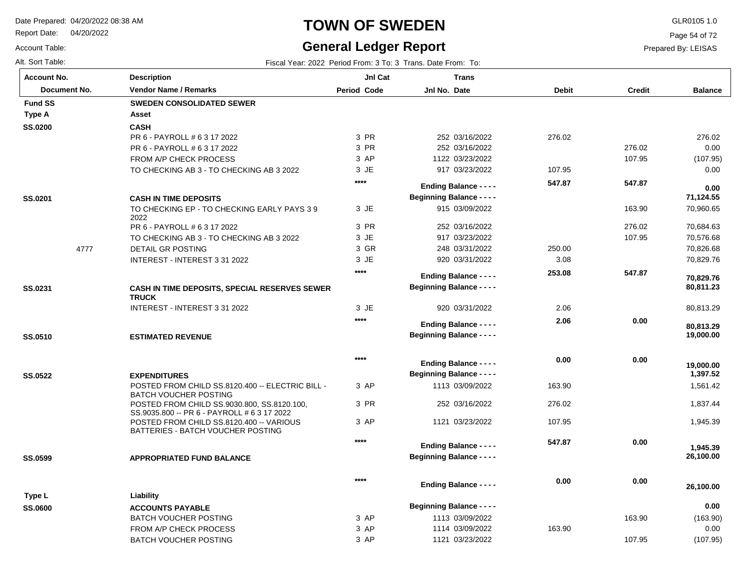Report Date: 04/20/2022

## Account Table:

Alt. Sort Table: Fiscal Year: 2022 Period From: 3 To: 3 Trans. Date From: To:

**Account No.**

## **TOWN OF SWEDEN** GLR0105 1.0

## **General Ledger Report**

**Jnl Cat**

Page 54 of 72

**Balance**

 276.02 0.00 (107.95) 0.00

 70,960.65 70,684.63 70,576.68 70,826.68 70,829.76

 **71,124.55** 

 **0.00** 

80,813.29

 **19,000.00** 

 **80,813.29** 

 **80,811.23** 

 **70,829.76** 

 1,561.42 1,837.44 1,945.39

 **26,100.00** 

 **1,945.39** 

 **1,397.52** 

 **19,000.00** 

Prepared By: LEISAS

 163.90 276.02 107.95

 **547.87** 

 **0.00** 

 **0.00** 

 **0.00** 

 **0.00** 

 250.00 3.08

 **253.08** 

2.06

 **2.06** 

 **0.00** 

 163.90 276.02 107.95

 **547.87** 

 **0.00** 

| Document No.   | <b>Vendor Name / Remarks</b>             | Period Code | Jnl No. Date           | <b>Debit</b> | <b>Credit</b> |
|----------------|------------------------------------------|-------------|------------------------|--------------|---------------|
| <b>Fund SS</b> | <b>SWEDEN CONSOLIDATED SEWER</b>         |             |                        |              |               |
| Type A         | Asset                                    |             |                        |              |               |
| <b>SS.0200</b> | <b>CASH</b>                              |             |                        |              |               |
|                | PR 6 - PAYROLL # 6 3 17 2022             | 3 PR        | 252 03/16/2022         | 276.02       |               |
|                | PR 6 - PAYROLL # 6 3 17 2022             | 3 PR        | 252 03/16/2022         |              | 276.02        |
|                | FROM A/P CHECK PROCESS                   | 3 AP        | 1122 03/23/2022        |              | 107.95        |
|                | TO CHECKING AB 3 - TO CHECKING AB 3 2022 | 3 JE        | 917 03/23/2022         | 107.95       |               |
|                |                                          | ****        | Ending Balance - - - - | 547.87       | 547.87        |

 03/09/2022 03/16/2022 03/23/2022 03/31/2022 03/31/2022

**Beginning Balance - - - -**

**Trans**

920 03/31/2022

**Beginning Balance - - - -**

**Ending Balance - - - -**

**Beginning Balance - - - -**

**Ending Balance - - - -**

**Ending Balance - - - -**

**Beginning Balance - - - -**

**Beginning Balance - - - -**

**Ending Balance - - - -**

1113 03/09/2022 252 03/16/2022 1121 03/23/2022

JE 3 3 PR JE 3 GR 3 JE 3

JE 3

**\*\*\*\***

**\*\*\*\***

**\*\*\*\***

3 AP 3 PR 3 AP

**\*\*\*\***

**\*\*\*\***

| SS.0201 |      | <b>CASH IN TIME DEPOSITS</b>               |
|---------|------|--------------------------------------------|
|         |      | TO CHECKING EP - TO CHECKING EARLY PAYS 39 |
|         |      | 2022                                       |
|         |      | PR 6 - PAYROLL # 6 3 17 2022               |
|         |      | TO CHECKING AB 3 - TO CHECKING AB 3 2022   |
|         | 4777 | DETAIL GR POSTING                          |
|         |      | INTEREST - INTEREST 3 31 2022              |
|         |      |                                            |

**Description**

| SS.0231 | <b>CASH IN TIME DEPOSITS, SPECIAL RESERVES SEWER</b> |
|---------|------------------------------------------------------|
|         | <b>TRUCK</b>                                         |
|         | INTEREST - INTEREST 3 31 2022                        |

**ESTIMATED REVENUE SS.0510**

| SS.0522 | <b>EXPENDITURES</b><br>POSTED FROM CHILD SS.8120.400 -- ELECTRIC BILL -<br><b>BATCH VOUCHER POSTING</b><br>POSTED FROM CHILD SS.9030.800, SS.8120.100,<br>SS.9035.800 -- PR 6 - PAYROLL # 6 3 17 2022<br>POSTED FROM CHILD SS.8120.400 - VARIOUS<br>BATTERIES - BATCH VOUCHER POSTING |
|---------|---------------------------------------------------------------------------------------------------------------------------------------------------------------------------------------------------------------------------------------------------------------------------------------|
|         |                                                                                                                                                                                                                                                                                       |

**APPROPRIATED FUND BALANCE SS.0599**

|                |                              | $****$ | <b>Ending Balance - - - -</b>    | 0.00   | 0.00   | 26,100.00 |
|----------------|------------------------------|--------|----------------------------------|--------|--------|-----------|
| Type L         | Liability                    |        |                                  |        |        |           |
| <b>SS.0600</b> | <b>ACCOUNTS PAYABLE</b>      |        | <b>Beginning Balance - - - -</b> |        |        | 0.00      |
|                | BATCH VOUCHER POSTING        | 3 AP   | 1113 03/09/2022                  |        | 163.90 | (163.90)  |
|                | FROM A/P CHECK PROCESS       | 3 AP   | 1114 03/09/2022                  | 163.90 |        | 0.00      |
|                | <b>BATCH VOUCHER POSTING</b> | 3 AP   | 1121 03/23/2022                  |        | 107.95 | (107.95)  |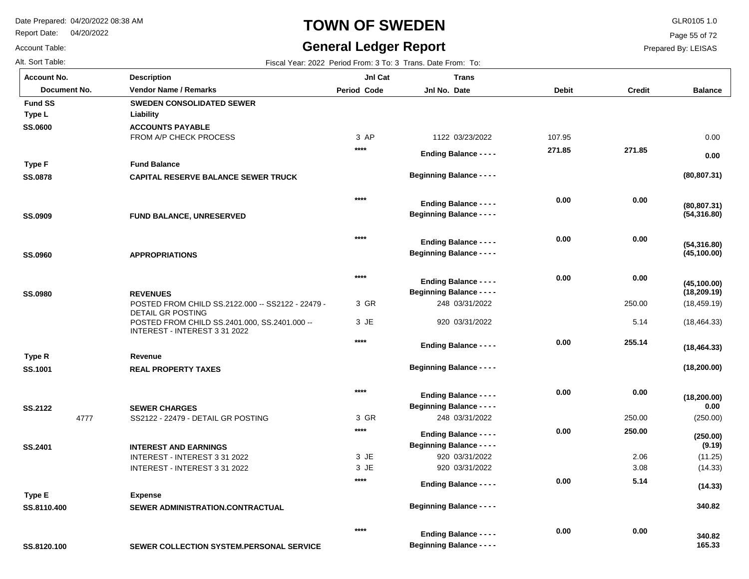Report Date: 04/20/2022

Account Table:

# **TOWN OF SWEDEN** GLR0105 1.0

# **General Ledger Report**

Page 55 of 72

Prepared By: LEISAS

| Alt. Sort Table:       |                                                                               |              | Fiscal Year: 2022 Period From: 3 To: 3 Trans. Date From: To:      |              |               |                    |
|------------------------|-------------------------------------------------------------------------------|--------------|-------------------------------------------------------------------|--------------|---------------|--------------------|
| <b>Account No.</b>     | <b>Description</b>                                                            | JnI Cat      | <b>Trans</b>                                                      |              |               |                    |
| Document No.           | <b>Vendor Name / Remarks</b>                                                  | Period Code  | Jnl No. Date                                                      | <b>Debit</b> | <b>Credit</b> | <b>Balance</b>     |
| <b>Fund SS</b>         | <b>SWEDEN CONSOLIDATED SEWER</b>                                              |              |                                                                   |              |               |                    |
| Type L                 | Liability                                                                     |              |                                                                   |              |               |                    |
| <b>SS.0600</b>         | <b>ACCOUNTS PAYABLE</b>                                                       |              |                                                                   |              |               |                    |
|                        | FROM A/P CHECK PROCESS                                                        | 3 AP         | 1122 03/23/2022                                                   | 107.95       |               | 0.00               |
|                        |                                                                               | $****$       | <b>Ending Balance - - - -</b>                                     | 271.85       | 271.85        | 0.00               |
| <b>Type F</b>          | <b>Fund Balance</b>                                                           |              |                                                                   |              |               |                    |
| <b>SS.0878</b>         | <b>CAPITAL RESERVE BALANCE SEWER TRUCK</b>                                    |              | <b>Beginning Balance - - - -</b>                                  |              |               | (80, 807.31)       |
|                        |                                                                               | $***$        |                                                                   |              |               |                    |
|                        |                                                                               |              | <b>Ending Balance - - - -</b>                                     | 0.00         | 0.00          | (80, 807.31)       |
| <b>SS.0909</b>         | FUND BALANCE, UNRESERVED                                                      |              | <b>Beginning Balance - - - -</b>                                  |              |               | (54, 316.80)       |
|                        |                                                                               | $***$        |                                                                   |              |               |                    |
|                        |                                                                               |              | <b>Ending Balance - - - -</b>                                     | 0.00         | 0.00          | (54, 316.80)       |
| <b>SS.0960</b>         | <b>APPROPRIATIONS</b>                                                         |              | <b>Beginning Balance - - - -</b>                                  |              |               | (45, 100.00)       |
|                        |                                                                               | $***$        |                                                                   |              |               |                    |
|                        |                                                                               |              | <b>Ending Balance - - - -</b>                                     | 0.00         | 0.00          | (45, 100.00)       |
| <b>SS.0980</b>         | <b>REVENUES</b>                                                               |              | <b>Beginning Balance - - - -</b>                                  |              |               | (18, 209.19)       |
|                        | POSTED FROM CHILD SS.2122.000 -- SS2122 - 22479 -<br><b>DETAIL GR POSTING</b> | 3 GR         | 248 03/31/2022                                                    |              | 250.00        | (18, 459.19)       |
|                        | POSTED FROM CHILD SS.2401.000, SS.2401.000 --                                 | 3 JE         | 920 03/31/2022                                                    |              | 5.14          | (18, 464.33)       |
|                        | INTEREST - INTEREST 3 31 2022                                                 |              |                                                                   |              |               |                    |
|                        |                                                                               | $****$       | <b>Ending Balance - - - -</b>                                     | 0.00         | 255.14        | (18, 464.33)       |
| Type R                 | Revenue                                                                       |              |                                                                   |              |               |                    |
| SS.1001                | <b>REAL PROPERTY TAXES</b>                                                    |              | <b>Beginning Balance - - - -</b>                                  |              |               | (18, 200.00)       |
|                        |                                                                               | $***$        |                                                                   | 0.00         | 0.00          |                    |
|                        |                                                                               |              | <b>Ending Balance - - - -</b>                                     |              |               | (18, 200.00)       |
| <b>SS.2122</b><br>4777 | <b>SEWER CHARGES</b><br>SS2122 - 22479 - DETAIL GR POSTING                    | 3 GR         | <b>Beginning Balance - - - -</b><br>248 03/31/2022                |              | 250.00        | 0.00<br>(250.00)   |
|                        |                                                                               | $****$       |                                                                   | 0.00         | 250.00        |                    |
|                        |                                                                               |              | <b>Ending Balance - - - -</b>                                     |              |               | (250.00)           |
| SS.2401                | <b>INTEREST AND EARNINGS</b>                                                  |              | <b>Beginning Balance - - - -</b>                                  |              |               | (9.19)             |
|                        | INTEREST - INTEREST 3 31 2022<br>INTEREST - INTEREST 3 31 2022                | 3 JE<br>3 JE | 920 03/31/2022<br>920 03/31/2022                                  |              | 2.06<br>3.08  | (11.25)<br>(14.33) |
|                        |                                                                               | ****         |                                                                   |              |               |                    |
|                        |                                                                               |              | <b>Ending Balance - - - -</b>                                     | 0.00         | 5.14          | (14.33)            |
| <b>Type E</b>          | <b>Expense</b>                                                                |              | <b>Beginning Balance - - - -</b>                                  |              |               | 340.82             |
| SS.8110.400            | SEWER ADMINISTRATION.CONTRACTUAL                                              |              |                                                                   |              |               |                    |
|                        |                                                                               | $***$        |                                                                   | 0.00         | 0.00          |                    |
|                        |                                                                               |              | <b>Ending Balance - - - -</b><br><b>Beginning Balance - - - -</b> |              |               | 340.82<br>165.33   |
| SS.8120.100            | SEWER COLLECTION SYSTEM.PERSONAL SERVICE                                      |              |                                                                   |              |               |                    |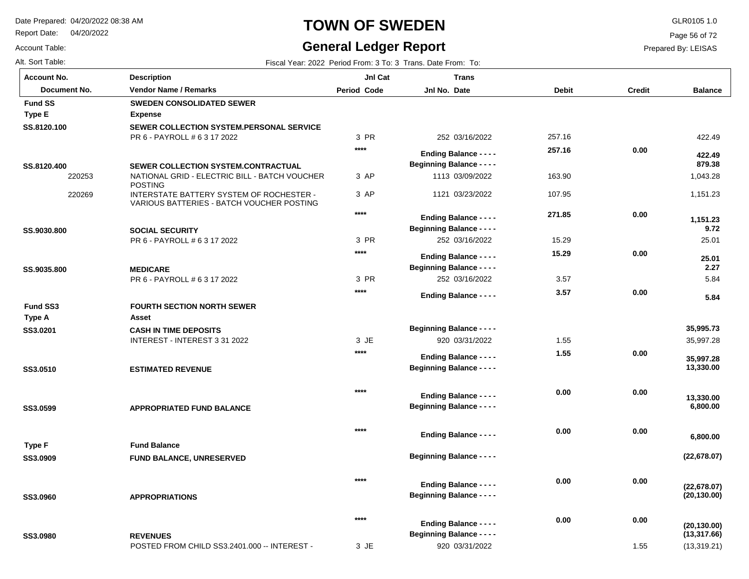Report Date: 04/20/2022

# **TOWN OF SWEDEN** GLR0105 1.0

## **I Ledger Report**

 **0.00** 

 **0.00** 

**Beginning Balance - - - -**

**Beginning Balance - - - -**

920 03/31/2022

**Ending Balance - - - -**

**\*\*\*\***

**\*\*\*\***

**Balance**

422.49

 **879.38** 

 **422.49** 

 1,043.28 1,151.23

 **1,151.23** 

25.01

 **9.72** 

5.84

 **5.84** 

 **2.27** 

 **25.01** 

35,997.28

 **13,330.00** 

 **35,997.28** 

 **6,800.00** 

 **13,330.00** 

**(22,678.07)**

 **6,800.00** 

**(20,130.00)**

**(22,678.07)**

 **35,995.73** 

(13,319.21)

**(13,317.66)**

**(20,130.00)**

Page 56 of 72

Prepared By: LEISAS

 **0.00** 

 **0.00** 

 **0.00** 

| Account Table:     |                                                                                       | General Ledger Report |                                                              |              |               |  |
|--------------------|---------------------------------------------------------------------------------------|-----------------------|--------------------------------------------------------------|--------------|---------------|--|
| Alt. Sort Table:   |                                                                                       |                       | Fiscal Year: 2022 Period From: 3 To: 3 Trans. Date From: To: |              |               |  |
| <b>Account No.</b> | <b>Description</b>                                                                    | JnI Cat               | <b>Trans</b>                                                 |              |               |  |
| Document No.       | <b>Vendor Name / Remarks</b>                                                          | <b>Period Code</b>    | Jnl No. Date                                                 | <b>Debit</b> | <b>Credit</b> |  |
| <b>Fund SS</b>     | <b>SWEDEN CONSOLIDATED SEWER</b>                                                      |                       |                                                              |              |               |  |
| <b>Type E</b>      | <b>Expense</b>                                                                        |                       |                                                              |              |               |  |
| SS.8120.100        | SEWER COLLECTION SYSTEM.PERSONAL SERVICE<br>PR 6 - PAYROLL # 6 3 17 2022              | 3 PR                  | 252 03/16/2022                                               | 257.16       |               |  |
|                    |                                                                                       | $****$                | <b>Ending Balance - - - -</b>                                | 257.16       | 0.00          |  |
| SS.8120.400        | <b>SEWER COLLECTION SYSTEM.CONTRACTUAL</b>                                            |                       | <b>Beginning Balance - - - -</b>                             |              |               |  |
| 220253             | NATIONAL GRID - ELECTRIC BILL - BATCH VOUCHER<br><b>POSTING</b>                       | 3 AP                  | 1113 03/09/2022                                              | 163.90       |               |  |
| 220269             | INTERSTATE BATTERY SYSTEM OF ROCHESTER -<br>VARIOUS BATTERIES - BATCH VOUCHER POSTING | 3 AP                  | 1121 03/23/2022                                              | 107.95       |               |  |
|                    |                                                                                       | $****$                | <b>Ending Balance - - - -</b>                                | 271.85       | 0.00          |  |
| SS.9030.800        | <b>SOCIAL SECURITY</b>                                                                |                       | <b>Beginning Balance - - - -</b>                             |              |               |  |
|                    | PR 6 - PAYROLL # 6 3 17 2022                                                          | 3 PR                  | 252 03/16/2022                                               | 15.29        |               |  |
|                    |                                                                                       | $***$                 | <b>Ending Balance - - - -</b>                                | 15.29        | 0.00          |  |
| SS.9035.800        | <b>MEDICARE</b>                                                                       |                       | <b>Beginning Balance - - - -</b>                             |              |               |  |
|                    | PR 6 - PAYROLL # 6 3 17 2022                                                          | 3 PR                  | 252 03/16/2022                                               | 3.57         |               |  |
|                    |                                                                                       | $****$                | <b>Ending Balance - - - -</b>                                | 3.57         | 0.00          |  |
| Fund SS3           | <b>FOURTH SECTION NORTH SEWER</b>                                                     |                       |                                                              |              |               |  |
| Type A             | Asset                                                                                 |                       |                                                              |              |               |  |
| SS3.0201           | <b>CASH IN TIME DEPOSITS</b>                                                          |                       | <b>Beginning Balance - - - -</b>                             |              |               |  |
|                    | INTEREST - INTEREST 3 31 2022                                                         | 3 JE                  | 920 03/31/2022                                               | 1.55         |               |  |
|                    |                                                                                       | $****$                | <b>Ending Balance - - - -</b>                                | 1.55         | 0.00          |  |
| SS3.0510           | <b>ESTIMATED REVENUE</b>                                                              |                       | <b>Beginning Balance - - - -</b>                             |              |               |  |
|                    |                                                                                       | $****$                | <b>Ending Balance - - - -</b>                                | 0.00         | 0.00          |  |
| CC3 AEAA           | ADDDODDIATED EIIND DAI ANCE                                                           |                       | <b>Beginning Balance - - - -</b>                             |              |               |  |

**APPROPRIATED FUND BALANCE SS3.0599**

|          |                                 |                                  | <b>Ending Balance - - - -</b> | v.vv |
|----------|---------------------------------|----------------------------------|-------------------------------|------|
| Type F   | <b>Fund Balance</b>             |                                  |                               |      |
| SS3.0909 | <b>FUND BALANCE, UNRESERVED</b> | <b>Beginning Balance - - - -</b> |                               |      |
|          |                                 | $****$                           | <b>Ending Balance - - - -</b> | 0.00 |

**APPROPRIATIONS SS3.0960**

POSTED FROM CHILD SS3.2401.000 -- INTEREST - 2.55 **REVENUES SS3.0980** JE 3 **Beginning Balance - - - -**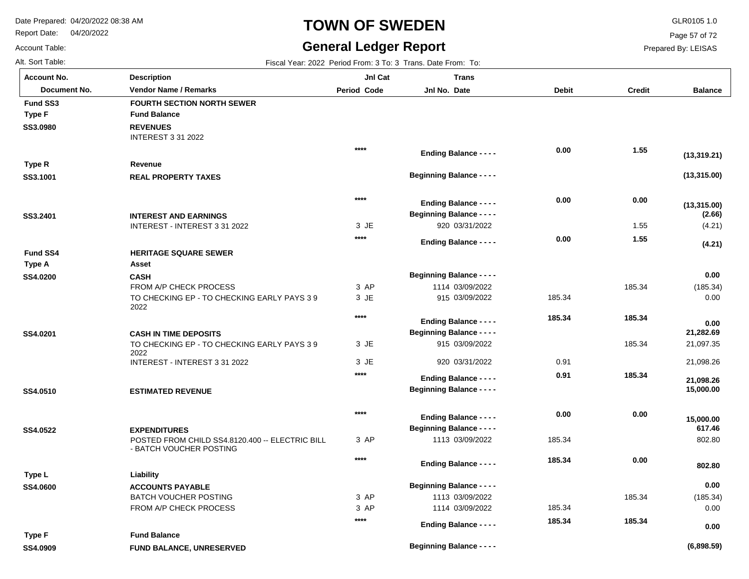Report Date: 04/20/2022

# **TOWN OF SWEDEN** GLR0105 1.0

## **General Ledger Report**

**Balance**

(4.21)

**(4.21)**

**(2.66)**

**(13,315.00)**

**(13,315.00)**

**(13,319.21)**

(185.34) 0.00

 **0.00** 

 **0.00** 

 21,097.35 21,098.26

 **15,000.00** 

 **15,000.00** 

 **21,098.26** 

 **21,282.69** 

802.80

 **802.80** 

 **617.46** 

(185.34) 0.00

 **0.00** 

 **0.00** 

Page 57 of 72

Prepared By: LEISAS

Account Table: Alt. Sort Table: Fiscal Year: 2022 Period From: 3 To: 3 Trans. Date From: To: 3 Trans. Date From: To: 3 Trans. Date From: To: **Account No.**

**SS3.0980**

**Fund SS3**

**Type F**

**SS3.1001**

**Type R**

**SS3.2401**

**SS4.0200**

**Fund SS4**

**Type A**

**SS4.0201**

**SS4.0510**

**SS4.0522**

**SS4.0600**

**Type L**

| unt No.      | <b>Description</b>                                                         | JnI Cat            | <b>Trans</b>                                                      |              |               |
|--------------|----------------------------------------------------------------------------|--------------------|-------------------------------------------------------------------|--------------|---------------|
| Document No. | <b>Vendor Name / Remarks</b>                                               | <b>Period Code</b> | Jnl No. Date                                                      | <b>Debit</b> | <b>Credit</b> |
| I SS3        | <b>FOURTH SECTION NORTH SEWER</b>                                          |                    |                                                                   |              |               |
| F            | <b>Fund Balance</b>                                                        |                    |                                                                   |              |               |
| 0980         | <b>REVENUES</b><br><b>INTEREST 3 31 2022</b>                               |                    |                                                                   |              |               |
|              |                                                                            | $****$             | <b>Ending Balance - - - -</b>                                     | 0.00         | 1.55          |
| ۰R           | Revenue                                                                    |                    |                                                                   |              |               |
| 1001         | <b>REAL PROPERTY TAXES</b>                                                 |                    | <b>Beginning Balance - - - -</b>                                  |              |               |
|              |                                                                            |                    |                                                                   |              |               |
|              |                                                                            | $****$             |                                                                   | 0.00         | 0.00          |
|              |                                                                            |                    | <b>Ending Balance - - - -</b><br><b>Beginning Balance - - - -</b> |              |               |
| 2401         | <b>INTEREST AND EARNINGS</b><br>INTEREST - INTEREST 3 31 2022              | 3 JE               | 920 03/31/2022                                                    |              | 1.55          |
|              |                                                                            | $***$              |                                                                   |              |               |
|              |                                                                            |                    | <b>Ending Balance - - - -</b>                                     | 0.00         | 1.55          |
| l SS4        | <b>HERITAGE SQUARE SEWER</b>                                               |                    |                                                                   |              |               |
| ۰A           | Asset                                                                      |                    |                                                                   |              |               |
| 0200         | <b>CASH</b>                                                                |                    | <b>Beginning Balance - - - -</b>                                  |              |               |
|              | FROM A/P CHECK PROCESS                                                     | 3 AP               | 1114 03/09/2022                                                   |              | 185.34        |
|              | TO CHECKING EP - TO CHECKING EARLY PAYS 39<br>2022                         | 3 JE               | 915 03/09/2022                                                    | 185.34       |               |
|              |                                                                            | $***$              | <b>Ending Balance - - - -</b>                                     | 185.34       | 185.34        |
| 0201         | <b>CASH IN TIME DEPOSITS</b>                                               |                    | <b>Beginning Balance - - - -</b>                                  |              |               |
|              | TO CHECKING EP - TO CHECKING EARLY PAYS 39<br>2022                         | 3 JE               | 915 03/09/2022                                                    |              | 185.34        |
|              | INTEREST - INTEREST 3 31 2022                                              | 3 JE               | 920 03/31/2022                                                    | 0.91         |               |
|              |                                                                            | $***$              | <b>Ending Balance - - - -</b>                                     | 0.91         | 185.34        |
| 0510         | <b>ESTIMATED REVENUE</b>                                                   |                    | <b>Beginning Balance - - - -</b>                                  |              |               |
|              |                                                                            |                    |                                                                   |              |               |
|              |                                                                            | $****$             |                                                                   | 0.00         | 0.00          |
|              |                                                                            |                    | <b>Ending Balance - - - -</b>                                     |              |               |
| 0522         | <b>EXPENDITURES</b>                                                        |                    | <b>Beginning Balance - - - -</b>                                  |              |               |
|              | POSTED FROM CHILD SS4.8120.400 -- ELECTRIC BILL<br>- BATCH VOUCHER POSTING | 3 AP               | 1113 03/09/2022                                                   | 185.34       |               |
|              |                                                                            | $***$              |                                                                   | 185.34       | 0.00          |
|              |                                                                            |                    | <b>Ending Balance - - - -</b>                                     |              |               |
| ۱L           | Liability                                                                  |                    |                                                                   |              |               |
| 0600         | <b>ACCOUNTS PAYABLE</b>                                                    | 3 AP               | <b>Beginning Balance - - - -</b><br>1113 03/09/2022               |              | 185.34        |
|              | <b>BATCH VOUCHER POSTING</b><br>FROM A/P CHECK PROCESS                     | 3 AP               | 1114 03/09/2022                                                   | 185.34       |               |
|              |                                                                            | $***$              |                                                                   |              |               |
|              |                                                                            |                    | <b>Ending Balance - - - -</b>                                     | 185.34       | 185.34        |

**FUND BALANCE, UNRESERVED SS4.0909 Fund Balance Type F**

**Beginning Balance - - - -**

**(6,898.59)**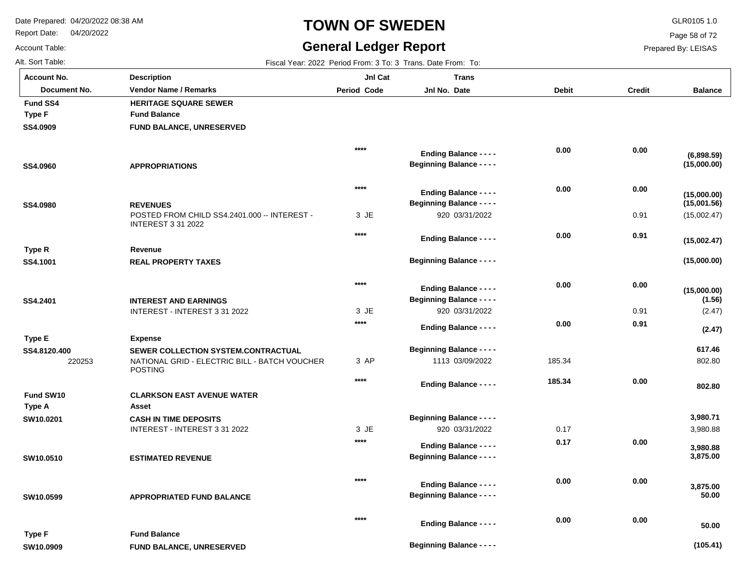**Description**

Report Date: 04/20/2022

# **TOWN OF SWEDEN** GLR0105 1.0

## **General Ledger Report** Fiscal Year: 2022 Period From: 3 To: 3 Trans. Date From: To:

**Jnl Cat**

**Trans**

**Beginning Balance - - - -**

**Balance**

(15,002.47)

**(15,000.00)**

**(15,000.00)**

**(15,002.47)**

**(15,001.56)**

**(15,000.00)**

**(15,000.00)**

**(6,898.59)**

(2.47)

**(2.47)**

**(1.56)**

802.80

 **802.80** 

 **617.46** 

3,980.88

 **3,875.00** 

 **3,980.88** 

 **50.00** 

 **50.00** 

 **3,875.00** 

 **3,980.71** 

Page 58 of 72

Prepared By: LEISAS

| <b>Account No.</b> |
|--------------------|
| Alt. Sort Table:   |
| Account Table:     |

**SS4.0909**

**Fund SS4**

**Type F**

**SS4.0960**

**SS4.0980**

**SS4.1001**

**Type R**

**SS4.2401**

**Type E**

**SS4.8120.400**

**SW10.0201**

**Fund SW10**

**Type A**

**SW10.0510**

**SW10.0599**

**SW10.0909**

**Type F**

| Document No. | <b>Vendor Name / Remarks</b>                                              | Period Code | Jnl No. Date                     | <b>Debit</b> | <b>Credit</b> |
|--------------|---------------------------------------------------------------------------|-------------|----------------------------------|--------------|---------------|
| I SS4        | <b>HERITAGE SQUARE SEWER</b>                                              |             |                                  |              |               |
| F            | <b>Fund Balance</b>                                                       |             |                                  |              |               |
| 0909         | FUND BALANCE, UNRESERVED                                                  |             |                                  |              |               |
|              |                                                                           | $****$      |                                  | 0.00         | 0.00          |
|              |                                                                           |             | <b>Ending Balance - - - -</b>    |              |               |
| 0960         | <b>APPROPRIATIONS</b>                                                     |             | <b>Beginning Balance - - - -</b> |              |               |
|              |                                                                           | $***$       | <b>Ending Balance - - - -</b>    | 0.00         | 0.00          |
| 0980         | <b>REVENUES</b>                                                           |             | <b>Beginning Balance - - - -</b> |              |               |
|              | POSTED FROM CHILD SS4.2401.000 -- INTEREST -<br><b>INTEREST 3 31 2022</b> | 3 JE        | 920 03/31/2022                   |              | 0.91          |
|              |                                                                           | ****        | <b>Ending Balance - - - -</b>    | 0.00         | 0.91          |
| R            | Revenue                                                                   |             |                                  |              |               |
| 1001         | <b>REAL PROPERTY TAXES</b>                                                |             | <b>Beginning Balance - - - -</b> |              |               |
|              |                                                                           | ****        |                                  | 0.00         | 0.00          |
|              |                                                                           |             | <b>Ending Balance - - - -</b>    |              |               |
| 2401         | <b>INTEREST AND EARNINGS</b>                                              |             | <b>Beginning Balance - - - -</b> |              |               |
|              | INTEREST - INTEREST 3 31 2022                                             | 3 JE        | 920 03/31/2022                   |              | 0.91          |
|              |                                                                           | ****        | <b>Ending Balance - - - -</b>    | 0.00         | 0.91          |
| E            | <b>Expense</b>                                                            |             |                                  |              |               |
| 3120.400     | <b>SEWER COLLECTION SYSTEM.CONTRACTUAL</b>                                |             | <b>Beginning Balance - - - -</b> |              |               |
| 220253       | NATIONAL GRID - ELECTRIC BILL - BATCH VOUCHER<br><b>POSTING</b>           | 3 AP        | 1113 03/09/2022                  | 185.34       |               |
|              |                                                                           | ****        | <b>Ending Balance - - - -</b>    | 185.34       | 0.00          |
| I SW10       | <b>CLARKSON EAST AVENUE WATER</b>                                         |             |                                  |              |               |
| ۰A           | Asset                                                                     |             |                                  |              |               |
| 0.0201       | <b>CASH IN TIME DEPOSITS</b>                                              |             | <b>Beginning Balance - - - -</b> |              |               |
|              | INTEREST - INTEREST 3 31 2022                                             | 3 JE        | 920 03/31/2022                   | 0.17         |               |
|              |                                                                           | ****        | <b>Ending Balance - - - -</b>    | 0.17         | 0.00          |
| 0.0510       | <b>ESTIMATED REVENUE</b>                                                  |             | <b>Beginning Balance - - - -</b> |              |               |
|              |                                                                           | $****$      |                                  | 0.00         | 0.00          |
|              |                                                                           |             | <b>Ending Balance - - - -</b>    |              |               |
| 0.0599       | <b>APPROPRIATED FUND BALANCE</b>                                          |             | <b>Beginning Balance - - - -</b> |              |               |
|              |                                                                           | $***$       | Ending Balance - - - -           | 0.00         | 0.00          |

**FUND BALANCE, UNRESERVED**

**Fund Balance**

**(105.41)**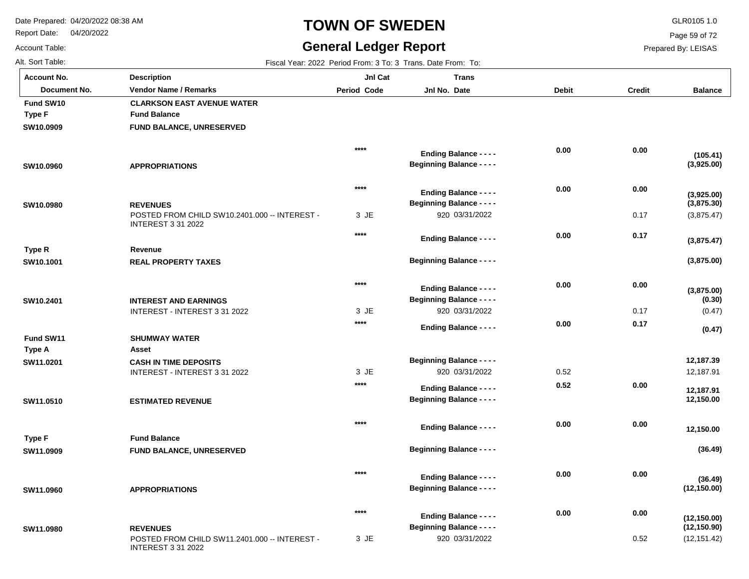**Description**

Report Date: 04/20/2022

# **TOWN OF SWEDEN** GLR0105 1.0

## **General Ledger Report**

**Jnl Cat**

**Trans**

**Balance**

(3,875.47)

**(3,875.00)**

**(3,875.00)**

**(3,875.47)**

**(3,875.30)**

**(3,925.00)**

**(3,925.00)**

**(105.41)**

(0.47)

**(0.47)**

**(0.30)**

12,187.91

 **12,150.00** 

 **12,150.00** 

 **12,187.91** 

**(36.49)**

**(36.49)**

**(12,150.00)**

 **12,187.39** 

Page 59 of 72

Prepared By: LEISAS

Account Table: Alt. Sort Table: Fiscal Year: 2022 Period From: 3 To: 3 Trans. Date From: To: 7 Trans. Date From: To: 7 Trans. Date From: To: 7 Trans. Date From: To: 7 Trans. Date From: To: 7 Trans. Date From: To: 7 Trans. Date From: To: **Account No.**

**SW10.0909**

**Fund SW10**

**Type F**

**SW10.0960**

**SW10.0980**

**SW10.1001**

**Type R**

**SW10.2401**

**SW11.0201**

**Fund SW11**

**Type A**

**SW11.0510**

**SW11.0909**

**Type F**

**SW11.0960**

| <b>Vendor Name / Remarks</b>      | <b>Period Code</b>                                                                                                                                             | Jnl No. Date                     | <b>Debit</b>                                                                                                                                                                                                                                                                                                                                                                                                            | <b>Credit</b> |
|-----------------------------------|----------------------------------------------------------------------------------------------------------------------------------------------------------------|----------------------------------|-------------------------------------------------------------------------------------------------------------------------------------------------------------------------------------------------------------------------------------------------------------------------------------------------------------------------------------------------------------------------------------------------------------------------|---------------|
| <b>CLARKSON EAST AVENUE WATER</b> |                                                                                                                                                                |                                  |                                                                                                                                                                                                                                                                                                                                                                                                                         |               |
| <b>Fund Balance</b>               |                                                                                                                                                                |                                  |                                                                                                                                                                                                                                                                                                                                                                                                                         |               |
| FUND BALANCE, UNRESERVED          |                                                                                                                                                                |                                  |                                                                                                                                                                                                                                                                                                                                                                                                                         |               |
|                                   | $****$                                                                                                                                                         |                                  | 0.00                                                                                                                                                                                                                                                                                                                                                                                                                    | 0.00          |
| <b>APPROPRIATIONS</b>             |                                                                                                                                                                | <b>Beginning Balance - - - -</b> |                                                                                                                                                                                                                                                                                                                                                                                                                         |               |
|                                   | $****$                                                                                                                                                         |                                  |                                                                                                                                                                                                                                                                                                                                                                                                                         | 0.00          |
|                                   |                                                                                                                                                                |                                  |                                                                                                                                                                                                                                                                                                                                                                                                                         |               |
| <b>REVENUES</b>                   |                                                                                                                                                                |                                  |                                                                                                                                                                                                                                                                                                                                                                                                                         |               |
| <b>INTEREST 3 31 2022</b>         |                                                                                                                                                                |                                  |                                                                                                                                                                                                                                                                                                                                                                                                                         | 0.17          |
|                                   | $****$                                                                                                                                                         | <b>Ending Balance - - - -</b>    | 0.00                                                                                                                                                                                                                                                                                                                                                                                                                    | 0.17          |
| Revenue                           |                                                                                                                                                                |                                  |                                                                                                                                                                                                                                                                                                                                                                                                                         |               |
| <b>REAL PROPERTY TAXES</b>        |                                                                                                                                                                |                                  |                                                                                                                                                                                                                                                                                                                                                                                                                         |               |
|                                   | ****                                                                                                                                                           |                                  | 0.00                                                                                                                                                                                                                                                                                                                                                                                                                    | 0.00          |
|                                   |                                                                                                                                                                |                                  |                                                                                                                                                                                                                                                                                                                                                                                                                         |               |
|                                   |                                                                                                                                                                |                                  |                                                                                                                                                                                                                                                                                                                                                                                                                         | 0.17          |
|                                   | $****$                                                                                                                                                         |                                  | 0.00                                                                                                                                                                                                                                                                                                                                                                                                                    | 0.17          |
| <b>SHUMWAY WATER</b>              |                                                                                                                                                                |                                  |                                                                                                                                                                                                                                                                                                                                                                                                                         |               |
| Asset                             |                                                                                                                                                                |                                  |                                                                                                                                                                                                                                                                                                                                                                                                                         |               |
| <b>CASH IN TIME DEPOSITS</b>      |                                                                                                                                                                | <b>Beginning Balance - - - -</b> |                                                                                                                                                                                                                                                                                                                                                                                                                         |               |
| INTEREST - INTEREST 3 31 2022     | 3 JE                                                                                                                                                           | 920 03/31/2022                   | 0.52                                                                                                                                                                                                                                                                                                                                                                                                                    |               |
|                                   | ****                                                                                                                                                           |                                  | 0.52                                                                                                                                                                                                                                                                                                                                                                                                                    | 0.00          |
| <b>ESTIMATED REVENUE</b>          |                                                                                                                                                                | <b>Beginning Balance - - - -</b> |                                                                                                                                                                                                                                                                                                                                                                                                                         |               |
|                                   |                                                                                                                                                                |                                  |                                                                                                                                                                                                                                                                                                                                                                                                                         | 0.00          |
|                                   |                                                                                                                                                                |                                  |                                                                                                                                                                                                                                                                                                                                                                                                                         |               |
|                                   |                                                                                                                                                                |                                  |                                                                                                                                                                                                                                                                                                                                                                                                                         |               |
| FUND BALANCE, UNRESERVED          |                                                                                                                                                                |                                  |                                                                                                                                                                                                                                                                                                                                                                                                                         |               |
|                                   | $****$                                                                                                                                                         |                                  | 0.00                                                                                                                                                                                                                                                                                                                                                                                                                    | 0.00          |
|                                   |                                                                                                                                                                | <b>Beginning Balance - - - -</b> |                                                                                                                                                                                                                                                                                                                                                                                                                         |               |
|                                   |                                                                                                                                                                |                                  |                                                                                                                                                                                                                                                                                                                                                                                                                         |               |
|                                   | POSTED FROM CHILD SW10.2401.000 -- INTEREST -<br><b>INTEREST AND EARNINGS</b><br>INTEREST - INTEREST 3 31 2022<br><b>Fund Balance</b><br><b>APPROPRIATIONS</b> | 3 JE<br>3 JE<br>****             | <b>Ending Balance - - - -</b><br><b>Ending Balance - - - -</b><br><b>Beginning Balance - - - -</b><br>920 03/31/2022<br><b>Beginning Balance - - - -</b><br><b>Ending Balance - - - -</b><br><b>Beginning Balance - - - -</b><br>920 03/31/2022<br><b>Ending Balance - - - -</b><br><b>Ending Balance - - - -</b><br><b>Ending Balance - - - -</b><br><b>Beginning Balance - - - -</b><br><b>Ending Balance - - - -</b> | 0.00<br>0.00  |

POSTED FROM CHILD SW11.2401.000 -- INTEREST -INTEREST 3 31 2022 0.52 **REVENUES SW11.0980** JE 3 920 03/31/2022 (12,151.42) **(12,150.90) (12,150.00) 0.00 0.00 \*\*\*\* Beginning Balance - - - - Ending Balance - - - -**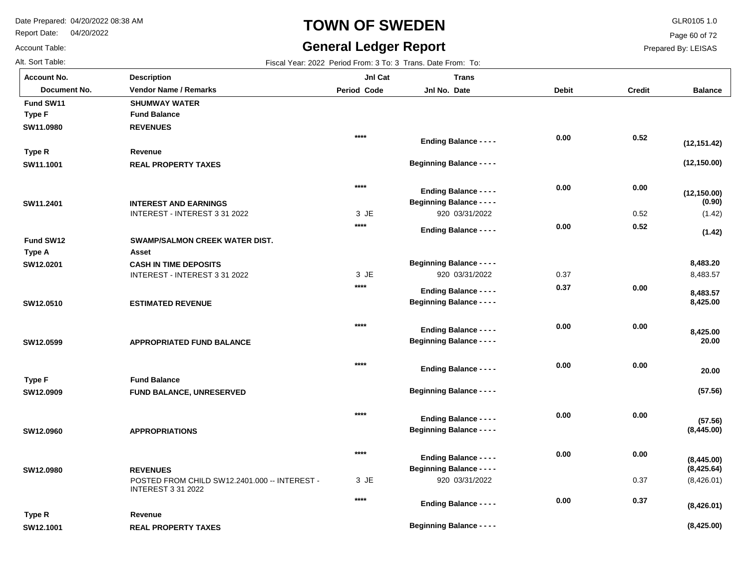Report Date: 04/20/2022

# **TOWN OF SWEDEN** GLR0105 1.0

## **General Ledger Report**

**Balance**

**(12,150.00)**

**(12,150.00)**

**(12,151.42)**

 $(1.42)$ 

**(1.42)**

**(0.90)**

8,483.57

 **8,425.00** 

 **8,483.57** 

 **20.00** 

 **8,425.00** 

**(57.56)**

**(57.56)**

 **20.00** 

 **8,483.20** 

(8,426.01)

**(8,425.00)**

**(8,426.01)**

**(8,425.64)**

**(8,445.00)**

**(8,445.00)**

Page 60 of 72

Prepared By: LEISAS

0.37

 **0.37** 

 **0.00** 

 **0.00** 

 **0.00** 

Account Table: **Account No.**

**SW12.0980**

**SW12.1001**

**Type R**

| Alt. Sort Table: |                                       | Fiscal Year: 2022 Period From: 3 To: 3 Trans. Date From: To: |                                  |              |               |
|------------------|---------------------------------------|--------------------------------------------------------------|----------------------------------|--------------|---------------|
| Account No.      | <b>Description</b>                    | JnI Cat                                                      | <b>Trans</b>                     |              |               |
| Document No.     | <b>Vendor Name / Remarks</b>          | <b>Period Code</b>                                           | Jnl No. Date                     | <b>Debit</b> | <b>Credit</b> |
| Fund SW11        | <b>SHUMWAY WATER</b>                  |                                                              |                                  |              |               |
| <b>Type F</b>    | <b>Fund Balance</b>                   |                                                              |                                  |              |               |
| SW11.0980        | <b>REVENUES</b>                       |                                                              |                                  |              |               |
|                  |                                       | $****$                                                       | <b>Ending Balance - - - -</b>    | 0.00         | 0.52          |
| Type R           | Revenue                               |                                                              |                                  |              |               |
| SW11.1001        | <b>REAL PROPERTY TAXES</b>            |                                                              | <b>Beginning Balance - - - -</b> |              |               |
|                  |                                       | $****$                                                       | <b>Ending Balance - - - -</b>    | 0.00         | 0.00          |
| SW11.2401        | <b>INTEREST AND EARNINGS</b>          |                                                              | <b>Beginning Balance - - - -</b> |              |               |
|                  | INTEREST - INTEREST 3 31 2022         | 3 JE                                                         | 920 03/31/2022                   |              | 0.52          |
|                  |                                       | $****$                                                       | <b>Ending Balance - - - -</b>    | 0.00         | 0.52          |
| Fund SW12        | <b>SWAMP/SALMON CREEK WATER DIST.</b> |                                                              |                                  |              |               |
| <b>Type A</b>    | Asset                                 |                                                              |                                  |              |               |
| SW12.0201        | <b>CASH IN TIME DEPOSITS</b>          |                                                              | <b>Beginning Balance - - - -</b> |              |               |
|                  | INTEREST - INTEREST 3 31 2022         | 3 JE                                                         | 920 03/31/2022                   | 0.37         |               |
|                  |                                       | ****                                                         | <b>Ending Balance - - - -</b>    | 0.37         | 0.00          |
| SW12.0510        | <b>ESTIMATED REVENUE</b>              |                                                              | <b>Beginning Balance - - - -</b> |              |               |
|                  |                                       | $****$                                                       | <b>Ending Balance - - - -</b>    | 0.00         | 0.00          |
| SW12.0599        | <b>APPROPRIATED FUND BALANCE</b>      |                                                              | <b>Beginning Balance - - - -</b> |              |               |
|                  |                                       | $***$                                                        |                                  | 0.00         | 0.00          |
| <b>Type F</b>    | <b>Fund Balance</b>                   |                                                              | <b>Ending Balance - - - -</b>    |              |               |
| SW12.0909        | <b>FUND BALANCE, UNRESERVED</b>       |                                                              | <b>Beginning Balance - - - -</b> |              |               |
|                  |                                       |                                                              |                                  |              |               |
|                  |                                       | $***$                                                        | <b>Ending Balance - - - -</b>    | 0.00         | 0.00          |
| SW12.0960        | <b>APPROPRIATIONS</b>                 |                                                              | <b>Beginning Balance - - - -</b> |              |               |
|                  |                                       |                                                              |                                  |              |               |

JE 3

**\*\*\*\***

**\*\*\*\***

920 03/31/2022

**Beginning Balance - - - -**

**Ending Balance - - - -**

**Ending Balance - - - -**

**Beginning Balance - - - -**

POSTED FROM CHILD SW12.2401.000 -- INTEREST -

INTEREST 3 31 2022

**REAL PROPERTY TAXES**

**REVENUES**

**Revenue**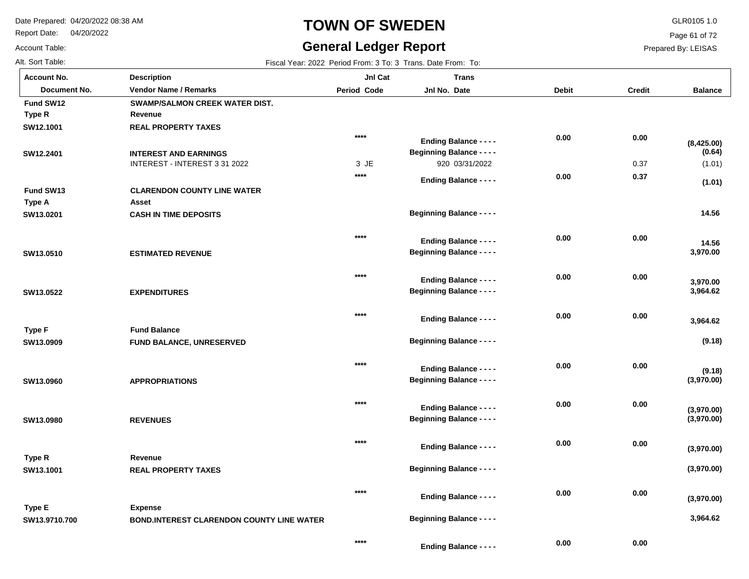Report Date: 04/20/2022

Account Table:

# **TOWN OF SWEDEN** GLR0105 1.0

## **General Ledger Report**

Page 61 of 72

Prepared By: LEISAS

Alt. Sort Table: Fiscal Year: 2022 Period From: 3 To: 3 Trans. Date From: To: 3 Trans. Date From: To: 3 Trans. Date From: To:

|                    |                                                  |                    | $\overline{1}$ iscar real. $2022$ religion follows for $3$ rights. Date from Form |              |               |                          |
|--------------------|--------------------------------------------------|--------------------|-----------------------------------------------------------------------------------|--------------|---------------|--------------------------|
| <b>Account No.</b> | <b>Description</b>                               | JnI Cat            | <b>Trans</b>                                                                      |              |               |                          |
| Document No.       | <b>Vendor Name / Remarks</b>                     | <b>Period Code</b> | Jnl No. Date                                                                      | <b>Debit</b> | <b>Credit</b> | <b>Balance</b>           |
| Fund SW12          | SWAMP/SALMON CREEK WATER DIST.                   |                    |                                                                                   |              |               |                          |
| Type R             | Revenue                                          |                    |                                                                                   |              |               |                          |
| SW12.1001          | <b>REAL PROPERTY TAXES</b>                       |                    |                                                                                   |              |               |                          |
|                    |                                                  | $****$             | <b>Ending Balance - - - -</b>                                                     | 0.00         | 0.00          | (8,425.00)               |
| SW12.2401          | <b>INTEREST AND EARNINGS</b>                     |                    | <b>Beginning Balance - - - -</b>                                                  |              |               | (0.64)                   |
|                    | INTEREST - INTEREST 3 31 2022                    | 3 JE               | 920 03/31/2022                                                                    |              | 0.37          | (1.01)                   |
|                    |                                                  | $****$             | <b>Ending Balance - - - -</b>                                                     | 0.00         | 0.37          | (1.01)                   |
| Fund SW13          | <b>CLARENDON COUNTY LINE WATER</b>               |                    |                                                                                   |              |               |                          |
| Type A             | Asset                                            |                    |                                                                                   |              |               |                          |
| SW13.0201          | <b>CASH IN TIME DEPOSITS</b>                     |                    | <b>Beginning Balance - - - -</b>                                                  |              |               | 14.56                    |
|                    |                                                  | ****               | <b>Ending Balance - - - -</b>                                                     | 0.00         | 0.00          |                          |
| SW13.0510          | <b>ESTIMATED REVENUE</b>                         |                    | <b>Beginning Balance - - - -</b>                                                  |              |               | 14.56<br>3,970.00        |
|                    |                                                  |                    |                                                                                   |              |               |                          |
|                    |                                                  | $***$              | <b>Ending Balance - - - -</b>                                                     | 0.00         | 0.00          |                          |
| SW13.0522          | <b>EXPENDITURES</b>                              |                    | <b>Beginning Balance - - - -</b>                                                  |              |               | 3,970.00<br>3,964.62     |
|                    |                                                  |                    |                                                                                   |              |               |                          |
|                    |                                                  | $***$              |                                                                                   | 0.00         | 0.00          |                          |
| <b>Type F</b>      | <b>Fund Balance</b>                              |                    | <b>Ending Balance - - - -</b>                                                     |              |               | 3,964.62                 |
| SW13.0909          | <b>FUND BALANCE, UNRESERVED</b>                  |                    | <b>Beginning Balance - - - -</b>                                                  |              |               | (9.18)                   |
|                    |                                                  |                    |                                                                                   |              |               |                          |
|                    |                                                  | $***$              | <b>Ending Balance - - - -</b>                                                     | 0.00         | 0.00          |                          |
| SW13.0960          | <b>APPROPRIATIONS</b>                            |                    | <b>Beginning Balance - - - -</b>                                                  |              |               | (9.18)<br>(3,970.00)     |
|                    |                                                  |                    |                                                                                   |              |               |                          |
|                    |                                                  | ****               |                                                                                   | 0.00         | 0.00          |                          |
|                    |                                                  |                    | <b>Ending Balance - - - -</b><br><b>Beginning Balance - - - -</b>                 |              |               | (3,970.00)<br>(3,970.00) |
| SW13.0980          | <b>REVENUES</b>                                  |                    |                                                                                   |              |               |                          |
|                    |                                                  | $***$              |                                                                                   | 0.00         | 0.00          |                          |
|                    |                                                  |                    | <b>Ending Balance - - - -</b>                                                     |              |               | (3,970.00)               |
| Type R             | Revenue                                          |                    | <b>Beginning Balance - - - -</b>                                                  |              |               | (3,970.00)               |
| SW13.1001          | <b>REAL PROPERTY TAXES</b>                       |                    |                                                                                   |              |               |                          |
|                    |                                                  | ****               |                                                                                   | 0.00         | 0.00          |                          |
|                    |                                                  |                    | <b>Ending Balance - - - -</b>                                                     |              |               | (3,970.00)               |
| <b>Type E</b>      | <b>Expense</b>                                   |                    | <b>Beginning Balance - - - -</b>                                                  |              |               | 3,964.62                 |
| SW13.9710.700      | <b>BOND.INTEREST CLARENDON COUNTY LINE WATER</b> |                    |                                                                                   |              |               |                          |
|                    |                                                  | ****               | Endian Belopes                                                                    | 0.00         | 0.00          |                          |
|                    |                                                  |                    |                                                                                   |              |               |                          |

**Ending Balance - - - -**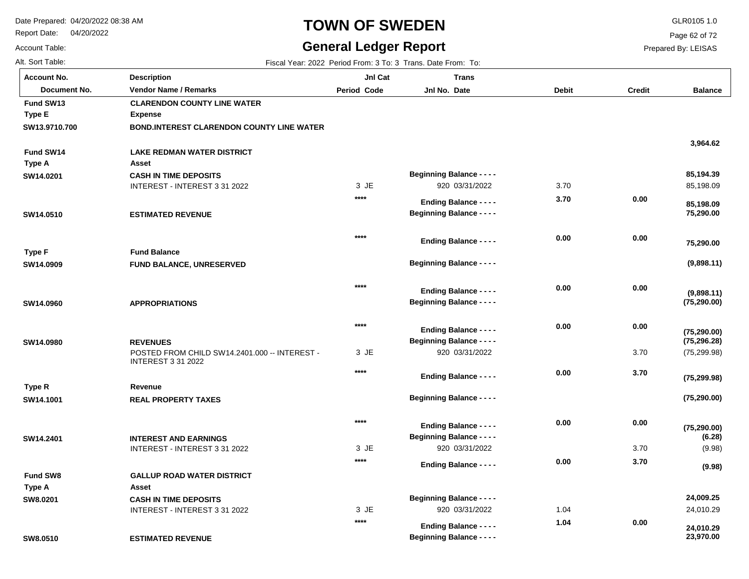Report Date: 04/20/2022

Account Table:

## **TOWN OF SWEDEN** GLR0105 1.0

## **General Ledger Report**

Page 62 of 72

Prepared By: LEISAS

Alt. Sort Table: Fiscal Year: 2022 Period From: 3 To: 3 Trans. Date From: To:

| <b>Account No.</b> | <b>Description</b>                               | JnI Cat            | <b>Trans</b>                     |              |               |                |
|--------------------|--------------------------------------------------|--------------------|----------------------------------|--------------|---------------|----------------|
| Document No.       | <b>Vendor Name / Remarks</b>                     | <b>Period Code</b> | Jnl No. Date                     | <b>Debit</b> | <b>Credit</b> | <b>Balance</b> |
| Fund SW13          | <b>CLARENDON COUNTY LINE WATER</b>               |                    |                                  |              |               |                |
| <b>Type E</b>      | <b>Expense</b>                                   |                    |                                  |              |               |                |
| SW13.9710.700      | <b>BOND.INTEREST CLARENDON COUNTY LINE WATER</b> |                    |                                  |              |               |                |
|                    |                                                  |                    |                                  |              |               | 3,964.62       |
| Fund SW14          | <b>LAKE REDMAN WATER DISTRICT</b>                |                    |                                  |              |               |                |
| Type A             | Asset                                            |                    |                                  |              |               |                |
| SW14.0201          | <b>CASH IN TIME DEPOSITS</b>                     |                    | <b>Beginning Balance - - - -</b> |              |               | 85,194.39      |
|                    | INTEREST - INTEREST 3 31 2022                    | 3 JE               | 920 03/31/2022                   | 3.70         |               | 85,198.09      |
|                    |                                                  | $***$              | <b>Ending Balance - - - -</b>    | 3.70         | 0.00          | 85,198.09      |
| SW14.0510          | <b>ESTIMATED REVENUE</b>                         |                    | <b>Beginning Balance - - - -</b> |              |               | 75,290.00      |
|                    |                                                  |                    |                                  |              |               |                |
|                    |                                                  | $****$             |                                  | 0.00         | 0.00          |                |
|                    | <b>Fund Balance</b>                              |                    | <b>Ending Balance - - - -</b>    |              |               | 75,290.00      |
| Type F             |                                                  |                    | <b>Beginning Balance - - - -</b> |              |               | (9,898.11)     |
| SW14.0909          | <b>FUND BALANCE, UNRESERVED</b>                  |                    |                                  |              |               |                |
|                    |                                                  | $***$              |                                  | 0.00         | 0.00          |                |
|                    |                                                  |                    | <b>Ending Balance - - - -</b>    |              |               | (9,898.11)     |
| SW14.0960          | <b>APPROPRIATIONS</b>                            |                    | <b>Beginning Balance - - - -</b> |              |               | (75, 290.00)   |
|                    |                                                  | $***$              |                                  |              |               |                |
|                    |                                                  |                    | <b>Ending Balance - - - -</b>    | 0.00         | 0.00          | (75, 290.00)   |
| SW14.0980          | <b>REVENUES</b>                                  |                    | <b>Beginning Balance - - - -</b> |              |               | (75, 296.28)   |
|                    | POSTED FROM CHILD SW14.2401.000 -- INTEREST -    | 3 JE               | 920 03/31/2022                   |              | 3.70          | (75, 299.98)   |
|                    | <b>INTEREST 3 31 2022</b>                        | $***$              |                                  | 0.00         | 3.70          |                |
|                    |                                                  |                    | <b>Ending Balance - - - -</b>    |              |               | (75, 299.98)   |
| Type R             | Revenue                                          |                    |                                  |              |               |                |
| SW14.1001          | <b>REAL PROPERTY TAXES</b>                       |                    | <b>Beginning Balance - - - -</b> |              |               | (75, 290.00)   |
|                    |                                                  | $***$              |                                  | 0.00         | 0.00          |                |
|                    |                                                  |                    | <b>Ending Balance - - - -</b>    |              |               | (75, 290.00)   |
| SW14.2401          | <b>INTEREST AND EARNINGS</b>                     |                    | <b>Beginning Balance - - - -</b> |              |               | (6.28)         |
|                    | INTEREST - INTEREST 3 31 2022                    | 3 JE               | 920 03/31/2022                   |              | 3.70          | (9.98)         |
|                    |                                                  | $***$              | <b>Ending Balance - - - -</b>    | 0.00         | 3.70          | (9.98)         |
| <b>Fund SW8</b>    | <b>GALLUP ROAD WATER DISTRICT</b>                |                    |                                  |              |               |                |
| Type A             | Asset                                            |                    |                                  |              |               |                |
| SW8.0201           | <b>CASH IN TIME DEPOSITS</b>                     |                    | <b>Beginning Balance - - - -</b> |              |               | 24,009.25      |
|                    | INTEREST - INTEREST 3 31 2022                    | 3 JE               | 920 03/31/2022                   | 1.04         |               | 24,010.29      |
|                    |                                                  | $***$              | <b>Ending Balance - - - -</b>    | 1.04         | 0.00          | 24,010.29      |
| SW8.0510           | <b>ESTIMATED REVENUE</b>                         |                    | <b>Beginning Balance - - - -</b> |              |               | 23,970.00      |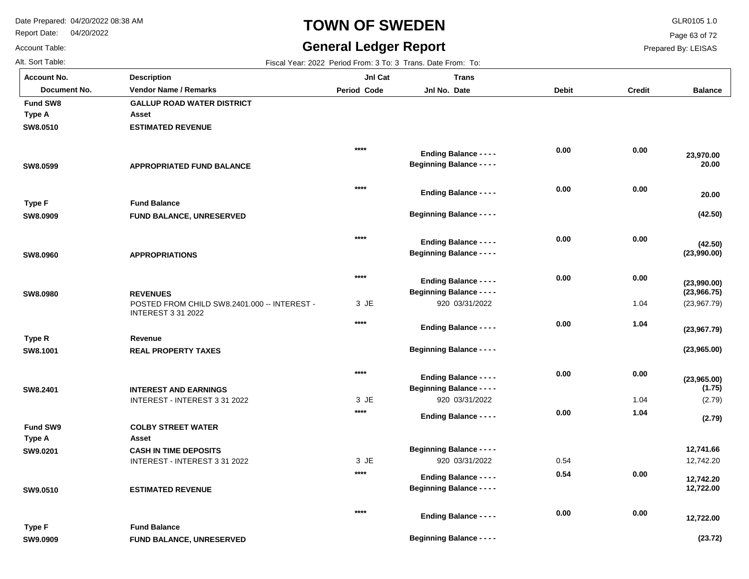Report Date: 04/20/2022

# **TOWN OF SWEDEN** GLR0105 1.0

## **General Ledger Report**

Page 63 of 72

Prepared By: LEISAS

Account Table: Alt. Sort Table: Fiscal Year: 2022 Period From: 3 To: 3 Trans. Date From: To:

| <b>Account No.</b> | <b>Description</b>                                                        | JnI Cat        | <b>Trans</b>                     |              |               |                |
|--------------------|---------------------------------------------------------------------------|----------------|----------------------------------|--------------|---------------|----------------|
| Document No.       | <b>Vendor Name / Remarks</b>                                              | Period Code    | Jnl No. Date                     | <b>Debit</b> | <b>Credit</b> | <b>Balance</b> |
| <b>Fund SW8</b>    | <b>GALLUP ROAD WATER DISTRICT</b>                                         |                |                                  |              |               |                |
| Type A             | Asset                                                                     |                |                                  |              |               |                |
| SW8.0510           | <b>ESTIMATED REVENUE</b>                                                  |                |                                  |              |               |                |
|                    |                                                                           | $****$         | <b>Ending Balance - - - -</b>    | 0.00         | 0.00          | 23,970.00      |
| SW8.0599           | <b>APPROPRIATED FUND BALANCE</b>                                          |                | <b>Beginning Balance - - - -</b> |              |               | 20.00          |
|                    |                                                                           | $****$         |                                  | 0.00         | 0.00          |                |
| <b>Type F</b>      | <b>Fund Balance</b>                                                       |                | <b>Ending Balance - - - -</b>    |              |               | 20.00          |
| SW8.0909           | FUND BALANCE, UNRESERVED                                                  |                | <b>Beginning Balance - - - -</b> |              |               | (42.50)        |
|                    |                                                                           | $****$         |                                  | 0.00         | 0.00          |                |
|                    |                                                                           |                | <b>Ending Balance - - - -</b>    |              |               | (42.50)        |
| SW8.0960           | <b>APPROPRIATIONS</b>                                                     |                | <b>Beginning Balance - - - -</b> |              |               | (23,990.00)    |
|                    |                                                                           | $****$         | <b>Ending Balance - - - -</b>    | 0.00         | 0.00          | (23,990.00)    |
| SW8.0980           | <b>REVENUES</b>                                                           |                | <b>Beginning Balance - - - -</b> |              |               | (23,966.75)    |
|                    | POSTED FROM CHILD SW8.2401.000 -- INTEREST -<br><b>INTEREST 3 31 2022</b> | 3 JE           | 920 03/31/2022                   |              | 1.04          | (23,967.79)    |
|                    |                                                                           | $****$         | <b>Ending Balance - - - -</b>    | 0.00         | 1.04          | (23,967.79)    |
| Type R             | Revenue                                                                   |                |                                  |              |               |                |
| SW8.1001           | <b>REAL PROPERTY TAXES</b>                                                |                | <b>Beginning Balance - - - -</b> |              |               | (23,965.00)    |
|                    |                                                                           | $****$         | <b>Ending Balance - - - -</b>    | 0.00         | 0.00          | (23,965.00)    |
| SW8.2401           | <b>INTEREST AND EARNINGS</b>                                              |                | <b>Beginning Balance - - - -</b> |              |               | (1.75)         |
|                    | INTEREST - INTEREST 3 31 2022                                             | 3 JE           | 920 03/31/2022                   |              | 1.04          | (2.79)         |
|                    |                                                                           | $****$         | <b>Ending Balance - - - -</b>    | 0.00         | 1.04          | (2.79)         |
| <b>Fund SW9</b>    | <b>COLBY STREET WATER</b>                                                 |                |                                  |              |               |                |
| Type A             | Asset                                                                     |                |                                  |              |               |                |
| SW9.0201           | <b>CASH IN TIME DEPOSITS</b>                                              |                | <b>Beginning Balance - - - -</b> |              |               | 12,741.66      |
|                    | INTEREST - INTEREST 3 31 2022                                             | 3 JE<br>$****$ | 920 03/31/2022                   | 0.54         |               | 12,742.20      |
|                    |                                                                           |                | <b>Ending Balance - - - -</b>    | 0.54         | 0.00          | 12,742.20      |
| SW9.0510           | <b>ESTIMATED REVENUE</b>                                                  |                | <b>Beginning Balance - - - -</b> |              |               | 12,722.00      |
|                    |                                                                           | $****$         | Profile of Distances             | 0.00         | 0.00          |                |

|               |                                 | **** | <b>Ending Balance - - - -</b>    | 0.00 | 0.00 | 12,722.00 |
|---------------|---------------------------------|------|----------------------------------|------|------|-----------|
| <b>Type F</b> | <b>Fund Balance</b>             |      |                                  |      |      |           |
| SW9.0909      | <b>FUND BALANCE, UNRESERVED</b> |      | <b>Beginning Balance - - - -</b> |      |      | (23.72)   |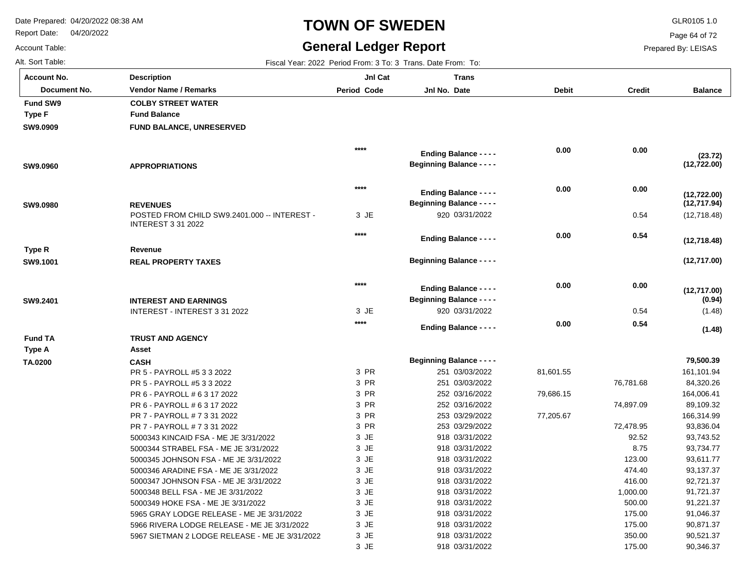Report Date: 04/20/2022

# **TOWN OF SWEDEN** GLR0105 1.0

## **General Ledger Report**

**Balance**

(12,718.48)

**(12,717.00)**

**(12,717.00)**

**(12,718.48)**

**(12,717.94)**

**(12,722.00)**

**(12,722.00)**

**(23.72)**

(1.48)

**(1.48)**

**(0.94)**

 161,101.94 84,320.26 164,006.41 89,109.32 166,314.99 93,836.04 93,743.52 93,734.77 93,611.77 93,137.37 92,721.37 91,721.37 91,221.37 91,046.37 90,871.37 90,521.37 90,346.37

 **79,500.39** 

Page 64 of 72

Prepared By: LEISAS

 175.00 350.00 175.00

Account Table: Alt. Sort Table: Fiscal Year: 2022 Period From: 3 To: 3 Trans. Date From: To: 7 Trans. Date From: To: 7 Trans. Date From: To: 7 Trans. Date From: To: 7 Trans. Date From: To: 7 Trans. Date From: To: 7 Trans. Date From: To: **Account No.**

**SW9.0909**

**Fund SW9**

**Type F**

**SW9.0960**

**SW9.0980**

**SW9.1001**

**Type R**

**SW9.2401**

**TA.0200**

**Type A**

**Fund TA**

| ⊍nt No.      | <b>Description</b>                                                                           | JnI Cat            | <b>Trans</b>                     |              |               |
|--------------|----------------------------------------------------------------------------------------------|--------------------|----------------------------------|--------------|---------------|
| Document No. | <b>Vendor Name / Remarks</b>                                                                 | <b>Period Code</b> | Jnl No. Date                     | <b>Debit</b> | <b>Credit</b> |
| l SW9        | <b>COLBY STREET WATER</b>                                                                    |                    |                                  |              |               |
| F            | <b>Fund Balance</b>                                                                          |                    |                                  |              |               |
| 0909         | <b>FUND BALANCE, UNRESERVED</b>                                                              |                    |                                  |              |               |
|              |                                                                                              | ****               | <b>Ending Balance - - - -</b>    | 0.00         | 0.00          |
| 0960         | <b>APPROPRIATIONS</b>                                                                        |                    | <b>Beginning Balance - - - -</b> |              |               |
|              |                                                                                              | $***$              | <b>Ending Balance - - - -</b>    | 0.00         | 0.00          |
|              |                                                                                              |                    | <b>Beginning Balance - - - -</b> |              |               |
| 0980         | <b>REVENUES</b><br>POSTED FROM CHILD SW9.2401.000 -- INTEREST -<br><b>INTEREST 3 31 2022</b> | 3 JE               | 920 03/31/2022                   |              | 0.54          |
|              |                                                                                              | ****               | <b>Ending Balance - - - -</b>    | 0.00         | 0.54          |
| R            | Revenue                                                                                      |                    |                                  |              |               |
| 1001         | <b>REAL PROPERTY TAXES</b>                                                                   |                    | <b>Beginning Balance - - - -</b> |              |               |
|              |                                                                                              | $***$              | <b>Ending Balance - - - -</b>    | 0.00         | 0.00          |
|              | <b>INTEREST AND EARNINGS</b>                                                                 |                    | <b>Beginning Balance - - - -</b> |              |               |
| 2401         | INTEREST - INTEREST 3 31 2022                                                                | 3 JE               | 920 03/31/2022                   |              | 0.54          |
|              |                                                                                              | $***$              |                                  | 0.00         | 0.54          |
| I TA         | <b>TRUST AND AGENCY</b>                                                                      |                    | <b>Ending Balance - - - -</b>    |              |               |
| ۰A           | Asset                                                                                        |                    |                                  |              |               |
| 200          | <b>CASH</b>                                                                                  |                    | <b>Beginning Balance - - - -</b> |              |               |
|              | PR 5 - PAYROLL #5 3 3 2022                                                                   | 3 PR               | 251 03/03/2022                   | 81,601.55    |               |
|              | PR 5 - PAYROLL #5 3 3 2022                                                                   | 3 PR               | 251 03/03/2022                   |              | 76,781.68     |
|              | PR 6 - PAYROLL # 6 3 17 2022                                                                 | 3 PR               | 252 03/16/2022                   | 79,686.15    |               |
|              | PR 6 - PAYROLL # 6 3 17 2022                                                                 | 3 PR               | 252 03/16/2022                   |              | 74,897.09     |
|              | PR 7 - PAYROLL # 7 3 31 2022                                                                 | 3 PR               | 253 03/29/2022                   | 77,205.67    |               |
|              | PR 7 - PAYROLL # 7 3 31 2022                                                                 | 3 PR               | 253 03/29/2022                   |              | 72,478.95     |
|              | 5000343 KINCAID FSA - ME JE 3/31/2022                                                        | 3 JE               | 918 03/31/2022                   |              | 92.52         |
|              | 5000344 STRABEL FSA - ME JE 3/31/2022                                                        | 3 JE               | 918 03/31/2022                   |              | 8.75          |
|              | 5000345 JOHNSON FSA - ME JE 3/31/2022                                                        | 3 JE               | 918 03/31/2022                   |              | 123.00        |
|              | 5000346 ARADINE FSA - ME JE 3/31/2022                                                        | 3 JE               | 918 03/31/2022                   |              | 474.40        |
|              | 5000347 JOHNSON FSA - ME JE 3/31/2022                                                        | 3 JE               | 918 03/31/2022                   |              | 416.00        |
|              | 5000348 BELL FSA - ME JE 3/31/2022                                                           | 3 JE               | 918 03/31/2022                   |              | 1,000.00      |
|              | 5000349 HOKE FSA - ME JE 3/31/2022                                                           | 3 JE               | 918 03/31/2022                   |              | 500.00        |
|              | 5965 GRAY LODGE RELEASE - ME JE 3/31/2022                                                    | 3 JE               | 918 03/31/2022                   |              | 175.00        |

JE 3 JE 3 JE 3 918 03/31/2022 918 03/31/2022 918 03/31/2022

5966 RIVERA LODGE RELEASE - ME JE 3/31/2022 5967 SIETMAN 2 LODGE RELEASE - ME JE 3/31/2022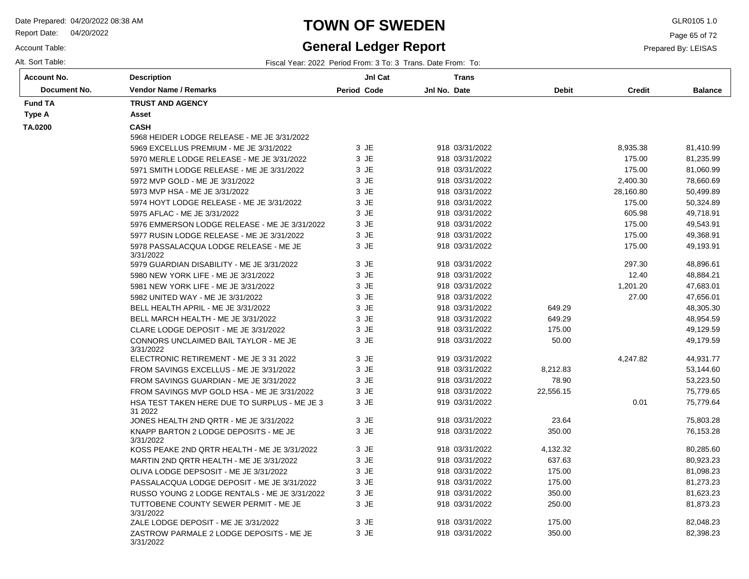Report Date: 04/20/2022

Account Table:

# **TOWN OF SWEDEN** GLR0105 1.0

## **General Ledger Report**

Page 65 of 72

Prepared By: LEISAS

Alt. Sort Table: Fiscal Year: 2022 Period From: 3 To: 3 Trans. Date From: To:

| Account No.  | <b>Description</b>                                      | JnI Cat     | <b>Trans</b>   |              |               |                |
|--------------|---------------------------------------------------------|-------------|----------------|--------------|---------------|----------------|
| Document No. | <b>Vendor Name / Remarks</b>                            | Period Code | Jnl No. Date   | <b>Debit</b> | <b>Credit</b> | <b>Balance</b> |
| Fund TA      | <b>TRUST AND AGENCY</b>                                 |             |                |              |               |                |
| Type A       | Asset                                                   |             |                |              |               |                |
| TA.0200      | <b>CASH</b>                                             |             |                |              |               |                |
|              | 5968 HEIDER LODGE RELEASE - ME JE 3/31/2022             |             |                |              |               |                |
|              | 5969 EXCELLUS PREMIUM - ME JE 3/31/2022                 | 3 JE        | 918 03/31/2022 |              | 8,935.38      | 81,410.99      |
|              | 5970 MERLE LODGE RELEASE - ME JE 3/31/2022              | 3 JE        | 918 03/31/2022 |              | 175.00        | 81,235.99      |
|              | 5971 SMITH LODGE RELEASE - ME JE 3/31/2022              | 3 JE        | 918 03/31/2022 |              | 175.00        | 81,060.99      |
|              | 5972 MVP GOLD - ME JE 3/31/2022                         | 3 JE        | 918 03/31/2022 |              | 2,400.30      | 78,660.69      |
|              | 5973 MVP HSA - ME JE 3/31/2022                          | $3$ JE      | 918 03/31/2022 |              | 28,160.80     | 50,499.89      |
|              | 5974 HOYT LODGE RELEASE - ME JE 3/31/2022               | 3 JE        | 918 03/31/2022 |              | 175.00        | 50,324.89      |
|              | 5975 AFLAC - ME JE 3/31/2022                            | 3 JE        | 918 03/31/2022 |              | 605.98        | 49,718.91      |
|              | 5976 EMMERSON LODGE RELEASE - ME JE 3/31/2022           | 3 JE        | 918 03/31/2022 |              | 175.00        | 49,543.91      |
|              | 5977 RUSIN LODGE RELEASE - ME JE 3/31/2022              | 3 JE        | 918 03/31/2022 |              | 175.00        | 49,368.91      |
|              | 5978 PASSALACQUA LODGE RELEASE - ME JE<br>3/31/2022     | 3 JE        | 918 03/31/2022 |              | 175.00        | 49,193.91      |
|              | 5979 GUARDIAN DISABILITY - ME JE 3/31/2022              | 3 JE        | 918 03/31/2022 |              | 297.30        | 48,896.61      |
|              | 5980 NEW YORK LIFE - ME JE 3/31/2022                    | 3 JE        | 918 03/31/2022 |              | 12.40         | 48,884.21      |
|              | 5981 NEW YORK LIFE - ME JE 3/31/2022                    | 3 JE        | 918 03/31/2022 |              | 1,201.20      | 47,683.01      |
|              | 5982 UNITED WAY - ME JE 3/31/2022                       | 3 JE        | 918 03/31/2022 |              | 27.00         | 47,656.01      |
|              | BELL HEALTH APRIL - ME JE 3/31/2022                     | 3 JE        | 918 03/31/2022 | 649.29       |               | 48,305.30      |
|              | BELL MARCH HEALTH - ME JE 3/31/2022                     | 3 JE        | 918 03/31/2022 | 649.29       |               | 48,954.59      |
|              | CLARE LODGE DEPOSIT - ME JE 3/31/2022                   | 3 JE        | 918 03/31/2022 | 175.00       |               | 49,129.59      |
|              | CONNORS UNCLAIMED BAIL TAYLOR - ME JE<br>3/31/2022      | 3 JE        | 918 03/31/2022 | 50.00        |               | 49,179.59      |
|              | ELECTRONIC RETIREMENT - ME JE 3 31 2022                 | 3 JE        | 919 03/31/2022 |              | 4,247.82      | 44,931.77      |
|              | FROM SAVINGS EXCELLUS - ME JE 3/31/2022                 | 3 JE        | 918 03/31/2022 | 8,212.83     |               | 53,144.60      |
|              | FROM SAVINGS GUARDIAN - ME JE 3/31/2022                 | 3 JE        | 918 03/31/2022 | 78.90        |               | 53,223.50      |
|              | FROM SAVINGS MVP GOLD HSA - ME JE 3/31/2022             | 3 JE        | 918 03/31/2022 | 22,556.15    |               | 75,779.65      |
|              | HSA TEST TAKEN HERE DUE TO SURPLUS - ME JE 3<br>31 2022 | 3 JE        | 919 03/31/2022 |              | 0.01          | 75,779.64      |
|              | JONES HEALTH 2ND QRTR - ME JE 3/31/2022                 | 3 JE        | 918 03/31/2022 | 23.64        |               | 75,803.28      |
|              | KNAPP BARTON 2 LODGE DEPOSITS - ME JE<br>3/31/2022      | 3 JE        | 918 03/31/2022 | 350.00       |               | 76,153.28      |
|              | KOSS PEAKE 2ND QRTR HEALTH - ME JE 3/31/2022            | 3 JE        | 918 03/31/2022 | 4,132.32     |               | 80,285.60      |
|              | MARTIN 2ND QRTR HEALTH - ME JE 3/31/2022                | 3 JE        | 918 03/31/2022 | 637.63       |               | 80,923.23      |
|              | OLIVA LODGE DEPSOSIT - ME JE 3/31/2022                  | 3 JE        | 918 03/31/2022 | 175.00       |               | 81,098.23      |
|              | PASSALACQUA LODGE DEPOSIT - ME JE 3/31/2022             | 3 JE        | 918 03/31/2022 | 175.00       |               | 81,273.23      |
|              | RUSSO YOUNG 2 LODGE RENTALS - ME JE 3/31/2022           | 3 JE        | 918 03/31/2022 | 350.00       |               | 81,623.23      |
|              | TUTTOBENE COUNTY SEWER PERMIT - ME JE<br>3/31/2022      | 3 JE        | 918 03/31/2022 | 250.00       |               | 81,873.23      |
|              | ZALE LODGE DEPOSIT - ME JE 3/31/2022                    | 3 JE        | 918 03/31/2022 | 175.00       |               | 82,048.23      |
|              | ZASTROW PARMALE 2 LODGE DEPOSITS - ME JE<br>3/31/2022   | 3 JE        | 918 03/31/2022 | 350.00       |               | 82,398.23      |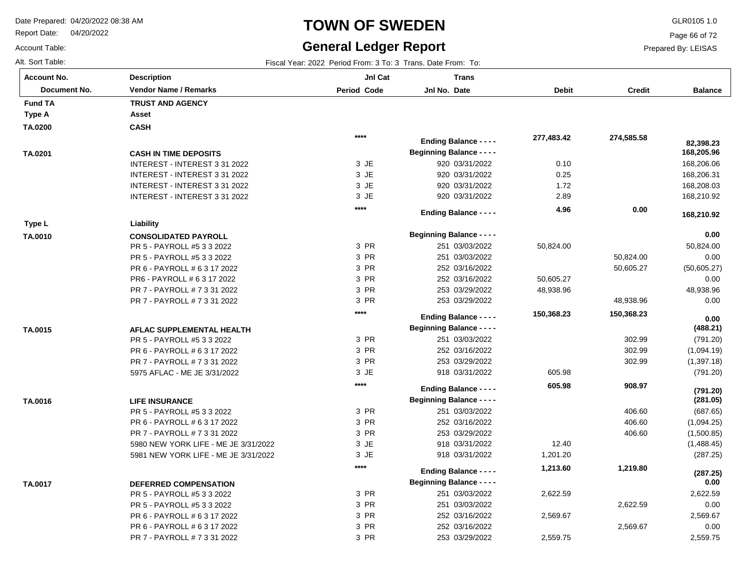Report Date: 04/20/2022

Account Table:

# **TOWN OF SWEDEN** GLR0105 1.0

## **General Ledger Report**

Page 66 of 72

Prepared By: LEISAS

Alt. Sort Table: Fiscal Year: 2022 Period From: 3 To: 3 Trans. Date From: To: 3 Trans. Date From: To:

| Account No.    | <b>Description</b>                   | JnI Cat        | Trans                            |              |               |                  |
|----------------|--------------------------------------|----------------|----------------------------------|--------------|---------------|------------------|
| Document No.   | <b>Vendor Name / Remarks</b>         | Period Code    | Jnl No. Date                     | <b>Debit</b> | <b>Credit</b> | <b>Balance</b>   |
| <b>Fund TA</b> | <b>TRUST AND AGENCY</b>              |                |                                  |              |               |                  |
| Type A         | Asset                                |                |                                  |              |               |                  |
| TA.0200        | <b>CASH</b>                          |                |                                  |              |               |                  |
|                |                                      | $****$         | <b>Ending Balance - - - -</b>    | 277,483.42   | 274,585.58    | 82,398.23        |
| TA.0201        | <b>CASH IN TIME DEPOSITS</b>         |                | <b>Beginning Balance - - - -</b> |              |               | 168,205.96       |
|                | INTEREST - INTEREST 3 31 2022        | 3 JE           | 920 03/31/2022                   | 0.10         |               | 168,206.06       |
|                | INTEREST - INTEREST 3 31 2022        | 3 JE           | 920 03/31/2022                   | 0.25         |               | 168,206.31       |
|                | INTEREST - INTEREST 3 31 2022        | 3 JE           | 920 03/31/2022                   | 1.72         |               | 168,208.03       |
|                | INTEREST - INTEREST 3 31 2022        | 3 JE           | 920 03/31/2022                   | 2.89         |               | 168,210.92       |
|                |                                      | $****$         | <b>Ending Balance - - - -</b>    | 4.96         | 0.00          |                  |
| Type L         | Liability                            |                |                                  |              |               | 168,210.92       |
| TA.0010        | <b>CONSOLIDATED PAYROLL</b>          |                | <b>Beginning Balance - - - -</b> |              |               | 0.00             |
|                | PR 5 - PAYROLL #5 3 3 2022           | 3 PR           | 251 03/03/2022                   | 50,824.00    |               | 50,824.00        |
|                | PR 5 - PAYROLL #5 3 3 2022           | 3 PR           | 251 03/03/2022                   |              | 50,824.00     | 0.00             |
|                | PR 6 - PAYROLL # 6 3 17 2022         | 3 PR           | 252 03/16/2022                   |              | 50,605.27     | (50,605.27)      |
|                | PR6 - PAYROLL # 6 3 17 2022          | 3 PR           | 252 03/16/2022                   | 50,605.27    |               | 0.00             |
|                | PR 7 - PAYROLL # 7 3 31 2022         | 3 PR           | 253 03/29/2022                   | 48,938.96    |               | 48,938.96        |
|                | PR 7 - PAYROLL # 7 3 31 2022         | 3 PR           | 253 03/29/2022                   |              | 48,938.96     | 0.00             |
|                |                                      | $****$         | <b>Ending Balance - - - -</b>    | 150,368.23   | 150,368.23    |                  |
| TA.0015        | AFLAC SUPPLEMENTAL HEALTH            |                | <b>Beginning Balance - - - -</b> |              |               | 0.00<br>(488.21) |
|                | PR 5 - PAYROLL #5 3 3 2022           | 3 PR           | 251 03/03/2022                   |              | 302.99        | (791.20)         |
|                | PR 6 - PAYROLL # 6 3 17 2022         | 3 PR           | 252 03/16/2022                   |              | 302.99        | (1,094.19)       |
|                | PR 7 - PAYROLL # 7 3 31 2022         | 3 PR           | 253 03/29/2022                   |              | 302.99        | (1, 397.18)      |
|                | 5975 AFLAC - ME JE 3/31/2022         | 3 JE           | 918 03/31/2022                   | 605.98       |               | (791.20)         |
|                |                                      | $****$         |                                  | 605.98       | 908.97        |                  |
|                |                                      |                | <b>Ending Balance - - - -</b>    |              |               | (791.20)         |
| TA.0016        | <b>LIFE INSURANCE</b>                |                | <b>Beginning Balance - - - -</b> |              |               | (281.05)         |
|                | PR 5 - PAYROLL #5 3 3 2022           | 3 PR           | 251 03/03/2022                   |              | 406.60        | (687.65)         |
|                | PR 6 - PAYROLL # 6 3 17 2022         | 3 PR           | 252 03/16/2022                   |              | 406.60        | (1,094.25)       |
|                | PR 7 - PAYROLL # 7 3 31 2022         | 3 PR           | 253 03/29/2022                   |              | 406.60        | (1,500.85)       |
|                | 5980 NEW YORK LIFE - ME JE 3/31/2022 | 3 JE           | 918 03/31/2022                   | 12.40        |               | (1,488.45)       |
|                | 5981 NEW YORK LIFE - ME JE 3/31/2022 | 3 JE<br>$****$ | 918 03/31/2022                   | 1,201.20     |               | (287.25)         |
|                |                                      |                | <b>Ending Balance - - - -</b>    | 1,213.60     | 1,219.80      | (287.25)         |
| TA.0017        | <b>DEFERRED COMPENSATION</b>         |                | <b>Beginning Balance - - - -</b> |              |               | 0.00             |
|                | PR 5 - PAYROLL #5 3 3 2022           | 3 PR           | 251 03/03/2022                   | 2,622.59     |               | 2,622.59         |
|                | PR 5 - PAYROLL #5 3 3 2022           | 3 PR           | 251 03/03/2022                   |              | 2,622.59      | 0.00             |
|                | PR 6 - PAYROLL # 6 3 17 2022         | 3 PR           | 252 03/16/2022                   | 2,569.67     |               | 2,569.67         |
|                | PR 6 - PAYROLL # 6 3 17 2022         | 3 PR           | 252 03/16/2022                   |              | 2,569.67      | 0.00             |
|                | PR 7 - PAYROLL # 7 3 31 2022         | 3 PR           | 253 03/29/2022                   | 2,559.75     |               | 2,559.75         |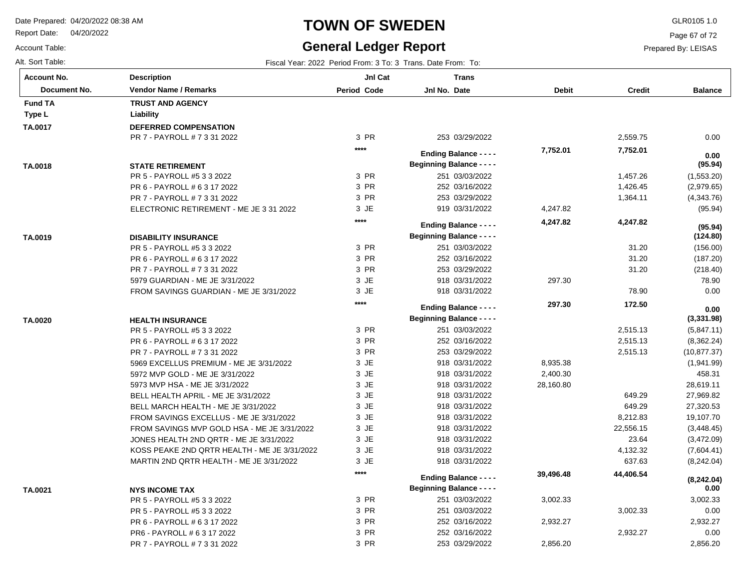Report Date: 04/20/2022

# **TOWN OF SWEDEN** GLR0105 1.0

## **General Ledger Report**

**Balance**

0.00

 **0.00** 

(1,553.20) (2,979.65) (4,343.76) (95.94)

**(95.94)**

(156.00) (187.20) (218.40) 78.90 0.00

**(124.80)**

**(95.94)**

(5,847.11) (8,362.24) (10,877.37) (1,941.99) 458.31 28,619.11 27,969.82 27,320.53 19,107.70 (3,448.45) (3,472.09)

**(3,331.98)**

 **0.00** 

Page 67 of 72

Prepared By: LEISAS

| Account Table:     |                                                       | <b>General Ledger Report</b> |                                                              |                  | P             |
|--------------------|-------------------------------------------------------|------------------------------|--------------------------------------------------------------|------------------|---------------|
| Alt. Sort Table:   |                                                       |                              | Fiscal Year: 2022 Period From: 3 To: 3 Trans. Date From: To: |                  |               |
| <b>Account No.</b> | <b>Description</b>                                    | JnI Cat                      | <b>Trans</b>                                                 |                  |               |
| Document No.       | <b>Vendor Name / Remarks</b>                          | <b>Period Code</b>           | Jnl No. Date                                                 | <b>Debit</b>     | <b>Credit</b> |
| <b>Fund TA</b>     | <b>TRUST AND AGENCY</b>                               |                              |                                                              |                  |               |
| Type L             | Liability                                             |                              |                                                              |                  |               |
| TA.0017            | <b>DEFERRED COMPENSATION</b>                          |                              |                                                              |                  |               |
|                    | PR 7 - PAYROLL # 7 3 31 2022                          | 3 PR                         | 253 03/29/2022                                               |                  | 2,559.75      |
|                    |                                                       | $***$                        | <b>Ending Balance - - - -</b>                                | 7,752.01         | 7,752.01      |
|                    |                                                       |                              | <b>Beginning Balance - - - -</b>                             |                  |               |
| TA.0018            | <b>STATE RETIREMENT</b><br>PR 5 - PAYROLL #5 3 3 2022 | 3 PR                         | 251 03/03/2022                                               |                  | 1,457.26      |
|                    | PR 6 - PAYROLL # 6 3 17 2022                          | 3 PR                         | 252 03/16/2022                                               |                  | 1,426.45      |
|                    | PR 7 - PAYROLL # 7 3 31 2022                          | 3 PR                         | 253 03/29/2022                                               |                  | 1,364.11      |
|                    | ELECTRONIC RETIREMENT - ME JE 3 31 2022               | 3 JE                         | 919 03/31/2022                                               | 4,247.82         |               |
|                    |                                                       | $***$                        |                                                              |                  |               |
|                    |                                                       |                              | <b>Ending Balance - - - -</b>                                | 4,247.82         | 4,247.82      |
| TA.0019            | <b>DISABILITY INSURANCE</b>                           |                              | <b>Beginning Balance - - - -</b>                             |                  |               |
|                    | PR 5 - PAYROLL #5 3 3 2022                            | 3 PR                         | 251 03/03/2022                                               |                  | 31.20         |
|                    | PR 6 - PAYROLL # 6 3 17 2022                          | 3 PR                         | 252 03/16/2022                                               |                  | 31.20         |
|                    | PR 7 - PAYROLL # 7 3 31 2022                          | 3 PR                         | 253 03/29/2022                                               |                  | 31.20         |
|                    | 5979 GUARDIAN - ME JE 3/31/2022                       | 3 JE                         | 918 03/31/2022                                               | 297.30           |               |
|                    | FROM SAVINGS GUARDIAN - ME JE 3/31/2022               | 3 JE                         | 918 03/31/2022                                               |                  | 78.90         |
|                    |                                                       | ****                         | <b>Ending Balance - - - -</b>                                | 297.30           | 172.50        |
| TA.0020            | <b>HEALTH INSURANCE</b>                               |                              | <b>Beginning Balance - - - -</b>                             |                  |               |
|                    | PR 5 - PAYROLL #5 3 3 2022                            | 3 PR                         | 251 03/03/2022                                               |                  | 2,515.13      |
|                    | PR 6 - PAYROLL # 6 3 17 2022                          | 3 PR                         | 252 03/16/2022                                               |                  | 2,515.13      |
|                    | PR 7 - PAYROLL # 7 3 31 2022                          | 3 PR                         | 253 03/29/2022                                               |                  | 2,515.13      |
|                    | 5969 EXCELLUS PREMIUM - ME JE 3/31/2022               | 3 JE                         | 918 03/31/2022                                               | 8,935.38         |               |
|                    | 5972 MVP GOLD - ME JE 3/31/2022                       | 3 JE                         | 918 03/31/2022                                               | 2,400.30         |               |
|                    | 5973 MVP HSA - ME JE 3/31/2022                        | 3 JE                         | 918 03/31/2022                                               | 28,160.80        |               |
|                    | BELL HEALTH APRIL - ME JE 3/31/2022                   | 3 JE                         | 918 03/31/2022                                               |                  | 649.29        |
|                    | BELL MARCH HEALTH - ME JE 3/31/2022                   | 3 JE                         | 918 03/31/2022                                               |                  | 649.29        |
|                    | FROM SAVINGS EXCELLUS - ME JE 3/31/2022               | 3 JE                         | 918 03/31/2022                                               |                  | 8,212.83      |
|                    | FROM SAVINGS MVP GOLD HSA - ME JE 3/31/2022           | 3 JE                         | 918 03/31/2022                                               |                  | 22,556.15     |
|                    | JONES HEALTH 2ND QRTR - ME JE 3/31/2022               | 3 JE                         | 918 03/31/2022                                               |                  | 23.64         |
|                    | KOSS PEAKE 2ND QRTR HEALTH - ME JE 3/31/2022          | 3 JE                         | 918 03/31/2022                                               |                  | 4,132.32      |
|                    | MARTIN 2ND QRTR HEALTH - ME JE 3/31/2022              | 3 JE                         | 918 03/31/2022                                               |                  | 637.63        |
|                    |                                                       | $***$                        |                                                              | <b>20 106 18</b> | AA ANG 5A     |

| KOSS PEAKE 2ND QRTR HEALTH - ME JE 3/31/2022 | 3 JE  | 918 03/31/2022                   |           | 4,132.32  | (7,604.41) |  |
|----------------------------------------------|-------|----------------------------------|-----------|-----------|------------|--|
| MARTIN 2ND QRTR HEALTH - ME JE 3/31/2022     | 3 JE  | 918 03/31/2022                   |           | 637.63    | (8,242.04) |  |
|                                              | $***$ | <b>Ending Balance - - - -</b>    | 39,496.48 | 44.406.54 | (8,242.04) |  |
| <b>NYS INCOME TAX</b>                        |       | <b>Beginning Balance - - - -</b> |           |           | 0.00       |  |
| PR 5 - PAYROLL #5 3 3 2022                   | 3 PR  | 251 03/03/2022                   | 3,002.33  |           | 3,002.33   |  |
| PR 5 - PAYROLL #5 3 3 2022                   | 3 PR  | 251 03/03/2022                   |           | 3.002.33  | 0.00       |  |
| PR 6 - PAYROLL # 6 3 17 2022                 | 3 PR  | 252 03/16/2022                   | 2.932.27  |           | 2,932.27   |  |
| PR6 - PAYROLL # 6 3 17 2022                  | 3 PR  | 252 03/16/2022                   |           | 2.932.27  | 0.00       |  |
| PR 7 - PAYROLL # 7 3 31 2022                 | 3 PR  | 253 03/29/2022                   | 2.856.20  |           | 2.856.20   |  |
|                                              |       |                                  |           |           |            |  |

**TA.0021**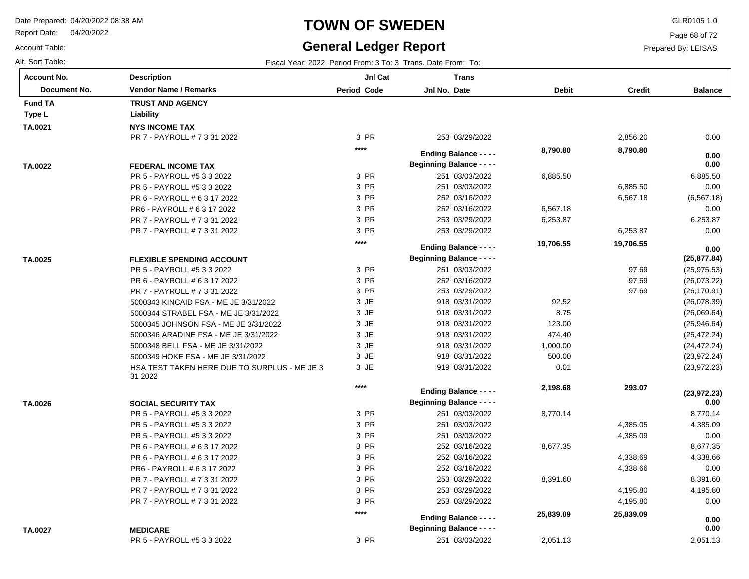PR 5 - PAYROLL #5 3 3 2022

Report Date: 04/20/2022

# **TOWN OF SWEDEN** GLR0105 1.0

## **General Ledger Report**

2,051.13

Page 68 of 72

Prepared By: LEISAS

Account Table: Alt. Sort Table: Fiscal Year: 2022 Period From: 3 To: 3 Trans. Date From: To:

| <b>Account No.</b> | <b>Description</b>                                      | Jnl Cat            | <b>Trans</b>                     |              |               |                |
|--------------------|---------------------------------------------------------|--------------------|----------------------------------|--------------|---------------|----------------|
| Document No.       | <b>Vendor Name / Remarks</b>                            | <b>Period Code</b> | Jnl No. Date                     | <b>Debit</b> | <b>Credit</b> | <b>Balance</b> |
| <b>Fund TA</b>     | <b>TRUST AND AGENCY</b>                                 |                    |                                  |              |               |                |
| Type L             | Liability                                               |                    |                                  |              |               |                |
| TA.0021            | <b>NYS INCOME TAX</b>                                   |                    |                                  |              |               |                |
|                    | PR 7 - PAYROLL # 7 3 31 2022                            | 3 PR               | 253 03/29/2022                   |              | 2,856.20      | 0.00           |
|                    |                                                         | $***$              | <b>Ending Balance - - - -</b>    | 8,790.80     | 8,790.80      |                |
|                    |                                                         |                    | <b>Beginning Balance - - - -</b> |              |               | 0.00<br>0.00   |
| TA.0022            | <b>FEDERAL INCOME TAX</b><br>PR 5 - PAYROLL #5 3 3 2022 | 3 PR               | 251 03/03/2022                   | 6,885.50     |               | 6,885.50       |
|                    | PR 5 - PAYROLL #5 3 3 2022                              | 3 PR               | 251 03/03/2022                   |              | 6,885.50      | 0.00           |
|                    | PR 6 - PAYROLL # 6 3 17 2022                            | 3 PR               | 252 03/16/2022                   |              | 6,567.18      | (6, 567.18)    |
|                    | PR6 - PAYROLL # 6 3 17 2022                             | 3 PR               | 252 03/16/2022                   | 6,567.18     |               | 0.00           |
|                    | PR 7 - PAYROLL # 7 3 31 2022                            | 3 PR               | 253 03/29/2022                   | 6,253.87     |               | 6,253.87       |
|                    | PR 7 - PAYROLL # 7 3 31 2022                            | 3 PR               | 253 03/29/2022                   |              | 6,253.87      | 0.00           |
|                    |                                                         | $***$              |                                  |              |               |                |
|                    |                                                         |                    | <b>Ending Balance - - - -</b>    | 19,706.55    | 19,706.55     | 0.00           |
| TA.0025            | <b>FLEXIBLE SPENDING ACCOUNT</b>                        |                    | <b>Beginning Balance - - - -</b> |              |               | (25, 877.84)   |
|                    | PR 5 - PAYROLL #5 3 3 2022                              | 3 PR               | 251 03/03/2022                   |              | 97.69         | (25, 975.53)   |
|                    | PR 6 - PAYROLL # 6 3 17 2022                            | 3 PR               | 252 03/16/2022                   |              | 97.69         | (26,073.22)    |
|                    | PR 7 - PAYROLL # 7 3 31 2022                            | 3 PR               | 253 03/29/2022                   |              | 97.69         | (26, 170.91)   |
|                    | 5000343 KINCAID FSA - ME JE 3/31/2022                   | 3 JE               | 918 03/31/2022                   | 92.52        |               | (26,078.39)    |
|                    | 5000344 STRABEL FSA - ME JE 3/31/2022                   | 3 JE               | 918 03/31/2022                   | 8.75         |               | (26,069.64)    |
|                    | 5000345 JOHNSON FSA - ME JE 3/31/2022                   | 3 JE               | 918 03/31/2022                   | 123.00       |               | (25,946.64)    |
|                    | 5000346 ARADINE FSA - ME JE 3/31/2022                   | 3 JE               | 918 03/31/2022                   | 474.40       |               | (25, 472.24)   |
|                    | 5000348 BELL FSA - ME JE 3/31/2022                      | 3 JE               | 918 03/31/2022                   | 1,000.00     |               | (24, 472.24)   |
|                    | 5000349 HOKE FSA - ME JE 3/31/2022                      | 3 JE               | 918 03/31/2022                   | 500.00       |               | (23, 972.24)   |
|                    | HSA TEST TAKEN HERE DUE TO SURPLUS - ME JE 3<br>31 2022 | 3 JE               | 919 03/31/2022                   | 0.01         |               | (23, 972.23)   |
|                    |                                                         | $***$              | <b>Ending Balance - - - -</b>    | 2,198.68     | 293.07        | (23, 972.23)   |
| TA.0026            | <b>SOCIAL SECURITY TAX</b>                              |                    | <b>Beginning Balance - - - -</b> |              |               | 0.00           |
|                    | PR 5 - PAYROLL #5 3 3 2022                              | 3 PR               | 251 03/03/2022                   | 8,770.14     |               | 8,770.14       |
|                    | PR 5 - PAYROLL #5 3 3 2022                              | 3 PR               | 251 03/03/2022                   |              | 4,385.05      | 4,385.09       |
|                    | PR 5 - PAYROLL #5 3 3 2022                              | 3 PR               | 251 03/03/2022                   |              | 4,385.09      | 0.00           |
|                    | PR 6 - PAYROLL # 6 3 17 2022                            | 3 PR               | 252 03/16/2022                   | 8,677.35     |               | 8,677.35       |
|                    | PR 6 - PAYROLL # 6 3 17 2022                            | 3 PR               | 252 03/16/2022                   |              | 4,338.69      | 4,338.66       |
|                    | PR6 - PAYROLL # 6 3 17 2022                             | 3 PR               | 252 03/16/2022                   |              | 4,338.66      | 0.00           |
|                    | PR 7 - PAYROLL # 7 3 31 2022                            | 3 PR               | 253 03/29/2022                   | 8,391.60     |               | 8,391.60       |
|                    | PR 7 - PAYROLL # 7 3 31 2022                            | 3 PR               | 253 03/29/2022                   |              | 4,195.80      | 4,195.80       |
|                    | PR 7 - PAYROLL # 7 3 31 2022                            | 3 PR               | 253 03/29/2022                   |              | 4,195.80      | 0.00           |
|                    |                                                         | $***$              |                                  |              |               |                |
|                    |                                                         |                    | <b>Ending Balance - - - -</b>    | 25,839.09    | 25,839.09     | 0.00           |
| TA.0027            | <b>MEDICARE</b>                                         |                    | <b>Beginning Balance - - - -</b> |              |               | 0.00           |

3 PR

251 03/03/2022

2,051.13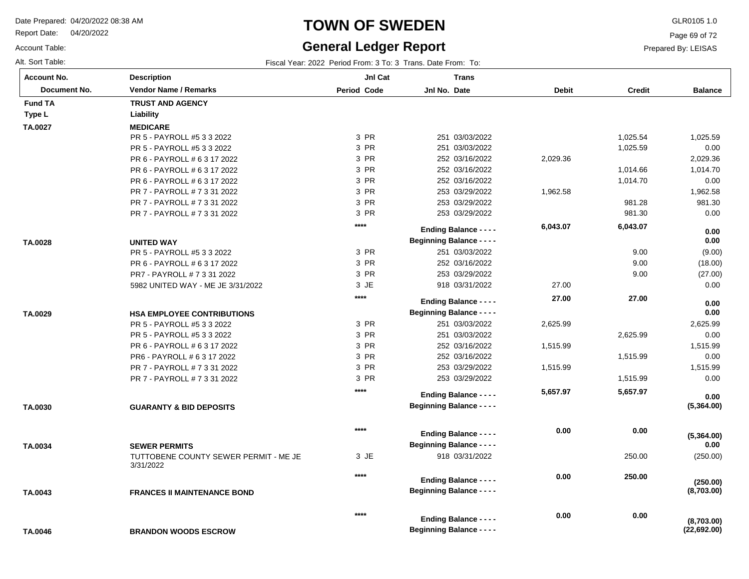Report Date: 04/20/2022

Account Table:

# **TOWN OF SWEDEN** GLR0105 1.0

## **General Ledger Report**

Page 69 of 72

Prepared By: LEISAS

| Fiscal Year: 2022 Period From: 3 To: 3 Trans. Date From: To: |
|--------------------------------------------------------------|
|                                                              |

| <b>Account No.</b> | <b>Description</b>                                 | JnI Cat            | <b>Trans</b>                     |              |               |                    |
|--------------------|----------------------------------------------------|--------------------|----------------------------------|--------------|---------------|--------------------|
| Document No.       | <b>Vendor Name / Remarks</b>                       | <b>Period Code</b> | Jnl No. Date                     | <b>Debit</b> | <b>Credit</b> | <b>Balance</b>     |
| <b>Fund TA</b>     | <b>TRUST AND AGENCY</b>                            |                    |                                  |              |               |                    |
| Type L             | Liability                                          |                    |                                  |              |               |                    |
| TA.0027            | <b>MEDICARE</b>                                    |                    |                                  |              |               |                    |
|                    | PR 5 - PAYROLL #5 3 3 2022                         | 3 PR               | 251 03/03/2022                   |              | 1,025.54      | 1,025.59           |
|                    | PR 5 - PAYROLL #5 3 3 2022                         | 3 PR               | 251 03/03/2022                   |              | 1,025.59      | 0.00               |
|                    | PR 6 - PAYROLL # 6 3 17 2022                       | 3 PR               | 252 03/16/2022                   | 2,029.36     |               | 2,029.36           |
|                    | PR 6 - PAYROLL # 6 3 17 2022                       | 3 PR               | 252 03/16/2022                   |              | 1,014.66      | 1,014.70           |
|                    | PR 6 - PAYROLL # 6 3 17 2022                       | 3 PR               | 252 03/16/2022                   |              | 1,014.70      | 0.00               |
|                    | PR 7 - PAYROLL # 7 3 31 2022                       | 3 PR               | 253 03/29/2022                   | 1,962.58     |               | 1,962.58           |
|                    | PR 7 - PAYROLL # 7 3 31 2022                       | 3 PR               | 253 03/29/2022                   |              | 981.28        | 981.30             |
|                    | PR 7 - PAYROLL # 7 3 31 2022                       | 3 PR               | 253 03/29/2022                   |              | 981.30        | 0.00               |
|                    |                                                    | $****$             | <b>Ending Balance - - - -</b>    | 6,043.07     | 6,043.07      |                    |
|                    |                                                    |                    | <b>Beginning Balance - - - -</b> |              |               | 0.00<br>0.00       |
| TA.0028            | <b>UNITED WAY</b>                                  | 3 PR               |                                  |              | 9.00          |                    |
|                    | PR 5 - PAYROLL #5 3 3 2022                         | 3 PR               | 251 03/03/2022<br>252 03/16/2022 |              | 9.00          | (9.00)             |
|                    | PR 6 - PAYROLL # 6 3 17 2022                       | 3 PR               |                                  |              |               | (18.00)            |
|                    | PR7 - PAYROLL # 7 3 31 2022                        | 3 JE               | 253 03/29/2022                   | 27.00        | 9.00          | (27.00)            |
|                    | 5982 UNITED WAY - ME JE 3/31/2022                  |                    | 918 03/31/2022                   |              |               | 0.00               |
|                    |                                                    | $****$             | <b>Ending Balance - - - -</b>    | 27.00        | 27.00         | 0.00               |
| TA.0029            | <b>HSA EMPLOYEE CONTRIBUTIONS</b>                  |                    | <b>Beginning Balance - - - -</b> |              |               | 0.00               |
|                    | PR 5 - PAYROLL #5 3 3 2022                         | 3 PR               | 251 03/03/2022                   | 2,625.99     |               | 2,625.99           |
|                    | PR 5 - PAYROLL #5 3 3 2022                         | 3 PR               | 251 03/03/2022                   |              | 2,625.99      | 0.00               |
|                    | PR 6 - PAYROLL # 6 3 17 2022                       | 3 PR               | 252 03/16/2022                   | 1,515.99     |               | 1,515.99           |
|                    | PR6 - PAYROLL # 6 3 17 2022                        | 3 PR               | 252 03/16/2022                   |              | 1,515.99      | 0.00               |
|                    | PR 7 - PAYROLL # 7 3 31 2022                       | 3 PR               | 253 03/29/2022                   | 1,515.99     |               | 1,515.99           |
|                    | PR 7 - PAYROLL # 7 3 31 2022                       | 3 PR               | 253 03/29/2022                   |              | 1,515.99      | 0.00               |
|                    |                                                    | $****$             | <b>Ending Balance - - - -</b>    | 5,657.97     | 5,657.97      |                    |
|                    |                                                    |                    | <b>Beginning Balance - - - -</b> |              |               | 0.00<br>(5,364.00) |
| TA.0030            | <b>GUARANTY &amp; BID DEPOSITS</b>                 |                    |                                  |              |               |                    |
|                    |                                                    |                    |                                  |              |               |                    |
|                    |                                                    | $****$             | <b>Ending Balance - - - -</b>    | 0.00         | 0.00          | (5,364.00)         |
| TA.0034            | <b>SEWER PERMITS</b>                               |                    | <b>Beginning Balance - - - -</b> |              |               | 0.00               |
|                    | TUTTOBENE COUNTY SEWER PERMIT - ME JE<br>3/31/2022 | 3 JE               | 918 03/31/2022                   |              | 250.00        | (250.00)           |
|                    |                                                    | $****$             |                                  | 0.00         | 250.00        |                    |
|                    |                                                    |                    | <b>Ending Balance - - - -</b>    |              |               | (250.00)           |
| TA.0043            | <b>FRANCES II MAINTENANCE BOND</b>                 |                    | <b>Beginning Balance - - - -</b> |              |               | (8,703.00)         |
|                    |                                                    | $****$             |                                  | 0.00         | 0.00          |                    |
|                    |                                                    |                    | <b>Ending Balance - - - -</b>    |              |               | (8,703.00)         |
| TA.0046            | <b>BRANDON WOODS ESCROW</b>                        |                    | <b>Beginning Balance - - - -</b> |              |               | (22,692.00)        |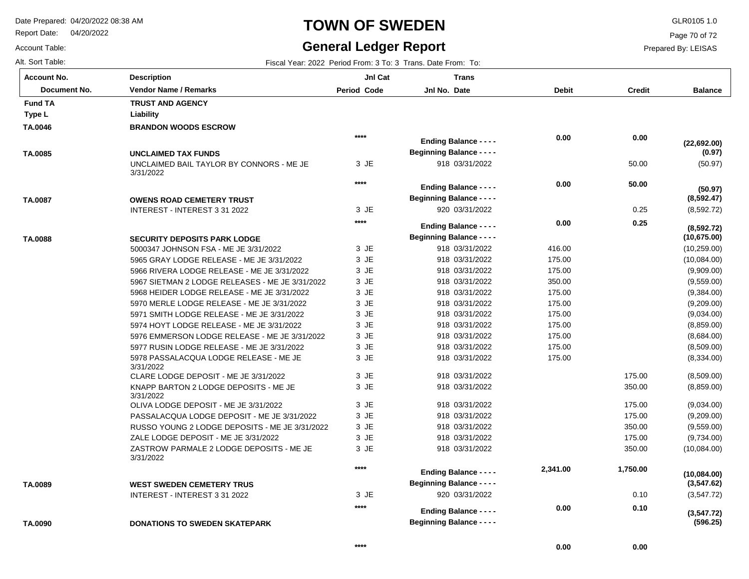Report Date: 04/20/2022

# **TOWN OF SWEDEN** GLR0105 1.0

## **General Ledger Report** Fiscal Year: 2022 Period From: 3 To: 3 Trans. Date From: To:

**Balance**

(50.97)

**(50.97)**

**(0.97)**

**(22,692.00)**

(8,592.72)

**(8,592.72)**

**(8,592.47)**

(10,259.00) (10,084.00) (9,909.00) (9,559.00) (9,384.00) (9,209.00) (9,034.00) (8,859.00) (8,684.00) (8,509.00) (8,334.00) (8,509.00) (8,859.00) (9,034.00) (9,209.00) (9,559.00) (9,734.00) (10,084.00)

**(10,675.00)**

Page 70 of 72

Prepared By: LEISAS

 175.00 350.00 175.00 175.00 350.00 175.00 350.00

0.10

 **0.10** 

 **0.00** 

 **1,750.00** 

| <b>Account No.</b> |
|--------------------|
| Alt. Sort Table:   |
| Account Table:     |

**TA.0046**

**Type L Liability Fund TA** 

**TA.0085**

**TA.0087**

**TA.0088**

**TA.0089**

| unt No.      | <b>Description</b>                                                                  | JnI Cat            | <b>Trans</b>                     |              |               |
|--------------|-------------------------------------------------------------------------------------|--------------------|----------------------------------|--------------|---------------|
| Document No. | <b>Vendor Name / Remarks</b>                                                        | <b>Period Code</b> | Jnl No. Date                     | <b>Debit</b> | <b>Credit</b> |
| I TA         | <b>TRUST AND AGENCY</b>                                                             |                    |                                  |              |               |
| ۱L           | Liability                                                                           |                    |                                  |              |               |
| )46          | <b>BRANDON WOODS ESCROW</b>                                                         |                    |                                  |              |               |
|              |                                                                                     | ****               | <b>Ending Balance - - - -</b>    | 0.00         | 0.00          |
|              |                                                                                     |                    | <b>Beginning Balance - - - -</b> |              |               |
| )85          | <b>UNCLAIMED TAX FUNDS</b><br>UNCLAIMED BAIL TAYLOR BY CONNORS - ME JE<br>3/31/2022 | 3 JE               | 918 03/31/2022                   |              | 50.00         |
|              |                                                                                     | ****               | <b>Ending Balance - - - -</b>    | 0.00         | 50.00         |
|              |                                                                                     |                    | <b>Beginning Balance - - - -</b> |              |               |
| )87          | <b>OWENS ROAD CEMETERY TRUST</b><br>INTEREST - INTEREST 3 31 2022                   | $3$ JE             | 920 03/31/2022                   |              | 0.25          |
|              |                                                                                     | ****               |                                  |              |               |
|              |                                                                                     |                    | <b>Ending Balance - - - -</b>    | 0.00         | 0.25          |
| )88          | <b>SECURITY DEPOSITS PARK LODGE</b>                                                 |                    | <b>Beginning Balance - - - -</b> |              |               |
|              | 5000347 JOHNSON FSA - ME JE 3/31/2022                                               | 3 JE               | 918 03/31/2022                   | 416.00       |               |
|              | 5965 GRAY LODGE RELEASE - ME JE 3/31/2022                                           | 3 JE               | 918 03/31/2022                   | 175.00       |               |
|              | 5966 RIVERA LODGE RELEASE - ME JE 3/31/2022                                         | 3 JE               | 918 03/31/2022                   | 175.00       |               |
|              | 5967 SIETMAN 2 LODGE RELEASES - ME JE 3/31/2022                                     | 3 JE               | 918 03/31/2022                   | 350.00       |               |
|              | 5968 HEIDER LODGE RELEASE - ME JE 3/31/2022                                         | 3 JE               | 918 03/31/2022                   | 175.00       |               |
|              | 5970 MERLE LODGE RELEASE - ME JE 3/31/2022                                          | 3 JE               | 918 03/31/2022                   | 175.00       |               |
|              | 5971 SMITH LODGE RELEASE - ME JE 3/31/2022                                          | 3 JE               | 918 03/31/2022                   | 175.00       |               |
|              | 5974 HOYT LODGE RELEASE - ME JE 3/31/2022                                           | 3 JE               | 918 03/31/2022                   | 175.00       |               |
|              | 5976 EMMERSON LODGE RELEASE - ME JE 3/31/2022                                       | 3 JE               | 918 03/31/2022                   | 175.00       |               |
|              | 5977 RUSIN LODGE RELEASE - ME JE 3/31/2022                                          | 3 JE               | 918 03/31/2022                   | 175.00       |               |
|              | 5978 PASSALACQUA LODGE RELEASE - ME JE<br>3/31/2022                                 | 3 JE               | 918 03/31/2022                   | 175.00       |               |
|              | CLARE LODGE DEPOSIT - ME JE 3/31/2022                                               | $3$ JE             | 918 03/31/2022                   |              | 175.00        |
|              | KNAPP BARTON 2 LODGE DEPOSITS - ME JE<br>3/31/2022                                  | 3 JE               | 918 03/31/2022                   |              | 350.00        |
|              | OLIVA LODGE DEPOSIT - ME JE 3/31/2022                                               | 3 JE               | 918 03/31/2022                   |              | 175.00        |
|              | PASSALACQUA LODGE DEPOSIT - ME JE 3/31/2022                                         | 3 JE               | 918 03/31/2022                   |              | 175.00        |

| (10,084.00)<br>(3,547.62)<br>(3.547.72) |
|-----------------------------------------|
| (3,547.72)<br>(596.25)                  |

**DONATIONS TO SWEDEN SKATEPARK TA.0090**

3/31/2022

RUSSO YOUNG 2 LODGE DEPOSITS - ME JE 3/31/2022

ZASTROW PARMALE 2 LODGE DEPOSITS - ME JE

ZALE LODGE DEPOSIT - ME JE 3/31/2022

INTEREST - INTEREST 3 31 2022

**WEST SWEDEN CEMETERY TRUS**

JE 3 JE 3 JE 3 918 03/31/2022 918 03/31/2022 918 03/31/2022

920 03/31/2022

**Beginning Balance - - - -**

**Ending Balance - - - -**

**Beginning Balance - - - -**

**Ending Balance - - - -**

JE 3

**\*\*\*\***

**\*\*\*\***

 **2,341.00** 

 **0.00**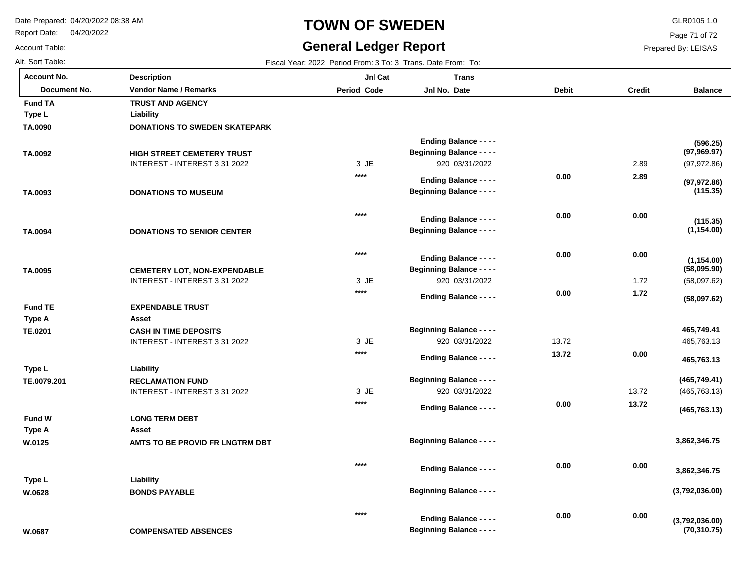**Description**

Report Date: 04/20/2022

# **TOWN OF SWEDEN** GLR0105 1.0

## **General Ledger Report**

**Balance**

(97,972.86)

**(97,969.97)**

**(596.25)**

Page 71 of 72

Prepared By: LEISAS

Account Table: Alt. Sort Table: Fiscal Year: 2022 Period From: 3 To: 3 Trans. Date From: To: **Account No.**

**TA.0090**

**Type L**

**Fund TA**

**TA.0092**

| unt No.      | <b>Description</b>                   | <b>Jnl Cat</b> | <b>Trans</b>                     |              |               |
|--------------|--------------------------------------|----------------|----------------------------------|--------------|---------------|
| Document No. | <b>Vendor Name / Remarks</b>         | Period Code    | Jnl No. Date                     | <b>Debit</b> | <b>Credit</b> |
| <b>TA</b>    | <b>TRUST AND AGENCY</b>              |                |                                  |              |               |
| L.           | Liability                            |                |                                  |              |               |
| )90          | <b>DONATIONS TO SWEDEN SKATEPARK</b> |                |                                  |              |               |
|              |                                      |                | <b>Ending Balance - - - -</b>    |              |               |
| )92          | <b>HIGH STREET CEMETERY TRUST</b>    |                | <b>Beginning Balance - - - -</b> |              |               |
|              | INTEREST - INTEREST 3 31 2022        | 3 JE           | 920 03/31/2022                   |              | 2.89          |
|              |                                      | ****           | <b>Ending Balance - - - -</b>    | 0.00         | 2.89          |

| TA.0093        | <b>DONATIONS TO MUSEUM</b>          | $***$  | <b>Ending Balance - - - -</b><br><b>Beginning Balance - - - -</b> | 0.00  | 2.89  | (97, 972.86)<br>(115.35)       |
|----------------|-------------------------------------|--------|-------------------------------------------------------------------|-------|-------|--------------------------------|
| TA.0094        | <b>DONATIONS TO SENIOR CENTER</b>   | $****$ | <b>Ending Balance - - - -</b><br><b>Beginning Balance - - - -</b> | 0.00  | 0.00  | (115.35)<br>(1, 154.00)        |
|                |                                     | $***$  | <b>Ending Balance - - - -</b>                                     | 0.00  | 0.00  | (1, 154.00)                    |
| TA.0095        | <b>CEMETERY LOT, NON-EXPENDABLE</b> |        | <b>Beginning Balance - - - -</b>                                  |       |       | (58,095.90)                    |
|                | INTEREST - INTEREST 3 31 2022       | 3 JE   | 920 03/31/2022                                                    |       | 1.72  | (58,097.62)                    |
|                |                                     | $****$ | <b>Ending Balance - - - -</b>                                     | 0.00  | 1.72  | (58,097.62)                    |
| <b>Fund TE</b> | <b>EXPENDABLE TRUST</b>             |        |                                                                   |       |       |                                |
| <b>Type A</b>  | Asset                               |        |                                                                   |       |       |                                |
| TE.0201        | <b>CASH IN TIME DEPOSITS</b>        |        | <b>Beginning Balance - - - -</b>                                  |       |       | 465,749.41                     |
|                | INTEREST - INTEREST 3 31 2022       | 3 JE   | 920 03/31/2022                                                    | 13.72 |       | 465,763.13                     |
|                |                                     | $***$  | <b>Ending Balance - - - -</b>                                     | 13.72 | 0.00  | 465,763.13                     |
| Type L         | Liability                           |        |                                                                   |       |       |                                |
| TE.0079.201    | <b>RECLAMATION FUND</b>             |        | <b>Beginning Balance - - - -</b>                                  |       |       | (465, 749.41)                  |
|                | INTEREST - INTEREST 3 31 2022       | 3 JE   | 920 03/31/2022                                                    |       | 13.72 | (465, 763.13)                  |
|                |                                     | $***$  | <b>Ending Balance - - - -</b>                                     | 0.00  | 13.72 | (465, 763.13)                  |
| <b>Fund W</b>  | <b>LONG TERM DEBT</b>               |        |                                                                   |       |       |                                |
| Type A         | Asset                               |        |                                                                   |       |       |                                |
| W.0125         | AMTS TO BE PROVID FR LNGTRM DBT     |        | <b>Beginning Balance - - - -</b>                                  |       |       | 3,862,346.75                   |
|                |                                     | $***$  | <b>Ending Balance - - - -</b>                                     | 0.00  | 0.00  | 3,862,346.75                   |
| Type L         | Liability                           |        |                                                                   |       |       |                                |
| W.0628         | <b>BONDS PAYABLE</b>                |        | <b>Beginning Balance - - - -</b>                                  |       |       | (3,792,036.00)                 |
|                |                                     | $****$ | <b>Ending Balance - - - -</b>                                     | 0.00  | 0.00  |                                |
| W.0687         | <b>COMPENSATED ABSENCES</b>         |        | <b>Beginning Balance - - - -</b>                                  |       |       | (3,792,036.00)<br>(70, 310.75) |